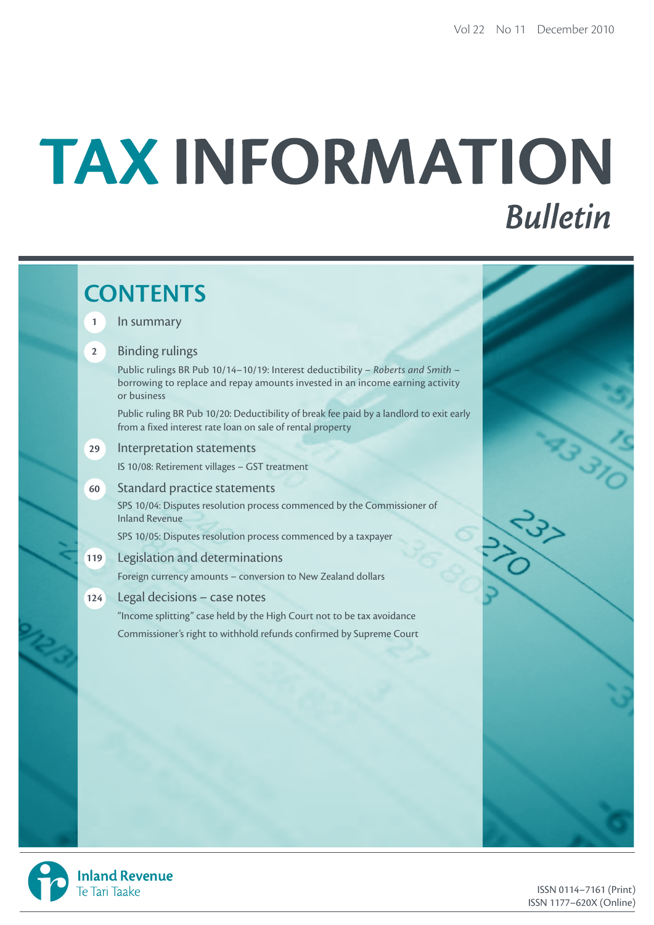# TAX INFORMATION **Bulletin**

# **CONTENTS 1** In summary **2** Binding rulings Public rulings BR Pub 10/14–10/19: Interest deductibility – *Roberts and Smith* – borrowing to replace and repay amounts invested in an income earning activity or business Public ruling BR Pub 10/20: Deductibility of break fee paid by a landlord to exit early from a fixed interest rate loan on sale of rental property **29** Interpretation statements IS 10/08: Retirement villages – GST treatment **60** Standard practice statements SPS 10/04: Disputes resolution process commenced by the Commissioner of Inland Revenue SPS 10/05: Disputes resolution process commenced by a taxpayer **119** Legislation and determinations Foreign currency amounts – conversion to New Zealand dollars **124** Legal decisions – case notes "Income splitting" case held by the High Court not to be tax avoidance Commissioner's right to withhold refunds confirmed by Supreme Court

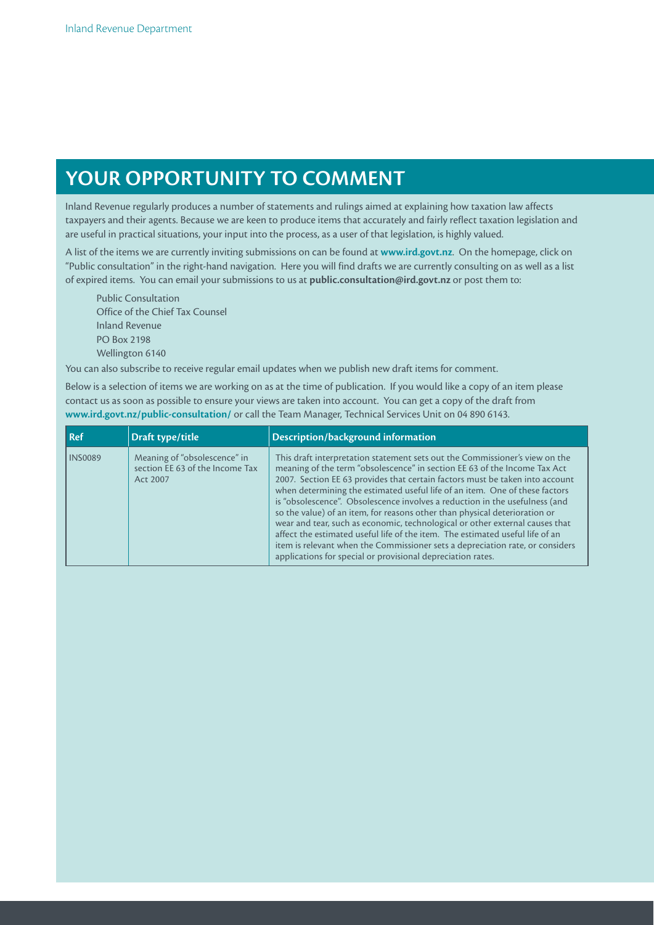# **YOur OppOrTuNiTY TO COmmENT**

Inland Revenue regularly produces a number of statements and rulings aimed at explaining how taxation law affects taxpayers and their agents. Because we are keen to produce items that accurately and fairly reflect taxation legislation and are useful in practical situations, your input into the process, as a user of that legislation, is highly valued.

A list of the items we are currently inviting submissions on can be found at **www.ird.govt.nz**. On the homepage, click on "Public consultation" in the right-hand navigation. Here you will find drafts we are currently consulting on as well as a list of expired items. You can email your submissions to us at **public.consultation@ird.govt.nz** or post them to:

Public Consultation Office of the Chief Tax Counsel Inland Revenue PO Box 2198 Wellington 6140

You can also subscribe to receive regular email updates when we publish new draft items for comment.

Below is a selection of items we are working on as at the time of publication. If you would like a copy of an item please contact us as soon as possible to ensure your views are taken into account. You can get a copy of the draft from **www.ird.govt.nz/public-consultation/** or call the Team Manager, Technical Services Unit on 04 890 6143.

| l Ref          | Draft type/title                                                            | Description/background information                                                                                                                                                                                                                                                                                                                                                                                                                                                                                                                                                                                                                                                                                                                                                                    |
|----------------|-----------------------------------------------------------------------------|-------------------------------------------------------------------------------------------------------------------------------------------------------------------------------------------------------------------------------------------------------------------------------------------------------------------------------------------------------------------------------------------------------------------------------------------------------------------------------------------------------------------------------------------------------------------------------------------------------------------------------------------------------------------------------------------------------------------------------------------------------------------------------------------------------|
| <b>INS0089</b> | Meaning of "obsolescence" in<br>section EE 63 of the Income Tax<br>Act 2007 | This draft interpretation statement sets out the Commissioner's view on the<br>meaning of the term "obsolescence" in section EE 63 of the Income Tax Act<br>2007. Section EE 63 provides that certain factors must be taken into account<br>when determining the estimated useful life of an item. One of these factors<br>is "obsolescence". Obsolescence involves a reduction in the usefulness (and<br>so the value) of an item, for reasons other than physical deterioration or<br>wear and tear, such as economic, technological or other external causes that<br>affect the estimated useful life of the item. The estimated useful life of an<br>item is relevant when the Commissioner sets a depreciation rate, or considers<br>applications for special or provisional depreciation rates. |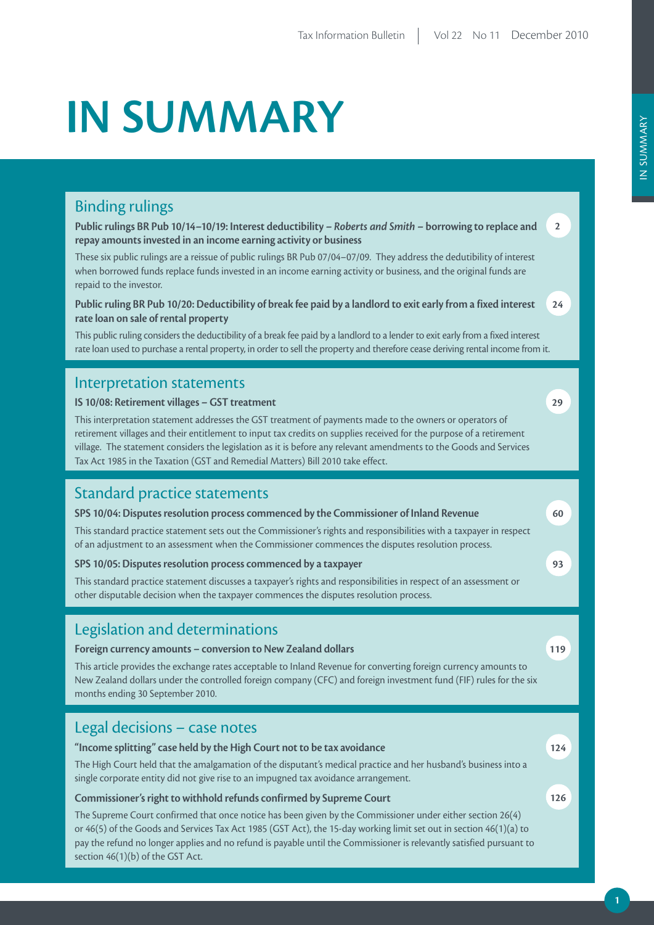# **iN SummArY**

## Binding rulings

**public rulings Br pub 10/14–10/19: interest deductibility –** *Roberts and Smith* **– borrowing to replace and repay amounts invested in an income earning activity or business**

These six public rulings are a reissue of public rulings BR Pub 07/04–07/09. They address the dedutibility of interest when borrowed funds replace funds invested in an income earning activity or business, and the original funds are repaid to the investor.

**public ruling Br pub 10/20: Deductibility of break fee paid by a landlord to exit early from a fixed interest rate loan on sale of rental property**

This public ruling considers the deductibility of a break fee paid by a landlord to a lender to exit early from a fixed interest rate loan used to purchase a rental property, in order to sell the property and therefore cease deriving rental income from it.

## Interpretation statements

#### **IS 10/08: Retirement villages - GST treatment**

This interpretation statement addresses the GST treatment of payments made to the owners or operators of retirement villages and their entitlement to input tax credits on supplies received for the purpose of a retirement village. The statement considers the legislation as it is before any relevant amendments to the Goods and Services Tax Act 1985 in the Taxation (GST and Remedial Matters) Bill 2010 take effect.

## Standard practice statements

#### **SpS 10/04: Disputes resolution process commenced by the Commissioner of inland revenue**

This standard practice statement sets out the Commissioner's rights and responsibilities with a taxpayer in respect of an adjustment to an assessment when the Commissioner commences the disputes resolution process.

#### **SpS 10/05: Disputes resolution process commenced by a taxpayer**

This standard practice statement discusses a taxpayer's rights and responsibilities in respect of an assessment or other disputable decision when the taxpayer commences the disputes resolution process.

## Legislation and determinations

#### **Foreign currency amounts – conversion to New Zealand dollars**

This article provides the exchange rates acceptable to Inland Revenue for converting foreign currency amounts to New Zealand dollars under the controlled foreign company (CFC) and foreign investment fund (FIF) rules for the six months ending 30 September 2010.

## Legal decisions – case notes

#### **"income splitting" case held by the High Court not to be tax avoidance**

The High Court held that the amalgamation of the disputant's medical practice and her husband's business into a single corporate entity did not give rise to an impugned tax avoidance arrangement.

#### **Commissioner's right to withhold refunds confirmed by Supreme Court**

The Supreme Court confirmed that once notice has been given by the Commissioner under either section 26(4) or 46(5) of the Goods and Services Tax Act 1985 (GST Act), the 15-day working limit set out in section 46(1)(a) to pay the refund no longer applies and no refund is payable until the Commissioner is relevantly satisfied pursuant to section 46(1)(b) of the GST Act.

**2**

**24**

**119**

**124**

**126**

**60**

**93**

**29**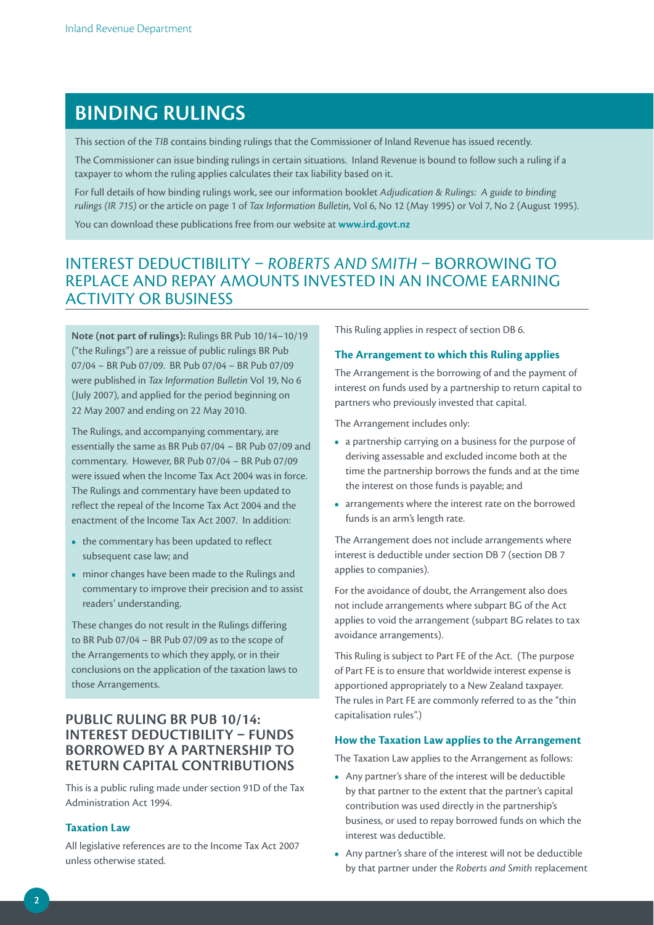## **BiNDiNG ruLiNGS**

This section of the *TIB* contains binding rulings that the Commissioner of Inland Revenue has issued recently.

The Commissioner can issue binding rulings in certain situations. Inland Revenue is bound to follow such a ruling if a FRC COMMISSIONET CAN ISSUE DIRING TAILING TERRATIONS. THEIR IN THE COMMISSIONET CAN ISSUE DIRING TAILING TERRATION STATES THEIR ADDITION OF THE COMMISSION OF THE COMMISSION OF THE COMMISSION OF THE COMMISSION OF THE COMMIS

For full details of how binding rulings work, see our information booklet *Adjudication & Rulings: A guide to binding rulings (IR 715)* or the article on page 1 of *Tax Information Bulletin*, Vol 6, No 12 (May 1995) or Vol 7, No 2 (August 1995).

You can download these publications free from our website at **www.ird.govt.nz**

## INTEREST DEDUCTIBILITY – *ROBERTS AND SMITH* – BORROWING TO REPLACE AND REPAY AMOUNTS INVESTED IN AN INCOME EARNING ACTIVITY OR BUSINESS

**Note (not part of rulings):** Rulings BR Pub 10/14–10/19 ("the Rulings") are a reissue of public rulings BR Pub 07/04 – BR Pub 07/09. BR Pub 07/04 – BR Pub 07/09 were published in *Tax Information Bulletin* Vol 19, No 6 (July 2007), and applied for the period beginning on 22 May 2007 and ending on 22 May 2010.

The Rulings, and accompanying commentary, are essentially the same as BR Pub 07/04 – BR Pub 07/09 and commentary. However, BR Pub 07/04 – BR Pub 07/09 were issued when the Income Tax Act 2004 was in force. The Rulings and commentary have been updated to reflect the repeal of the Income Tax Act 2004 and the enactment of the Income Tax Act 2007. In addition:

- the commentary has been updated to reflect subsequent case law; and
- **•**  minor changes have been made to the Rulings and commentary to improve their precision and to assist readers' understanding.

These changes do not result in the Rulings differing to BR Pub 07/04 – BR Pub 07/09 as to the scope of the Arrangements to which they apply, or in their conclusions on the application of the taxation laws to those Arrangements.

## **puBLiC ruLiNG Br puB 10/14: iNTErEST DEDuCTiBiLiTY – FuNDS BOrrOWED BY A pArTNErSHip TO rETurN CApiTAL CONTriBuTiONS**

This is a public ruling made under section 91D of the Tax Administration Act 1994.

#### **Taxation Law**

All legislative references are to the Income Tax Act 2007 unless otherwise stated.

This Ruling applies in respect of section DB 6.

#### **The Arrangement to which this Ruling applies**

The Arrangement is the borrowing of and the payment of interest on funds used by a partnership to return capital to partners who previously invested that capital.

The Arrangement includes only:

- **•**  a partnership carrying on a business for the purpose of deriving assessable and excluded income both at the time the partnership borrows the funds and at the time the interest on those funds is payable; and
- **•**  arrangements where the interest rate on the borrowed funds is an arm's length rate.

The Arrangement does not include arrangements where interest is deductible under section DB 7 (section DB 7 applies to companies).

For the avoidance of doubt, the Arrangement also does not include arrangements where subpart BG of the Act applies to void the arrangement (subpart BG relates to tax avoidance arrangements).

This Ruling is subject to Part FE of the Act. (The purpose of Part FE is to ensure that worldwide interest expense is apportioned appropriately to a New Zealand taxpayer. The rules in Part FE are commonly referred to as the "thin capitalisation rules".)

#### **How the Taxation Law applies to the Arrangement**

The Taxation Law applies to the Arrangement as follows:

- **•**  Any partner's share of the interest will be deductible by that partner to the extent that the partner's capital contribution was used directly in the partnership's business, or used to repay borrowed funds on which the interest was deductible.
- **•**  Any partner's share of the interest will not be deductible by that partner under the *Roberts and Smith* replacement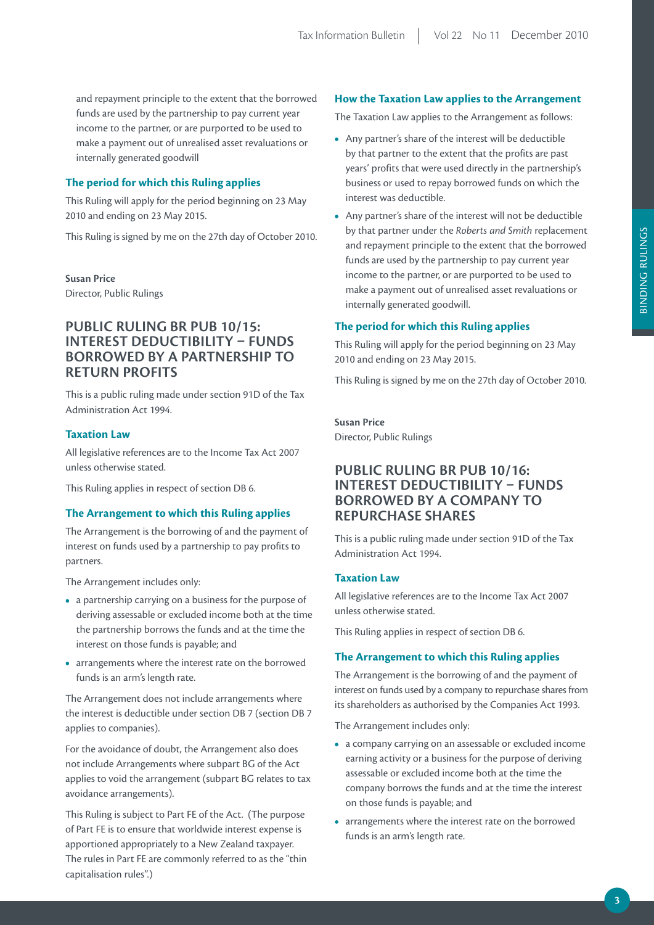and repayment principle to the extent that the borrowed funds are used by the partnership to pay current year income to the partner, or are purported to be used to make a payment out of unrealised asset revaluations or internally generated goodwill

#### **The period for which this Ruling applies**

This Ruling will apply for the period beginning on 23 May 2010 and ending on 23 May 2015.

This Ruling is signed by me on the 27th day of October 2010.

**Susan price**  Director, Public Rulings

## **puBLiC ruLiNG Br puB 10/15: iNTErEST DEDuCTiBiLiTY – FuNDS BOrrOWED BY A pArTNErSHip TO rETurN prOFiTS**

This is a public ruling made under section 91D of the Tax Administration Act 1994.

#### **Taxation Law**

All legislative references are to the Income Tax Act 2007 unless otherwise stated.

This Ruling applies in respect of section DB 6.

#### **The Arrangement to which this Ruling applies**

The Arrangement is the borrowing of and the payment of interest on funds used by a partnership to pay profits to partners.

The Arrangement includes only:

- **•**  a partnership carrying on a business for the purpose of deriving assessable or excluded income both at the time the partnership borrows the funds and at the time the interest on those funds is payable; and
- **•**  arrangements where the interest rate on the borrowed funds is an arm's length rate.

The Arrangement does not include arrangements where the interest is deductible under section DB 7 (section DB 7 applies to companies).

For the avoidance of doubt, the Arrangement also does not include Arrangements where subpart BG of the Act applies to void the arrangement (subpart BG relates to tax avoidance arrangements).

This Ruling is subject to Part FE of the Act. (The purpose of Part FE is to ensure that worldwide interest expense is apportioned appropriately to a New Zealand taxpayer. The rules in Part FE are commonly referred to as the "thin capitalisation rules".)

#### **How the Taxation Law applies to the Arrangement**

The Taxation Law applies to the Arrangement as follows:

- **•**  Any partner's share of the interest will be deductible by that partner to the extent that the profits are past years' profits that were used directly in the partnership's business or used to repay borrowed funds on which the interest was deductible.
- **•**  Any partner's share of the interest will not be deductible by that partner under the *Roberts and Smith* replacement and repayment principle to the extent that the borrowed funds are used by the partnership to pay current year income to the partner, or are purported to be used to make a payment out of unrealised asset revaluations or internally generated goodwill.

#### **The period for which this Ruling applies**

This Ruling will apply for the period beginning on 23 May 2010 and ending on 23 May 2015.

This Ruling is signed by me on the 27th day of October 2010.

**Susan price**  Director, Public Rulings

## **puBLiC ruLiNG Br puB 10/16: iNTErEST DEDuCTiBiLiTY – FuNDS BOrrOWED BY A COmpANY TO rEpurCHASE SHArES**

This is a public ruling made under section 91D of the Tax Administration Act 1994.

#### **Taxation Law**

All legislative references are to the Income Tax Act 2007 unless otherwise stated.

This Ruling applies in respect of section DB 6.

#### **The Arrangement to which this Ruling applies**

The Arrangement is the borrowing of and the payment of interest on funds used by a company to repurchase shares from its shareholders as authorised by the Companies Act 1993.

The Arrangement includes only:

- **•**  a company carrying on an assessable or excluded income earning activity or a business for the purpose of deriving assessable or excluded income both at the time the company borrows the funds and at the time the interest on those funds is payable; and
- **•**  arrangements where the interest rate on the borrowed funds is an arm's length rate.

**3**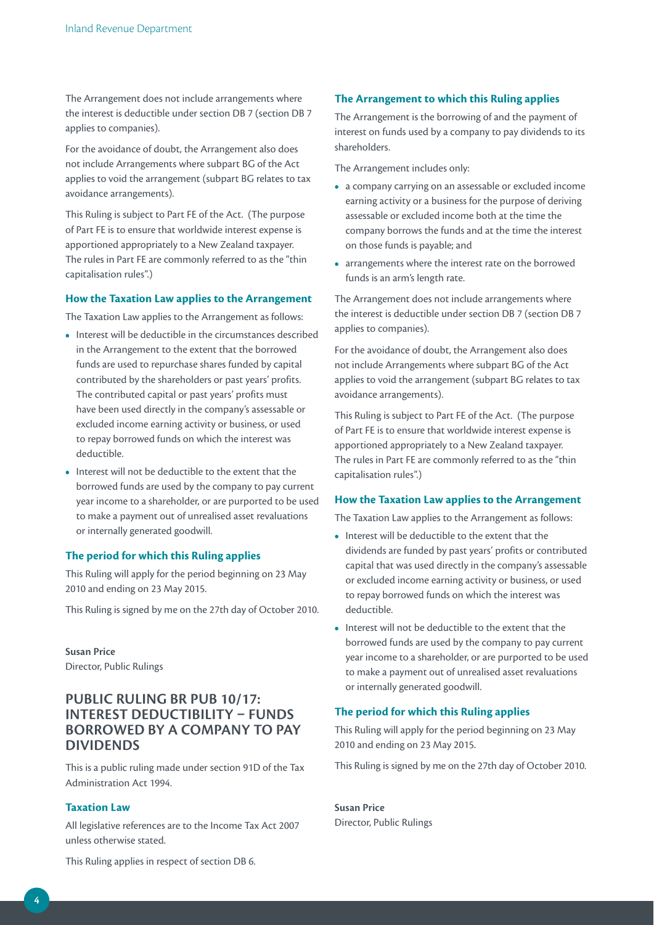The Arrangement does not include arrangements where the interest is deductible under section DB 7 (section DB 7 applies to companies).

For the avoidance of doubt, the Arrangement also does not include Arrangements where subpart BG of the Act applies to void the arrangement (subpart BG relates to tax avoidance arrangements).

This Ruling is subject to Part FE of the Act. (The purpose of Part FE is to ensure that worldwide interest expense is apportioned appropriately to a New Zealand taxpayer. The rules in Part FE are commonly referred to as the "thin capitalisation rules".)

#### **How the Taxation Law applies to the Arrangement**

The Taxation Law applies to the Arrangement as follows:

- Interest will be deductible in the circumstances described in the Arrangement to the extent that the borrowed funds are used to repurchase shares funded by capital contributed by the shareholders or past years' profits. The contributed capital or past years' profits must have been used directly in the company's assessable or excluded income earning activity or business, or used to repay borrowed funds on which the interest was deductible.
- **•**  Interest will not be deductible to the extent that the borrowed funds are used by the company to pay current year income to a shareholder, or are purported to be used to make a payment out of unrealised asset revaluations or internally generated goodwill.

#### **The period for which this Ruling applies**

This Ruling will apply for the period beginning on 23 May 2010 and ending on 23 May 2015.

This Ruling is signed by me on the 27th day of October 2010.

**Susan price**  Director, Public Rulings

## **puBLiC ruLiNG Br puB 10/17: iNTErEST DEDuCTiBiLiTY – FuNDS BOrrOWED BY A COmpANY TO pAY DiViDENDS**

This is a public ruling made under section 91D of the Tax Administration Act 1994.

#### **Taxation Law**

All legislative references are to the Income Tax Act 2007 unless otherwise stated.

#### **The Arrangement to which this Ruling applies**

The Arrangement is the borrowing of and the payment of interest on funds used by a company to pay dividends to its shareholders.

The Arrangement includes only:

- **•**  a company carrying on an assessable or excluded income earning activity or a business for the purpose of deriving assessable or excluded income both at the time the company borrows the funds and at the time the interest on those funds is payable; and
- **•**  arrangements where the interest rate on the borrowed funds is an arm's length rate.

The Arrangement does not include arrangements where the interest is deductible under section DB 7 (section DB 7 applies to companies).

For the avoidance of doubt, the Arrangement also does not include Arrangements where subpart BG of the Act applies to void the arrangement (subpart BG relates to tax avoidance arrangements).

This Ruling is subject to Part FE of the Act. (The purpose of Part FE is to ensure that worldwide interest expense is apportioned appropriately to a New Zealand taxpayer. The rules in Part FE are commonly referred to as the "thin capitalisation rules".)

#### **How the Taxation Law applies to the Arrangement**

The Taxation Law applies to the Arrangement as follows:

- **•**  Interest will be deductible to the extent that the dividends are funded by past years' profits or contributed capital that was used directly in the company's assessable or excluded income earning activity or business, or used to repay borrowed funds on which the interest was deductible.
- **•**  Interest will not be deductible to the extent that the borrowed funds are used by the company to pay current year income to a shareholder, or are purported to be used to make a payment out of unrealised asset revaluations or internally generated goodwill.

#### **The period for which this Ruling applies**

This Ruling will apply for the period beginning on 23 May 2010 and ending on 23 May 2015.

This Ruling is signed by me on the 27th day of October 2010.

**Susan price**  Director, Public Rulings

This Ruling applies in respect of section DB 6.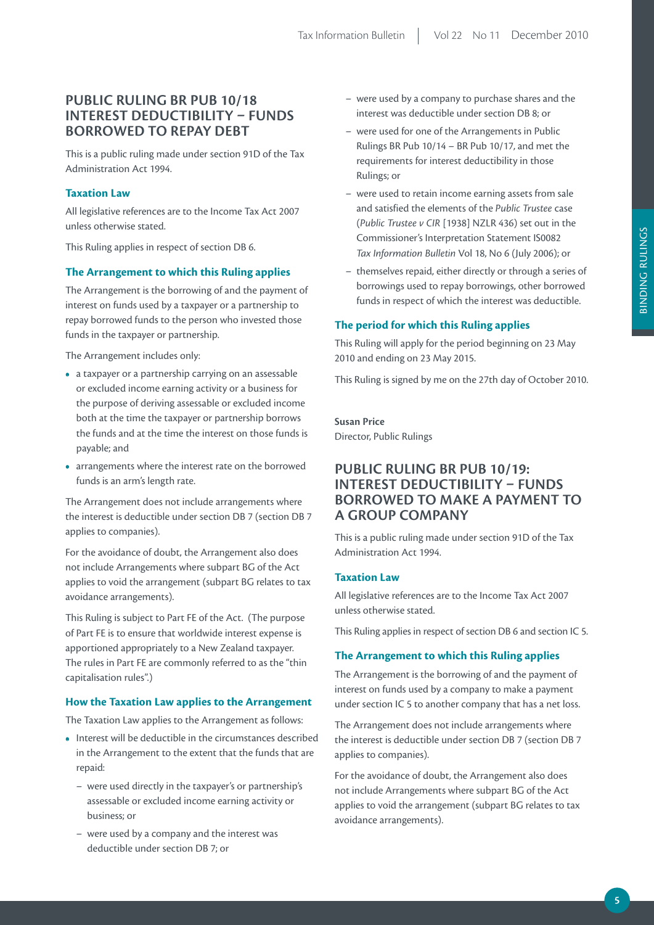## **puBLiC ruLiNG Br puB 10/18 iNTErEST DEDuCTiBiLiTY – FuNDS BOrrOWED TO rEpAY DEBT**

This is a public ruling made under section 91D of the Tax Administration Act 1994.

#### **Taxation Law**

All legislative references are to the Income Tax Act 2007 unless otherwise stated.

This Ruling applies in respect of section DB 6.

#### **The Arrangement to which this Ruling applies**

The Arrangement is the borrowing of and the payment of interest on funds used by a taxpayer or a partnership to repay borrowed funds to the person who invested those funds in the taxpayer or partnership.

The Arrangement includes only:

- **•**  a taxpayer or a partnership carrying on an assessable or excluded income earning activity or a business for the purpose of deriving assessable or excluded income both at the time the taxpayer or partnership borrows the funds and at the time the interest on those funds is payable; and
- **•**  arrangements where the interest rate on the borrowed funds is an arm's length rate.

The Arrangement does not include arrangements where the interest is deductible under section DB 7 (section DB 7 applies to companies).

For the avoidance of doubt, the Arrangement also does not include Arrangements where subpart BG of the Act applies to void the arrangement (subpart BG relates to tax avoidance arrangements).

This Ruling is subject to Part FE of the Act. (The purpose of Part FE is to ensure that worldwide interest expense is apportioned appropriately to a New Zealand taxpayer. The rules in Part FE are commonly referred to as the "thin capitalisation rules".)

#### **How the Taxation Law applies to the Arrangement**

The Taxation Law applies to the Arrangement as follows:

- Interest will be deductible in the circumstances described in the Arrangement to the extent that the funds that are repaid:
	- were used directly in the taxpayer's or partnership's assessable or excluded income earning activity or business; or
	- were used by a company and the interest was deductible under section DB 7; or
- were used by a company to purchase shares and the interest was deductible under section DB 8; or
- were used for one of the Arrangements in Public Rulings BR Pub 10/14 – BR Pub 10/17, and met the requirements for interest deductibility in those Rulings; or
- were used to retain income earning assets from sale and satisfied the elements of the *Public Trustee* case (*Public Trustee v CIR* [1938] NZLR 436) set out in the Commissioner's Interpretation Statement IS0082 *Tax Information Bulletin* Vol 18, No 6 (July 2006); or
- themselves repaid, either directly or through a series of borrowings used to repay borrowings, other borrowed funds in respect of which the interest was deductible.

#### **The period for which this Ruling applies**

This Ruling will apply for the period beginning on 23 May 2010 and ending on 23 May 2015.

This Ruling is signed by me on the 27th day of October 2010.

## **Susan price**

Director, Public Rulings

## **puBLiC ruLiNG Br puB 10/19: iNTErEST DEDuCTiBiLiTY – FuNDS BOrrOWED TO mAKE A pAYmENT TO A GrOup COmpANY**

This is a public ruling made under section 91D of the Tax Administration Act 1994.

#### **Taxation Law**

All legislative references are to the Income Tax Act 2007 unless otherwise stated.

This Ruling applies in respect of section DB 6 and section IC 5.

#### **The Arrangement to which this Ruling applies**

The Arrangement is the borrowing of and the payment of interest on funds used by a company to make a payment under section IC 5 to another company that has a net loss.

The Arrangement does not include arrangements where the interest is deductible under section DB 7 (section DB 7 applies to companies).

For the avoidance of doubt, the Arrangement also does not include Arrangements where subpart BG of the Act applies to void the arrangement (subpart BG relates to tax avoidance arrangements).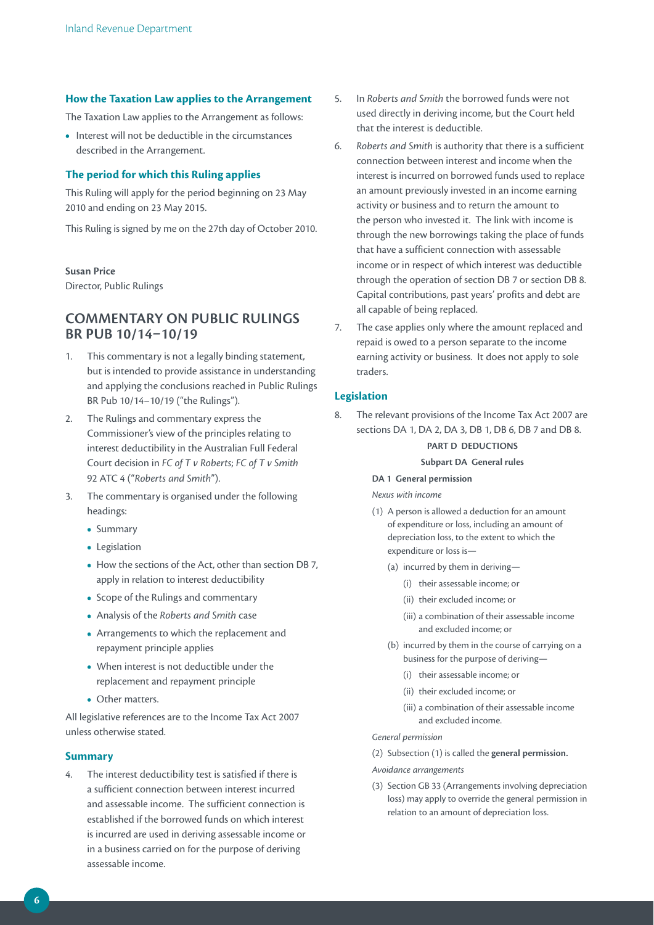#### **How the Taxation Law applies to the Arrangement**

The Taxation Law applies to the Arrangement as follows:

**•**  Interest will not be deductible in the circumstances described in the Arrangement.

#### **The period for which this Ruling applies**

This Ruling will apply for the period beginning on 23 May 2010 and ending on 23 May 2015.

This Ruling is signed by me on the 27th day of October 2010.

#### **Susan price**

Director, Public Rulings

## **COmmENTArY ON puBLiC ruLiNGS Br puB 10/14–10/19**

- 1. This commentary is not a legally binding statement, but is intended to provide assistance in understanding and applying the conclusions reached in Public Rulings BR Pub 10/14–10/19 ("the Rulings").
- 2. The Rulings and commentary express the Commissioner's view of the principles relating to interest deductibility in the Australian Full Federal Court decision in *FC of T v Roberts*; *FC of T v Smith* 92 ATC 4 ("*Roberts and Smith*").
- 3. The commentary is organised under the following headings:
	- **•**  Summary
	- **•**  Legislation
	- How the sections of the Act, other than section DB 7. apply in relation to interest deductibility
	- **•**  Scope of the Rulings and commentary
	- **•**  Analysis of the *Roberts and Smith* case
	- **•**  Arrangements to which the replacement and repayment principle applies
	- **•**  When interest is not deductible under the replacement and repayment principle
	- **•**  Other matters.

All legislative references are to the Income Tax Act 2007 unless otherwise stated.

#### **Summary**

4. The interest deductibility test is satisfied if there is a sufficient connection between interest incurred and assessable income. The sufficient connection is established if the borrowed funds on which interest is incurred are used in deriving assessable income or in a business carried on for the purpose of deriving assessable income.

- 5. In *Roberts and Smith* the borrowed funds were not used directly in deriving income, but the Court held that the interest is deductible.
- 6. *Roberts and Smith* is authority that there is a sufficient connection between interest and income when the interest is incurred on borrowed funds used to replace an amount previously invested in an income earning activity or business and to return the amount to the person who invested it. The link with income is through the new borrowings taking the place of funds that have a sufficient connection with assessable income or in respect of which interest was deductible through the operation of section DB 7 or section DB 8. Capital contributions, past years' profits and debt are all capable of being replaced.
- 7. The case applies only where the amount replaced and repaid is owed to a person separate to the income earning activity or business. It does not apply to sole traders.

#### **Legislation**

8. The relevant provisions of the Income Tax Act 2007 are sections DA 1, DA 2, DA 3, DB 1, DB 6, DB 7 and DB 8.

## **pArT D DEDuCTiONS**

#### **Subpart DA General rules**

**DA 1 General permission**

#### *Nexus with income*

- (1) A person is allowed a deduction for an amount of expenditure or loss, including an amount of depreciation loss, to the extent to which the expenditure or loss is—
	- (a) incurred by them in deriving—
		- (i) their assessable income; or
		- (ii) their excluded income; or
		- (iii) a combination of their assessable income and excluded income; or
	- (b) incurred by them in the course of carrying on a business for the purpose of deriving—
		- (i) their assessable income; or
		- (ii) their excluded income; or
		- (iii) a combination of their assessable income and excluded income.

#### *General permission*

(2) Subsection (1) is called the **general permission.**

#### *Avoidance arrangements*

(3) Section GB 33 (Arrangements involving depreciation loss) may apply to override the general permission in relation to an amount of depreciation loss.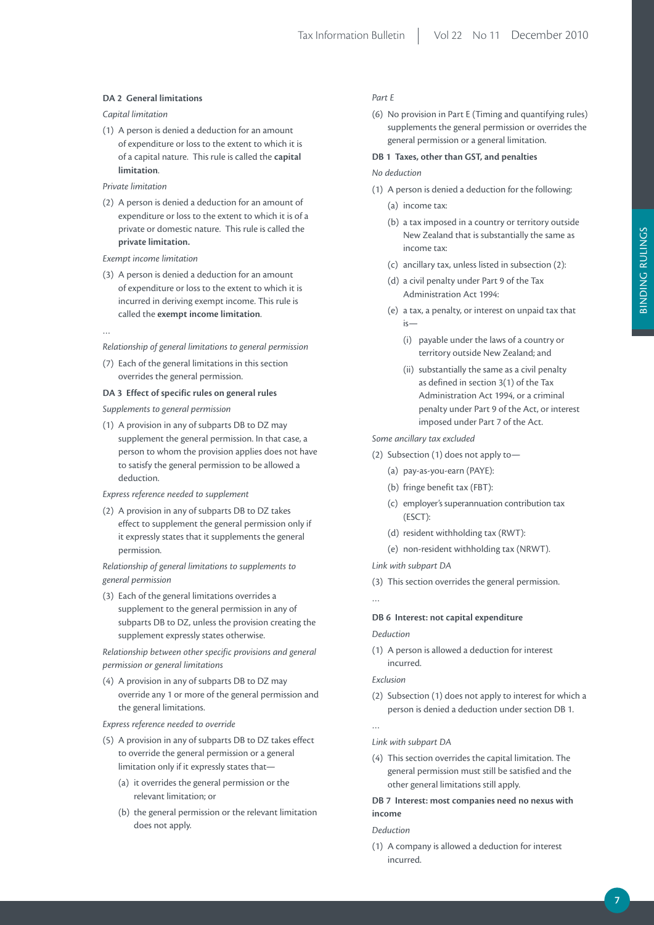#### **DA 2 General limitations**

#### *Capital limitation*

(1) A person is denied a deduction for an amount of expenditure or loss to the extent to which it is of a capital nature. This rule is called the **capital limitation**.

#### *Private limitation*

(2) A person is denied a deduction for an amount of expenditure or loss to the extent to which it is of a private or domestic nature. This rule is called the **private limitation.**

#### *Exempt income limitation*

(3) A person is denied a deduction for an amount of expenditure or loss to the extent to which it is incurred in deriving exempt income. This rule is called the **exempt income limitation**.

…

*Relationship of general limitations to general permission*

(7) Each of the general limitations in this section overrides the general permission.

#### **DA 3 Effect of specific rules on general rules**

*Supplements to general permission*

(1) A provision in any of subparts DB to DZ may supplement the general permission. In that case, a person to whom the provision applies does not have to satisfy the general permission to be allowed a deduction.

#### *Express reference needed to supplement*

(2) A provision in any of subparts DB to DZ takes effect to supplement the general permission only if it expressly states that it supplements the general permission.

*Relationship of general limitations to supplements to general permission*

(3) Each of the general limitations overrides a supplement to the general permission in any of subparts DB to DZ, unless the provision creating the supplement expressly states otherwise.

*Relationship between other specific provisions and general permission or general limitations*

(4) A provision in any of subparts DB to DZ may override any 1 or more of the general permission and the general limitations.

#### *Express reference needed to override*

- (5) A provision in any of subparts DB to DZ takes effect to override the general permission or a general limitation only if it expressly states that—
	- (a) it overrides the general permission or the relevant limitation; or
	- (b) the general permission or the relevant limitation does not apply.

#### *Part E*

(6) No provision in Part E (Timing and quantifying rules) supplements the general permission or overrides the general permission or a general limitation.

#### **DB 1 Taxes, other than GST, and penalties**

#### *No deduction*

- (1) A person is denied a deduction for the following:
	- (a) income tax:
	- (b) a tax imposed in a country or territory outside New Zealand that is substantially the same as income tax:
	- (c) ancillary tax, unless listed in subsection (2):
	- (d) a civil penalty under Part 9 of the Tax Administration Act 1994:
	- (e) a tax, a penalty, or interest on unpaid tax that is—
		- (i) payable under the laws of a country or territory outside New Zealand; and
		- (ii) substantially the same as a civil penalty as defined in section 3(1) of the Tax Administration Act 1994, or a criminal penalty under Part 9 of the Act, or interest imposed under Part 7 of the Act.

*Some ancillary tax excluded*

- (2) Subsection (1) does not apply to—
	- (a) pay-as-you-earn (PAYE):
	- (b) fringe benefit tax (FBT):
	- (c) employer's superannuation contribution tax (ESCT):
	- (d) resident withholding tax (RWT):
	- (e) non-resident withholding tax (NRWT).

*Link with subpart DA*

(3) This section overrides the general permission.

…

## **DB 6 interest: not capital expenditure**

#### *Deduction*

(1) A person is allowed a deduction for interest incurred.

#### *Exclusion*

(2) Subsection (1) does not apply to interest for which a person is denied a deduction under section DB 1.

…

*Link with subpart DA*

- (4) This section overrides the capital limitation. The general permission must still be satisfied and the other general limitations still apply.
- **DB 7 interest: most companies need no nexus with income**

*Deduction*

(1) A company is allowed a deduction for interest incurred.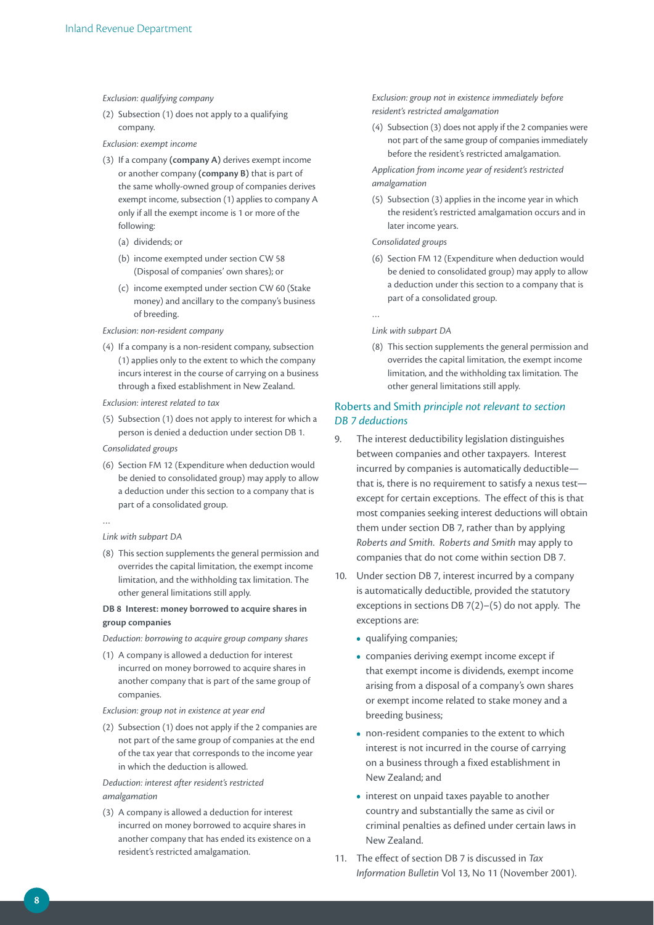#### *Exclusion: qualifying company*

(2) Subsection (1) does not apply to a qualifying company.

#### *Exclusion: exempt income*

- (3) If a company **(company A)** derives exempt income or another company **(company B)** that is part of the same wholly-owned group of companies derives exempt income, subsection (1) applies to company A only if all the exempt income is 1 or more of the following:
	- (a) dividends; or
	- (b) income exempted under section CW 58 (Disposal of companies' own shares); or
	- (c) income exempted under section CW 60 (Stake money) and ancillary to the company's business of breeding.

#### *Exclusion: non-resident company*

- (4) If a company is a non-resident company, subsection (1) applies only to the extent to which the company incurs interest in the course of carrying on a business through a fixed establishment in New Zealand.
- *Exclusion: interest related to tax*
- (5) Subsection (1) does not apply to interest for which a person is denied a deduction under section DB 1.

*Consolidated groups*

- (6) Section FM 12 (Expenditure when deduction would be denied to consolidated group) may apply to allow a deduction under this section to a company that is part of a consolidated group.
- …

#### *Link with subpart DA*

(8) This section supplements the general permission and overrides the capital limitation, the exempt income limitation, and the withholding tax limitation. The other general limitations still apply.

#### **DB 8 interest: money borrowed to acquire shares in group companies**

*Deduction: borrowing to acquire group company shares*

(1) A company is allowed a deduction for interest incurred on money borrowed to acquire shares in another company that is part of the same group of companies.

#### *Exclusion: group not in existence at year end*

(2) Subsection (1) does not apply if the 2 companies are not part of the same group of companies at the end of the tax year that corresponds to the income year in which the deduction is allowed.

#### *Deduction: interest after resident's restricted amalgamation*

(3) A company is allowed a deduction for interest incurred on money borrowed to acquire shares in another company that has ended its existence on a resident's restricted amalgamation.

*Exclusion: group not in existence immediately before resident's restricted amalgamation*

(4) Subsection (3) does not apply if the 2 companies were not part of the same group of companies immediately before the resident's restricted amalgamation.

*Application from income year of resident's restricted amalgamation*

(5) Subsection (3) applies in the income year in which the resident's restricted amalgamation occurs and in later income years.

#### *Consolidated groups*

(6) Section FM 12 (Expenditure when deduction would be denied to consolidated group) may apply to allow a deduction under this section to a company that is part of a consolidated group.

…

#### *Link with subpart DA*

(8) This section supplements the general permission and overrides the capital limitation, the exempt income limitation, and the withholding tax limitation. The other general limitations still apply.

#### Roberts and Smith *principle not relevant to section DB 7 deductions*

- 9. The interest deductibility legislation distinguishes between companies and other taxpayers. Interest incurred by companies is automatically deductible that is, there is no requirement to satisfy a nexus test except for certain exceptions. The effect of this is that most companies seeking interest deductions will obtain them under section DB 7, rather than by applying *Roberts and Smith*. *Roberts and Smith* may apply to companies that do not come within section DB 7.
- 10. Under section DB 7, interest incurred by a company is automatically deductible, provided the statutory exceptions in sections DB 7(2)–(5) do not apply. The exceptions are:
	- **•**  qualifying companies;
	- **•**  companies deriving exempt income except if that exempt income is dividends, exempt income arising from a disposal of a company's own shares or exempt income related to stake money and a breeding business;
	- non-resident companies to the extent to which interest is not incurred in the course of carrying on a business through a fixed establishment in New Zealand; and
	- interest on unpaid taxes payable to another country and substantially the same as civil or criminal penalties as defined under certain laws in New Zealand.
- 11. The effect of section DB 7 is discussed in *Tax Information Bulletin* Vol 13, No 11 (November 2001).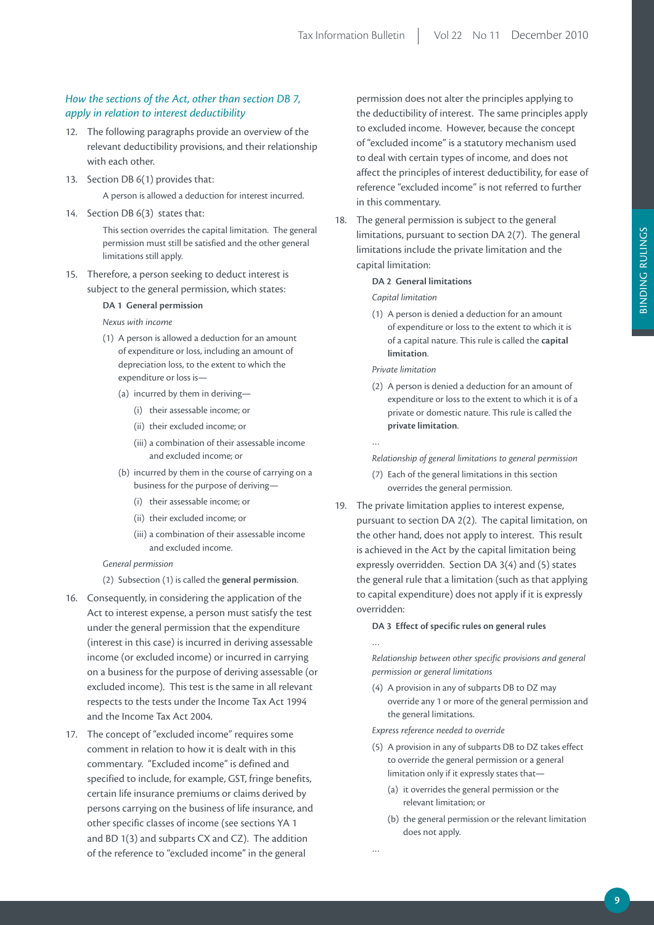#### *How the sections of the Act, other than section DB 7, apply in relation to interest deductibility*

- 12. The following paragraphs provide an overview of the relevant deductibility provisions, and their relationship with each other.
- 13. Section DB 6(1) provides that:

A person is allowed a deduction for interest incurred.

14. Section DB 6(3) states that:

This section overrides the capital limitation. The general permission must still be satisfied and the other general limitations still apply.

15. Therefore, a person seeking to deduct interest is subject to the general permission, which states:

#### **DA 1 General permission**

*Nexus with income*

- (1) A person is allowed a deduction for an amount of expenditure or loss, including an amount of depreciation loss, to the extent to which the expenditure or loss is—
	- (a) incurred by them in deriving—
		- (i) their assessable income; or
		- (ii) their excluded income; or
		- (iii) a combination of their assessable income and excluded income; or
	- (b) incurred by them in the course of carrying on a business for the purpose of deriving—
		- (i) their assessable income; or
		- (ii) their excluded income; or
		- (iii) a combination of their assessable income and excluded income.

#### *General permission*

- (2) Subsection (1) is called the **general permission**.
- 16. Consequently, in considering the application of the Act to interest expense, a person must satisfy the test under the general permission that the expenditure (interest in this case) is incurred in deriving assessable income (or excluded income) or incurred in carrying on a business for the purpose of deriving assessable (or excluded income). This test is the same in all relevant respects to the tests under the Income Tax Act 1994 and the Income Tax Act 2004.
- 17. The concept of "excluded income" requires some comment in relation to how it is dealt with in this commentary. "Excluded income" is defined and specified to include, for example, GST, fringe benefits, certain life insurance premiums or claims derived by persons carrying on the business of life insurance, and other specific classes of income (see sections YA 1 and BD 1(3) and subparts CX and CZ). The addition of the reference to "excluded income" in the general

permission does not alter the principles applying to the deductibility of interest. The same principles apply to excluded income. However, because the concept of "excluded income" is a statutory mechanism used to deal with certain types of income, and does not affect the principles of interest deductibility, for ease of reference "excluded income" is not referred to further in this commentary.

18. The general permission is subject to the general limitations, pursuant to section DA 2(7). The general limitations include the private limitation and the capital limitation:

#### **DA 2 General limitations**

*Capital limitation*

(1) A person is denied a deduction for an amount of expenditure or loss to the extent to which it is of a capital nature. This rule is called the **capital limitation**.

*Private limitation*

…

…

…

(2) A person is denied a deduction for an amount of expenditure or loss to the extent to which it is of a private or domestic nature. This rule is called the **private limitation**.

*Relationship of general limitations to general permission*

- (7) Each of the general limitations in this section overrides the general permission.
- 19. The private limitation applies to interest expense, pursuant to section DA 2(2). The capital limitation, on the other hand, does not apply to interest. This result is achieved in the Act by the capital limitation being expressly overridden. Section DA 3(4) and (5) states the general rule that a limitation (such as that applying to capital expenditure) does not apply if it is expressly overridden:

#### **DA 3 Effect of specific rules on general rules**

*Relationship between other specific provisions and general permission or general limitations*

(4) A provision in any of subparts DB to DZ may override any 1 or more of the general permission and the general limitations.

*Express reference needed to override*

- (5) A provision in any of subparts DB to DZ takes effect to override the general permission or a general limitation only if it expressly states that—
	- (a) it overrides the general permission or the relevant limitation; or
	- (b) the general permission or the relevant limitation does not apply.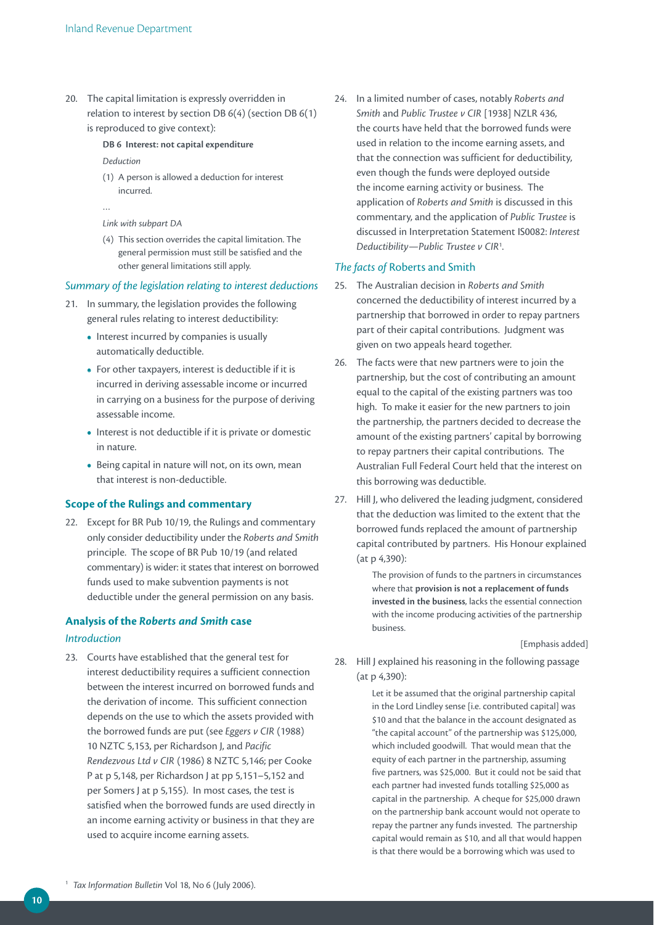20. The capital limitation is expressly overridden in relation to interest by section DB 6(4) (section DB 6(1) is reproduced to give context):

#### **DB 6 interest: not capital expenditure**

*Deduction*

- (1) A person is allowed a deduction for interest incurred.
- …

```
Link with subpart DA
```
(4) This section overrides the capital limitation. The general permission must still be satisfied and the other general limitations still apply.

#### *Summary of the legislation relating to interest deductions*

- 21. In summary, the legislation provides the following general rules relating to interest deductibility:
	- **•**  Interest incurred by companies is usually automatically deductible.
	- **•**  For other taxpayers, interest is deductible if it is incurred in deriving assessable income or incurred in carrying on a business for the purpose of deriving assessable income.
	- **•**  Interest is not deductible if it is private or domestic in nature.
	- **•**  Being capital in nature will not, on its own, mean that interest is non-deductible.

#### **Scope of the Rulings and commentary**

22. Except for BR Pub 10/19, the Rulings and commentary only consider deductibility under the *Roberts and Smith*  principle. The scope of BR Pub 10/19 (and related commentary) is wider: it states that interest on borrowed funds used to make subvention payments is not deductible under the general permission on any basis.

# **Analysis of the** *Roberts and Smith* **case**

#### *Introduction*

23. Courts have established that the general test for interest deductibility requires a sufficient connection between the interest incurred on borrowed funds and the derivation of income. This sufficient connection depends on the use to which the assets provided with the borrowed funds are put (see *Eggers v CIR* (1988) 10 NZTC 5,153, per Richardson J, and *Pacific Rendezvous Ltd v CIR* (1986) 8 NZTC 5,146; per Cooke P at p 5,148, per Richardson J at pp 5,151–5,152 and per Somers J at p 5,155). In most cases, the test is satisfied when the borrowed funds are used directly in an income earning activity or business in that they are used to acquire income earning assets.

24. In a limited number of cases, notably *Roberts and Smith* and *Public Trustee v CIR* [1938] NZLR 436, the courts have held that the borrowed funds were used in relation to the income earning assets, and that the connection was sufficient for deductibility, even though the funds were deployed outside the income earning activity or business. The application of *Roberts and Smith* is discussed in this commentary, and the application of *Public Trustee* is discussed in Interpretation Statement IS0082: *Interest Deductibility—Public Trustee v CIR*<sup>1</sup> .

#### *The facts of* Roberts and Smith

- 25. The Australian decision in *Roberts and Smith* concerned the deductibility of interest incurred by a partnership that borrowed in order to repay partners part of their capital contributions. Judgment was given on two appeals heard together.
- 26. The facts were that new partners were to join the partnership, but the cost of contributing an amount equal to the capital of the existing partners was too high. To make it easier for the new partners to join the partnership, the partners decided to decrease the amount of the existing partners' capital by borrowing to repay partners their capital contributions. The Australian Full Federal Court held that the interest on this borrowing was deductible.
- 27. Hill J, who delivered the leading judgment, considered that the deduction was limited to the extent that the borrowed funds replaced the amount of partnership capital contributed by partners. His Honour explained (at p 4,390):

The provision of funds to the partners in circumstances where that **provision is not a replacement of funds invested in the business**, lacks the essential connection with the income producing activities of the partnership business.

[Emphasis added]

28. Hill J explained his reasoning in the following passage (at p 4,390):

> Let it be assumed that the original partnership capital in the Lord Lindley sense [i.e. contributed capital] was \$10 and that the balance in the account designated as "the capital account" of the partnership was \$125,000, which included goodwill. That would mean that the equity of each partner in the partnership, assuming five partners, was \$25,000. But it could not be said that each partner had invested funds totalling \$25,000 as capital in the partnership. A cheque for \$25,000 drawn on the partnership bank account would not operate to repay the partner any funds invested. The partnership capital would remain as \$10, and all that would happen is that there would be a borrowing which was used to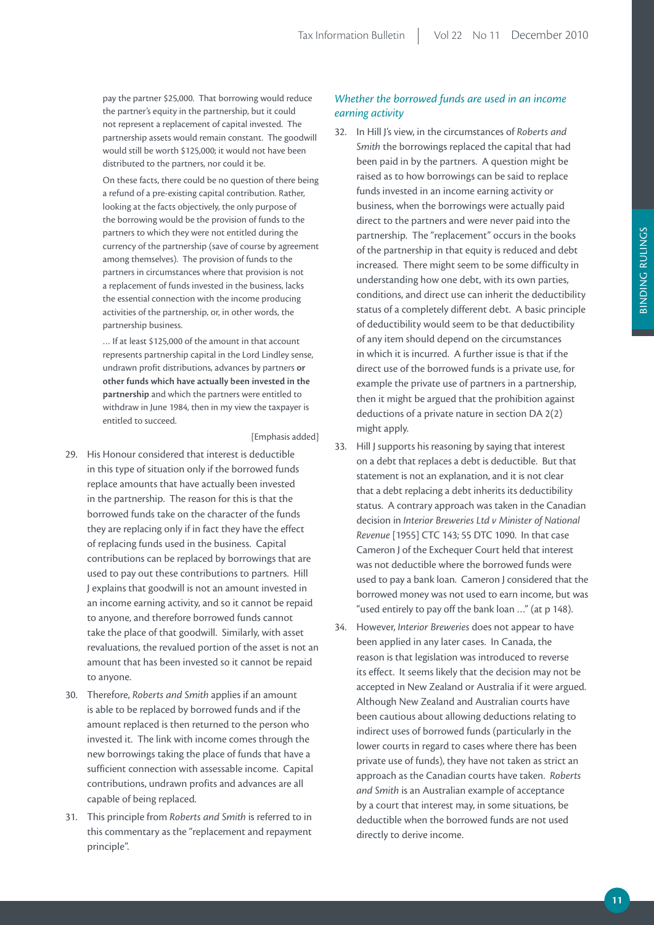pay the partner \$25,000. That borrowing would reduce the partner's equity in the partnership, but it could not represent a replacement of capital invested. The partnership assets would remain constant. The goodwill would still be worth \$125,000; it would not have been distributed to the partners, nor could it be.

On these facts, there could be no question of there being a refund of a pre-existing capital contribution. Rather, looking at the facts objectively, the only purpose of the borrowing would be the provision of funds to the partners to which they were not entitled during the currency of the partnership (save of course by agreement among themselves). The provision of funds to the partners in circumstances where that provision is not a replacement of funds invested in the business, lacks the essential connection with the income producing activities of the partnership, or, in other words, the partnership business.

… If at least \$125,000 of the amount in that account represents partnership capital in the Lord Lindley sense, undrawn profit distributions, advances by partners **or other funds which have actually been invested in the partnership** and which the partners were entitled to withdraw in June 1984, then in my view the taxpayer is entitled to succeed.

[Emphasis added]

- 29. His Honour considered that interest is deductible in this type of situation only if the borrowed funds replace amounts that have actually been invested in the partnership. The reason for this is that the borrowed funds take on the character of the funds they are replacing only if in fact they have the effect of replacing funds used in the business. Capital contributions can be replaced by borrowings that are used to pay out these contributions to partners. Hill J explains that goodwill is not an amount invested in an income earning activity, and so it cannot be repaid to anyone, and therefore borrowed funds cannot take the place of that goodwill. Similarly, with asset revaluations, the revalued portion of the asset is not an amount that has been invested so it cannot be repaid to anyone.
- 30. Therefore, *Roberts and Smith* applies if an amount is able to be replaced by borrowed funds and if the amount replaced is then returned to the person who invested it. The link with income comes through the new borrowings taking the place of funds that have a sufficient connection with assessable income. Capital contributions, undrawn profits and advances are all capable of being replaced.
- 31. This principle from *Roberts and Smith* is referred to in this commentary as the "replacement and repayment principle".

## *Whether the borrowed funds are used in an income earning activity*

- 32. In Hill J's view, in the circumstances of *Roberts and Smith* the borrowings replaced the capital that had been paid in by the partners. A question might be raised as to how borrowings can be said to replace funds invested in an income earning activity or business, when the borrowings were actually paid direct to the partners and were never paid into the partnership. The "replacement" occurs in the books of the partnership in that equity is reduced and debt increased. There might seem to be some difficulty in understanding how one debt, with its own parties, conditions, and direct use can inherit the deductibility status of a completely different debt. A basic principle of deductibility would seem to be that deductibility of any item should depend on the circumstances in which it is incurred. A further issue is that if the direct use of the borrowed funds is a private use, for example the private use of partners in a partnership, then it might be argued that the prohibition against deductions of a private nature in section DA 2(2) might apply.
- 33. Hill J supports his reasoning by saying that interest on a debt that replaces a debt is deductible. But that statement is not an explanation, and it is not clear that a debt replacing a debt inherits its deductibility status. A contrary approach was taken in the Canadian decision in *Interior Breweries Ltd v Minister of National Revenue* [1955] CTC 143; 55 DTC 1090. In that case Cameron J of the Exchequer Court held that interest was not deductible where the borrowed funds were used to pay a bank loan. Cameron J considered that the borrowed money was not used to earn income, but was "used entirely to pay off the bank loan …" (at p 148).
- 34. However, *Interior Breweries* does not appear to have been applied in any later cases. In Canada, the reason is that legislation was introduced to reverse its effect. It seems likely that the decision may not be accepted in New Zealand or Australia if it were argued. Although New Zealand and Australian courts have been cautious about allowing deductions relating to indirect uses of borrowed funds (particularly in the lower courts in regard to cases where there has been private use of funds), they have not taken as strict an approach as the Canadian courts have taken. *Roberts and Smith* is an Australian example of acceptance by a court that interest may, in some situations, be deductible when the borrowed funds are not used directly to derive income.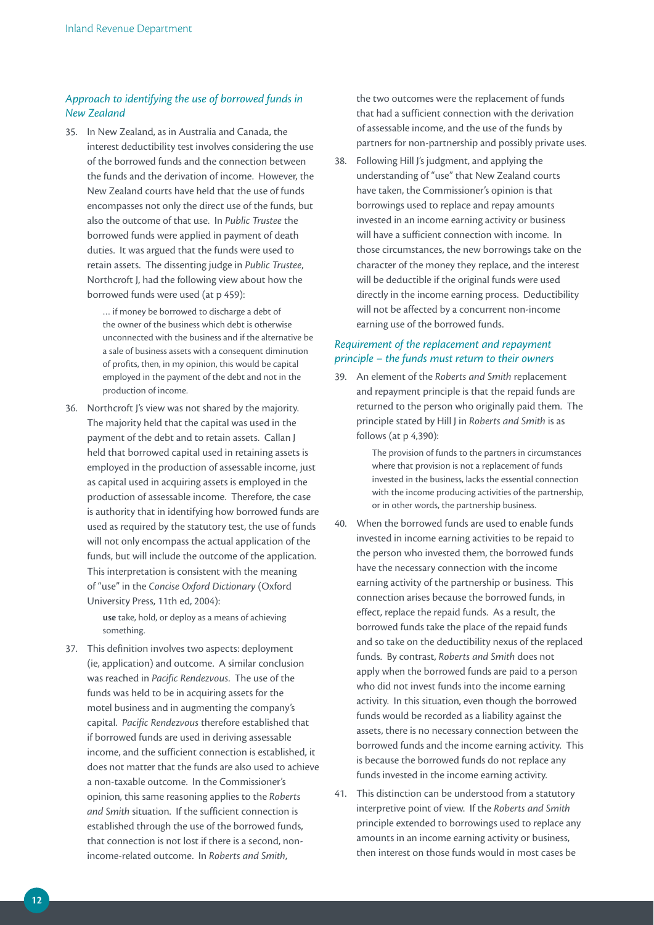#### *Approach to identifying the use of borrowed funds in New Zealand*

35. In New Zealand, as in Australia and Canada, the interest deductibility test involves considering the use of the borrowed funds and the connection between the funds and the derivation of income. However, the New Zealand courts have held that the use of funds encompasses not only the direct use of the funds, but also the outcome of that use. In *Public Trustee* the borrowed funds were applied in payment of death duties. It was argued that the funds were used to retain assets. The dissenting judge in *Public Trustee*, Northcroft J, had the following view about how the borrowed funds were used (at p 459):

> … if money be borrowed to discharge a debt of the owner of the business which debt is otherwise unconnected with the business and if the alternative be a sale of business assets with a consequent diminution of profits, then, in my opinion, this would be capital employed in the payment of the debt and not in the production of income.

36. Northcroft J's view was not shared by the majority. The majority held that the capital was used in the payment of the debt and to retain assets. Callan J held that borrowed capital used in retaining assets is employed in the production of assessable income, just as capital used in acquiring assets is employed in the production of assessable income. Therefore, the case is authority that in identifying how borrowed funds are used as required by the statutory test, the use of funds will not only encompass the actual application of the funds, but will include the outcome of the application. This interpretation is consistent with the meaning of "use" in the *Concise Oxford Dictionary* (Oxford University Press, 11th ed, 2004):

> **use** take, hold, or deploy as a means of achieving something.

37. This definition involves two aspects: deployment (ie, application) and outcome. A similar conclusion was reached in *Pacific Rendezvous*. The use of the funds was held to be in acquiring assets for the motel business and in augmenting the company's capital. *Pacific Rendezvous* therefore established that if borrowed funds are used in deriving assessable income, and the sufficient connection is established, it does not matter that the funds are also used to achieve a non-taxable outcome. In the Commissioner's opinion, this same reasoning applies to the *Roberts and Smith* situation. If the sufficient connection is established through the use of the borrowed funds, that connection is not lost if there is a second, nonincome-related outcome. In *Roberts and Smith*,

the two outcomes were the replacement of funds that had a sufficient connection with the derivation of assessable income, and the use of the funds by partners for non-partnership and possibly private uses.

38. Following Hill J's judgment, and applying the understanding of "use" that New Zealand courts have taken, the Commissioner's opinion is that borrowings used to replace and repay amounts invested in an income earning activity or business will have a sufficient connection with income. In those circumstances, the new borrowings take on the character of the money they replace, and the interest will be deductible if the original funds were used directly in the income earning process. Deductibility will not be affected by a concurrent non-income earning use of the borrowed funds.

#### *Requirement of the replacement and repayment principle – the funds must return to their owners*

39. An element of the *Roberts and Smith* replacement and repayment principle is that the repaid funds are returned to the person who originally paid them. The principle stated by Hill J in *Roberts and Smith* is as follows (at p 4,390):

> The provision of funds to the partners in circumstances where that provision is not a replacement of funds invested in the business, lacks the essential connection with the income producing activities of the partnership, or in other words, the partnership business.

- 40. When the borrowed funds are used to enable funds invested in income earning activities to be repaid to the person who invested them, the borrowed funds have the necessary connection with the income earning activity of the partnership or business. This connection arises because the borrowed funds, in effect, replace the repaid funds. As a result, the borrowed funds take the place of the repaid funds and so take on the deductibility nexus of the replaced funds. By contrast, *Roberts and Smith* does not apply when the borrowed funds are paid to a person who did not invest funds into the income earning activity. In this situation, even though the borrowed funds would be recorded as a liability against the assets, there is no necessary connection between the borrowed funds and the income earning activity. This is because the borrowed funds do not replace any funds invested in the income earning activity.
- 41. This distinction can be understood from a statutory interpretive point of view. If the *Roberts and Smith* principle extended to borrowings used to replace any amounts in an income earning activity or business, then interest on those funds would in most cases be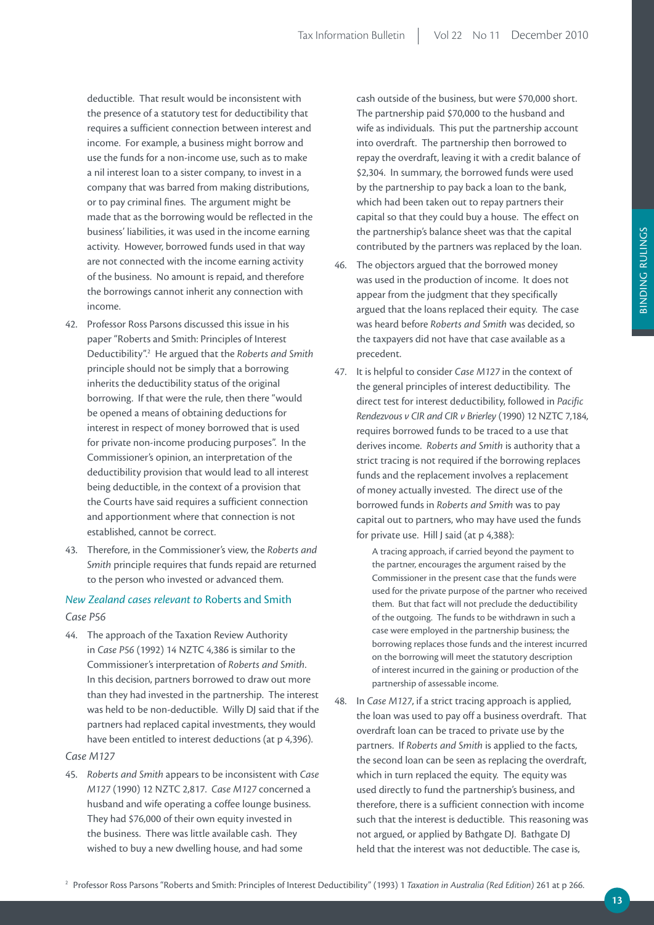deductible. That result would be inconsistent with the presence of a statutory test for deductibility that requires a sufficient connection between interest and income. For example, a business might borrow and use the funds for a non-income use, such as to make a nil interest loan to a sister company, to invest in a company that was barred from making distributions, or to pay criminal fines. The argument might be made that as the borrowing would be reflected in the business' liabilities, it was used in the income earning activity. However, borrowed funds used in that way are not connected with the income earning activity of the business. No amount is repaid, and therefore the borrowings cannot inherit any connection with income.

- 42. Professor Ross Parsons discussed this issue in his paper "Roberts and Smith: Principles of Interest Deductibility".2 He argued that the *Roberts and Smith*  principle should not be simply that a borrowing inherits the deductibility status of the original borrowing. If that were the rule, then there "would be opened a means of obtaining deductions for interest in respect of money borrowed that is used for private non-income producing purposes". In the Commissioner's opinion, an interpretation of the deductibility provision that would lead to all interest being deductible, in the context of a provision that the Courts have said requires a sufficient connection and apportionment where that connection is not established, cannot be correct.
- 43. Therefore, in the Commissioner's view, the *Roberts and Smith* principle requires that funds repaid are returned to the person who invested or advanced them.

## *New Zealand cases relevant to* Roberts and Smith *Case P56*

44. The approach of the Taxation Review Authority in *Case P56* (1992) 14 NZTC 4,386 is similar to the Commissioner's interpretation of *Roberts and Smith*. In this decision, partners borrowed to draw out more than they had invested in the partnership. The interest was held to be non-deductible. Willy DJ said that if the partners had replaced capital investments, they would have been entitled to interest deductions (at p 4,396).

#### *Case M127*

45. *Roberts and Smith* appears to be inconsistent with *Case M127* (1990) 12 NZTC 2,817. *Case M127* concerned a husband and wife operating a coffee lounge business. They had \$76,000 of their own equity invested in the business. There was little available cash. They wished to buy a new dwelling house, and had some

cash outside of the business, but were \$70,000 short. The partnership paid \$70,000 to the husband and wife as individuals. This put the partnership account into overdraft. The partnership then borrowed to repay the overdraft, leaving it with a credit balance of \$2,304. In summary, the borrowed funds were used by the partnership to pay back a loan to the bank, which had been taken out to repay partners their capital so that they could buy a house. The effect on the partnership's balance sheet was that the capital contributed by the partners was replaced by the loan.

- 46. The objectors argued that the borrowed money was used in the production of income. It does not appear from the judgment that they specifically argued that the loans replaced their equity. The case was heard before *Roberts and Smith* was decided, so the taxpayers did not have that case available as a precedent.
- 47. It is helpful to consider *Case M127* in the context of the general principles of interest deductibility. The direct test for interest deductibility, followed in *Pacific Rendezvous v CIR and CIR v Brierley* (1990) 12 NZTC 7,184, requires borrowed funds to be traced to a use that derives income. *Roberts and Smith* is authority that a strict tracing is not required if the borrowing replaces funds and the replacement involves a replacement of money actually invested. The direct use of the borrowed funds in *Roberts and Smith* was to pay capital out to partners, who may have used the funds for private use. Hill J said (at p 4,388):

A tracing approach, if carried beyond the payment to the partner, encourages the argument raised by the Commissioner in the present case that the funds were used for the private purpose of the partner who received them. But that fact will not preclude the deductibility of the outgoing. The funds to be withdrawn in such a case were employed in the partnership business; the borrowing replaces those funds and the interest incurred on the borrowing will meet the statutory description of interest incurred in the gaining or production of the partnership of assessable income.

48. In *Case M127*, if a strict tracing approach is applied, the loan was used to pay off a business overdraft. That overdraft loan can be traced to private use by the partners. If *Roberts and Smith* is applied to the facts, the second loan can be seen as replacing the overdraft, which in turn replaced the equity. The equity was used directly to fund the partnership's business, and therefore, there is a sufficient connection with income such that the interest is deductible. This reasoning was not argued, or applied by Bathgate DJ. Bathgate DJ held that the interest was not deductible. The case is,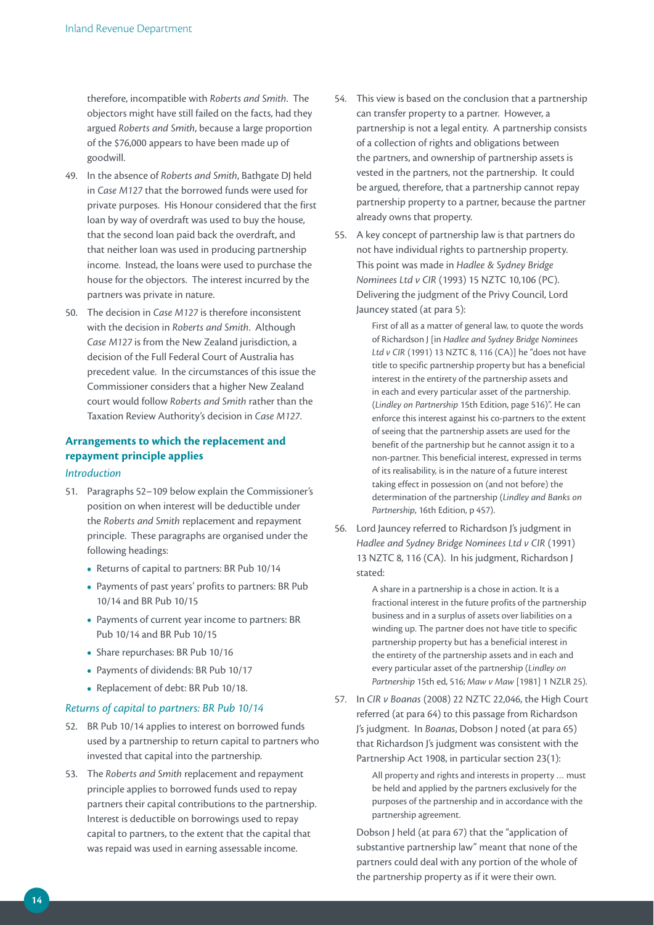therefore, incompatible with *Roberts and Smith*. The objectors might have still failed on the facts, had they argued *Roberts and Smith*, because a large proportion of the \$76,000 appears to have been made up of goodwill.

- 49. In the absence of *Roberts and Smith*, Bathgate DJ held in *Case M127* that the borrowed funds were used for private purposes. His Honour considered that the first loan by way of overdraft was used to buy the house, that the second loan paid back the overdraft, and that neither loan was used in producing partnership income. Instead, the loans were used to purchase the house for the objectors. The interest incurred by the partners was private in nature.
- 50. The decision in *Case M127* is therefore inconsistent with the decision in *Roberts and Smith*. Although *Case M127* is from the New Zealand jurisdiction, a decision of the Full Federal Court of Australia has precedent value. In the circumstances of this issue the Commissioner considers that a higher New Zealand court would follow *Roberts and Smith* rather than the Taxation Review Authority's decision in *Case M127*.

## **Arrangements to which the replacement and repayment principle applies**

#### *Introduction*

- 51. Paragraphs 52–109 below explain the Commissioner's position on when interest will be deductible under the *Roberts and Smith* replacement and repayment principle. These paragraphs are organised under the following headings:
	- **•**  Returns of capital to partners: BR Pub 10/14
	- **•**  Payments of past years' profits to partners: BR Pub 10/14 and BR Pub 10/15
	- **•**  Payments of current year income to partners: BR Pub 10/14 and BR Pub 10/15
	- Share repurchases: BR Pub 10/16
	- **•**  Payments of dividends: BR Pub 10/17
	- **•**  Replacement of debt: BR Pub 10/18.

#### *Returns of capital to partners: BR Pub 10/14*

- 52. BR Pub 10/14 applies to interest on borrowed funds used by a partnership to return capital to partners who invested that capital into the partnership.
- 53. The *Roberts and Smith* replacement and repayment principle applies to borrowed funds used to repay partners their capital contributions to the partnership. Interest is deductible on borrowings used to repay capital to partners, to the extent that the capital that was repaid was used in earning assessable income.
- 54. This view is based on the conclusion that a partnership can transfer property to a partner. However, a partnership is not a legal entity. A partnership consists of a collection of rights and obligations between the partners, and ownership of partnership assets is vested in the partners, not the partnership. It could be argued, therefore, that a partnership cannot repay partnership property to a partner, because the partner already owns that property.
- 55. A key concept of partnership law is that partners do not have individual rights to partnership property. This point was made in *Hadlee & Sydney Bridge Nominees Ltd v CIR* (1993) 15 NZTC 10,106 (PC). Delivering the judgment of the Privy Council, Lord Jauncey stated (at para 5):

First of all as a matter of general law, to quote the words of Richardson J [in *Hadlee and Sydney Bridge Nominees Ltd v CIR* (1991) 13 NZTC 8, 116 (CA)] he "does not have title to specific partnership property but has a beneficial interest in the entirety of the partnership assets and in each and every particular asset of the partnership. (*Lindley on Partnership* 15th Edition, page 516)". He can enforce this interest against his co-partners to the extent of seeing that the partnership assets are used for the benefit of the partnership but he cannot assign it to a non-partner. This beneficial interest, expressed in terms of its realisability, is in the nature of a future interest taking effect in possession on (and not before) the determination of the partnership (*Lindley and Banks on Partnership*, 16th Edition, p 457).

56. Lord Jauncey referred to Richardson J's judgment in *Hadlee and Sydney Bridge Nominees Ltd v CIR* (1991) 13 NZTC 8, 116 (CA). In his judgment, Richardson J stated:

> A share in a partnership is a chose in action. It is a fractional interest in the future profits of the partnership business and in a surplus of assets over liabilities on a winding up. The partner does not have title to specific partnership property but has a beneficial interest in the entirety of the partnership assets and in each and every particular asset of the partnership (*Lindley on Partnership* 15th ed, 516; *Maw v Maw* [1981] 1 NZLR 25).

57. In *CIR v Boanas* (2008) 22 NZTC 22,046, the High Court referred (at para 64) to this passage from Richardson J's judgment. In *Boanas*, Dobson J noted (at para 65) that Richardson J's judgment was consistent with the Partnership Act 1908, in particular section 23(1):

> All property and rights and interests in property … must be held and applied by the partners exclusively for the purposes of the partnership and in accordance with the partnership agreement.

 Dobson J held (at para 67) that the "application of substantive partnership law" meant that none of the partners could deal with any portion of the whole of the partnership property as if it were their own.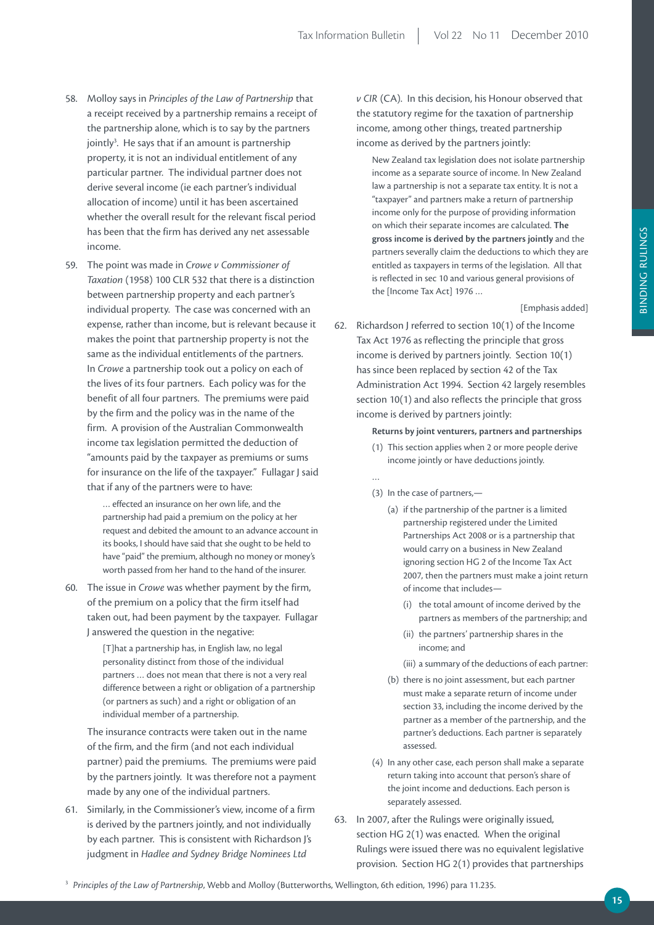- 58. Molloy says in *Principles of the Law of Partnership* that a receipt received by a partnership remains a receipt of the partnership alone, which is to say by the partners jointly<sup>3</sup>. He says that if an amount is partnership property, it is not an individual entitlement of any particular partner. The individual partner does not derive several income (ie each partner's individual allocation of income) until it has been ascertained whether the overall result for the relevant fiscal period has been that the firm has derived any net assessable income.
- 59. The point was made in *Crowe v Commissioner of Taxation* (1958) 100 CLR 532 that there is a distinction between partnership property and each partner's individual property. The case was concerned with an expense, rather than income, but is relevant because it makes the point that partnership property is not the same as the individual entitlements of the partners. In *Crowe* a partnership took out a policy on each of the lives of its four partners. Each policy was for the benefit of all four partners. The premiums were paid by the firm and the policy was in the name of the firm. A provision of the Australian Commonwealth income tax legislation permitted the deduction of "amounts paid by the taxpayer as premiums or sums for insurance on the life of the taxpayer." Fullagar J said that if any of the partners were to have:

… effected an insurance on her own life, and the partnership had paid a premium on the policy at her request and debited the amount to an advance account in its books, I should have said that she ought to be held to have "paid" the premium, although no money or money's worth passed from her hand to the hand of the insurer.

60. The issue in *Crowe* was whether payment by the firm, of the premium on a policy that the firm itself had taken out, had been payment by the taxpayer. Fullagar J answered the question in the negative:

> [T]hat a partnership has, in English law, no legal personality distinct from those of the individual partners … does not mean that there is not a very real difference between a right or obligation of a partnership (or partners as such) and a right or obligation of an individual member of a partnership.

 The insurance contracts were taken out in the name of the firm, and the firm (and not each individual partner) paid the premiums. The premiums were paid by the partners jointly. It was therefore not a payment made by any one of the individual partners.

61. Similarly, in the Commissioner's view, income of a firm is derived by the partners jointly, and not individually by each partner. This is consistent with Richardson J's judgment in *Hadlee and Sydney Bridge Nominees Ltd* 

*v CIR* (CA). In this decision, his Honour observed that the statutory regime for the taxation of partnership income, among other things, treated partnership income as derived by the partners jointly:

New Zealand tax legislation does not isolate partnership income as a separate source of income. In New Zealand law a partnership is not a separate tax entity. It is not a "taxpayer" and partners make a return of partnership income only for the purpose of providing information on which their separate incomes are calculated. **The gross income is derived by the partners jointly** and the partners severally claim the deductions to which they are entitled as taxpayers in terms of the legislation. All that is reflected in sec 10 and various general provisions of the [Income Tax Act] 1976 …

[Emphasis added]

62. Richardson J referred to section 10(1) of the Income Tax Act 1976 as reflecting the principle that gross income is derived by partners jointly. Section 10(1) has since been replaced by section 42 of the Tax Administration Act 1994. Section 42 largely resembles section 10(1) and also reflects the principle that gross income is derived by partners jointly:

#### **returns by joint venturers, partners and partnerships**

- (1) This section applies when 2 or more people derive income jointly or have deductions jointly.
- …
- (3) In the case of partners,—
	- (a) if the partnership of the partner is a limited partnership registered under the Limited Partnerships Act 2008 or is a partnership that would carry on a business in New Zealand ignoring section HG 2 of the Income Tax Act 2007, then the partners must make a joint return of income that includes—
		- (i) the total amount of income derived by the partners as members of the partnership; and
		- (ii) the partners' partnership shares in the income; and
		- (iii) a summary of the deductions of each partner:
	- (b) there is no joint assessment, but each partner must make a separate return of income under section 33, including the income derived by the partner as a member of the partnership, and the partner's deductions. Each partner is separately assessed.
- (4) In any other case, each person shall make a separate return taking into account that person's share of the joint income and deductions. Each person is separately assessed.
- 63. In 2007, after the Rulings were originally issued, section HG 2(1) was enacted. When the original Rulings were issued there was no equivalent legislative provision. Section HG 2(1) provides that partnerships

<sup>3</sup> *Principles of the Law of Partnership*, Webb and Molloy (Butterworths, Wellington, 6th edition, 1996) para 11.235.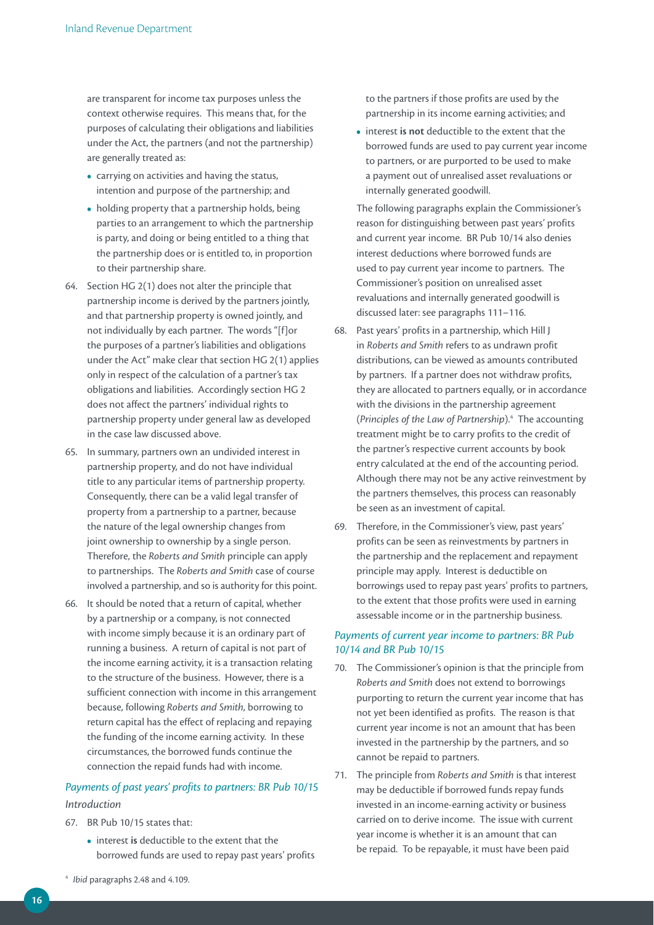are transparent for income tax purposes unless the context otherwise requires. This means that, for the purposes of calculating their obligations and liabilities under the Act, the partners (and not the partnership) are generally treated as:

- **•**  carrying on activities and having the status, intention and purpose of the partnership; and
- holding property that a partnership holds, being parties to an arrangement to which the partnership is party, and doing or being entitled to a thing that the partnership does or is entitled to, in proportion to their partnership share.
- 64. Section HG 2(1) does not alter the principle that partnership income is derived by the partners jointly, and that partnership property is owned jointly, and not individually by each partner. The words "[f]or the purposes of a partner's liabilities and obligations under the Act" make clear that section HG 2(1) applies only in respect of the calculation of a partner's tax obligations and liabilities. Accordingly section HG 2 does not affect the partners' individual rights to partnership property under general law as developed in the case law discussed above.
- 65. In summary, partners own an undivided interest in partnership property, and do not have individual title to any particular items of partnership property. Consequently, there can be a valid legal transfer of property from a partnership to a partner, because the nature of the legal ownership changes from joint ownership to ownership by a single person. Therefore, the *Roberts and Smith* principle can apply to partnerships. The *Roberts and Smith* case of course involved a partnership, and so is authority for this point.
- 66. It should be noted that a return of capital, whether by a partnership or a company, is not connected with income simply because it is an ordinary part of running a business. A return of capital is not part of the income earning activity, it is a transaction relating to the structure of the business. However, there is a sufficient connection with income in this arrangement because, following *Roberts and Smith*, borrowing to return capital has the effect of replacing and repaying the funding of the income earning activity. In these circumstances, the borrowed funds continue the connection the repaid funds had with income.

## *Payments of past years' profits to partners: BR Pub 10/15 Introduction*

- 67. BR Pub 10/15 states that:
	- **•**  interest **is** deductible to the extent that the borrowed funds are used to repay past years' profits

to the partners if those profits are used by the partnership in its income earning activities; and

**•**  interest **is not** deductible to the extent that the borrowed funds are used to pay current year income to partners, or are purported to be used to make a payment out of unrealised asset revaluations or internally generated goodwill.

 The following paragraphs explain the Commissioner's reason for distinguishing between past years' profits and current year income. BR Pub 10/14 also denies interest deductions where borrowed funds are used to pay current year income to partners. The Commissioner's position on unrealised asset revaluations and internally generated goodwill is discussed later: see paragraphs 111–116.

- 68. Past years' profits in a partnership, which Hill J in *Roberts and Smith* refers to as undrawn profit distributions, can be viewed as amounts contributed by partners. If a partner does not withdraw profits, they are allocated to partners equally, or in accordance with the divisions in the partnership agreement (*Principles of the Law of Partnership*).4 The accounting treatment might be to carry profits to the credit of the partner's respective current accounts by book entry calculated at the end of the accounting period. Although there may not be any active reinvestment by the partners themselves, this process can reasonably be seen as an investment of capital.
- 69. Therefore, in the Commissioner's view, past years' profits can be seen as reinvestments by partners in the partnership and the replacement and repayment principle may apply. Interest is deductible on borrowings used to repay past years' profits to partners, to the extent that those profits were used in earning assessable income or in the partnership business.

#### *Payments of current year income to partners: BR Pub 10/14 and BR Pub 10/15*

- 70. The Commissioner's opinion is that the principle from *Roberts and Smith* does not extend to borrowings purporting to return the current year income that has not yet been identified as profits. The reason is that current year income is not an amount that has been invested in the partnership by the partners, and so cannot be repaid to partners.
- 71. The principle from *Roberts and Smith* is that interest may be deductible if borrowed funds repay funds invested in an income-earning activity or business carried on to derive income. The issue with current year income is whether it is an amount that can be repaid. To be repayable, it must have been paid

<sup>4</sup> *Ibid* paragraphs 2.48 and 4.109.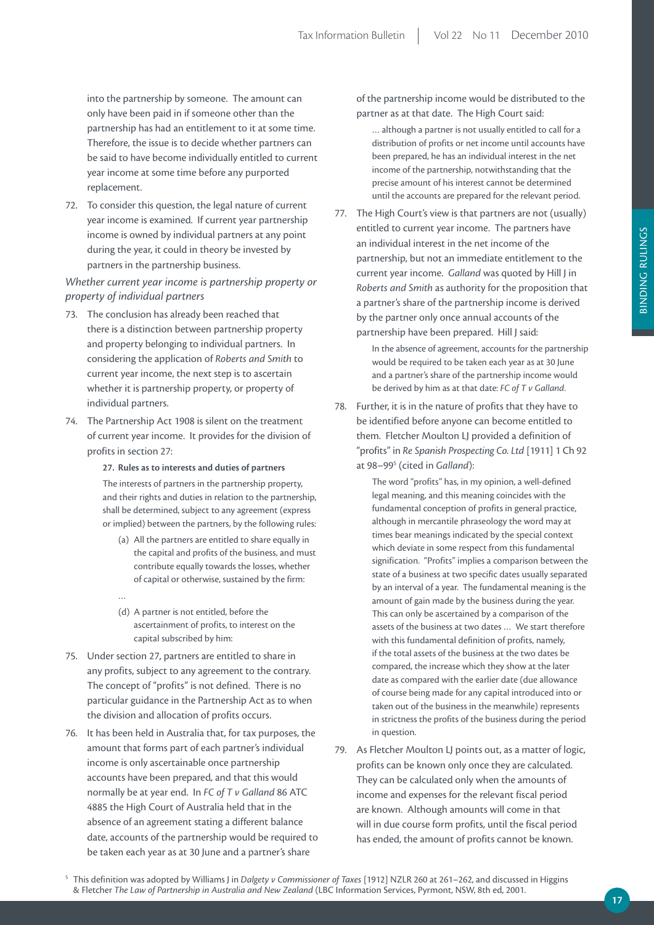into the partnership by someone. The amount can only have been paid in if someone other than the partnership has had an entitlement to it at some time. Therefore, the issue is to decide whether partners can be said to have become individually entitled to current year income at some time before any purported replacement.

72. To consider this question, the legal nature of current year income is examined. If current year partnership income is owned by individual partners at any point during the year, it could in theory be invested by partners in the partnership business.

*Whether current year income is partnership property or property of individual partners*

- 73. The conclusion has already been reached that there is a distinction between partnership property and property belonging to individual partners. In considering the application of *Roberts and Smith* to current year income, the next step is to ascertain whether it is partnership property, or property of individual partners.
- 74. The Partnership Act 1908 is silent on the treatment of current year income. It provides for the division of profits in section 27:

27. Rules as to interests and duties of partners The interests of partners in the partnership property, and their rights and duties in relation to the partnership, shall be determined, subject to any agreement (express or implied) between the partners, by the following rules:

- (a) All the partners are entitled to share equally in the capital and profits of the business, and must contribute equally towards the losses, whether of capital or otherwise, sustained by the firm:
- (d) A partner is not entitled, before the ascertainment of profits, to interest on the capital subscribed by him:
- 75. Under section 27, partners are entitled to share in any profits, subject to any agreement to the contrary. The concept of "profits" is not defined. There is no particular guidance in the Partnership Act as to when the division and allocation of profits occurs.

…

76. It has been held in Australia that, for tax purposes, the amount that forms part of each partner's individual income is only ascertainable once partnership accounts have been prepared, and that this would normally be at year end. In *FC of T v Galland* 86 ATC 4885 the High Court of Australia held that in the absence of an agreement stating a different balance date, accounts of the partnership would be required to be taken each year as at 30 June and a partner's share

of the partnership income would be distributed to the partner as at that date. The High Court said:

… although a partner is not usually entitled to call for a distribution of profits or net income until accounts have been prepared, he has an individual interest in the net income of the partnership, notwithstanding that the precise amount of his interest cannot be determined until the accounts are prepared for the relevant period.

77. The High Court's view is that partners are not (usually) entitled to current year income. The partners have an individual interest in the net income of the partnership, but not an immediate entitlement to the current year income. *Galland* was quoted by Hill J in *Roberts and Smith* as authority for the proposition that a partner's share of the partnership income is derived by the partner only once annual accounts of the partnership have been prepared. Hill J said:

> In the absence of agreement, accounts for the partnership would be required to be taken each year as at 30 June and a partner's share of the partnership income would be derived by him as at that date: *FC of T v Galland*.

78. Further, it is in the nature of profits that they have to be identified before anyone can become entitled to them. Fletcher Moulton LJ provided a definition of "profits" in *Re Spanish Prospecting Co. Ltd* [1911] 1 Ch 92 at 98–995 (cited in *Galland*):

> The word "profits" has, in my opinion, a well-defined legal meaning, and this meaning coincides with the fundamental conception of profits in general practice, although in mercantile phraseology the word may at times bear meanings indicated by the special context which deviate in some respect from this fundamental signification. "Profits" implies a comparison between the state of a business at two specific dates usually separated by an interval of a year. The fundamental meaning is the amount of gain made by the business during the year. This can only be ascertained by a comparison of the assets of the business at two dates … We start therefore with this fundamental definition of profits, namely, if the total assets of the business at the two dates be compared, the increase which they show at the later date as compared with the earlier date (due allowance of course being made for any capital introduced into or taken out of the business in the meanwhile) represents in strictness the profits of the business during the period in question.

79. As Fletcher Moulton LJ points out, as a matter of logic, profits can be known only once they are calculated. They can be calculated only when the amounts of income and expenses for the relevant fiscal period are known. Although amounts will come in that will in due course form profits, until the fiscal period has ended, the amount of profits cannot be known.

5 This definition was adopted by Williams J in *Dalgety v Commissioner of Taxes* [1912] NZLR 260 at 261–262, and discussed in Higgins & Fletcher *The Law of Partnership in Australia and New Zealand* (LBC Information Services, Pyrmont, NSW, 8th ed, 2001.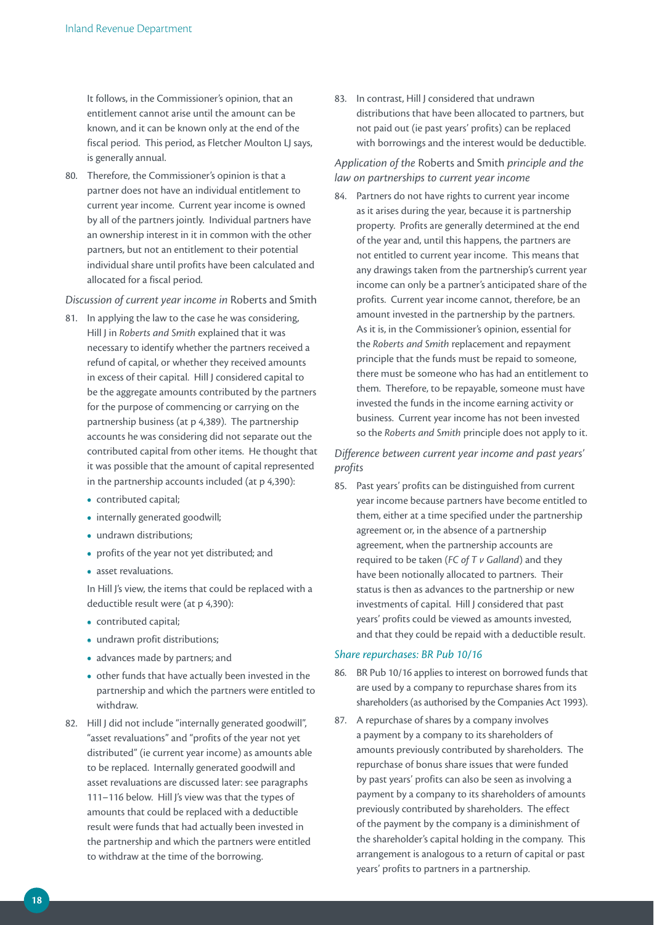It follows, in the Commissioner's opinion, that an entitlement cannot arise until the amount can be known, and it can be known only at the end of the fiscal period. This period, as Fletcher Moulton LJ says, is generally annual.

80. Therefore, the Commissioner's opinion is that a partner does not have an individual entitlement to current year income. Current year income is owned by all of the partners jointly. Individual partners have an ownership interest in it in common with the other partners, but not an entitlement to their potential individual share until profits have been calculated and allocated for a fiscal period.

#### *Discussion of current year income in* Roberts and Smith

- 81. In applying the law to the case he was considering, Hill J in *Roberts and Smith* explained that it was necessary to identify whether the partners received a refund of capital, or whether they received amounts in excess of their capital. Hill J considered capital to be the aggregate amounts contributed by the partners for the purpose of commencing or carrying on the partnership business (at p 4,389). The partnership accounts he was considering did not separate out the contributed capital from other items. He thought that it was possible that the amount of capital represented in the partnership accounts included (at p 4,390):
	- **•**  contributed capital;
	- internally generated goodwill;
	- **•**  undrawn distributions;
	- **•**  profits of the year not yet distributed; and
	- asset revaluations.

 In Hill J's view, the items that could be replaced with a deductible result were (at p 4,390):

- **•**  contributed capital;
- **•**  undrawn profit distributions;
- **•**  advances made by partners; and
- **•**  other funds that have actually been invested in the partnership and which the partners were entitled to withdraw.
- 82. Hill J did not include "internally generated goodwill", "asset revaluations" and "profits of the year not yet distributed" (ie current year income) as amounts able to be replaced. Internally generated goodwill and asset revaluations are discussed later: see paragraphs 111–116 below. Hill J's view was that the types of amounts that could be replaced with a deductible result were funds that had actually been invested in the partnership and which the partners were entitled to withdraw at the time of the borrowing.

83. In contrast, Hill J considered that undrawn distributions that have been allocated to partners, but not paid out (ie past years' profits) can be replaced with borrowings and the interest would be deductible.

#### *Application of the* Roberts and Smith *principle and the law on partnerships to current year income*

84. Partners do not have rights to current year income as it arises during the year, because it is partnership property. Profits are generally determined at the end of the year and, until this happens, the partners are not entitled to current year income. This means that any drawings taken from the partnership's current year income can only be a partner's anticipated share of the profits. Current year income cannot, therefore, be an amount invested in the partnership by the partners. As it is, in the Commissioner's opinion, essential for the *Roberts and Smith* replacement and repayment principle that the funds must be repaid to someone, there must be someone who has had an entitlement to them. Therefore, to be repayable, someone must have invested the funds in the income earning activity or business. Current year income has not been invested so the *Roberts and Smith* principle does not apply to it.

#### *Difference between current year income and past years' profits*

85. Past years' profits can be distinguished from current year income because partners have become entitled to them, either at a time specified under the partnership agreement or, in the absence of a partnership agreement, when the partnership accounts are required to be taken (*FC of T v Galland*) and they have been notionally allocated to partners. Their status is then as advances to the partnership or new investments of capital. Hill J considered that past years' profits could be viewed as amounts invested, and that they could be repaid with a deductible result.

#### *Share repurchases: BR Pub 10/16*

- 86. BR Pub 10/16 applies to interest on borrowed funds that are used by a company to repurchase shares from its shareholders (as authorised by the Companies Act 1993).
- 87. A repurchase of shares by a company involves a payment by a company to its shareholders of amounts previously contributed by shareholders. The repurchase of bonus share issues that were funded by past years' profits can also be seen as involving a payment by a company to its shareholders of amounts previously contributed by shareholders. The effect of the payment by the company is a diminishment of the shareholder's capital holding in the company. This arrangement is analogous to a return of capital or past years' profits to partners in a partnership.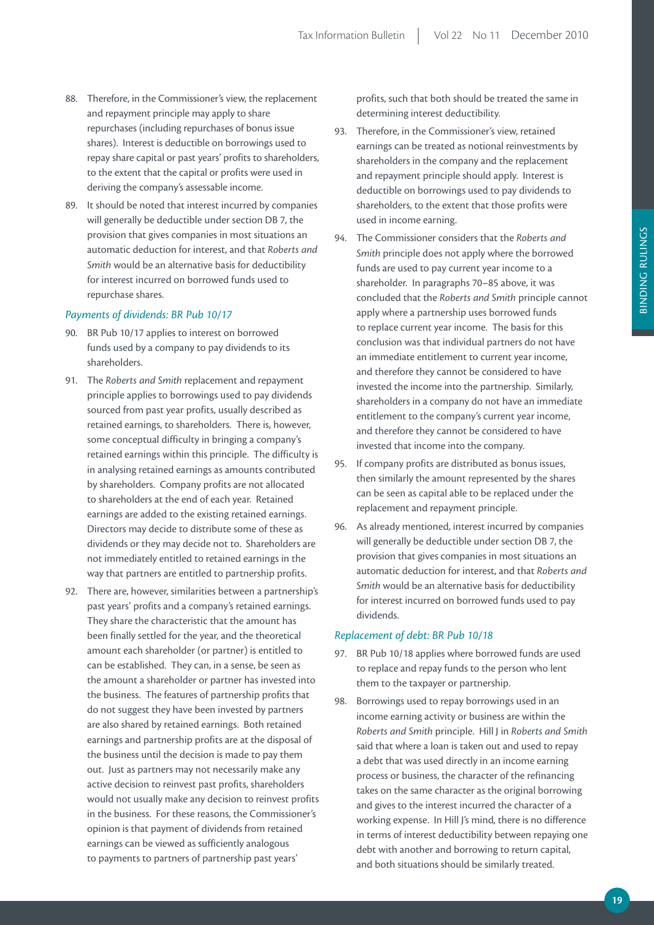- 88. Therefore, in the Commissioner's view, the replacement and repayment principle may apply to share repurchases (including repurchases of bonus issue shares). Interest is deductible on borrowings used to repay share capital or past years' profits to shareholders, to the extent that the capital or profits were used in deriving the company's assessable income.
- 89. It should be noted that interest incurred by companies will generally be deductible under section DB 7, the provision that gives companies in most situations an automatic deduction for interest, and that *Roberts and Smith* would be an alternative basis for deductibility for interest incurred on borrowed funds used to repurchase shares.

#### *Payments of dividends: BR Pub 10/17*

- 90. BR Pub 10/17 applies to interest on borrowed funds used by a company to pay dividends to its shareholders.
- 91. The *Roberts and Smith* replacement and repayment principle applies to borrowings used to pay dividends sourced from past year profits, usually described as retained earnings, to shareholders. There is, however, some conceptual difficulty in bringing a company's retained earnings within this principle. The difficulty is in analysing retained earnings as amounts contributed by shareholders. Company profits are not allocated to shareholders at the end of each year. Retained earnings are added to the existing retained earnings. Directors may decide to distribute some of these as dividends or they may decide not to. Shareholders are not immediately entitled to retained earnings in the way that partners are entitled to partnership profits.
- 92. There are, however, similarities between a partnership's past years' profits and a company's retained earnings. They share the characteristic that the amount has been finally settled for the year, and the theoretical amount each shareholder (or partner) is entitled to can be established. They can, in a sense, be seen as the amount a shareholder or partner has invested into the business. The features of partnership profits that do not suggest they have been invested by partners are also shared by retained earnings. Both retained earnings and partnership profits are at the disposal of the business until the decision is made to pay them out. Just as partners may not necessarily make any active decision to reinvest past profits, shareholders would not usually make any decision to reinvest profits in the business. For these reasons, the Commissioner's opinion is that payment of dividends from retained earnings can be viewed as sufficiently analogous to payments to partners of partnership past years'

profits, such that both should be treated the same in determining interest deductibility.

- 93. Therefore, in the Commissioner's view, retained earnings can be treated as notional reinvestments by shareholders in the company and the replacement and repayment principle should apply. Interest is deductible on borrowings used to pay dividends to shareholders, to the extent that those profits were used in income earning.
- 94. The Commissioner considers that the *Roberts and Smith* principle does not apply where the borrowed funds are used to pay current year income to a shareholder. In paragraphs 70–85 above, it was concluded that the *Roberts and Smith* principle cannot apply where a partnership uses borrowed funds to replace current year income. The basis for this conclusion was that individual partners do not have an immediate entitlement to current year income, and therefore they cannot be considered to have invested the income into the partnership. Similarly, shareholders in a company do not have an immediate entitlement to the company's current year income, and therefore they cannot be considered to have invested that income into the company.
- 95. If company profits are distributed as bonus issues, then similarly the amount represented by the shares can be seen as capital able to be replaced under the replacement and repayment principle.
- 96. As already mentioned, interest incurred by companies will generally be deductible under section DB 7, the provision that gives companies in most situations an automatic deduction for interest, and that *Roberts and Smith* would be an alternative basis for deductibility for interest incurred on borrowed funds used to pay dividends.

#### *Replacement of debt: BR Pub 10/18*

- 97. BR Pub 10/18 applies where borrowed funds are used to replace and repay funds to the person who lent them to the taxpayer or partnership.
- 98. Borrowings used to repay borrowings used in an income earning activity or business are within the *Roberts and Smith* principle. Hill J in *Roberts and Smith* said that where a loan is taken out and used to repay a debt that was used directly in an income earning process or business, the character of the refinancing takes on the same character as the original borrowing and gives to the interest incurred the character of a working expense. In Hill J's mind, there is no difference in terms of interest deductibility between repaying one debt with another and borrowing to return capital, and both situations should be similarly treated.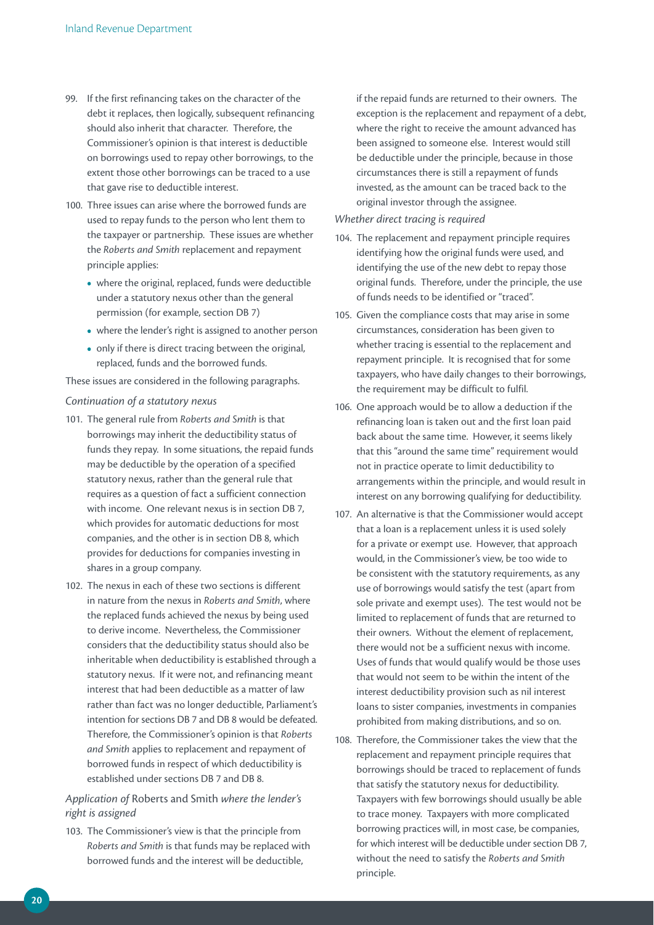- 99. If the first refinancing takes on the character of the debt it replaces, then logically, subsequent refinancing should also inherit that character. Therefore, the Commissioner's opinion is that interest is deductible on borrowings used to repay other borrowings, to the extent those other borrowings can be traced to a use that gave rise to deductible interest.
- 100. Three issues can arise where the borrowed funds are used to repay funds to the person who lent them to the taxpayer or partnership. These issues are whether the *Roberts and Smith* replacement and repayment principle applies:
	- where the original, replaced, funds were deductible under a statutory nexus other than the general permission (for example, section DB 7)
	- where the lender's right is assigned to another person
	- only if there is direct tracing between the original, replaced, funds and the borrowed funds.

These issues are considered in the following paragraphs.

#### *Continuation of a statutory nexus*

- 101. The general rule from *Roberts and Smith* is that borrowings may inherit the deductibility status of funds they repay. In some situations, the repaid funds may be deductible by the operation of a specified statutory nexus, rather than the general rule that requires as a question of fact a sufficient connection with income. One relevant nexus is in section DB 7, which provides for automatic deductions for most companies, and the other is in section DB 8, which provides for deductions for companies investing in shares in a group company.
- 102. The nexus in each of these two sections is different in nature from the nexus in *Roberts and Smith*, where the replaced funds achieved the nexus by being used to derive income. Nevertheless, the Commissioner considers that the deductibility status should also be inheritable when deductibility is established through a statutory nexus. If it were not, and refinancing meant interest that had been deductible as a matter of law rather than fact was no longer deductible, Parliament's intention for sections DB 7 and DB 8 would be defeated. Therefore, the Commissioner's opinion is that *Roberts and Smith* applies to replacement and repayment of borrowed funds in respect of which deductibility is established under sections DB 7 and DB 8.

### *Application of* Roberts and Smith *where the lender's right is assigned*

103. The Commissioner's view is that the principle from *Roberts and Smith* is that funds may be replaced with borrowed funds and the interest will be deductible,

if the repaid funds are returned to their owners. The exception is the replacement and repayment of a debt, where the right to receive the amount advanced has been assigned to someone else. Interest would still be deductible under the principle, because in those circumstances there is still a repayment of funds invested, as the amount can be traced back to the original investor through the assignee.

#### *Whether direct tracing is required*

- 104. The replacement and repayment principle requires identifying how the original funds were used, and identifying the use of the new debt to repay those original funds. Therefore, under the principle, the use of funds needs to be identified or "traced".
- 105. Given the compliance costs that may arise in some circumstances, consideration has been given to whether tracing is essential to the replacement and repayment principle. It is recognised that for some taxpayers, who have daily changes to their borrowings, the requirement may be difficult to fulfil.
- 106. One approach would be to allow a deduction if the refinancing loan is taken out and the first loan paid back about the same time. However, it seems likely that this "around the same time" requirement would not in practice operate to limit deductibility to arrangements within the principle, and would result in interest on any borrowing qualifying for deductibility.
- 107. An alternative is that the Commissioner would accept that a loan is a replacement unless it is used solely for a private or exempt use. However, that approach would, in the Commissioner's view, be too wide to be consistent with the statutory requirements, as any use of borrowings would satisfy the test (apart from sole private and exempt uses). The test would not be limited to replacement of funds that are returned to their owners. Without the element of replacement, there would not be a sufficient nexus with income. Uses of funds that would qualify would be those uses that would not seem to be within the intent of the interest deductibility provision such as nil interest loans to sister companies, investments in companies prohibited from making distributions, and so on.
- 108. Therefore, the Commissioner takes the view that the replacement and repayment principle requires that borrowings should be traced to replacement of funds that satisfy the statutory nexus for deductibility. Taxpayers with few borrowings should usually be able to trace money. Taxpayers with more complicated borrowing practices will, in most case, be companies, for which interest will be deductible under section DB 7, without the need to satisfy the *Roberts and Smith*  principle.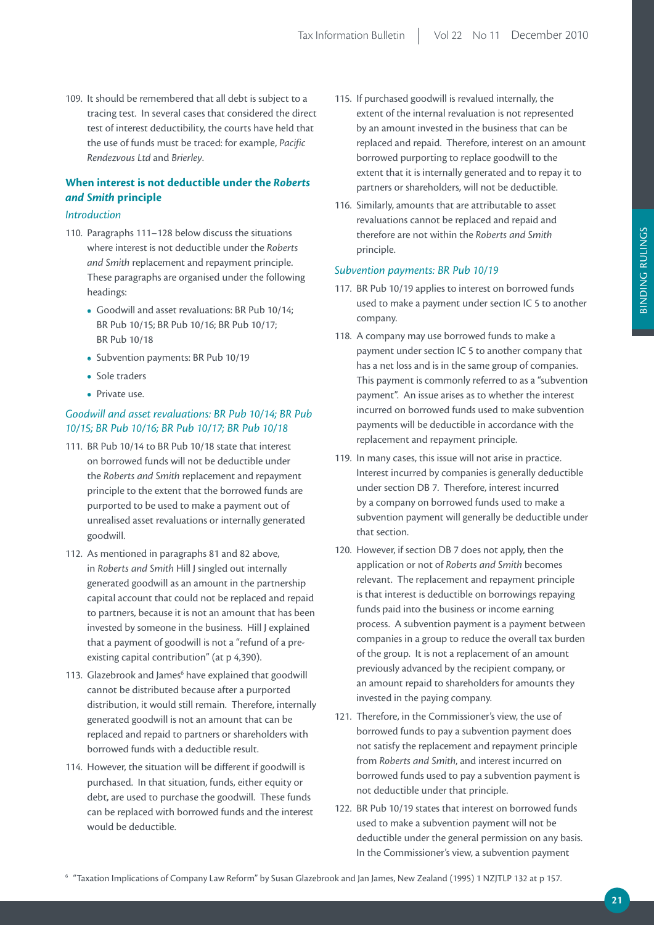109. It should be remembered that all debt is subject to a tracing test. In several cases that considered the direct test of interest deductibility, the courts have held that the use of funds must be traced: for example, *Pacific Rendezvous Ltd* and *Brierley*.

## **When** interest is not deductible under the *Roberts and Smith* **principle**

#### *Introduction*

- 110. Paragraphs 111–128 below discuss the situations where interest is not deductible under the *Roberts and Smith* replacement and repayment principle. These paragraphs are organised under the following headings:
	- **•**  Goodwill and asset revaluations: BR Pub 10/14; BR Pub 10/15; BR Pub 10/16; BR Pub 10/17; BR Pub 10/18
	- **•**  Subvention payments: BR Pub 10/19
	- **•**  Sole traders
	- **•**  Private use.

## *Goodwill and asset revaluations: BR Pub 10/14; BR Pub 10/15; BR Pub 10/16; BR Pub 10/17; BR Pub 10/18*

- 111. BR Pub 10/14 to BR Pub 10/18 state that interest on borrowed funds will not be deductible under the *Roberts and Smith* replacement and repayment principle to the extent that the borrowed funds are purported to be used to make a payment out of unrealised asset revaluations or internally generated goodwill.
- 112. As mentioned in paragraphs 81 and 82 above, in *Roberts and Smith* Hill J singled out internally generated goodwill as an amount in the partnership capital account that could not be replaced and repaid to partners, because it is not an amount that has been invested by someone in the business. Hill J explained that a payment of goodwill is not a "refund of a preexisting capital contribution" (at p 4,390).
- 113. Glazebrook and James<sup>6</sup> have explained that goodwill cannot be distributed because after a purported distribution, it would still remain. Therefore, internally generated goodwill is not an amount that can be replaced and repaid to partners or shareholders with borrowed funds with a deductible result.
- 114. However, the situation will be different if goodwill is purchased. In that situation, funds, either equity or debt, are used to purchase the goodwill. These funds can be replaced with borrowed funds and the interest would be deductible.
- 115. If purchased goodwill is revalued internally, the extent of the internal revaluation is not represented by an amount invested in the business that can be replaced and repaid. Therefore, interest on an amount borrowed purporting to replace goodwill to the extent that it is internally generated and to repay it to partners or shareholders, will not be deductible.
- 116. Similarly, amounts that are attributable to asset revaluations cannot be replaced and repaid and therefore are not within the *Roberts and Smith* principle.

#### *Subvention payments: BR Pub 10/19*

- 117. BR Pub 10/19 applies to interest on borrowed funds used to make a payment under section IC 5 to another company.
- 118. A company may use borrowed funds to make a payment under section IC 5 to another company that has a net loss and is in the same group of companies. This payment is commonly referred to as a "subvention payment". An issue arises as to whether the interest incurred on borrowed funds used to make subvention payments will be deductible in accordance with the replacement and repayment principle.
- 119. In many cases, this issue will not arise in practice. Interest incurred by companies is generally deductible under section DB 7. Therefore, interest incurred by a company on borrowed funds used to make a subvention payment will generally be deductible under that section.
- 120. However, if section DB 7 does not apply, then the application or not of *Roberts and Smith* becomes relevant. The replacement and repayment principle is that interest is deductible on borrowings repaying funds paid into the business or income earning process. A subvention payment is a payment between companies in a group to reduce the overall tax burden of the group. It is not a replacement of an amount previously advanced by the recipient company, or an amount repaid to shareholders for amounts they invested in the paying company.
- 121. Therefore, in the Commissioner's view, the use of borrowed funds to pay a subvention payment does not satisfy the replacement and repayment principle from *Roberts and Smith*, and interest incurred on borrowed funds used to pay a subvention payment is not deductible under that principle.
- 122. BR Pub 10/19 states that interest on borrowed funds used to make a subvention payment will not be deductible under the general permission on any basis. In the Commissioner's view, a subvention payment

 $^{\circ}$  "Taxation Implications of Company Law Reform" by Susan Glazebrook and Jan James, New Zealand (1995) 1 NZJTLP 132 at p 157.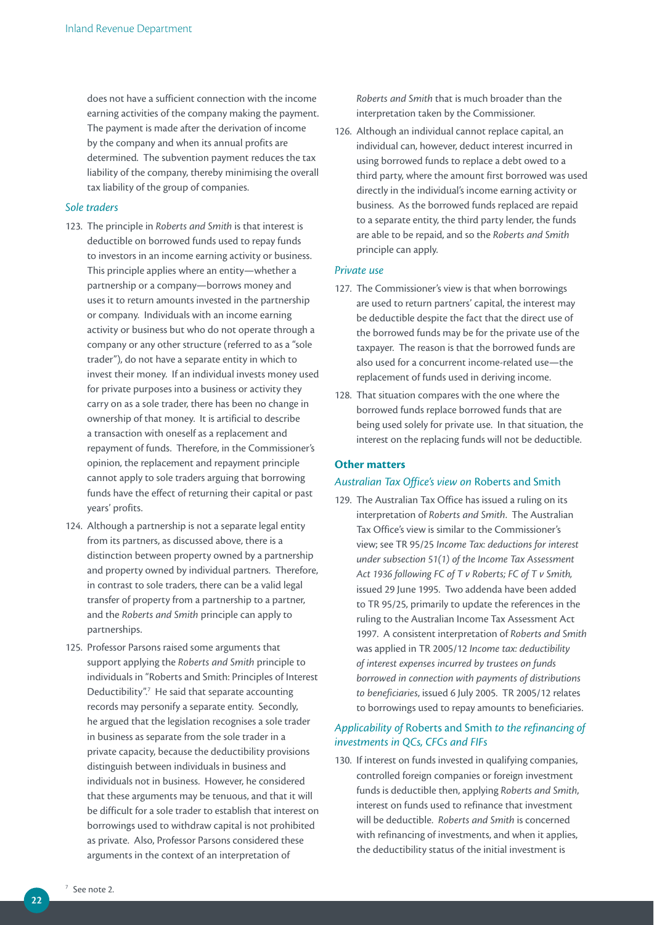does not have a sufficient connection with the income earning activities of the company making the payment. The payment is made after the derivation of income by the company and when its annual profits are determined. The subvention payment reduces the tax liability of the company, thereby minimising the overall tax liability of the group of companies.

#### *Sole traders*

- 123. The principle in *Roberts and Smith* is that interest is deductible on borrowed funds used to repay funds to investors in an income earning activity or business. This principle applies where an entity—whether a partnership or a company—borrows money and uses it to return amounts invested in the partnership or company. Individuals with an income earning activity or business but who do not operate through a company or any other structure (referred to as a "sole trader"), do not have a separate entity in which to invest their money. If an individual invests money used for private purposes into a business or activity they carry on as a sole trader, there has been no change in ownership of that money. It is artificial to describe a transaction with oneself as a replacement and repayment of funds. Therefore, in the Commissioner's opinion, the replacement and repayment principle cannot apply to sole traders arguing that borrowing funds have the effect of returning their capital or past years' profits.
- 124. Although a partnership is not a separate legal entity from its partners, as discussed above, there is a distinction between property owned by a partnership and property owned by individual partners. Therefore, in contrast to sole traders, there can be a valid legal transfer of property from a partnership to a partner, and the *Roberts and Smith* principle can apply to partnerships.
- 125. Professor Parsons raised some arguments that support applying the *Roberts and Smith* principle to individuals in "Roberts and Smith: Principles of Interest Deductibility".<sup>7</sup> He said that separate accounting records may personify a separate entity. Secondly, he argued that the legislation recognises a sole trader in business as separate from the sole trader in a private capacity, because the deductibility provisions distinguish between individuals in business and individuals not in business. However, he considered that these arguments may be tenuous, and that it will be difficult for a sole trader to establish that interest on borrowings used to withdraw capital is not prohibited as private. Also, Professor Parsons considered these arguments in the context of an interpretation of

*Roberts and Smith* that is much broader than the interpretation taken by the Commissioner.

126. Although an individual cannot replace capital, an individual can, however, deduct interest incurred in using borrowed funds to replace a debt owed to a third party, where the amount first borrowed was used directly in the individual's income earning activity or business. As the borrowed funds replaced are repaid to a separate entity, the third party lender, the funds are able to be repaid, and so the *Roberts and Smith*  principle can apply.

#### *Private use*

- 127. The Commissioner's view is that when borrowings are used to return partners' capital, the interest may be deductible despite the fact that the direct use of the borrowed funds may be for the private use of the taxpayer. The reason is that the borrowed funds are also used for a concurrent income-related use—the replacement of funds used in deriving income.
- 128. That situation compares with the one where the borrowed funds replace borrowed funds that are being used solely for private use. In that situation, the interest on the replacing funds will not be deductible.

#### **Other matters**

#### *Australian Tax Office's view on* Roberts and Smith

129. The Australian Tax Office has issued a ruling on its interpretation of *Roberts and Smith*. The Australian Tax Office's view is similar to the Commissioner's view; see TR 95/25 *Income Tax: deductions for interest under subsection 51(1) of the Income Tax Assessment Act 1936 following FC of T v Roberts; FC of T v Smith,* issued 29 June 1995. Two addenda have been added to TR 95/25, primarily to update the references in the ruling to the Australian Income Tax Assessment Act 1997. A consistent interpretation of *Roberts and Smith* was applied in TR 2005/12 *Income tax: deductibility of interest expenses incurred by trustees on funds borrowed in connection with payments of distributions to beneficiaries*, issued 6 July 2005. TR 2005/12 relates to borrowings used to repay amounts to beneficiaries.

#### *Applicability of* Roberts and Smith *to the refinancing of investments in QCs, CFCs and FIFs*

130. If interest on funds invested in qualifying companies, controlled foreign companies or foreign investment funds is deductible then, applying *Roberts and Smith*, interest on funds used to refinance that investment will be deductible. *Roberts and Smith* is concerned with refinancing of investments, and when it applies, the deductibility status of the initial investment is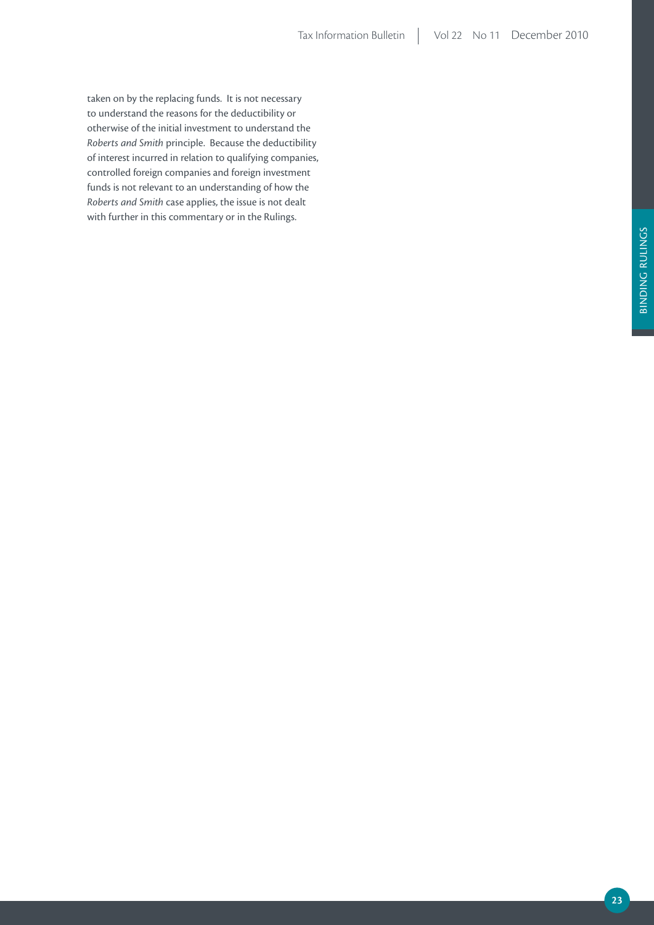taken on by the replacing funds. It is not necessary to understand the reasons for the deductibility or otherwise of the initial investment to understand the *Roberts and Smith* principle. Because the deductibility of interest incurred in relation to qualifying companies, controlled foreign companies and foreign investment funds is not relevant to an understanding of how the *Roberts and Smith* case applies, the issue is not dealt with further in this commentary or in the Rulings.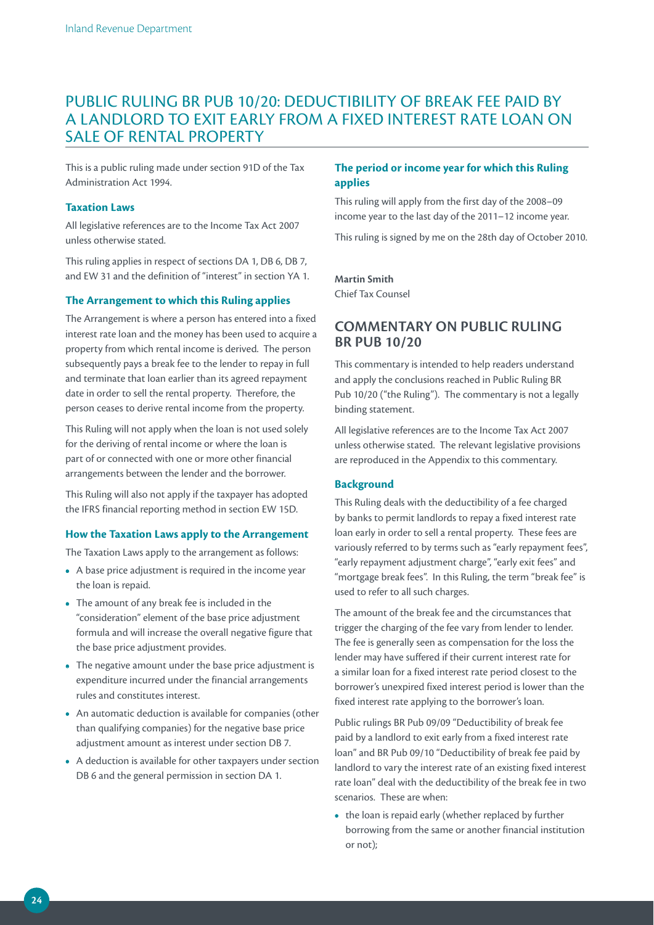## PUBLIC RULING BR PUB 10/20: DEDUCTIBILITY OF BREAK FEE PAID BY A LANDLORD TO EXIT EARLY FROM A FIXED INTEREST RATE LOAN ON SALE OF RENTAL PROPERTY

This is a public ruling made under section 91D of the Tax Administration Act 1994.

#### **Taxation Laws**

All legislative references are to the Income Tax Act 2007 unless otherwise stated.

This ruling applies in respect of sections DA 1, DB 6, DB 7, and EW 31 and the definition of "interest" in section YA 1.

#### **The Arrangement to which this Ruling applies**

The Arrangement is where a person has entered into a fixed interest rate loan and the money has been used to acquire a property from which rental income is derived. The person subsequently pays a break fee to the lender to repay in full and terminate that loan earlier than its agreed repayment date in order to sell the rental property. Therefore, the person ceases to derive rental income from the property.

This Ruling will not apply when the loan is not used solely for the deriving of rental income or where the loan is part of or connected with one or more other financial arrangements between the lender and the borrower.

This Ruling will also not apply if the taxpayer has adopted the IFRS financial reporting method in section EW 15D.

#### **How the Taxation Laws apply to the Arrangement**

The Taxation Laws apply to the arrangement as follows:

- **•**  A base price adjustment is required in the income year the loan is repaid.
- **•**  The amount of any break fee is included in the "consideration" element of the base price adjustment formula and will increase the overall negative figure that the base price adjustment provides.
- The negative amount under the base price adjustment is expenditure incurred under the financial arrangements rules and constitutes interest.
- **•**  An automatic deduction is available for companies (other than qualifying companies) for the negative base price adjustment amount as interest under section DB 7.
- **•**  A deduction is available for other taxpayers under section DB 6 and the general permission in section DA 1.

#### **The period or income year for which this Ruling applies**

This ruling will apply from the first day of the 2008–09 income year to the last day of the 2011–12 income year.

This ruling is signed by me on the 28th day of October 2010.

#### **martin Smith**

Chief Tax Counsel

## **COmmENTArY ON puBLiC ruLiNG Br puB 10/20**

This commentary is intended to help readers understand and apply the conclusions reached in Public Ruling BR Pub 10/20 ("the Ruling"). The commentary is not a legally binding statement.

All legislative references are to the Income Tax Act 2007 unless otherwise stated. The relevant legislative provisions are reproduced in the Appendix to this commentary.

#### **Background**

This Ruling deals with the deductibility of a fee charged by banks to permit landlords to repay a fixed interest rate loan early in order to sell a rental property. These fees are variously referred to by terms such as "early repayment fees", "early repayment adjustment charge", "early exit fees" and "mortgage break fees". In this Ruling, the term "break fee" is used to refer to all such charges.

The amount of the break fee and the circumstances that trigger the charging of the fee vary from lender to lender. The fee is generally seen as compensation for the loss the lender may have suffered if their current interest rate for a similar loan for a fixed interest rate period closest to the borrower's unexpired fixed interest period is lower than the fixed interest rate applying to the borrower's loan.

Public rulings BR Pub 09/09 "Deductibility of break fee paid by a landlord to exit early from a fixed interest rate loan" and BR Pub 09/10 "Deductibility of break fee paid by landlord to vary the interest rate of an existing fixed interest rate loan" deal with the deductibility of the break fee in two scenarios. These are when:

**•**  the loan is repaid early (whether replaced by further borrowing from the same or another financial institution or not);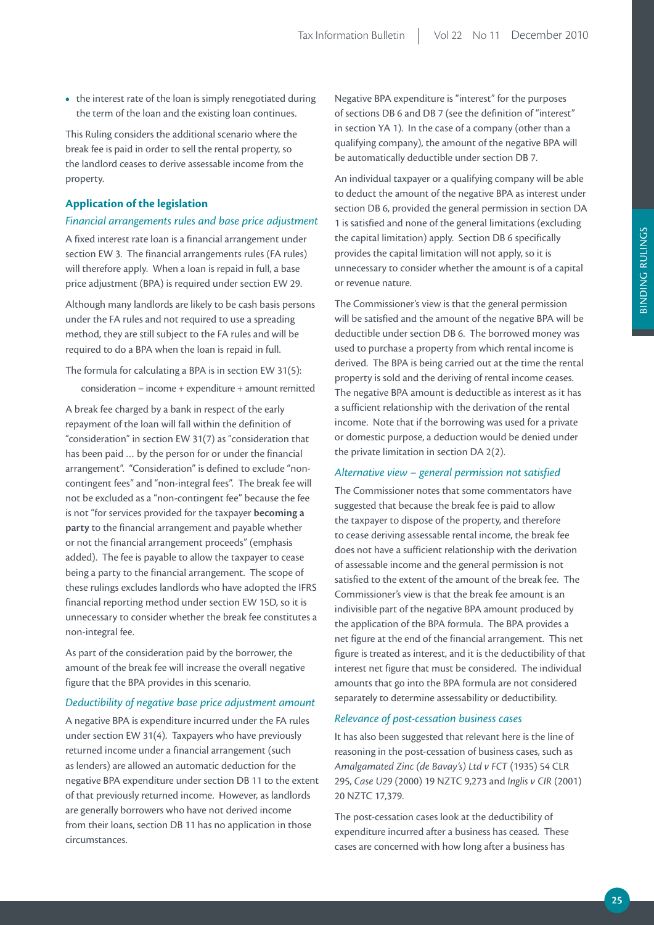• the interest rate of the loan is simply renegotiated during the term of the loan and the existing loan continues.

This Ruling considers the additional scenario where the break fee is paid in order to sell the rental property, so the landlord ceases to derive assessable income from the property.

#### **Application of the legislation**

#### *Financial arrangements rules and base price adjustment*

A fixed interest rate loan is a financial arrangement under section EW 3. The financial arrangements rules (FA rules) will therefore apply. When a loan is repaid in full, a base price adjustment (BPA) is required under section EW 29.

Although many landlords are likely to be cash basis persons under the FA rules and not required to use a spreading method, they are still subject to the FA rules and will be required to do a BPA when the loan is repaid in full.

## The formula for calculating a BPA is in section EW 31(5):

consideration – income + expenditure + amount remitted

A break fee charged by a bank in respect of the early repayment of the loan will fall within the definition of "consideration" in section EW 31(7) as "consideration that has been paid … by the person for or under the financial arrangement". "Consideration" is defined to exclude "noncontingent fees" and "non-integral fees". The break fee will not be excluded as a "non-contingent fee" because the fee is not "for services provided for the taxpayer **becoming a party** to the financial arrangement and payable whether or not the financial arrangement proceeds" (emphasis added). The fee is payable to allow the taxpayer to cease being a party to the financial arrangement. The scope of these rulings excludes landlords who have adopted the IFRS financial reporting method under section EW 15D, so it is unnecessary to consider whether the break fee constitutes a non-integral fee.

As part of the consideration paid by the borrower, the amount of the break fee will increase the overall negative figure that the BPA provides in this scenario.

#### *Deductibility of negative base price adjustment amount*

A negative BPA is expenditure incurred under the FA rules under section EW 31(4). Taxpayers who have previously returned income under a financial arrangement (such as lenders) are allowed an automatic deduction for the negative BPA expenditure under section DB 11 to the extent of that previously returned income. However, as landlords are generally borrowers who have not derived income from their loans, section DB 11 has no application in those circumstances.

Negative BPA expenditure is "interest" for the purposes of sections DB 6 and DB 7 (see the definition of "interest" in section YA 1). In the case of a company (other than a qualifying company), the amount of the negative BPA will be automatically deductible under section DB 7.

An individual taxpayer or a qualifying company will be able to deduct the amount of the negative BPA as interest under section DB 6, provided the general permission in section DA 1 is satisfied and none of the general limitations (excluding the capital limitation) apply. Section DB 6 specifically provides the capital limitation will not apply, so it is unnecessary to consider whether the amount is of a capital or revenue nature.

The Commissioner's view is that the general permission will be satisfied and the amount of the negative BPA will be deductible under section DB 6. The borrowed money was used to purchase a property from which rental income is derived. The BPA is being carried out at the time the rental property is sold and the deriving of rental income ceases. The negative BPA amount is deductible as interest as it has a sufficient relationship with the derivation of the rental income. Note that if the borrowing was used for a private or domestic purpose, a deduction would be denied under the private limitation in section DA 2(2).

#### *Alternative view – general permission not satisfied*

The Commissioner notes that some commentators have suggested that because the break fee is paid to allow the taxpayer to dispose of the property, and therefore to cease deriving assessable rental income, the break fee does not have a sufficient relationship with the derivation of assessable income and the general permission is not satisfied to the extent of the amount of the break fee. The Commissioner's view is that the break fee amount is an indivisible part of the negative BPA amount produced by the application of the BPA formula. The BPA provides a net figure at the end of the financial arrangement. This net figure is treated as interest, and it is the deductibility of that interest net figure that must be considered. The individual amounts that go into the BPA formula are not considered separately to determine assessability or deductibility.

#### *Relevance of post-cessation business cases*

It has also been suggested that relevant here is the line of reasoning in the post-cessation of business cases, such as *Amalgamated Zinc (de Bavay's) Ltd v FCT* (1935) 54 CLR 295, *Case U29* (2000) 19 NZTC 9,273 and *Inglis v CIR* (2001) 20 NZTC 17,379.

The post-cessation cases look at the deductibility of expenditure incurred after a business has ceased. These cases are concerned with how long after a business has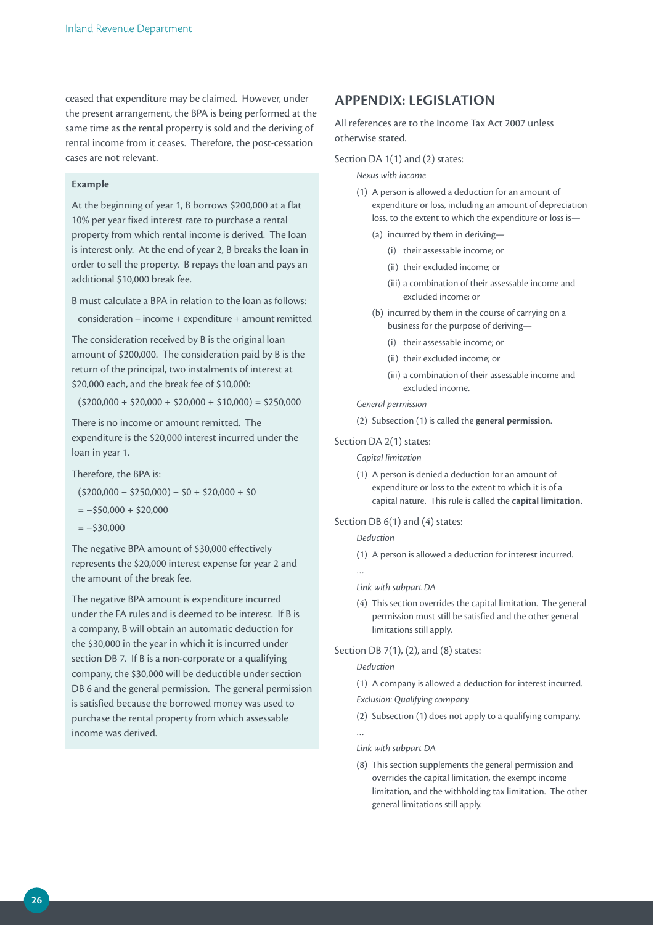ceased that expenditure may be claimed. However, under the present arrangement, the BPA is being performed at the same time as the rental property is sold and the deriving of rental income from it ceases. Therefore, the post-cessation cases are not relevant.

#### **Example**

At the beginning of year 1, B borrows \$200,000 at a flat 10% per year fixed interest rate to purchase a rental property from which rental income is derived. The loan is interest only. At the end of year 2, B breaks the loan in order to sell the property. B repays the loan and pays an additional \$10,000 break fee.

B must calculate a BPA in relation to the loan as follows:

consideration – income + expenditure + amount remitted

The consideration received by B is the original loan amount of \$200,000. The consideration paid by B is the return of the principal, two instalments of interest at \$20,000 each, and the break fee of \$10,000:

 $(5200,000 + 520,000 + 520,000 + 510,000) = 5250,000$ 

There is no income or amount remitted. The expenditure is the \$20,000 interest incurred under the loan in year 1.

Therefore, the BPA is:

 $(5200,000 - 5250,000) - 50 + 520,000 + 50$ 

 $=-$50,000 + $20,000$ 

 $=-$30,000$ 

The negative BPA amount of \$30,000 effectively represents the \$20,000 interest expense for year 2 and the amount of the break fee.

The negative BPA amount is expenditure incurred under the FA rules and is deemed to be interest. If B is a company, B will obtain an automatic deduction for the \$30,000 in the year in which it is incurred under section DB 7. If B is a non-corporate or a qualifying company, the \$30,000 will be deductible under section DB 6 and the general permission. The general permission is satisfied because the borrowed money was used to purchase the rental property from which assessable income was derived.

## **AppENDiX: LEGiSLATiON**

All references are to the Income Tax Act 2007 unless otherwise stated.

Section DA 1(1) and (2) states:

#### *Nexus with income*

- (1) A person is allowed a deduction for an amount of expenditure or loss, including an amount of depreciation loss, to the extent to which the expenditure or loss is—
	- (a) incurred by them in deriving—
		- (i) their assessable income; or
		- (ii) their excluded income; or
		- (iii) a combination of their assessable income and excluded income; or
	- (b) incurred by them in the course of carrying on a business for the purpose of deriving—
		- (i) their assessable income; or
		- (ii) their excluded income; or
		- (iii) a combination of their assessable income and excluded income.

#### *General permission*

(2) Subsection (1) is called the **general permission**.

#### Section DA 2(1) states:

*Capital limitation*

(1) A person is denied a deduction for an amount of expenditure or loss to the extent to which it is of a capital nature. This rule is called the **capital limitation.**

#### Section DB 6(1) and (4) states:

#### *Deduction*

(1) A person is allowed a deduction for interest incurred.

…

#### *Link with subpart DA*

(4) This section overrides the capital limitation. The general permission must still be satisfied and the other general limitations still apply.

#### Section DB 7(1), (2), and (8) states:

#### *Deduction*

- (1) A company is allowed a deduction for interest incurred.
- *Exclusion: Qualifying company*
- (2) Subsection (1) does not apply to a qualifying company.

…

- *Link with subpart DA*
- (8) This section supplements the general permission and overrides the capital limitation, the exempt income limitation, and the withholding tax limitation. The other general limitations still apply.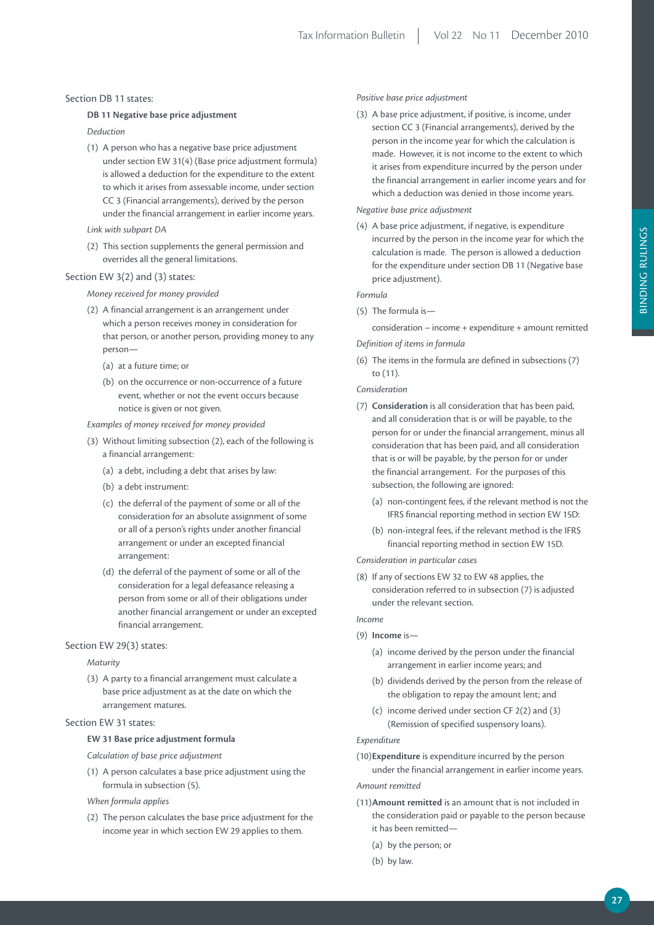#### Section DB 11 states:

#### **DB 11 Negative base price adjustment**

*Deduction*

- (1) A person who has a negative base price adjustment under section EW 31(4) (Base price adjustment formula) is allowed a deduction for the expenditure to the extent to which it arises from assessable income, under section CC 3 (Financial arrangements), derived by the person under the financial arrangement in earlier income years.
- *Link with subpart DA*
- (2) This section supplements the general permission and overrides all the general limitations.

#### Section EW 3(2) and (3) states:

#### *Money received for money provided*

- (2) A financial arrangement is an arrangement under which a person receives money in consideration for that person, or another person, providing money to any person—
	- (a) at a future time; or
	- (b) on the occurrence or non-occurrence of a future event, whether or not the event occurs because notice is given or not given.

#### *Examples of money received for money provided*

- (3) Without limiting subsection (2), each of the following is a financial arrangement:
	- (a) a debt, including a debt that arises by law:
	- (b) a debt instrument:
	- (c) the deferral of the payment of some or all of the consideration for an absolute assignment of some or all of a person's rights under another financial arrangement or under an excepted financial arrangement:
	- (d) the deferral of the payment of some or all of the consideration for a legal defeasance releasing a person from some or all of their obligations under another financial arrangement or under an excepted financial arrangement.

#### Section EW 29(3) states:

#### *Maturity*

(3) A party to a financial arrangement must calculate a base price adjustment as at the date on which the arrangement matures.

#### Section EW 31 states:

#### **EW 31 Base price adjustment formula**

*Calculation of base price adjustment*

(1) A person calculates a base price adjustment using the formula in subsection (5).

#### *When formula applies*

(2) The person calculates the base price adjustment for the income year in which section EW 29 applies to them.

#### *Positive base price adjustment*

(3) A base price adjustment, if positive, is income, under section CC 3 (Financial arrangements), derived by the person in the income year for which the calculation is made. However, it is not income to the extent to which it arises from expenditure incurred by the person under the financial arrangement in earlier income years and for which a deduction was denied in those income years.

#### *Negative base price adjustment*

(4) A base price adjustment, if negative, is expenditure incurred by the person in the income year for which the calculation is made. The person is allowed a deduction for the expenditure under section DB 11 (Negative base price adjustment).

#### *Formula*

(5) The formula is—

consideration – income + expenditure + amount remitted *Definition of items in formula*

(6) The items in the formula are defined in subsections (7) to (11).

#### *Consideration*

- (7) **Consideration** is all consideration that has been paid, and all consideration that is or will be payable, to the person for or under the financial arrangement, minus all consideration that has been paid, and all consideration that is or will be payable, by the person for or under the financial arrangement. For the purposes of this subsection, the following are ignored:
	- (a) non-contingent fees, if the relevant method is not the IFRS financial reporting method in section EW 15D:
	- (b) non-integral fees, if the relevant method is the IFRS financial reporting method in section EW 15D.

#### *Consideration in particular cases*

(8) If any of sections EW 32 to EW 48 applies, the consideration referred to in subsection (7) is adjusted under the relevant section.

#### *Income*

- (9) **income** is—
	- (a) income derived by the person under the financial arrangement in earlier income years; and
	- (b) dividends derived by the person from the release of the obligation to repay the amount lent; and
	- (c) income derived under section CF 2(2) and (3) (Remission of specified suspensory loans).

#### *Expenditure*

(10)**Expenditure** is expenditure incurred by the person under the financial arrangement in earlier income years.

#### *Amount remitted*

- (11)**Amount remitted** is an amount that is not included in the consideration paid or payable to the person because it has been remitted—
	- (a) by the person; or
	- (b) by law.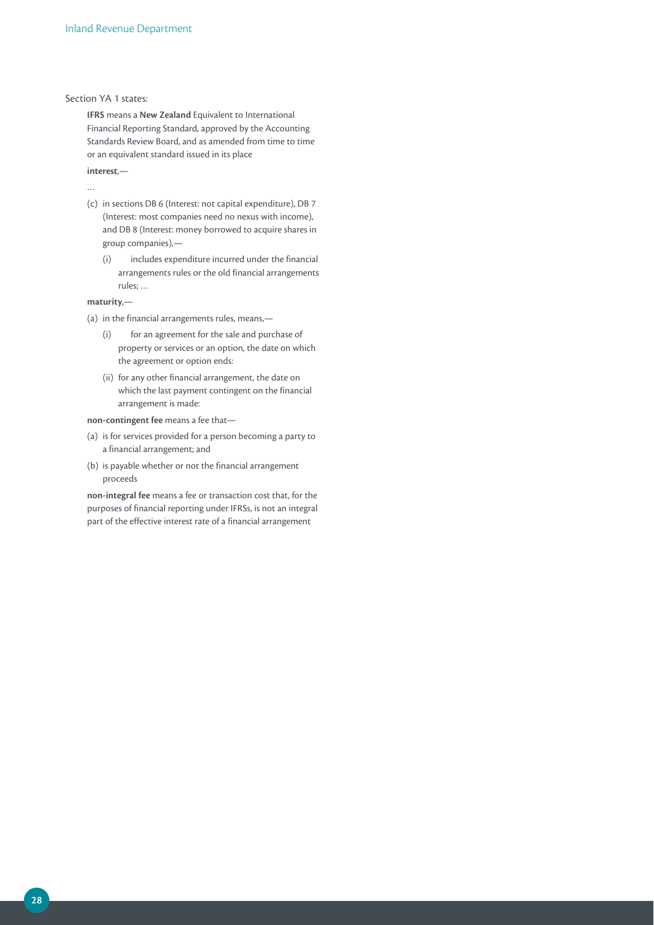#### Section YA 1 states:

**iFrS** means a **New Zealand** Equivalent to International Financial Reporting Standard, approved by the Accounting Standards Review Board, and as amended from time to time or an equivalent standard issued in its place

**interest**,—

…

- (c) in sections DB 6 (Interest: not capital expenditure), DB 7 (Interest: most companies need no nexus with income), and DB 8 (Interest: money borrowed to acquire shares in group companies),—
	- (i) includes expenditure incurred under the financial arrangements rules or the old financial arrangements rules; …

**maturity**,—

- (a) in the financial arrangements rules, means,—
	- (i) for an agreement for the sale and purchase of property or services or an option, the date on which the agreement or option ends:
	- (ii) for any other financial arrangement, the date on which the last payment contingent on the financial arrangement is made:

#### **non-contingent fee** means a fee that—

- (a) is for services provided for a person becoming a party to a financial arrangement; and
- (b) is payable whether or not the financial arrangement proceeds

**non-integral fee** means a fee or transaction cost that, for the purposes of financial reporting under IFRSs, is not an integral part of the effective interest rate of a financial arrangement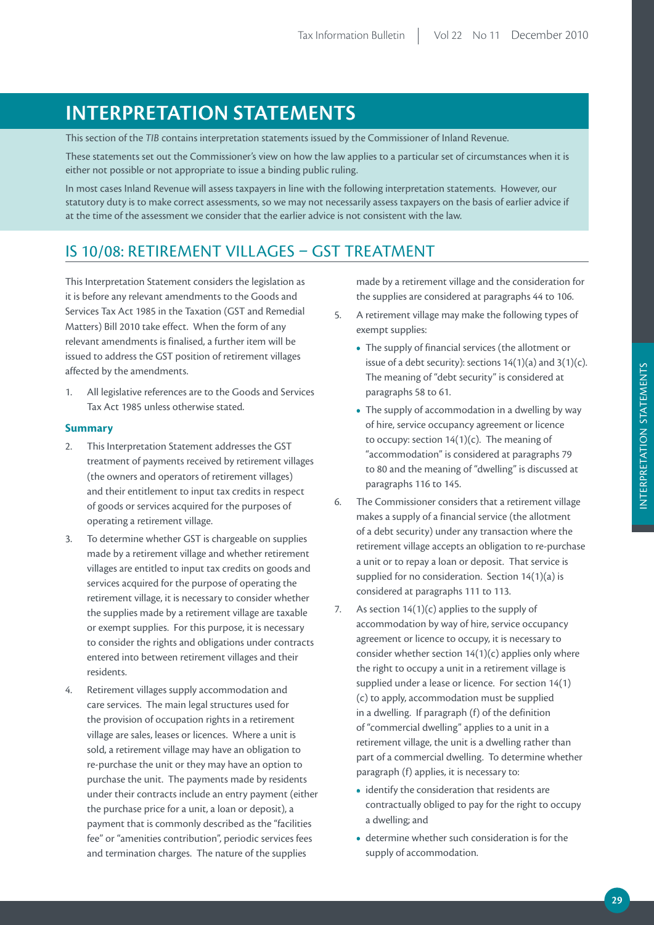# **iNTErprETATiON STATEmENTS**

This section of the *TIB* contains interpretation statements issued by the Commissioner of Inland Revenue.

These statements set out the Commissioner's view on how the law applies to a particular set of circumstances when it is either not possible or not appropriate to issue a binding public ruling.

In most cases Inland Revenue will assess taxpayers in line with the following interpretation statements. However, our statutory duty is to make correct assessments, so we may not necessarily assess taxpayers on the basis of earlier advice if at the time of the assessment we consider that the earlier advice is not consistent with the law.

## IS 10/08: RETIREMENT VILLAGES – GST TREATMENT

This Interpretation Statement considers the legislation as it is before any relevant amendments to the Goods and Services Tax Act 1985 in the Taxation (GST and Remedial Matters) Bill 2010 take effect. When the form of any relevant amendments is finalised, a further item will be issued to address the GST position of retirement villages affected by the amendments.

1. All legislative references are to the Goods and Services Tax Act 1985 unless otherwise stated.

#### **Summary**

- 2. This Interpretation Statement addresses the GST treatment of payments received by retirement villages (the owners and operators of retirement villages) and their entitlement to input tax credits in respect of goods or services acquired for the purposes of operating a retirement village.
- 3. To determine whether GST is chargeable on supplies made by a retirement village and whether retirement villages are entitled to input tax credits on goods and services acquired for the purpose of operating the retirement village, it is necessary to consider whether the supplies made by a retirement village are taxable or exempt supplies. For this purpose, it is necessary to consider the rights and obligations under contracts entered into between retirement villages and their residents.
- 4. Retirement villages supply accommodation and care services. The main legal structures used for the provision of occupation rights in a retirement village are sales, leases or licences. Where a unit is sold, a retirement village may have an obligation to re-purchase the unit or they may have an option to purchase the unit. The payments made by residents under their contracts include an entry payment (either the purchase price for a unit, a loan or deposit), a payment that is commonly described as the "facilities fee" or "amenities contribution", periodic services fees and termination charges. The nature of the supplies

made by a retirement village and the consideration for the supplies are considered at paragraphs 44 to 106.

- 5. A retirement village may make the following types of exempt supplies:
	- The supply of financial services (the allotment or issue of a debt security): sections  $14(1)(a)$  and  $3(1)(c)$ . The meaning of "debt security" is considered at paragraphs 58 to 61.
	- The supply of accommodation in a dwelling by way of hire, service occupancy agreement or licence to occupy: section 14(1)(c). The meaning of "accommodation" is considered at paragraphs 79 to 80 and the meaning of "dwelling" is discussed at paragraphs 116 to 145.
- 6. The Commissioner considers that a retirement village makes a supply of a financial service (the allotment of a debt security) under any transaction where the retirement village accepts an obligation to re-purchase a unit or to repay a loan or deposit. That service is supplied for no consideration. Section 14(1)(a) is considered at paragraphs 111 to 113.
- 7. As section  $14(1)(c)$  applies to the supply of accommodation by way of hire, service occupancy agreement or licence to occupy, it is necessary to consider whether section 14(1)(c) applies only where the right to occupy a unit in a retirement village is supplied under a lease or licence. For section 14(1) (c) to apply, accommodation must be supplied in a dwelling. If paragraph (f) of the definition of "commercial dwelling" applies to a unit in a retirement village, the unit is a dwelling rather than part of a commercial dwelling. To determine whether paragraph (f) applies, it is necessary to:
	- identify the consideration that residents are contractually obliged to pay for the right to occupy a dwelling; and
	- **•**  determine whether such consideration is for the supply of accommodation.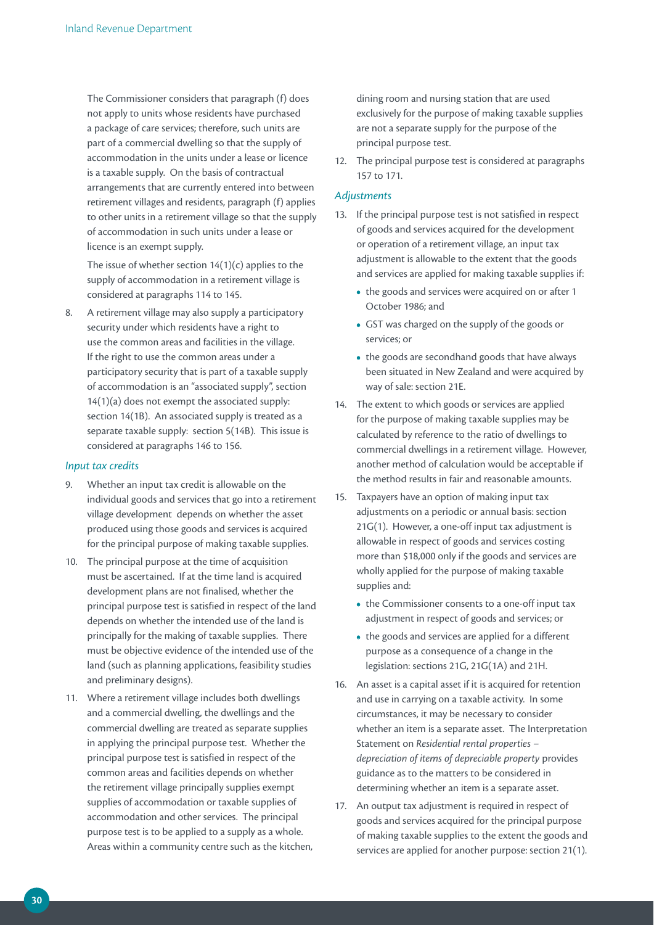The Commissioner considers that paragraph (f) does not apply to units whose residents have purchased a package of care services; therefore, such units are part of a commercial dwelling so that the supply of accommodation in the units under a lease or licence is a taxable supply. On the basis of contractual arrangements that are currently entered into between retirement villages and residents, paragraph (f) applies to other units in a retirement village so that the supply of accommodation in such units under a lease or licence is an exempt supply.

The issue of whether section  $14(1)(c)$  applies to the supply of accommodation in a retirement village is considered at paragraphs 114 to 145.

8. A retirement village may also supply a participatory security under which residents have a right to use the common areas and facilities in the village. If the right to use the common areas under a participatory security that is part of a taxable supply of accommodation is an "associated supply", section 14(1)(a) does not exempt the associated supply: section 14(1B). An associated supply is treated as a separate taxable supply: section 5(14B). This issue is considered at paragraphs 146 to 156.

#### *Input tax credits*

- 9. Whether an input tax credit is allowable on the individual goods and services that go into a retirement village development depends on whether the asset produced using those goods and services is acquired for the principal purpose of making taxable supplies.
- 10. The principal purpose at the time of acquisition must be ascertained. If at the time land is acquired development plans are not finalised, whether the principal purpose test is satisfied in respect of the land depends on whether the intended use of the land is principally for the making of taxable supplies. There must be objective evidence of the intended use of the land (such as planning applications, feasibility studies and preliminary designs).
- 11. Where a retirement village includes both dwellings and a commercial dwelling, the dwellings and the commercial dwelling are treated as separate supplies in applying the principal purpose test. Whether the principal purpose test is satisfied in respect of the common areas and facilities depends on whether the retirement village principally supplies exempt supplies of accommodation or taxable supplies of accommodation and other services. The principal purpose test is to be applied to a supply as a whole. Areas within a community centre such as the kitchen,

dining room and nursing station that are used exclusively for the purpose of making taxable supplies are not a separate supply for the purpose of the principal purpose test.

12. The principal purpose test is considered at paragraphs 157 to 171.

#### *Adjustments*

- 13. If the principal purpose test is not satisfied in respect of goods and services acquired for the development or operation of a retirement village, an input tax adjustment is allowable to the extent that the goods and services are applied for making taxable supplies if:
	- the goods and services were acquired on or after 1 October 1986; and
	- **•**  GST was charged on the supply of the goods or services; or
	- the goods are secondhand goods that have always been situated in New Zealand and were acquired by way of sale: section 21E.
- 14. The extent to which goods or services are applied for the purpose of making taxable supplies may be calculated by reference to the ratio of dwellings to commercial dwellings in a retirement village. However, another method of calculation would be acceptable if the method results in fair and reasonable amounts.
- 15. Taxpayers have an option of making input tax adjustments on a periodic or annual basis: section 21G(1). However, a one-off input tax adjustment is allowable in respect of goods and services costing more than \$18,000 only if the goods and services are wholly applied for the purpose of making taxable supplies and:
	- the Commissioner consents to a one-off input tax adjustment in respect of goods and services; or
	- the goods and services are applied for a different purpose as a consequence of a change in the legislation: sections 21G, 21G(1A) and 21H.
- 16. An asset is a capital asset if it is acquired for retention and use in carrying on a taxable activity. In some circumstances, it may be necessary to consider whether an item is a separate asset. The Interpretation Statement on *Residential rental properties – depreciation of items of depreciable property* provides guidance as to the matters to be considered in determining whether an item is a separate asset.
- 17. An output tax adjustment is required in respect of goods and services acquired for the principal purpose of making taxable supplies to the extent the goods and services are applied for another purpose: section 21(1).

**30**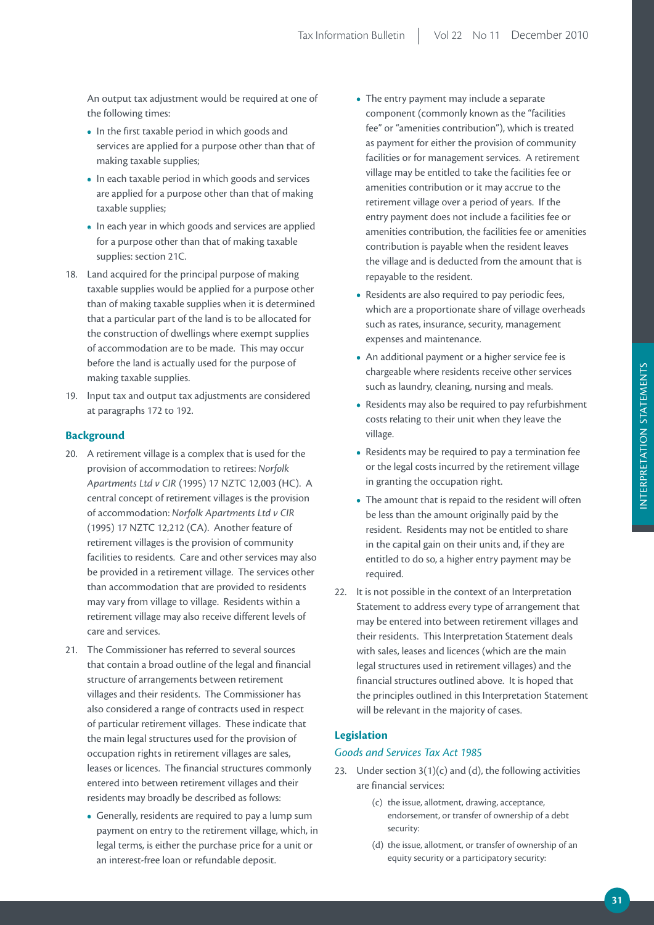An output tax adjustment would be required at one of the following times:

- In the first taxable period in which goods and services are applied for a purpose other than that of making taxable supplies;
- In each taxable period in which goods and services are applied for a purpose other than that of making taxable supplies;
- In each year in which goods and services are applied for a purpose other than that of making taxable supplies: section 21C.
- 18. Land acquired for the principal purpose of making taxable supplies would be applied for a purpose other than of making taxable supplies when it is determined that a particular part of the land is to be allocated for the construction of dwellings where exempt supplies of accommodation are to be made. This may occur before the land is actually used for the purpose of making taxable supplies.
- 19. Input tax and output tax adjustments are considered at paragraphs 172 to 192.

#### **Background**

- 20. A retirement village is a complex that is used for the provision of accommodation to retirees: *Norfolk Apartments Ltd v CIR* (1995) 17 NZTC 12,003 (HC). A central concept of retirement villages is the provision of accommodation: *Norfolk Apartments Ltd v CIR* (1995) 17 NZTC 12,212 (CA). Another feature of retirement villages is the provision of community facilities to residents. Care and other services may also be provided in a retirement village. The services other than accommodation that are provided to residents may vary from village to village. Residents within a retirement village may also receive different levels of care and services.
- 21. The Commissioner has referred to several sources that contain a broad outline of the legal and financial structure of arrangements between retirement villages and their residents. The Commissioner has also considered a range of contracts used in respect of particular retirement villages. These indicate that the main legal structures used for the provision of occupation rights in retirement villages are sales, leases or licences. The financial structures commonly entered into between retirement villages and their residents may broadly be described as follows:
	- **•**  Generally, residents are required to pay a lump sum payment on entry to the retirement village, which, in legal terms, is either the purchase price for a unit or an interest-free loan or refundable deposit.
- **•**  The entry payment may include a separate component (commonly known as the "facilities fee" or "amenities contribution"), which is treated as payment for either the provision of community facilities or for management services. A retirement village may be entitled to take the facilities fee or amenities contribution or it may accrue to the retirement village over a period of years. If the entry payment does not include a facilities fee or amenities contribution, the facilities fee or amenities contribution is payable when the resident leaves the village and is deducted from the amount that is repayable to the resident.
- **•**  Residents are also required to pay periodic fees, which are a proportionate share of village overheads such as rates, insurance, security, management expenses and maintenance.
- An additional payment or a higher service fee is chargeable where residents receive other services such as laundry, cleaning, nursing and meals.
- Residents may also be required to pay refurbishment costs relating to their unit when they leave the village.
- Residents may be required to pay a termination fee or the legal costs incurred by the retirement village in granting the occupation right.
- The amount that is repaid to the resident will often be less than the amount originally paid by the resident. Residents may not be entitled to share in the capital gain on their units and, if they are entitled to do so, a higher entry payment may be required.
- 22. It is not possible in the context of an Interpretation Statement to address every type of arrangement that may be entered into between retirement villages and their residents. This Interpretation Statement deals with sales, leases and licences (which are the main legal structures used in retirement villages) and the financial structures outlined above. It is hoped that the principles outlined in this Interpretation Statement will be relevant in the majority of cases.

#### **Legislation**

#### *Goods and Services Tax Act 1985*

- 23. Under section  $3(1)(c)$  and (d), the following activities are financial services:
	- (c) the issue, allotment, drawing, acceptance, endorsement, or transfer of ownership of a debt security:
	- (d) the issue, allotment, or transfer of ownership of an equity security or a participatory security: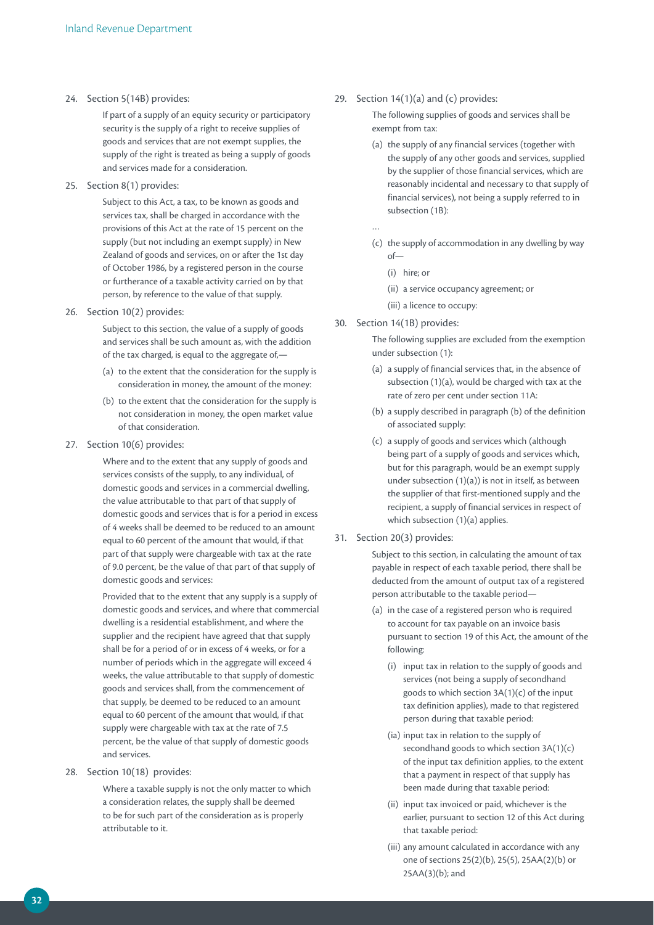#### 24. Section 5(14B) provides:

If part of a supply of an equity security or participatory security is the supply of a right to receive supplies of goods and services that are not exempt supplies, the supply of the right is treated as being a supply of goods and services made for a consideration.

#### 25. Section 8(1) provides:

Subject to this Act, a tax, to be known as goods and services tax, shall be charged in accordance with the provisions of this Act at the rate of 15 percent on the supply (but not including an exempt supply) in New Zealand of goods and services, on or after the 1st day of October 1986, by a registered person in the course or furtherance of a taxable activity carried on by that person, by reference to the value of that supply.

#### 26. Section 10(2) provides:

Subject to this section, the value of a supply of goods and services shall be such amount as, with the addition of the tax charged, is equal to the aggregate of,—

- (a) to the extent that the consideration for the supply is consideration in money, the amount of the money:
- (b) to the extent that the consideration for the supply is not consideration in money, the open market value of that consideration.

#### 27. Section 10(6) provides:

Where and to the extent that any supply of goods and services consists of the supply, to any individual, of domestic goods and services in a commercial dwelling, the value attributable to that part of that supply of domestic goods and services that is for a period in excess of 4 weeks shall be deemed to be reduced to an amount equal to 60 percent of the amount that would, if that part of that supply were chargeable with tax at the rate of 9.0 percent, be the value of that part of that supply of domestic goods and services:

Provided that to the extent that any supply is a supply of domestic goods and services, and where that commercial dwelling is a residential establishment, and where the supplier and the recipient have agreed that that supply shall be for a period of or in excess of 4 weeks, or for a number of periods which in the aggregate will exceed 4 weeks, the value attributable to that supply of domestic goods and services shall, from the commencement of that supply, be deemed to be reduced to an amount equal to 60 percent of the amount that would, if that supply were chargeable with tax at the rate of 7.5 percent, be the value of that supply of domestic goods and services.

28. Section 10(18) provides:

Where a taxable supply is not the only matter to which a consideration relates, the supply shall be deemed to be for such part of the consideration as is properly attributable to it.

#### 29. Section  $14(1)(a)$  and (c) provides:

The following supplies of goods and services shall be exempt from tax:

- (a) the supply of any financial services (together with the supply of any other goods and services, supplied by the supplier of those financial services, which are reasonably incidental and necessary to that supply of financial services), not being a supply referred to in subsection (1B):
- …
- (c) the supply of accommodation in any dwelling by way of—
	- (i) hire; or
	- (ii) a service occupancy agreement; or
- (iii) a licence to occupy:
- 30. Section 14(1B) provides:

The following supplies are excluded from the exemption under subsection (1):

- (a) a supply of financial services that, in the absence of subsection (1)(a), would be charged with tax at the rate of zero per cent under section 11A:
- (b) a supply described in paragraph (b) of the definition of associated supply:
- (c) a supply of goods and services which (although being part of a supply of goods and services which, but for this paragraph, would be an exempt supply under subsection (1)(a)) is not in itself, as between the supplier of that first-mentioned supply and the recipient, a supply of financial services in respect of which subsection (1)(a) applies.
- 31. Section 20(3) provides:

Subject to this section, in calculating the amount of tax payable in respect of each taxable period, there shall be deducted from the amount of output tax of a registered person attributable to the taxable period—

- (a) in the case of a registered person who is required to account for tax payable on an invoice basis pursuant to section 19 of this Act, the amount of the following:
	- (i) input tax in relation to the supply of goods and services (not being a supply of secondhand goods to which section 3A(1)(c) of the input tax definition applies), made to that registered person during that taxable period:
	- (ia) input tax in relation to the supply of secondhand goods to which section 3A(1)(c) of the input tax definition applies, to the extent that a payment in respect of that supply has been made during that taxable period:
	- (ii) input tax invoiced or paid, whichever is the earlier, pursuant to section 12 of this Act during that taxable period:
	- (iii) any amount calculated in accordance with any one of sections 25(2)(b), 25(5), 25AA(2)(b) or 25AA(3)(b); and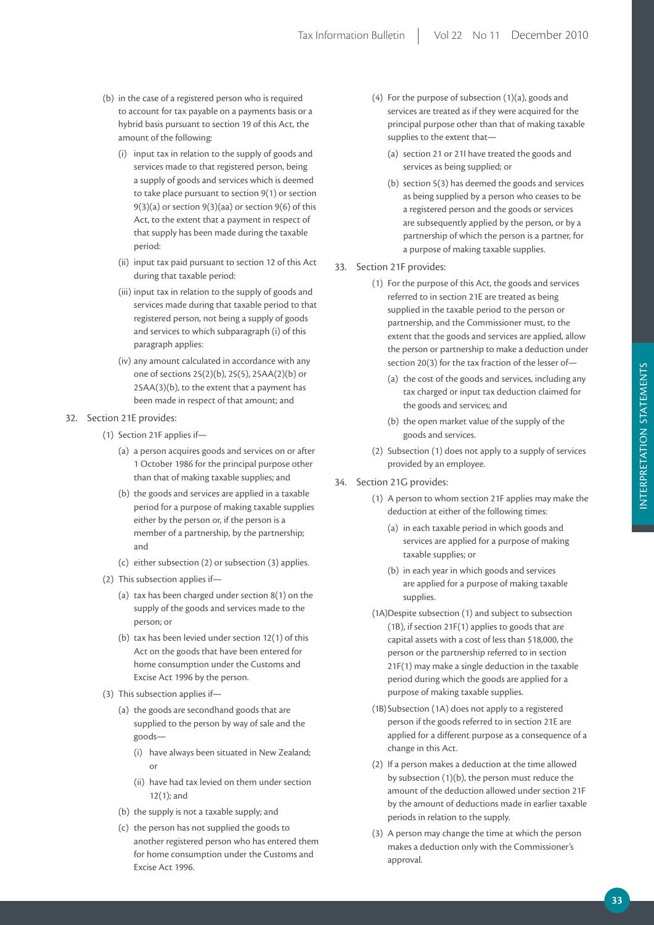- (b) in the case of a registered person who is required to account for tax payable on a payments basis or a hybrid basis pursuant to section 19 of this Act, the amount of the following:
	- (i) input tax in relation to the supply of goods and services made to that registered person, being a supply of goods and services which is deemed to take place pursuant to section 9(1) or section 9(3)(a) or section 9(3)(aa) or section 9(6) of this Act, to the extent that a payment in respect of that supply has been made during the taxable period:
	- (ii) input tax paid pursuant to section 12 of this Act during that taxable period:
	- (iii) input tax in relation to the supply of goods and services made during that taxable period to that registered person, not being a supply of goods and services to which subparagraph (i) of this paragraph applies:
	- (iv) any amount calculated in accordance with any one of sections 25(2)(b), 25(5), 25AA(2)(b) or 25AA(3)(b), to the extent that a payment has been made in respect of that amount; and
- 32. Section 21E provides:
	- (1) Section 21F applies if—
		- (a) a person acquires goods and services on or after 1 October 1986 for the principal purpose other than that of making taxable supplies; and
		- (b) the goods and services are applied in a taxable period for a purpose of making taxable supplies either by the person or, if the person is a member of a partnership, by the partnership; and
		- (c) either subsection (2) or subsection (3) applies.
	- (2) This subsection applies if—
		- (a) tax has been charged under section 8(1) on the supply of the goods and services made to the person; or
		- (b) tax has been levied under section 12(1) of this Act on the goods that have been entered for home consumption under the Customs and Excise Act 1996 by the person.
	- (3) This subsection applies if—
		- (a) the goods are secondhand goods that are supplied to the person by way of sale and the goods—
			- (i) have always been situated in New Zealand; or
			- (ii) have had tax levied on them under section 12(1); and
		- (b) the supply is not a taxable supply; and
		- (c) the person has not supplied the goods to another registered person who has entered them for home consumption under the Customs and Excise Act 1996.
- (4) For the purpose of subsection (1)(a), goods and services are treated as if they were acquired for the principal purpose other than that of making taxable supplies to the extent that—
	- (a) section 21 or 21I have treated the goods and services as being supplied; or
	- (b) section 5(3) has deemed the goods and services as being supplied by a person who ceases to be a registered person and the goods or services are subsequently applied by the person, or by a partnership of which the person is a partner, for a purpose of making taxable supplies.
- 33. Section 21F provides:
	- (1) For the purpose of this Act, the goods and services referred to in section 21E are treated as being supplied in the taxable period to the person or partnership, and the Commissioner must, to the extent that the goods and services are applied, allow the person or partnership to make a deduction under section 20(3) for the tax fraction of the lesser of—
		- (a) the cost of the goods and services, including any tax charged or input tax deduction claimed for the goods and services; and
		- (b) the open market value of the supply of the goods and services.
	- (2) Subsection (1) does not apply to a supply of services provided by an employee.
- 34. Section 21G provides:
	- (1) A person to whom section 21F applies may make the deduction at either of the following times:
		- (a) in each taxable period in which goods and services are applied for a purpose of making taxable supplies; or
		- (b) in each year in which goods and services are applied for a purpose of making taxable supplies.
	- (1A) Despite subsection (1) and subject to subsection (1B), if section 21F(1) applies to goods that are capital assets with a cost of less than \$18,000, the person or the partnership referred to in section 21F(1) may make a single deduction in the taxable period during which the goods are applied for a purpose of making taxable supplies.
	- (1B) Subsection (1A) does not apply to a registered person if the goods referred to in section 21E are applied for a different purpose as a consequence of a change in this Act.
	- (2) If a person makes a deduction at the time allowed by subsection (1)(b), the person must reduce the amount of the deduction allowed under section 21F by the amount of deductions made in earlier taxable periods in relation to the supply.
	- (3) A person may change the time at which the person makes a deduction only with the Commissioner's approval.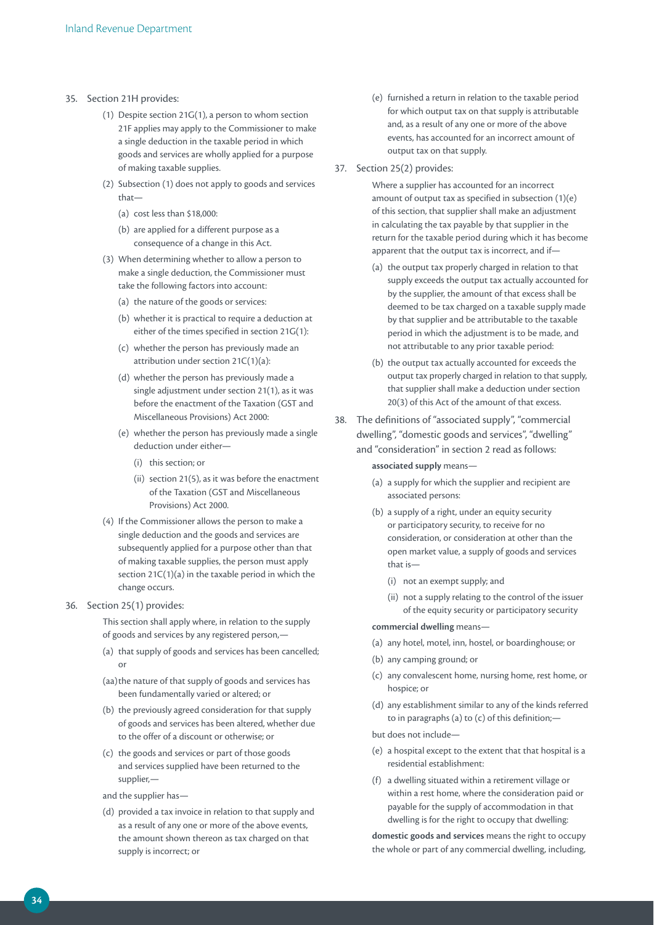- 35. Section 21H provides:
	- (1) Despite section 21G(1), a person to whom section 21F applies may apply to the Commissioner to make a single deduction in the taxable period in which goods and services are wholly applied for a purpose of making taxable supplies.
	- (2) Subsection (1) does not apply to goods and services that—
		- (a) cost less than \$18,000:
		- (b) are applied for a different purpose as a consequence of a change in this Act.
	- (3) When determining whether to allow a person to make a single deduction, the Commissioner must take the following factors into account:
		- (a) the nature of the goods or services:
		- (b) whether it is practical to require a deduction at either of the times specified in section 21G(1):
		- (c) whether the person has previously made an attribution under section 21C(1)(a):
		- (d) whether the person has previously made a single adjustment under section 21(1), as it was before the enactment of the Taxation (GST and Miscellaneous Provisions) Act 2000:
		- (e) whether the person has previously made a single deduction under either—
			- (i) this section; or
			- (ii) section 21(5), as it was before the enactment of the Taxation (GST and Miscellaneous Provisions) Act 2000.
	- (4) If the Commissioner allows the person to make a single deduction and the goods and services are subsequently applied for a purpose other than that of making taxable supplies, the person must apply section 21C(1)(a) in the taxable period in which the change occurs.
- 36. Section 25(1) provides:

This section shall apply where, in relation to the supply of goods and services by any registered person,—

- (a) that supply of goods and services has been cancelled; or
- (aa) the nature of that supply of goods and services has been fundamentally varied or altered; or
- (b) the previously agreed consideration for that supply of goods and services has been altered, whether due to the offer of a discount or otherwise; or
- (c) the goods and services or part of those goods and services supplied have been returned to the supplier,—
- and the supplier has—
- (d) provided a tax invoice in relation to that supply and as a result of any one or more of the above events, the amount shown thereon as tax charged on that supply is incorrect; or
- (e) furnished a return in relation to the taxable period for which output tax on that supply is attributable and, as a result of any one or more of the above events, has accounted for an incorrect amount of output tax on that supply.
- 37. Section 25(2) provides:

Where a supplier has accounted for an incorrect amount of output tax as specified in subsection (1)(e) of this section, that supplier shall make an adjustment in calculating the tax payable by that supplier in the return for the taxable period during which it has become apparent that the output tax is incorrect, and if—

- (a) the output tax properly charged in relation to that supply exceeds the output tax actually accounted for by the supplier, the amount of that excess shall be deemed to be tax charged on a taxable supply made by that supplier and be attributable to the taxable period in which the adjustment is to be made, and not attributable to any prior taxable period:
- (b) the output tax actually accounted for exceeds the output tax properly charged in relation to that supply, that supplier shall make a deduction under section 20(3) of this Act of the amount of that excess.
- 38. The definitions of "associated supply", "commercial dwelling", "domestic goods and services", "dwelling" and "consideration" in section 2 read as follows:

**associated supply** means—

- (a) a supply for which the supplier and recipient are associated persons:
- (b) a supply of a right, under an equity security or participatory security, to receive for no consideration, or consideration at other than the open market value, a supply of goods and services that is—
	- (i) not an exempt supply; and
	- (ii) not a supply relating to the control of the issuer of the equity security or participatory security

#### **commercial dwelling** means—

- (a) any hotel, motel, inn, hostel, or boardinghouse; or
- (b) any camping ground; or
- (c) any convalescent home, nursing home, rest home, or hospice; or
- (d) any establishment similar to any of the kinds referred to in paragraphs (a) to (c) of this definition;—

but does not include—

- (e) a hospital except to the extent that that hospital is a residential establishment:
- (f) a dwelling situated within a retirement village or within a rest home, where the consideration paid or payable for the supply of accommodation in that dwelling is for the right to occupy that dwelling:

**domestic goods and services** means the right to occupy the whole or part of any commercial dwelling, including,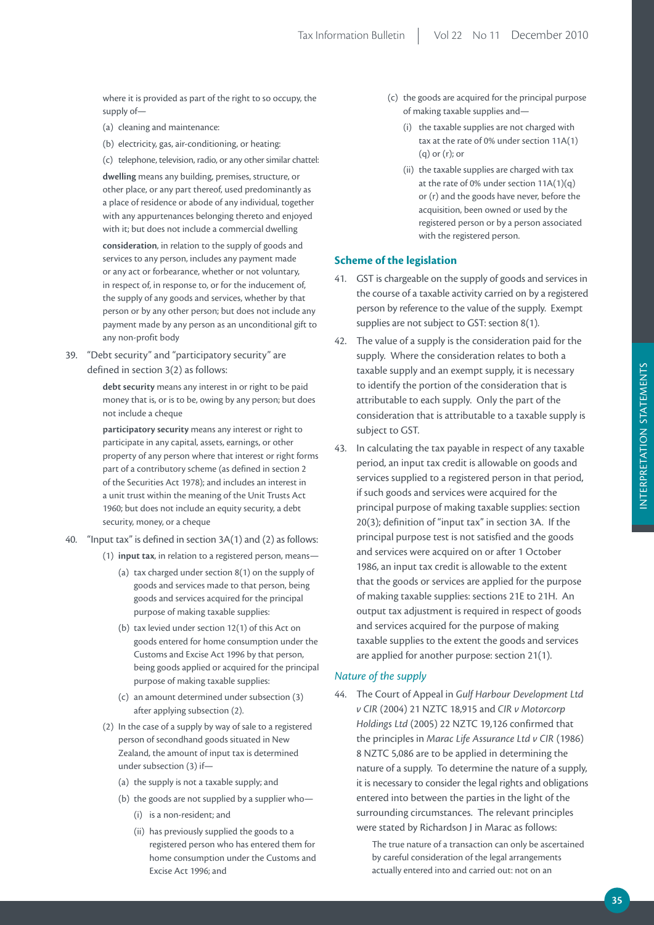where it is provided as part of the right to so occupy, the supply of—

- (a) cleaning and maintenance:
- (b) electricity, gas, air-conditioning, or heating:
- (c) telephone, television, radio, or any other similar chattel:

**dwelling** means any building, premises, structure, or other place, or any part thereof, used predominantly as a place of residence or abode of any individual, together with any appurtenances belonging thereto and enjoyed with it; but does not include a commercial dwelling

**consideration**, in relation to the supply of goods and services to any person, includes any payment made or any act or forbearance, whether or not voluntary, in respect of, in response to, or for the inducement of, the supply of any goods and services, whether by that person or by any other person; but does not include any payment made by any person as an unconditional gift to any non-profit body

39. "Debt security" and "participatory security" are defined in section 3(2) as follows:

> **debt security** means any interest in or right to be paid money that is, or is to be, owing by any person; but does not include a cheque

**participatory security** means any interest or right to participate in any capital, assets, earnings, or other property of any person where that interest or right forms part of a contributory scheme (as defined in section 2 of the Securities Act 1978); and includes an interest in a unit trust within the meaning of the Unit Trusts Act 1960; but does not include an equity security, a debt security, money, or a cheque

- 40. "Input tax" is defined in section 3A(1) and (2) as follows:
	- (1) **input tax**, in relation to a registered person, means—
		- (a) tax charged under section 8(1) on the supply of goods and services made to that person, being goods and services acquired for the principal purpose of making taxable supplies:
		- (b) tax levied under section 12(1) of this Act on goods entered for home consumption under the Customs and Excise Act 1996 by that person, being goods applied or acquired for the principal purpose of making taxable supplies:
		- (c) an amount determined under subsection (3) after applying subsection (2).
	- (2) In the case of a supply by way of sale to a registered person of secondhand goods situated in New Zealand, the amount of input tax is determined under subsection (3) if—
		- (a) the supply is not a taxable supply; and
		- (b) the goods are not supplied by a supplier who—
			- (i) is a non-resident; and
			- (ii) has previously supplied the goods to a registered person who has entered them for home consumption under the Customs and Excise Act 1996; and
- (c) the goods are acquired for the principal purpose of making taxable supplies and—
	- (i) the taxable supplies are not charged with tax at the rate of 0% under section 11A(1) (q) or (r); or
	- (ii) the taxable supplies are charged with tax at the rate of 0% under section 11A(1)(q) or (r) and the goods have never, before the acquisition, been owned or used by the registered person or by a person associated with the registered person.

# **Scheme of the legislation**

- 41. GST is chargeable on the supply of goods and services in the course of a taxable activity carried on by a registered person by reference to the value of the supply. Exempt supplies are not subject to GST: section 8(1).
- 42. The value of a supply is the consideration paid for the supply. Where the consideration relates to both a taxable supply and an exempt supply, it is necessary to identify the portion of the consideration that is attributable to each supply. Only the part of the consideration that is attributable to a taxable supply is subject to GST.
- 43. In calculating the tax payable in respect of any taxable period, an input tax credit is allowable on goods and services supplied to a registered person in that period, if such goods and services were acquired for the principal purpose of making taxable supplies: section 20(3); definition of "input tax" in section 3A. If the principal purpose test is not satisfied and the goods and services were acquired on or after 1 October 1986, an input tax credit is allowable to the extent that the goods or services are applied for the purpose of making taxable supplies: sections 21E to 21H. An output tax adjustment is required in respect of goods and services acquired for the purpose of making taxable supplies to the extent the goods and services are applied for another purpose: section 21(1).

### *Nature of the supply*

44. The Court of Appeal in *Gulf Harbour Development Ltd v CIR* (2004) 21 NZTC 18,915 and *CIR v Motorcorp Holdings Ltd* (2005) 22 NZTC 19,126 confirmed that the principles in *Marac Life Assurance Ltd v CIR* (1986) 8 NZTC 5,086 are to be applied in determining the nature of a supply. To determine the nature of a supply, it is necessary to consider the legal rights and obligations entered into between the parties in the light of the surrounding circumstances. The relevant principles were stated by Richardson J in Marac as follows:

> The true nature of a transaction can only be ascertained by careful consideration of the legal arrangements actually entered into and carried out: not on an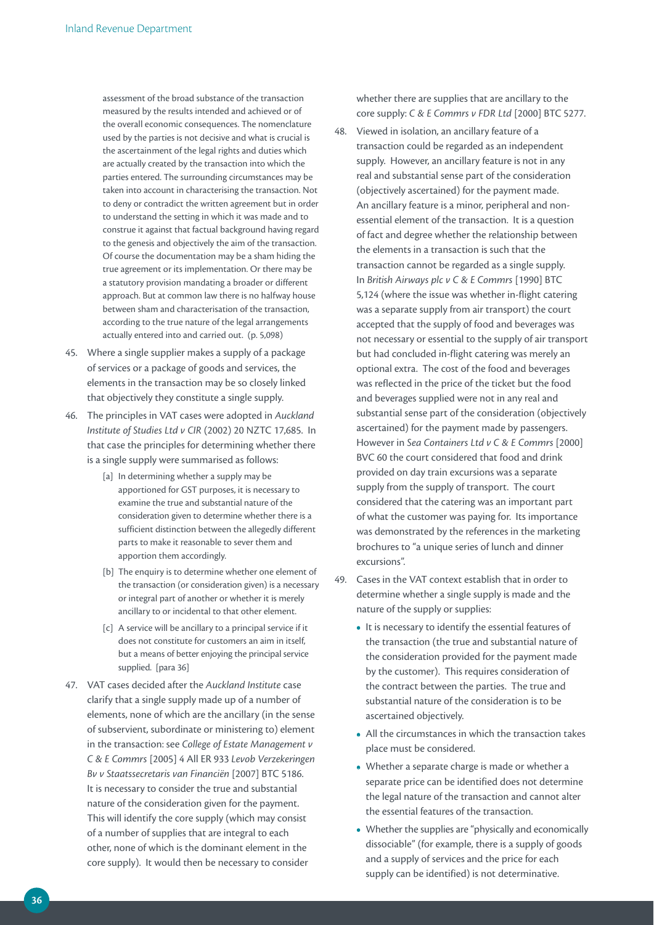assessment of the broad substance of the transaction measured by the results intended and achieved or of the overall economic consequences. The nomenclature used by the parties is not decisive and what is crucial is the ascertainment of the legal rights and duties which are actually created by the transaction into which the parties entered. The surrounding circumstances may be taken into account in characterising the transaction. Not to deny or contradict the written agreement but in order to understand the setting in which it was made and to construe it against that factual background having regard to the genesis and objectively the aim of the transaction. Of course the documentation may be a sham hiding the true agreement or its implementation. Or there may be a statutory provision mandating a broader or different approach. But at common law there is no halfway house between sham and characterisation of the transaction, according to the true nature of the legal arrangements actually entered into and carried out. (p. 5,098)

- 45. Where a single supplier makes a supply of a package of services or a package of goods and services, the elements in the transaction may be so closely linked that objectively they constitute a single supply.
- 46. The principles in VAT cases were adopted in *Auckland Institute of Studies Ltd v CIR* (2002) 20 NZTC 17,685. In that case the principles for determining whether there is a single supply were summarised as follows:
	- [a] In determining whether a supply may be apportioned for GST purposes, it is necessary to examine the true and substantial nature of the consideration given to determine whether there is a sufficient distinction between the allegedly different parts to make it reasonable to sever them and apportion them accordingly.
	- [b] The enquiry is to determine whether one element of the transaction (or consideration given) is a necessary or integral part of another or whether it is merely ancillary to or incidental to that other element.
	- [c] A service will be ancillary to a principal service if it does not constitute for customers an aim in itself, but a means of better enjoying the principal service supplied. [para 36]
- 47. VAT cases decided after the *Auckland Institute* case clarify that a single supply made up of a number of elements, none of which are the ancillary (in the sense of subservient, subordinate or ministering to) element in the transaction: see *College of Estate Management v C & E Commrs* [2005] 4 All ER 933 *Levob Verzekeringen Bv v Staatssecretaris van Financiën* [2007] BTC 5186. It is necessary to consider the true and substantial nature of the consideration given for the payment. This will identify the core supply (which may consist of a number of supplies that are integral to each other, none of which is the dominant element in the core supply). It would then be necessary to consider

whether there are supplies that are ancillary to the core supply: *C & E Commrs v FDR Ltd* [2000] BTC 5277.

- 48. Viewed in isolation, an ancillary feature of a transaction could be regarded as an independent supply. However, an ancillary feature is not in any real and substantial sense part of the consideration (objectively ascertained) for the payment made. An ancillary feature is a minor, peripheral and nonessential element of the transaction. It is a question of fact and degree whether the relationship between the elements in a transaction is such that the transaction cannot be regarded as a single supply. In *British Airways plc v C & E Commrs* [1990] BTC 5,124 (where the issue was whether in-flight catering was a separate supply from air transport) the court accepted that the supply of food and beverages was not necessary or essential to the supply of air transport but had concluded in-flight catering was merely an optional extra. The cost of the food and beverages was reflected in the price of the ticket but the food and beverages supplied were not in any real and substantial sense part of the consideration (objectively ascertained) for the payment made by passengers. However in *Sea Containers Ltd v C & E Commrs* [2000] BVC 60 the court considered that food and drink provided on day train excursions was a separate supply from the supply of transport. The court considered that the catering was an important part of what the customer was paying for. Its importance was demonstrated by the references in the marketing brochures to "a unique series of lunch and dinner excursions".
- 49. Cases in the VAT context establish that in order to determine whether a single supply is made and the nature of the supply or supplies:
	- **•**  It is necessary to identify the essential features of the transaction (the true and substantial nature of the consideration provided for the payment made by the customer). This requires consideration of the contract between the parties. The true and substantial nature of the consideration is to be ascertained objectively.
	- **•**  All the circumstances in which the transaction takes place must be considered.
	- Whether a separate charge is made or whether a separate price can be identified does not determine the legal nature of the transaction and cannot alter the essential features of the transaction.
	- Whether the supplies are "physically and economically dissociable" (for example, there is a supply of goods and a supply of services and the price for each supply can be identified) is not determinative.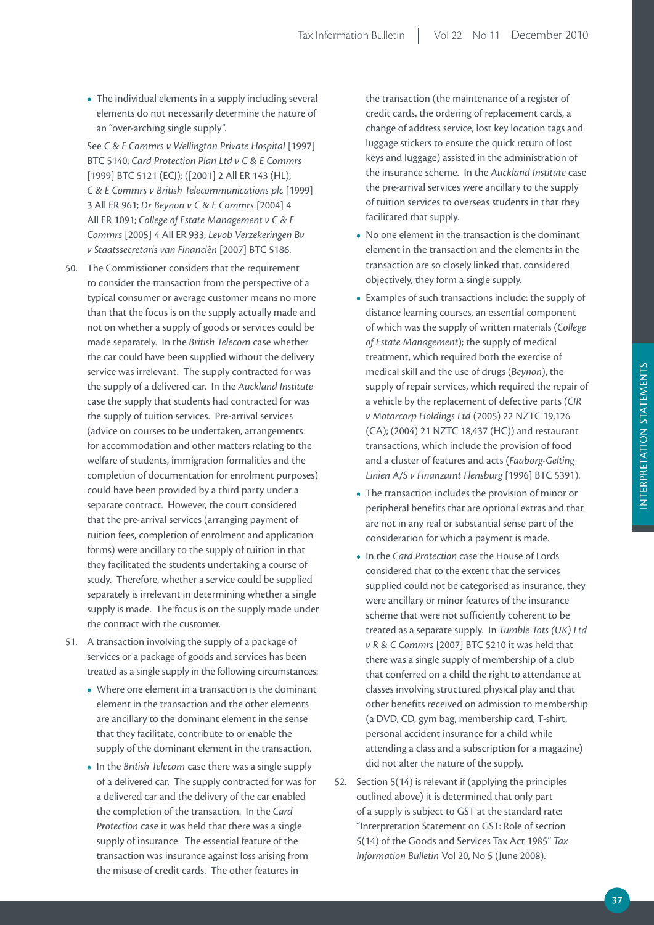**•**  The individual elements in a supply including several elements do not necessarily determine the nature of an "over-arching single supply".

See C & E Commrs v Wellington Private Hospital [1997] BTC 5140; *Card Protection Plan Ltd v C & E Commrs*  [1999] BTC 5121 (ECJ); ([2001] 2 All ER 143 (HL); *C & E Commrs v British Telecommunications plc* [1999] 3 All ER 961; *Dr Beynon v C & E Commrs* [2004] 4 All ER 1091; *College of Estate Management v C & E Commrs* [2005] 4 All ER 933; *Levob Verzekeringen Bv v Staatssecretaris van Financiën* [2007] BTC 5186.

- 50. The Commissioner considers that the requirement to consider the transaction from the perspective of a typical consumer or average customer means no more than that the focus is on the supply actually made and not on whether a supply of goods or services could be made separately. In the *British Telecom* case whether the car could have been supplied without the delivery service was irrelevant. The supply contracted for was the supply of a delivered car. In the *Auckland Institute* case the supply that students had contracted for was the supply of tuition services. Pre-arrival services (advice on courses to be undertaken, arrangements for accommodation and other matters relating to the welfare of students, immigration formalities and the completion of documentation for enrolment purposes) could have been provided by a third party under a separate contract. However, the court considered that the pre-arrival services (arranging payment of tuition fees, completion of enrolment and application forms) were ancillary to the supply of tuition in that they facilitated the students undertaking a course of study. Therefore, whether a service could be supplied separately is irrelevant in determining whether a single supply is made. The focus is on the supply made under the contract with the customer.
- 51. A transaction involving the supply of a package of services or a package of goods and services has been treated as a single supply in the following circumstances:
	- Where one element in a transaction is the dominant element in the transaction and the other elements are ancillary to the dominant element in the sense that they facilitate, contribute to or enable the supply of the dominant element in the transaction.
	- In the *British Telecom* case there was a single supply of a delivered car. The supply contracted for was for a delivered car and the delivery of the car enabled the completion of the transaction. In the *Card Protection* case it was held that there was a single supply of insurance. The essential feature of the transaction was insurance against loss arising from the misuse of credit cards. The other features in

the transaction (the maintenance of a register of credit cards, the ordering of replacement cards, a change of address service, lost key location tags and luggage stickers to ensure the quick return of lost keys and luggage) assisted in the administration of the insurance scheme. In the *Auckland Institute* case the pre-arrival services were ancillary to the supply of tuition services to overseas students in that they facilitated that supply.

- **•**  No one element in the transaction is the dominant element in the transaction and the elements in the transaction are so closely linked that, considered objectively, they form a single supply.
- **•**  Examples of such transactions include: the supply of distance learning courses, an essential component of which was the supply of written materials (*College of Estate Management*); the supply of medical treatment, which required both the exercise of medical skill and the use of drugs (*Beynon*), the supply of repair services, which required the repair of a vehicle by the replacement of defective parts (*CIR v Motorcorp Holdings Ltd* (2005) 22 NZTC 19,126 (CA); (2004) 21 NZTC 18,437 (HC)) and restaurant transactions, which include the provision of food and a cluster of features and acts (*Faaborg-Gelting Linien A/S v Finanzamt Flensburg* [1996] BTC 5391).
- The transaction includes the provision of minor or peripheral benefits that are optional extras and that are not in any real or substantial sense part of the consideration for which a payment is made.
- **•**  In the *Card Protection* case the House of Lords considered that to the extent that the services supplied could not be categorised as insurance, they were ancillary or minor features of the insurance scheme that were not sufficiently coherent to be treated as a separate supply. In *Tumble Tots (UK) Ltd v R & C Commrs* [2007] BTC 5210 it was held that there was a single supply of membership of a club that conferred on a child the right to attendance at classes involving structured physical play and that other benefits received on admission to membership (a DVD, CD, gym bag, membership card, T-shirt, personal accident insurance for a child while attending a class and a subscription for a magazine) did not alter the nature of the supply.
- 52. Section 5(14) is relevant if (applying the principles outlined above) it is determined that only part of a supply is subject to GST at the standard rate: "Interpretation Statement on GST: Role of section 5(14) of the Goods and Services Tax Act 1985" *Tax Information Bulletin* Vol 20, No 5 (June 2008).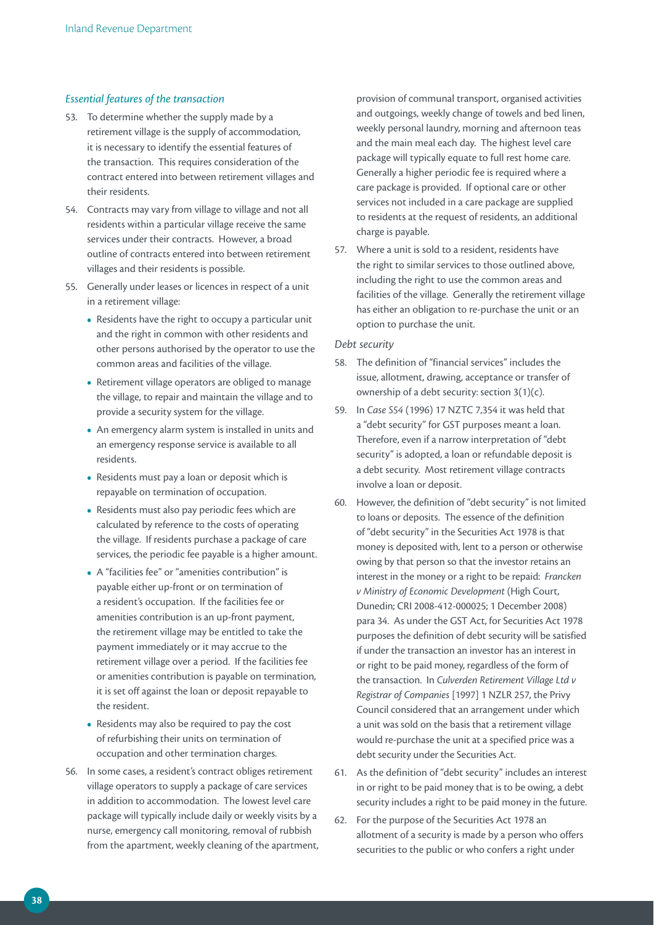# *Essential features of the transaction*

- 53. To determine whether the supply made by a retirement village is the supply of accommodation, it is necessary to identify the essential features of the transaction. This requires consideration of the contract entered into between retirement villages and their residents.
- 54. Contracts may vary from village to village and not all residents within a particular village receive the same services under their contracts. However, a broad outline of contracts entered into between retirement villages and their residents is possible.
- 55. Generally under leases or licences in respect of a unit in a retirement village:
	- **•**  Residents have the right to occupy a particular unit and the right in common with other residents and other persons authorised by the operator to use the common areas and facilities of the village.
	- Retirement village operators are obliged to manage the village, to repair and maintain the village and to provide a security system for the village.
	- **•**  An emergency alarm system is installed in units and an emergency response service is available to all residents.
	- Residents must pay a loan or deposit which is repayable on termination of occupation.
	- **•**  Residents must also pay periodic fees which are calculated by reference to the costs of operating the village. If residents purchase a package of care services, the periodic fee payable is a higher amount.
	- **•**  A "facilities fee" or "amenities contribution" is payable either up-front or on termination of a resident's occupation. If the facilities fee or amenities contribution is an up-front payment, the retirement village may be entitled to take the payment immediately or it may accrue to the retirement village over a period. If the facilities fee or amenities contribution is payable on termination, it is set off against the loan or deposit repayable to the resident.
	- Residents may also be required to pay the cost of refurbishing their units on termination of occupation and other termination charges.
- 56. In some cases, a resident's contract obliges retirement village operators to supply a package of care services in addition to accommodation. The lowest level care package will typically include daily or weekly visits by a nurse, emergency call monitoring, removal of rubbish from the apartment, weekly cleaning of the apartment,

provision of communal transport, organised activities and outgoings, weekly change of towels and bed linen, weekly personal laundry, morning and afternoon teas and the main meal each day. The highest level care package will typically equate to full rest home care. Generally a higher periodic fee is required where a care package is provided. If optional care or other services not included in a care package are supplied to residents at the request of residents, an additional charge is payable.

57. Where a unit is sold to a resident, residents have the right to similar services to those outlined above, including the right to use the common areas and facilities of the village. Generally the retirement village has either an obligation to re-purchase the unit or an option to purchase the unit.

### *Debt security*

- 58. The definition of "financial services" includes the issue, allotment, drawing, acceptance or transfer of ownership of a debt security: section 3(1)(c).
- 59. In *Case S54* (1996) 17 NZTC 7,354 it was held that a "debt security" for GST purposes meant a loan. Therefore, even if a narrow interpretation of "debt security" is adopted, a loan or refundable deposit is a debt security. Most retirement village contracts involve a loan or deposit.
- 60. However, the definition of "debt security" is not limited to loans or deposits. The essence of the definition of "debt security" in the Securities Act 1978 is that money is deposited with, lent to a person or otherwise owing by that person so that the investor retains an interest in the money or a right to be repaid: *Francken v Ministry of Economic Development* (High Court, Dunedin; CRI 2008-412-000025; 1 December 2008) para 34. As under the GST Act, for Securities Act 1978 purposes the definition of debt security will be satisfied if under the transaction an investor has an interest in or right to be paid money, regardless of the form of the transaction. In *Culverden Retirement Village Ltd v Registrar of Companies* [1997] 1 NZLR 257, the Privy Council considered that an arrangement under which a unit was sold on the basis that a retirement village would re-purchase the unit at a specified price was a debt security under the Securities Act.
- 61. As the definition of "debt security" includes an interest in or right to be paid money that is to be owing, a debt security includes a right to be paid money in the future.
- 62. For the purpose of the Securities Act 1978 an allotment of a security is made by a person who offers securities to the public or who confers a right under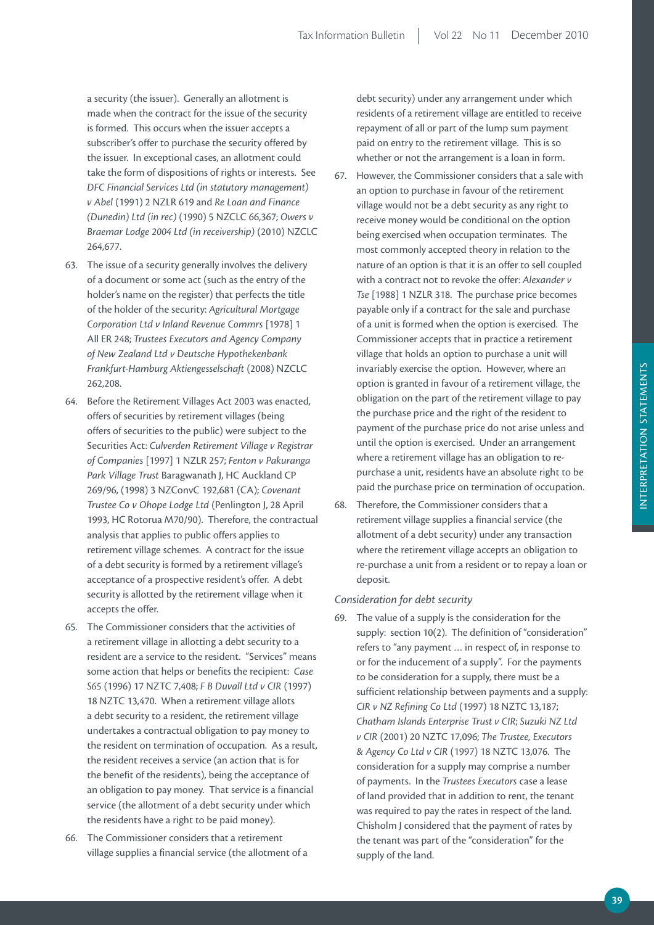a security (the issuer). Generally an allotment is made when the contract for the issue of the security is formed. This occurs when the issuer accepts a subscriber's offer to purchase the security offered by the issuer. In exceptional cases, an allotment could take the form of dispositions of rights or interests. See *DFC Financial Services Ltd (in statutory management) v Abel* (1991) 2 NZLR 619 and *Re Loan and Finance (Dunedin) Ltd (in rec)* (1990) 5 NZCLC 66,367; *Owers v Braemar Lodge 2004 Ltd (in receivership)* (2010) NZCLC 264,677.

- 63. The issue of a security generally involves the delivery of a document or some act (such as the entry of the holder's name on the register) that perfects the title of the holder of the security: *Agricultural Mortgage Corporation Ltd v Inland Revenue Commrs* [1978] 1 All ER 248; *Trustees Executors and Agency Company of New Zealand Ltd v Deutsche Hypothekenbank Frankfurt-Hamburg Aktiengesselschaft* (2008) NZCLC 262,208.
- 64. Before the Retirement Villages Act 2003 was enacted, offers of securities by retirement villages (being offers of securities to the public) were subject to the Securities Act: *Culverden Retirement Village v Registrar of Companies* [1997] 1 NZLR 257; *Fenton v Pakuranga Park Village Trust* Baragwanath J, HC Auckland CP 269/96, (1998) 3 NZConvC 192,681 (CA); *Covenant Trustee Co v Ohope Lodge Ltd* (Penlington J, 28 April 1993, HC Rotorua M70/90). Therefore, the contractual analysis that applies to public offers applies to retirement village schemes. A contract for the issue of a debt security is formed by a retirement village's acceptance of a prospective resident's offer. A debt security is allotted by the retirement village when it accepts the offer.
- 65. The Commissioner considers that the activities of a retirement village in allotting a debt security to a resident are a service to the resident. "Services" means some action that helps or benefits the recipient: *Case S65* (1996) 17 NZTC 7,408; *F B Duvall Ltd v CIR* (1997) 18 NZTC 13,470. When a retirement village allots a debt security to a resident, the retirement village undertakes a contractual obligation to pay money to the resident on termination of occupation. As a result, the resident receives a service (an action that is for the benefit of the residents), being the acceptance of an obligation to pay money. That service is a financial service (the allotment of a debt security under which the residents have a right to be paid money).
- 66. The Commissioner considers that a retirement village supplies a financial service (the allotment of a

debt security) under any arrangement under which residents of a retirement village are entitled to receive repayment of all or part of the lump sum payment paid on entry to the retirement village. This is so whether or not the arrangement is a loan in form.

- 67. However, the Commissioner considers that a sale with an option to purchase in favour of the retirement village would not be a debt security as any right to receive money would be conditional on the option being exercised when occupation terminates. The most commonly accepted theory in relation to the nature of an option is that it is an offer to sell coupled with a contract not to revoke the offer: *Alexander v Tse* [1988] 1 NZLR 318. The purchase price becomes payable only if a contract for the sale and purchase of a unit is formed when the option is exercised. The Commissioner accepts that in practice a retirement village that holds an option to purchase a unit will invariably exercise the option. However, where an option is granted in favour of a retirement village, the obligation on the part of the retirement village to pay the purchase price and the right of the resident to payment of the purchase price do not arise unless and until the option is exercised. Under an arrangement where a retirement village has an obligation to repurchase a unit, residents have an absolute right to be paid the purchase price on termination of occupation.
- 68. Therefore, the Commissioner considers that a retirement village supplies a financial service (the allotment of a debt security) under any transaction where the retirement village accepts an obligation to re-purchase a unit from a resident or to repay a loan or deposit.

### *Consideration for debt security*

69. The value of a supply is the consideration for the supply: section 10(2). The definition of "consideration" refers to "any payment … in respect of, in response to or for the inducement of a supply". For the payments to be consideration for a supply, there must be a sufficient relationship between payments and a supply: *CIR v NZ Refining Co Ltd* (1997) 18 NZTC 13,187; *Chatham Islands Enterprise Trust v CIR*; *Suzuki NZ Ltd v CIR* (2001) 20 NZTC 17,096; *The Trustee, Executors & Agency Co Ltd v CIR* (1997) 18 NZTC 13,076. The consideration for a supply may comprise a number of payments. In the *Trustees Executors* case a lease of land provided that in addition to rent, the tenant was required to pay the rates in respect of the land. Chisholm J considered that the payment of rates by the tenant was part of the "consideration" for the supply of the land.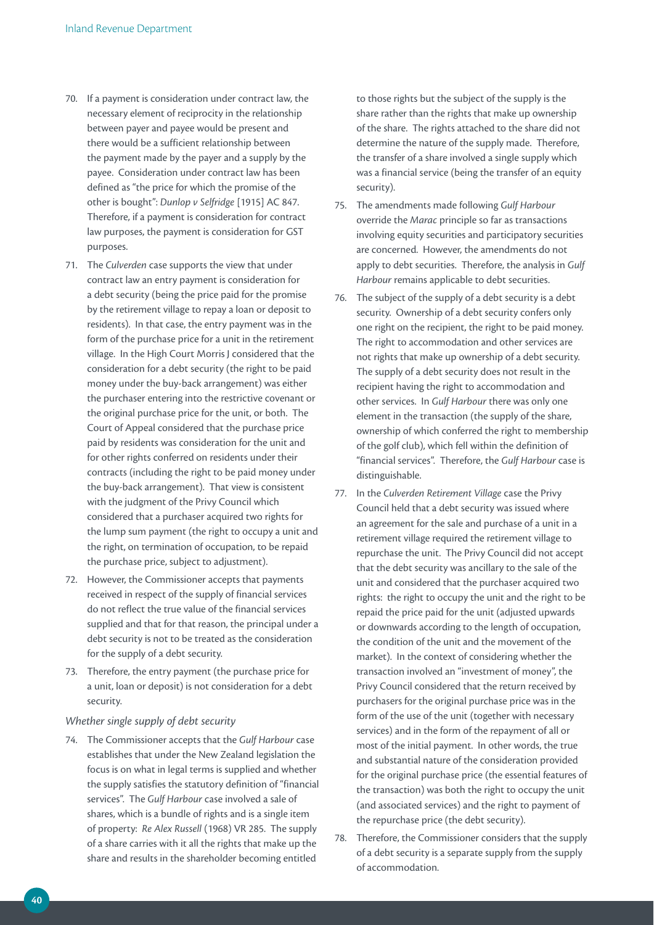- 70. If a payment is consideration under contract law, the necessary element of reciprocity in the relationship between payer and payee would be present and there would be a sufficient relationship between the payment made by the payer and a supply by the payee. Consideration under contract law has been defined as "the price for which the promise of the other is bought": *Dunlop v Selfridge* [1915] AC 847. Therefore, if a payment is consideration for contract law purposes, the payment is consideration for GST purposes.
- 71. The *Culverden* case supports the view that under contract law an entry payment is consideration for a debt security (being the price paid for the promise by the retirement village to repay a loan or deposit to residents). In that case, the entry payment was in the form of the purchase price for a unit in the retirement village. In the High Court Morris J considered that the consideration for a debt security (the right to be paid money under the buy-back arrangement) was either the purchaser entering into the restrictive covenant or the original purchase price for the unit, or both. The Court of Appeal considered that the purchase price paid by residents was consideration for the unit and for other rights conferred on residents under their contracts (including the right to be paid money under the buy-back arrangement). That view is consistent with the judgment of the Privy Council which considered that a purchaser acquired two rights for the lump sum payment (the right to occupy a unit and the right, on termination of occupation, to be repaid the purchase price, subject to adjustment).
- 72. However, the Commissioner accepts that payments received in respect of the supply of financial services do not reflect the true value of the financial services supplied and that for that reason, the principal under a debt security is not to be treated as the consideration for the supply of a debt security.
- 73. Therefore, the entry payment (the purchase price for a unit, loan or deposit) is not consideration for a debt security.

### *Whether single supply of debt security*

74. The Commissioner accepts that the *Gulf Harbour* case establishes that under the New Zealand legislation the focus is on what in legal terms is supplied and whether the supply satisfies the statutory definition of "financial services". The *Gulf Harbour* case involved a sale of shares, which is a bundle of rights and is a single item of property: *Re Alex Russell* (1968) VR 285. The supply of a share carries with it all the rights that make up the share and results in the shareholder becoming entitled

to those rights but the subject of the supply is the share rather than the rights that make up ownership of the share. The rights attached to the share did not determine the nature of the supply made. Therefore, the transfer of a share involved a single supply which was a financial service (being the transfer of an equity security).

- 75. The amendments made following *Gulf Harbour*  override the *Marac* principle so far as transactions involving equity securities and participatory securities are concerned. However, the amendments do not apply to debt securities. Therefore, the analysis in *Gulf Harbour* remains applicable to debt securities.
- 76. The subject of the supply of a debt security is a debt security. Ownership of a debt security confers only one right on the recipient, the right to be paid money. The right to accommodation and other services are not rights that make up ownership of a debt security. The supply of a debt security does not result in the recipient having the right to accommodation and other services. In *Gulf Harbour* there was only one element in the transaction (the supply of the share, ownership of which conferred the right to membership of the golf club), which fell within the definition of "financial services". Therefore, the *Gulf Harbour* case is distinguishable.
- 77. In the *Culverden Retirement Village* case the Privy Council held that a debt security was issued where an agreement for the sale and purchase of a unit in a retirement village required the retirement village to repurchase the unit. The Privy Council did not accept that the debt security was ancillary to the sale of the unit and considered that the purchaser acquired two rights: the right to occupy the unit and the right to be repaid the price paid for the unit (adjusted upwards or downwards according to the length of occupation, the condition of the unit and the movement of the market). In the context of considering whether the transaction involved an "investment of money", the Privy Council considered that the return received by purchasers for the original purchase price was in the form of the use of the unit (together with necessary services) and in the form of the repayment of all or most of the initial payment. In other words, the true and substantial nature of the consideration provided for the original purchase price (the essential features of the transaction) was both the right to occupy the unit (and associated services) and the right to payment of the repurchase price (the debt security).
- 78. Therefore, the Commissioner considers that the supply of a debt security is a separate supply from the supply of accommodation.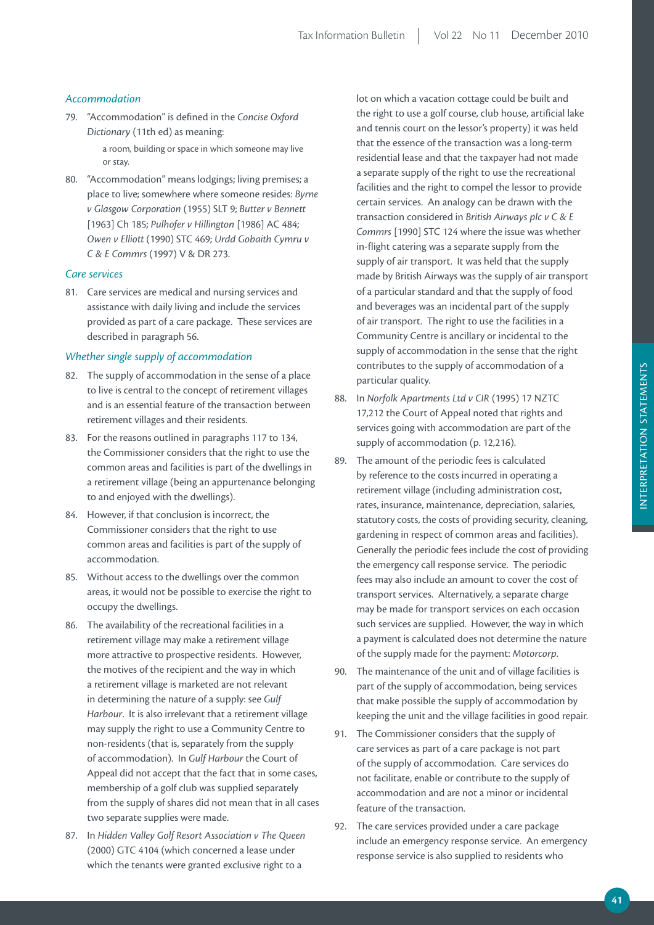# *Accommodation*

- 79. "Accommodation" is defined in the *Concise Oxford Dictionary* (11th ed) as meaning: a room, building or space in which someone may live
- or stay. 80. "Accommodation" means lodgings; living premises; a place to live; somewhere where someone resides: *Byrne v Glasgow Corporation* (1955) SLT 9; *Butter v Bennett*  [1963] Ch 185; *Pulhofer v Hillington* [1986] AC 484; *Owen v Elliott* (1990) STC 469; *Urdd Gobaith Cymru v C & E Commrs* (1997) V & DR 273.

# *Care services*

81. Care services are medical and nursing services and assistance with daily living and include the services provided as part of a care package. These services are described in paragraph 56.

# *Whether single supply of accommodation*

- 82. The supply of accommodation in the sense of a place to live is central to the concept of retirement villages and is an essential feature of the transaction between retirement villages and their residents.
- 83. For the reasons outlined in paragraphs 117 to 134, the Commissioner considers that the right to use the common areas and facilities is part of the dwellings in a retirement village (being an appurtenance belonging to and enjoyed with the dwellings).
- 84. However, if that conclusion is incorrect, the Commissioner considers that the right to use common areas and facilities is part of the supply of accommodation.
- 85. Without access to the dwellings over the common areas, it would not be possible to exercise the right to occupy the dwellings.
- 86. The availability of the recreational facilities in a retirement village may make a retirement village more attractive to prospective residents. However, the motives of the recipient and the way in which a retirement village is marketed are not relevant in determining the nature of a supply: see *Gulf Harbour*. It is also irrelevant that a retirement village may supply the right to use a Community Centre to non-residents (that is, separately from the supply of accommodation). In *Gulf Harbour* the Court of Appeal did not accept that the fact that in some cases, membership of a golf club was supplied separately from the supply of shares did not mean that in all cases two separate supplies were made.
- 87. In *Hidden Valley Golf Resort Association v The Queen*  (2000) GTC 4104 (which concerned a lease under which the tenants were granted exclusive right to a

lot on which a vacation cottage could be built and the right to use a golf course, club house, artificial lake and tennis court on the lessor's property) it was held that the essence of the transaction was a long-term residential lease and that the taxpayer had not made a separate supply of the right to use the recreational facilities and the right to compel the lessor to provide certain services. An analogy can be drawn with the transaction considered in *British Airways plc v C & E Commrs* [1990] STC 124 where the issue was whether in-flight catering was a separate supply from the supply of air transport. It was held that the supply made by British Airways was the supply of air transport of a particular standard and that the supply of food and beverages was an incidental part of the supply of air transport. The right to use the facilities in a Community Centre is ancillary or incidental to the supply of accommodation in the sense that the right contributes to the supply of accommodation of a particular quality.

- 88. In *Norfolk Apartments Ltd v CIR* (1995) 17 NZTC 17,212 the Court of Appeal noted that rights and services going with accommodation are part of the supply of accommodation (p. 12,216).
- 89. The amount of the periodic fees is calculated by reference to the costs incurred in operating a retirement village (including administration cost, rates, insurance, maintenance, depreciation, salaries, statutory costs, the costs of providing security, cleaning, gardening in respect of common areas and facilities). Generally the periodic fees include the cost of providing the emergency call response service. The periodic fees may also include an amount to cover the cost of transport services. Alternatively, a separate charge may be made for transport services on each occasion such services are supplied. However, the way in which a payment is calculated does not determine the nature of the supply made for the payment: *Motorcorp*.
- 90. The maintenance of the unit and of village facilities is part of the supply of accommodation, being services that make possible the supply of accommodation by keeping the unit and the village facilities in good repair.
- 91. The Commissioner considers that the supply of care services as part of a care package is not part of the supply of accommodation. Care services do not facilitate, enable or contribute to the supply of accommodation and are not a minor or incidental feature of the transaction.
- 92. The care services provided under a care package include an emergency response service. An emergency response service is also supplied to residents who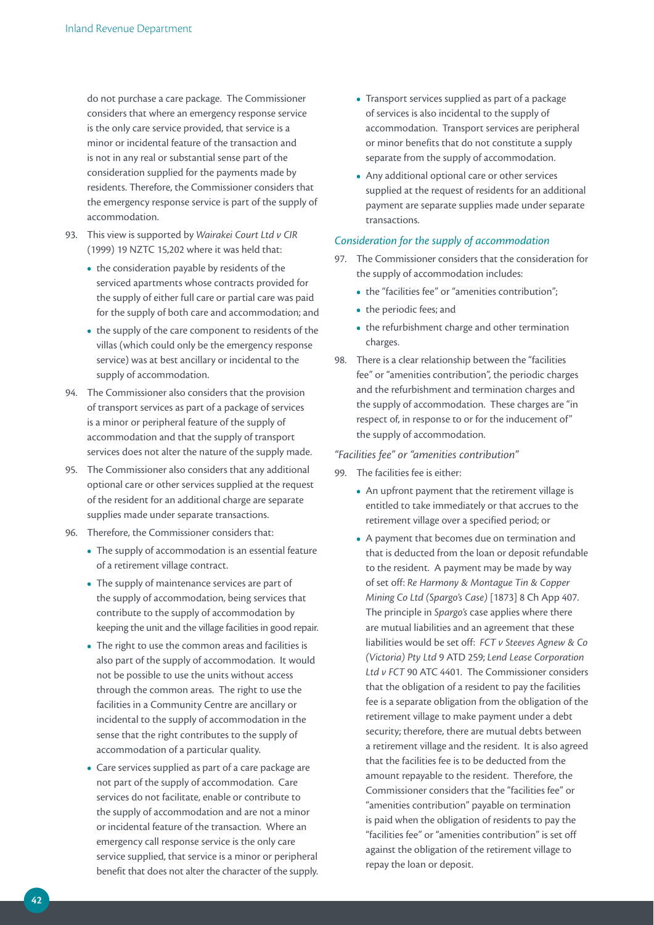do not purchase a care package. The Commissioner considers that where an emergency response service is the only care service provided, that service is a minor or incidental feature of the transaction and is not in any real or substantial sense part of the consideration supplied for the payments made by residents. Therefore, the Commissioner considers that the emergency response service is part of the supply of accommodation.

- 93. This view is supported by *Wairakei Court Ltd v CIR*  (1999) 19 NZTC 15,202 where it was held that:
	- the consideration payable by residents of the serviced apartments whose contracts provided for the supply of either full care or partial care was paid for the supply of both care and accommodation; and
	- the supply of the care component to residents of the villas (which could only be the emergency response service) was at best ancillary or incidental to the supply of accommodation.
- 94. The Commissioner also considers that the provision of transport services as part of a package of services is a minor or peripheral feature of the supply of accommodation and that the supply of transport services does not alter the nature of the supply made.
- 95. The Commissioner also considers that any additional optional care or other services supplied at the request of the resident for an additional charge are separate supplies made under separate transactions.
- 96. Therefore, the Commissioner considers that:
	- **•**  The supply of accommodation is an essential feature of a retirement village contract.
	- The supply of maintenance services are part of the supply of accommodation, being services that contribute to the supply of accommodation by keeping the unit and the village facilities in good repair.
	- The right to use the common areas and facilities is also part of the supply of accommodation. It would not be possible to use the units without access through the common areas. The right to use the facilities in a Community Centre are ancillary or incidental to the supply of accommodation in the sense that the right contributes to the supply of accommodation of a particular quality.
	- **•**  Care services supplied as part of a care package are not part of the supply of accommodation. Care services do not facilitate, enable or contribute to the supply of accommodation and are not a minor or incidental feature of the transaction. Where an emergency call response service is the only care service supplied, that service is a minor or peripheral benefit that does not alter the character of the supply.
- **•**  Transport services supplied as part of a package of services is also incidental to the supply of accommodation. Transport services are peripheral or minor benefits that do not constitute a supply separate from the supply of accommodation.
- **•**  Any additional optional care or other services supplied at the request of residents for an additional payment are separate supplies made under separate transactions.

### *Consideration for the supply of accommodation*

- 97. The Commissioner considers that the consideration for the supply of accommodation includes:
	- the "facilities fee" or "amenities contribution";
	- **•**  the periodic fees; and
	- the refurbishment charge and other termination charges.
- 98. There is a clear relationship between the "facilities fee" or "amenities contribution", the periodic charges and the refurbishment and termination charges and the supply of accommodation. These charges are "in respect of, in response to or for the inducement of" the supply of accommodation.

### *"Facilities fee" or "amenities contribution"*

- 99. The facilities fee is either:
	- An upfront payment that the retirement village is entitled to take immediately or that accrues to the retirement village over a specified period; or
	- **•**  A payment that becomes due on termination and that is deducted from the loan or deposit refundable to the resident. A payment may be made by way of set off: *Re Harmony & Montague Tin & Copper Mining Co Ltd (Spargo's Case)* [1873] 8 Ch App 407. The principle in *Spargo's* case applies where there are mutual liabilities and an agreement that these liabilities would be set off: *FCT v Steeves Agnew & Co (Victoria) Pty Ltd* 9 ATD 259; *Lend Lease Corporation Ltd v FCT* 90 ATC 4401. The Commissioner considers that the obligation of a resident to pay the facilities fee is a separate obligation from the obligation of the retirement village to make payment under a debt security; therefore, there are mutual debts between a retirement village and the resident. It is also agreed that the facilities fee is to be deducted from the amount repayable to the resident. Therefore, the Commissioner considers that the "facilities fee" or "amenities contribution" payable on termination is paid when the obligation of residents to pay the "facilities fee" or "amenities contribution" is set off against the obligation of the retirement village to repay the loan or deposit.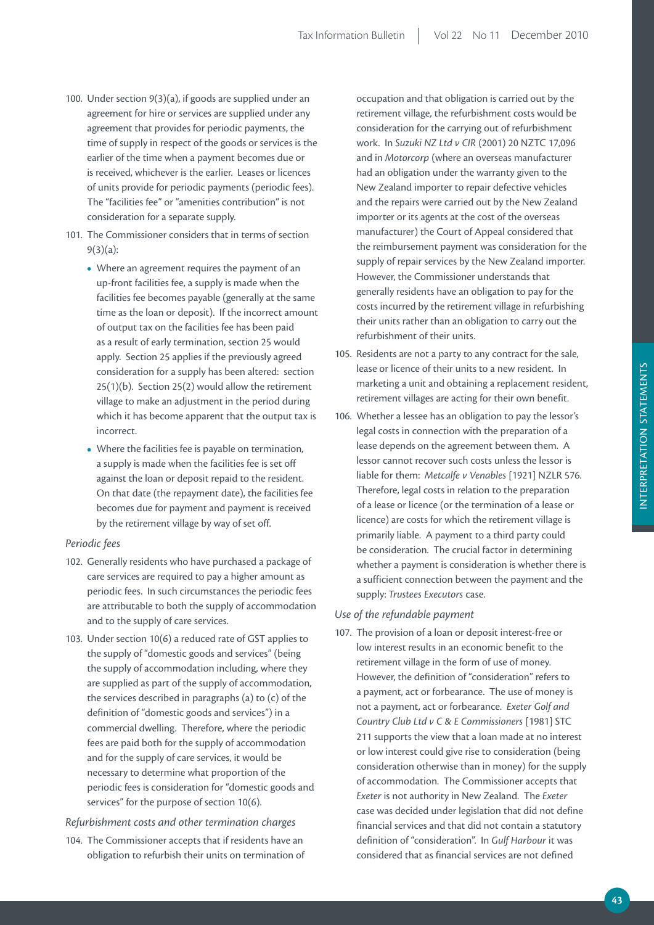- 100. Under section 9(3)(a), if goods are supplied under an agreement for hire or services are supplied under any agreement that provides for periodic payments, the time of supply in respect of the goods or services is the earlier of the time when a payment becomes due or is received, whichever is the earlier. Leases or licences of units provide for periodic payments (periodic fees). The "facilities fee" or "amenities contribution" is not consideration for a separate supply.
- 101. The Commissioner considers that in terms of section 9(3)(a):
	- Where an agreement requires the payment of an up-front facilities fee, a supply is made when the facilities fee becomes payable (generally at the same time as the loan or deposit). If the incorrect amount of output tax on the facilities fee has been paid as a result of early termination, section 25 would apply. Section 25 applies if the previously agreed consideration for a supply has been altered: section 25(1)(b). Section 25(2) would allow the retirement village to make an adjustment in the period during which it has become apparent that the output tax is incorrect.
	- **•**  Where the facilities fee is payable on termination, a supply is made when the facilities fee is set off against the loan or deposit repaid to the resident. On that date (the repayment date), the facilities fee becomes due for payment and payment is received by the retirement village by way of set off.

### *Periodic fees*

- 102. Generally residents who have purchased a package of care services are required to pay a higher amount as periodic fees. In such circumstances the periodic fees are attributable to both the supply of accommodation and to the supply of care services.
- 103. Under section 10(6) a reduced rate of GST applies to the supply of "domestic goods and services" (being the supply of accommodation including, where they are supplied as part of the supply of accommodation, the services described in paragraphs (a) to (c) of the definition of "domestic goods and services") in a commercial dwelling. Therefore, where the periodic fees are paid both for the supply of accommodation and for the supply of care services, it would be necessary to determine what proportion of the periodic fees is consideration for "domestic goods and services" for the purpose of section 10(6).

### *Refurbishment costs and other termination charges*

104. The Commissioner accepts that if residents have an obligation to refurbish their units on termination of

occupation and that obligation is carried out by the retirement village, the refurbishment costs would be consideration for the carrying out of refurbishment work. In *Suzuki NZ Ltd v CIR* (2001) 20 NZTC 17,096 and in *Motorcorp* (where an overseas manufacturer had an obligation under the warranty given to the New Zealand importer to repair defective vehicles and the repairs were carried out by the New Zealand importer or its agents at the cost of the overseas manufacturer) the Court of Appeal considered that the reimbursement payment was consideration for the supply of repair services by the New Zealand importer. However, the Commissioner understands that generally residents have an obligation to pay for the costs incurred by the retirement village in refurbishing their units rather than an obligation to carry out the refurbishment of their units.

- 105. Residents are not a party to any contract for the sale, lease or licence of their units to a new resident. In marketing a unit and obtaining a replacement resident, retirement villages are acting for their own benefit.
- 106. Whether a lessee has an obligation to pay the lessor's legal costs in connection with the preparation of a lease depends on the agreement between them. A lessor cannot recover such costs unless the lessor is liable for them: *Metcalfe v Venables* [1921] NZLR 576. Therefore, legal costs in relation to the preparation of a lease or licence (or the termination of a lease or licence) are costs for which the retirement village is primarily liable. A payment to a third party could be consideration. The crucial factor in determining whether a payment is consideration is whether there is a sufficient connection between the payment and the supply: *Trustees Executors* case.

### *Use of the refundable payment*

107. The provision of a loan or deposit interest-free or low interest results in an economic benefit to the retirement village in the form of use of money. However, the definition of "consideration" refers to a payment, act or forbearance. The use of money is not a payment, act or forbearance. *Exeter Golf and Country Club Ltd v C & E Commissioners* [1981] STC 211 supports the view that a loan made at no interest or low interest could give rise to consideration (being consideration otherwise than in money) for the supply of accommodation. The Commissioner accepts that *Exeter* is not authority in New Zealand. The *Exeter* case was decided under legislation that did not define financial services and that did not contain a statutory definition of "consideration". In *Gulf Harbour* it was considered that as financial services are not defined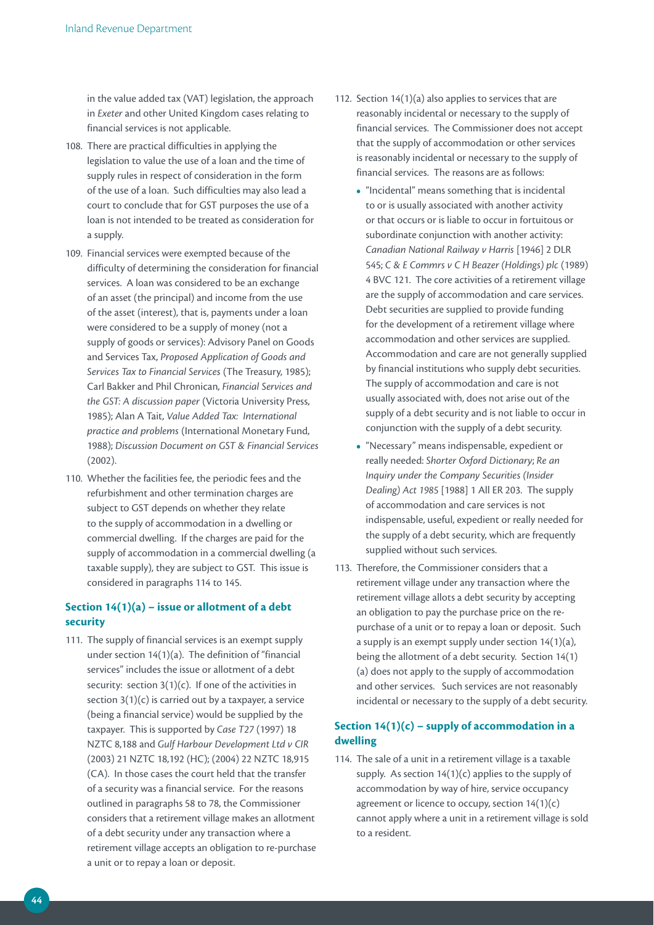in the value added tax (VAT) legislation, the approach in *Exeter* and other United Kingdom cases relating to financial services is not applicable.

- 108. There are practical difficulties in applying the legislation to value the use of a loan and the time of supply rules in respect of consideration in the form of the use of a loan. Such difficulties may also lead a court to conclude that for GST purposes the use of a loan is not intended to be treated as consideration for a supply.
- 109. Financial services were exempted because of the difficulty of determining the consideration for financial services. A loan was considered to be an exchange of an asset (the principal) and income from the use of the asset (interest), that is, payments under a loan were considered to be a supply of money (not a supply of goods or services): Advisory Panel on Goods and Services Tax, *Proposed Application of Goods and Services Tax to Financial Services* (The Treasury, 1985); Carl Bakker and Phil Chronican, *Financial Services and the GST: A discussion paper* (Victoria University Press, 1985); Alan A Tait, *Value Added Tax: International practice and problems* (International Monetary Fund, 1988); *Discussion Document on GST & Financial Services*  (2002).
- 110. Whether the facilities fee, the periodic fees and the refurbishment and other termination charges are subject to GST depends on whether they relate to the supply of accommodation in a dwelling or commercial dwelling. If the charges are paid for the supply of accommodation in a commercial dwelling (a taxable supply), they are subject to GST. This issue is considered in paragraphs 114 to 145.

# **Section 14(1)(a) – issue or allotment of a debt security**

111. The supply of financial services is an exempt supply under section 14(1)(a). The definition of "financial services" includes the issue or allotment of a debt security: section  $3(1)(c)$ . If one of the activities in section  $3(1)(c)$  is carried out by a taxpayer, a service (being a financial service) would be supplied by the taxpayer. This is supported by *Case T27* (1997) 18 NZTC 8,188 and *Gulf Harbour Development Ltd v CIR* (2003) 21 NZTC 18,192 (HC); (2004) 22 NZTC 18,915 (CA). In those cases the court held that the transfer of a security was a financial service. For the reasons outlined in paragraphs 58 to 78, the Commissioner considers that a retirement village makes an allotment of a debt security under any transaction where a retirement village accepts an obligation to re-purchase a unit or to repay a loan or deposit.

- 112. Section 14(1)(a) also applies to services that are reasonably incidental or necessary to the supply of financial services. The Commissioner does not accept that the supply of accommodation or other services is reasonably incidental or necessary to the supply of financial services. The reasons are as follows:
	- "Incidental" means something that is incidental to or is usually associated with another activity or that occurs or is liable to occur in fortuitous or subordinate conjunction with another activity: *Canadian National Railway v Harris* [1946] 2 DLR 545; *C & E Commrs v C H Beazer (Holdings) plc* (1989) 4 BVC 121. The core activities of a retirement village are the supply of accommodation and care services. Debt securities are supplied to provide funding for the development of a retirement village where accommodation and other services are supplied. Accommodation and care are not generally supplied by financial institutions who supply debt securities. The supply of accommodation and care is not usually associated with, does not arise out of the supply of a debt security and is not liable to occur in conjunction with the supply of a debt security.
	- **•**  "Necessary" means indispensable, expedient or really needed: *Shorter Oxford Dictionary*; *Re an Inquiry under the Company Securities (Insider Dealing) Act 1985* [1988] 1 All ER 203. The supply of accommodation and care services is not indispensable, useful, expedient or really needed for the supply of a debt security, which are frequently supplied without such services.
- 113. Therefore, the Commissioner considers that a retirement village under any transaction where the retirement village allots a debt security by accepting an obligation to pay the purchase price on the repurchase of a unit or to repay a loan or deposit. Such a supply is an exempt supply under section 14(1)(a), being the allotment of a debt security. Section 14(1) (a) does not apply to the supply of accommodation and other services. Such services are not reasonably incidental or necessary to the supply of a debt security.

# Section  $14(1)(c)$  – supply of accommodation in a **dwelling**

114. The sale of a unit in a retirement village is a taxable supply. As section 14(1)(c) applies to the supply of accommodation by way of hire, service occupancy agreement or licence to occupy, section 14(1)(c) cannot apply where a unit in a retirement village is sold to a resident.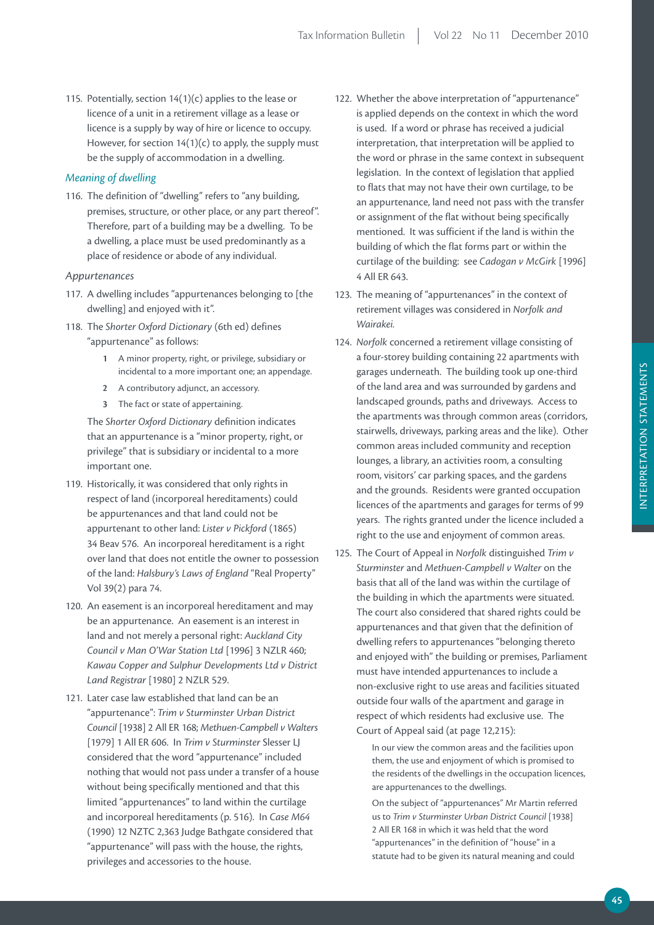115. Potentially, section  $14(1)(c)$  applies to the lease or licence of a unit in a retirement village as a lease or licence is a supply by way of hire or licence to occupy. However, for section  $14(1)(c)$  to apply, the supply must be the supply of accommodation in a dwelling.

### *Meaning of dwelling*

116. The definition of "dwelling" refers to "any building, premises, structure, or other place, or any part thereof". Therefore, part of a building may be a dwelling. To be a dwelling, a place must be used predominantly as a place of residence or abode of any individual.

### *Appurtenances*

- 117. A dwelling includes "appurtenances belonging to [the dwelling] and enjoyed with it".
- 118. The *Shorter Oxford Dictionary* (6th ed) defines "appurtenance" as follows:
	- **1** A minor property, right, or privilege, subsidiary or incidental to a more important one; an appendage.
	- **2** A contributory adjunct, an accessory.
	- **3** The fact or state of appertaining.

The *Shorter Oxford Dictionary* definition indicates that an appurtenance is a "minor property, right, or privilege" that is subsidiary or incidental to a more important one.

- 119. Historically, it was considered that only rights in respect of land (incorporeal hereditaments) could be appurtenances and that land could not be appurtenant to other land: *Lister v Pickford* (1865) 34 Beav 576. An incorporeal hereditament is a right over land that does not entitle the owner to possession of the land: *Halsbury's Laws of England* "Real Property" Vol 39(2) para 74.
- 120. An easement is an incorporeal hereditament and may be an appurtenance. An easement is an interest in land and not merely a personal right: *Auckland City Council v Man O'War Station Ltd* [1996] 3 NZLR 460; *Kawau Copper and Sulphur Developments Ltd v District Land Registrar* [1980] 2 NZLR 529.
- 121. Later case law established that land can be an "appurtenance": *Trim v Sturminster Urban District Council* [1938] 2 All ER 168; *Methuen-Campbell v Walters*  [1979] 1 All ER 606. In *Trim v Sturminster* Slesser LJ considered that the word "appurtenance" included nothing that would not pass under a transfer of a house without being specifically mentioned and that this limited "appurtenances" to land within the curtilage and incorporeal hereditaments (p. 516). In *Case M64*  (1990) 12 NZTC 2,363 Judge Bathgate considered that "appurtenance" will pass with the house, the rights, privileges and accessories to the house.
- 122. Whether the above interpretation of "appurtenance" is applied depends on the context in which the word is used. If a word or phrase has received a judicial interpretation, that interpretation will be applied to the word or phrase in the same context in subsequent legislation. In the context of legislation that applied to flats that may not have their own curtilage, to be an appurtenance, land need not pass with the transfer or assignment of the flat without being specifically mentioned. It was sufficient if the land is within the building of which the flat forms part or within the curtilage of the building: see *Cadogan v McGirk* [1996] 4 All ER 643.
- 123. The meaning of "appurtenances" in the context of retirement villages was considered in *Norfolk and Wairakei.*
- 124. *Norfolk* concerned a retirement village consisting of a four-storey building containing 22 apartments with garages underneath. The building took up one-third of the land area and was surrounded by gardens and landscaped grounds, paths and driveways. Access to the apartments was through common areas (corridors, stairwells, driveways, parking areas and the like). Other common areas included community and reception lounges, a library, an activities room, a consulting room, visitors' car parking spaces, and the gardens and the grounds. Residents were granted occupation licences of the apartments and garages for terms of 99 years. The rights granted under the licence included a right to the use and enjoyment of common areas.
- 125. The Court of Appeal in *Norfolk* distinguished *Trim v Sturminster* and *Methuen-Campbell v Walter* on the basis that all of the land was within the curtilage of the building in which the apartments were situated. The court also considered that shared rights could be appurtenances and that given that the definition of dwelling refers to appurtenances "belonging thereto and enjoyed with" the building or premises, Parliament must have intended appurtenances to include a non-exclusive right to use areas and facilities situated outside four walls of the apartment and garage in respect of which residents had exclusive use. The Court of Appeal said (at page 12,215):

In our view the common areas and the facilities upon them, the use and enjoyment of which is promised to the residents of the dwellings in the occupation licences, are appurtenances to the dwellings.

On the subject of "appurtenances" Mr Martin referred us to *Trim v Sturminster Urban District Council* [1938] 2 All ER 168 in which it was held that the word "appurtenances" in the definition of "house" in a statute had to be given its natural meaning and could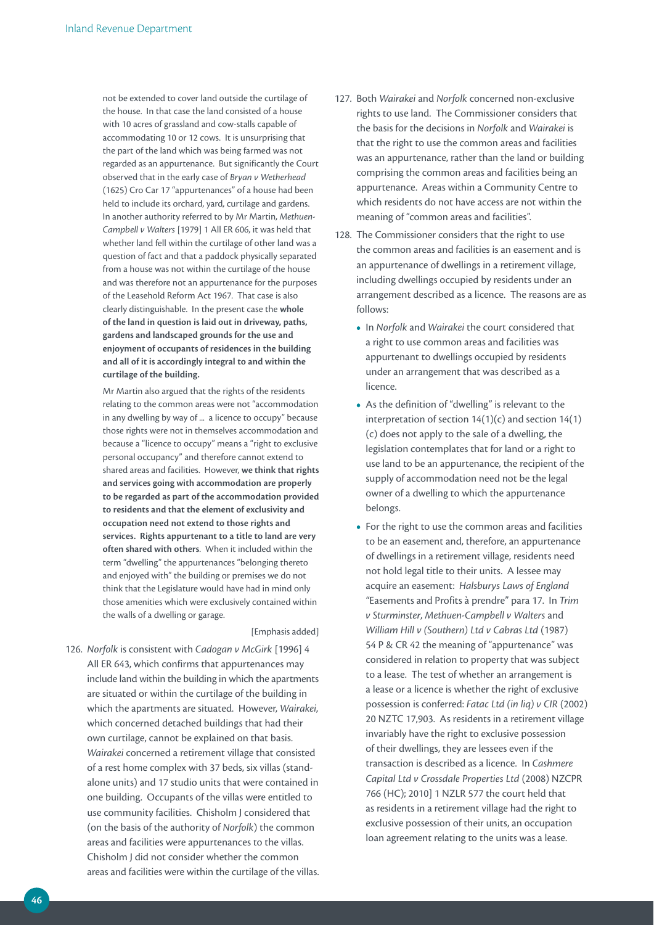not be extended to cover land outside the curtilage of the house. In that case the land consisted of a house with 10 acres of grassland and cow-stalls capable of accommodating 10 or 12 cows. It is unsurprising that the part of the land which was being farmed was not regarded as an appurtenance. But significantly the Court observed that in the early case of *Bryan v Wetherhead* (1625) Cro Car 17 "appurtenances" of a house had been held to include its orchard, yard, curtilage and gardens. In another authority referred to by Mr Martin, *Methuen-Campbell v Walters* [1979] 1 All ER 606, it was held that whether land fell within the curtilage of other land was a question of fact and that a paddock physically separated from a house was not within the curtilage of the house and was therefore not an appurtenance for the purposes of the Leasehold Reform Act 1967. That case is also clearly distinguishable. In the present case the **whole of the land in question is laid out in driveway, paths, gardens and landscaped grounds for the use and enjoyment of occupants of residences in the building and all of it is accordingly integral to and within the curtilage of the building.**

Mr Martin also argued that the rights of the residents relating to the common areas were not "accommodation in any dwelling by way of ... a licence to occupy" because those rights were not in themselves accommodation and because a "licence to occupy" means a "right to exclusive personal occupancy" and therefore cannot extend to shared areas and facilities. However, **we think that rights and services going with accommodation are properly to be regarded as part of the accommodation provided to residents and that the element of exclusivity and occupation need not extend to those rights and**  services. Rights appurtenant to a title to land are very **often shared with others**. When it included within the term "dwelling" the appurtenances "belonging thereto and enjoyed with" the building or premises we do not think that the Legislature would have had in mind only those amenities which were exclusively contained within the walls of a dwelling or garage.

#### [Emphasis added]

126. *Norfolk* is consistent with *Cadogan v McGirk* [1996] 4 All ER 643, which confirms that appurtenances may include land within the building in which the apartments are situated or within the curtilage of the building in which the apartments are situated. However, *Wairakei*, which concerned detached buildings that had their own curtilage, cannot be explained on that basis. *Wairakei* concerned a retirement village that consisted of a rest home complex with 37 beds, six villas (standalone units) and 17 studio units that were contained in one building. Occupants of the villas were entitled to use community facilities. Chisholm J considered that (on the basis of the authority of *Norfolk*) the common areas and facilities were appurtenances to the villas. Chisholm J did not consider whether the common areas and facilities were within the curtilage of the villas.

- 127. Both *Wairakei* and *Norfolk* concerned non-exclusive rights to use land. The Commissioner considers that the basis for the decisions in *Norfolk* and *Wairakei* is that the right to use the common areas and facilities was an appurtenance, rather than the land or building comprising the common areas and facilities being an appurtenance. Areas within a Community Centre to which residents do not have access are not within the meaning of "common areas and facilities".
- 128. The Commissioner considers that the right to use the common areas and facilities is an easement and is an appurtenance of dwellings in a retirement village, including dwellings occupied by residents under an arrangement described as a licence. The reasons are as follows:
	- **•**  In *Norfolk* and *Wairakei* the court considered that a right to use common areas and facilities was appurtenant to dwellings occupied by residents under an arrangement that was described as a licence.
	- **•**  As the definition of "dwelling" is relevant to the interpretation of section 14(1)(c) and section 14(1) (c) does not apply to the sale of a dwelling, the legislation contemplates that for land or a right to use land to be an appurtenance, the recipient of the supply of accommodation need not be the legal owner of a dwelling to which the appurtenance belongs.
	- **•**  For the right to use the common areas and facilities to be an easement and, therefore, an appurtenance of dwellings in a retirement village, residents need not hold legal title to their units. A lessee may acquire an easement: *Halsburys Laws of England "*Easements and Profits à prendre" para 17. In *Trim v Sturminster*, *Methuen-Campbell v Walters* and *William Hill v (Southern) Ltd v Cabras Ltd* (1987) 54 P & CR 42 the meaning of "appurtenance" was considered in relation to property that was subject to a lease. The test of whether an arrangement is a lease or a licence is whether the right of exclusive possession is conferred: *Fatac Ltd (in liq) v CIR* (2002) 20 NZTC 17,903. As residents in a retirement village invariably have the right to exclusive possession of their dwellings, they are lessees even if the transaction is described as a licence. In *Cashmere Capital Ltd v Crossdale Properties Ltd* (2008) NZCPR 766 (HC); 2010] 1 NZLR 577 the court held that as residents in a retirement village had the right to exclusive possession of their units, an occupation loan agreement relating to the units was a lease.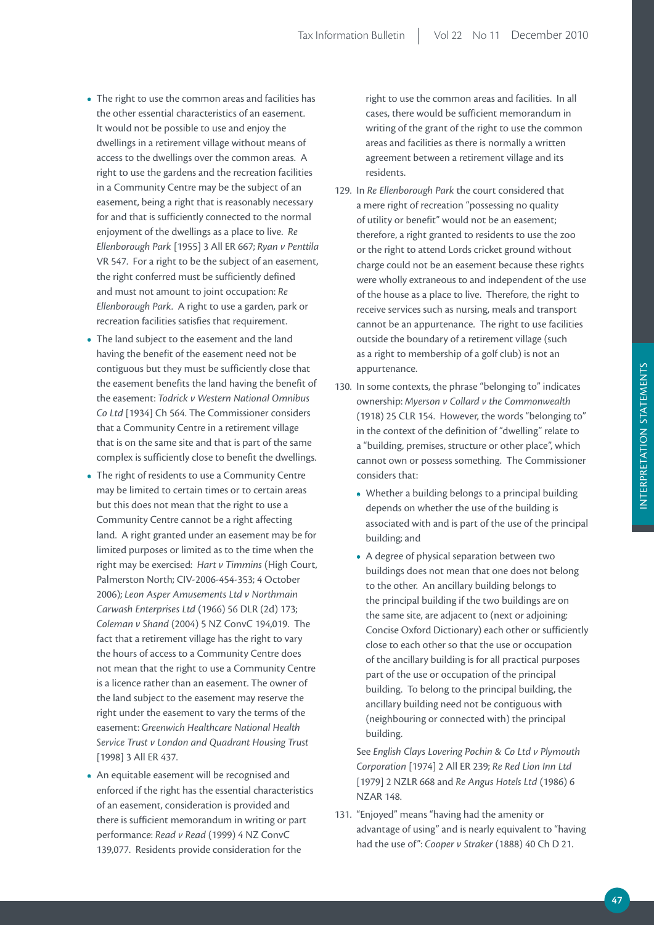- The right to use the common areas and facilities has the other essential characteristics of an easement. It would not be possible to use and enjoy the dwellings in a retirement village without means of access to the dwellings over the common areas. A right to use the gardens and the recreation facilities in a Community Centre may be the subject of an easement, being a right that is reasonably necessary for and that is sufficiently connected to the normal enjoyment of the dwellings as a place to live. *Re Ellenborough Park* [1955] 3 All ER 667; *Ryan v Penttila* VR 547. For a right to be the subject of an easement, the right conferred must be sufficiently defined and must not amount to joint occupation: *Re Ellenborough Park*. A right to use a garden, park or recreation facilities satisfies that requirement.
- **•**  The land subject to the easement and the land having the benefit of the easement need not be contiguous but they must be sufficiently close that the easement benefits the land having the benefit of the easement: *Todrick v Western National Omnibus Co Ltd* [1934] Ch 564. The Commissioner considers that a Community Centre in a retirement village that is on the same site and that is part of the same complex is sufficiently close to benefit the dwellings.
- **•**  The right of residents to use a Community Centre may be limited to certain times or to certain areas but this does not mean that the right to use a Community Centre cannot be a right affecting land. A right granted under an easement may be for limited purposes or limited as to the time when the right may be exercised: *Hart v Timmins* (High Court, Palmerston North; CIV-2006-454-353; 4 October 2006); *Leon Asper Amusements Ltd v Northmain Carwash Enterprises Ltd* (1966) 56 DLR (2d) 173; *Coleman v Shand* (2004) 5 NZ ConvC 194,019. The fact that a retirement village has the right to vary the hours of access to a Community Centre does not mean that the right to use a Community Centre is a licence rather than an easement. The owner of the land subject to the easement may reserve the right under the easement to vary the terms of the easement: *Greenwich Healthcare National Health Service Trust v London and Quadrant Housing Trust*  [1998] 3 All ER 437.
- **•**  An equitable easement will be recognised and enforced if the right has the essential characteristics of an easement, consideration is provided and there is sufficient memorandum in writing or part performance: *Read v Read* (1999) 4 NZ ConvC 139,077. Residents provide consideration for the

right to use the common areas and facilities. In all cases, there would be sufficient memorandum in writing of the grant of the right to use the common areas and facilities as there is normally a written agreement between a retirement village and its residents.

- 129. In *Re Ellenborough Park* the court considered that a mere right of recreation "possessing no quality of utility or benefit" would not be an easement; therefore, a right granted to residents to use the zoo or the right to attend Lords cricket ground without charge could not be an easement because these rights were wholly extraneous to and independent of the use of the house as a place to live. Therefore, the right to receive services such as nursing, meals and transport cannot be an appurtenance. The right to use facilities outside the boundary of a retirement village (such as a right to membership of a golf club) is not an appurtenance.
- 130. In some contexts, the phrase "belonging to" indicates ownership: *Myerson v Collard v the Commonwealth*  (1918) 25 CLR 154. However, the words "belonging to" in the context of the definition of "dwelling" relate to a "building, premises, structure or other place", which cannot own or possess something. The Commissioner considers that:
	- Whether a building belongs to a principal building depends on whether the use of the building is associated with and is part of the use of the principal building; and
	- **•**  A degree of physical separation between two buildings does not mean that one does not belong to the other. An ancillary building belongs to the principal building if the two buildings are on the same site, are adjacent to (next or adjoining: Concise Oxford Dictionary) each other or sufficiently close to each other so that the use or occupation of the ancillary building is for all practical purposes part of the use or occupation of the principal building. To belong to the principal building, the ancillary building need not be contiguous with (neighbouring or connected with) the principal building.

 See *English Clays Lovering Pochin & Co Ltd v Plymouth Corporation* [1974] 2 All ER 239; *Re Red Lion Inn Ltd*  [1979] 2 NZLR 668 and *Re Angus Hotels Ltd* (1986) 6 NZAR 148.

131. "Enjoyed" means "having had the amenity or advantage of using" and is nearly equivalent to "having had the use of": *Cooper v Straker* (1888) 40 Ch D 21.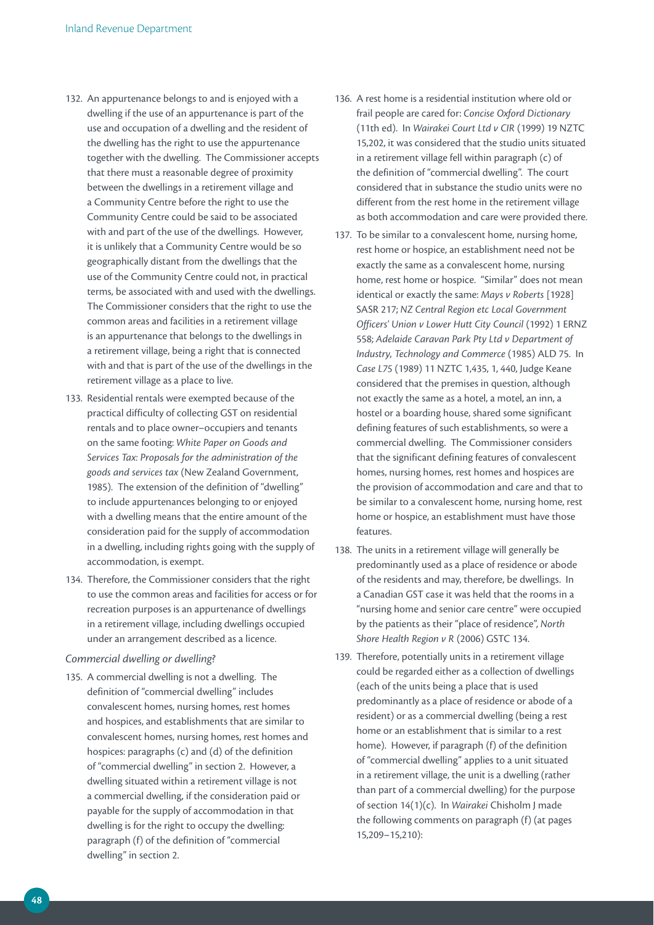- 132. An appurtenance belongs to and is enjoyed with a dwelling if the use of an appurtenance is part of the use and occupation of a dwelling and the resident of the dwelling has the right to use the appurtenance together with the dwelling. The Commissioner accepts that there must a reasonable degree of proximity between the dwellings in a retirement village and a Community Centre before the right to use the Community Centre could be said to be associated with and part of the use of the dwellings. However, it is unlikely that a Community Centre would be so geographically distant from the dwellings that the use of the Community Centre could not, in practical terms, be associated with and used with the dwellings. The Commissioner considers that the right to use the common areas and facilities in a retirement village is an appurtenance that belongs to the dwellings in a retirement village, being a right that is connected with and that is part of the use of the dwellings in the retirement village as a place to live.
- 133. Residential rentals were exempted because of the practical difficulty of collecting GST on residential rentals and to place owner–occupiers and tenants on the same footing: *White Paper on Goods and Services Tax: Proposals for the administration of the goods and services tax* (New Zealand Government, 1985). The extension of the definition of "dwelling" to include appurtenances belonging to or enjoyed with a dwelling means that the entire amount of the consideration paid for the supply of accommodation in a dwelling, including rights going with the supply of accommodation, is exempt.
- 134. Therefore, the Commissioner considers that the right to use the common areas and facilities for access or for recreation purposes is an appurtenance of dwellings in a retirement village, including dwellings occupied under an arrangement described as a licence.

### *Commercial dwelling or dwelling?*

135. A commercial dwelling is not a dwelling. The definition of "commercial dwelling" includes convalescent homes, nursing homes, rest homes and hospices, and establishments that are similar to convalescent homes, nursing homes, rest homes and hospices: paragraphs (c) and (d) of the definition of "commercial dwelling" in section 2. However, a dwelling situated within a retirement village is not a commercial dwelling, if the consideration paid or payable for the supply of accommodation in that dwelling is for the right to occupy the dwelling: paragraph (f) of the definition of "commercial dwelling" in section 2.

- 136. A rest home is a residential institution where old or frail people are cared for: *Concise Oxford Dictionary* (11th ed). In *Wairakei Court Ltd v CIR* (1999) 19 NZTC 15,202, it was considered that the studio units situated in a retirement village fell within paragraph (c) of the definition of "commercial dwelling". The court considered that in substance the studio units were no different from the rest home in the retirement village as both accommodation and care were provided there.
- 137. To be similar to a convalescent home, nursing home, rest home or hospice, an establishment need not be exactly the same as a convalescent home, nursing home, rest home or hospice. "Similar" does not mean identical or exactly the same: *Mays v Roberts* [1928] SASR 217; *NZ Central Region etc Local Government Officers' Union v Lower Hutt City Council* (1992) 1 ERNZ 558; *Adelaide Caravan Park Pty Ltd v Department of Industry, Technology and Commerce* (1985) ALD 75. In *Case L75* (1989) 11 NZTC 1,435, 1, 440, Judge Keane considered that the premises in question, although not exactly the same as a hotel, a motel, an inn, a hostel or a boarding house, shared some significant defining features of such establishments, so were a commercial dwelling. The Commissioner considers that the significant defining features of convalescent homes, nursing homes, rest homes and hospices are the provision of accommodation and care and that to be similar to a convalescent home, nursing home, rest home or hospice, an establishment must have those features.
- 138. The units in a retirement village will generally be predominantly used as a place of residence or abode of the residents and may, therefore, be dwellings. In a Canadian GST case it was held that the rooms in a "nursing home and senior care centre" were occupied by the patients as their "place of residence", *North Shore Health Region v R* (2006) GSTC 134.
- 139. Therefore, potentially units in a retirement village could be regarded either as a collection of dwellings (each of the units being a place that is used predominantly as a place of residence or abode of a resident) or as a commercial dwelling (being a rest home or an establishment that is similar to a rest home). However, if paragraph (f) of the definition of "commercial dwelling" applies to a unit situated in a retirement village, the unit is a dwelling (rather than part of a commercial dwelling) for the purpose of section 14(1)(c). In *Wairakei* Chisholm J made the following comments on paragraph (f) (at pages 15,209–15,210):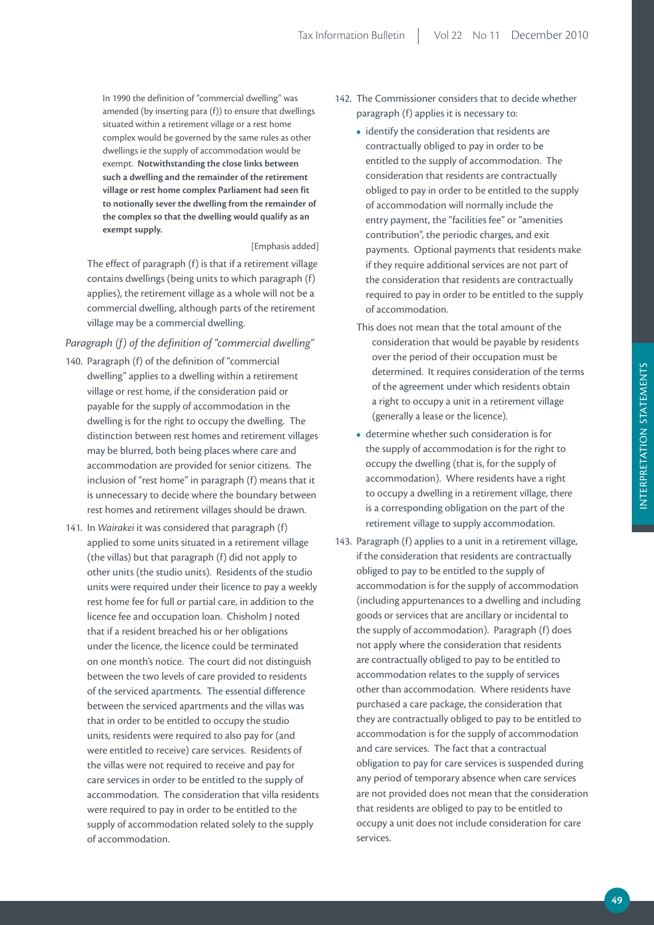In 1990 the definition of "commercial dwelling" was amended (by inserting para (f)) to ensure that dwellings situated within a retirement village or a rest home complex would be governed by the same rules as other dwellings ie the supply of accommodation would be exempt. **Notwithstanding the close links between such a dwelling and the remainder of the retirement village or rest home complex parliament had seen fit to notionally sever the dwelling from the remainder of the complex so that the dwelling would qualify as an exempt supply.**

### [Emphasis added]

 The effect of paragraph (f) is that if a retirement village contains dwellings (being units to which paragraph (f) applies), the retirement village as a whole will not be a commercial dwelling, although parts of the retirement village may be a commercial dwelling.

# *Paragraph (f) of the definition of "commercial dwelling"*

- 140. Paragraph (f) of the definition of "commercial dwelling" applies to a dwelling within a retirement village or rest home, if the consideration paid or payable for the supply of accommodation in the dwelling is for the right to occupy the dwelling. The distinction between rest homes and retirement villages may be blurred, both being places where care and accommodation are provided for senior citizens. The inclusion of "rest home" in paragraph (f) means that it is unnecessary to decide where the boundary between rest homes and retirement villages should be drawn.
- 141. In *Wairakei* it was considered that paragraph (f) applied to some units situated in a retirement village (the villas) but that paragraph (f) did not apply to other units (the studio units). Residents of the studio units were required under their licence to pay a weekly rest home fee for full or partial care, in addition to the licence fee and occupation loan. Chisholm J noted that if a resident breached his or her obligations under the licence, the licence could be terminated on one month's notice. The court did not distinguish between the two levels of care provided to residents of the serviced apartments. The essential difference between the serviced apartments and the villas was that in order to be entitled to occupy the studio units, residents were required to also pay for (and were entitled to receive) care services. Residents of the villas were not required to receive and pay for care services in order to be entitled to the supply of accommodation. The consideration that villa residents were required to pay in order to be entitled to the supply of accommodation related solely to the supply of accommodation.
- 142. The Commissioner considers that to decide whether paragraph (f) applies it is necessary to:
	- identify the consideration that residents are contractually obliged to pay in order to be entitled to the supply of accommodation. The consideration that residents are contractually obliged to pay in order to be entitled to the supply of accommodation will normally include the entry payment, the "facilities fee" or "amenities contribution", the periodic charges, and exit payments. Optional payments that residents make if they require additional services are not part of the consideration that residents are contractually required to pay in order to be entitled to the supply of accommodation.
	- This does not mean that the total amount of the consideration that would be payable by residents over the period of their occupation must be determined. It requires consideration of the terms of the agreement under which residents obtain a right to occupy a unit in a retirement village (generally a lease or the licence).
	- **•**  determine whether such consideration is for the supply of accommodation is for the right to occupy the dwelling (that is, for the supply of accommodation). Where residents have a right to occupy a dwelling in a retirement village, there is a corresponding obligation on the part of the retirement village to supply accommodation.
- 143. Paragraph (f) applies to a unit in a retirement village, if the consideration that residents are contractually obliged to pay to be entitled to the supply of accommodation is for the supply of accommodation (including appurtenances to a dwelling and including goods or services that are ancillary or incidental to the supply of accommodation). Paragraph (f) does not apply where the consideration that residents are contractually obliged to pay to be entitled to accommodation relates to the supply of services other than accommodation. Where residents have purchased a care package, the consideration that they are contractually obliged to pay to be entitled to accommodation is for the supply of accommodation and care services. The fact that a contractual obligation to pay for care services is suspended during any period of temporary absence when care services are not provided does not mean that the consideration that residents are obliged to pay to be entitled to occupy a unit does not include consideration for care services.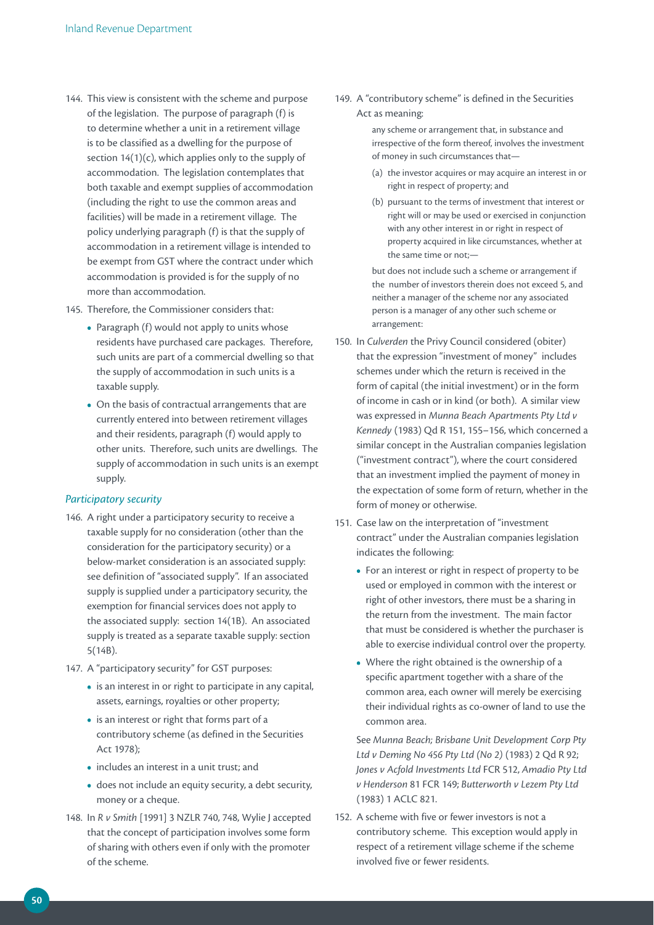- 144. This view is consistent with the scheme and purpose of the legislation. The purpose of paragraph (f) is to determine whether a unit in a retirement village is to be classified as a dwelling for the purpose of section 14(1)(c), which applies only to the supply of accommodation. The legislation contemplates that both taxable and exempt supplies of accommodation (including the right to use the common areas and facilities) will be made in a retirement village. The policy underlying paragraph (f) is that the supply of accommodation in a retirement village is intended to be exempt from GST where the contract under which accommodation is provided is for the supply of no more than accommodation.
- 145. Therefore, the Commissioner considers that:
	- Paragraph (f) would not apply to units whose residents have purchased care packages. Therefore, such units are part of a commercial dwelling so that the supply of accommodation in such units is a taxable supply.
	- **•**  On the basis of contractual arrangements that are currently entered into between retirement villages and their residents, paragraph (f) would apply to other units. Therefore, such units are dwellings. The supply of accommodation in such units is an exempt supply.

### *Participatory security*

- 146. A right under a participatory security to receive a taxable supply for no consideration (other than the consideration for the participatory security) or a below-market consideration is an associated supply: see definition of "associated supply". If an associated supply is supplied under a participatory security, the exemption for financial services does not apply to the associated supply: section 14(1B). An associated supply is treated as a separate taxable supply: section 5(14B).
- 147. A "participatory security" for GST purposes:
	- **•**  is an interest in or right to participate in any capital, assets, earnings, royalties or other property;
	- **•**  is an interest or right that forms part of a contributory scheme (as defined in the Securities Act 1978);
	- **•**  includes an interest in a unit trust; and
	- **•**  does not include an equity security, a debt security, money or a cheque.
- 148. In *R v Smith* [1991] 3 NZLR 740, 748, Wylie J accepted that the concept of participation involves some form of sharing with others even if only with the promoter of the scheme.

149. A "contributory scheme" is defined in the Securities Act as meaning:

> any scheme or arrangement that, in substance and irrespective of the form thereof, involves the investment of money in such circumstances that—

- (a) the investor acquires or may acquire an interest in or right in respect of property; and
- (b) pursuant to the terms of investment that interest or right will or may be used or exercised in conjunction with any other interest in or right in respect of property acquired in like circumstances, whether at the same time or not;—

but does not include such a scheme or arrangement if the number of investors therein does not exceed 5, and neither a manager of the scheme nor any associated person is a manager of any other such scheme or arrangement:

- 150. In *Culverden* the Privy Council considered (obiter) that the expression "investment of money" includes schemes under which the return is received in the form of capital (the initial investment) or in the form of income in cash or in kind (or both). A similar view was expressed in *Munna Beach Apartments Pty Ltd v Kennedy* (1983) Qd R 151, 155–156, which concerned a similar concept in the Australian companies legislation ("investment contract"), where the court considered that an investment implied the payment of money in the expectation of some form of return, whether in the form of money or otherwise.
- 151. Case law on the interpretation of "investment contract" under the Australian companies legislation indicates the following:
	- **•**  For an interest or right in respect of property to be used or employed in common with the interest or right of other investors, there must be a sharing in the return from the investment. The main factor that must be considered is whether the purchaser is able to exercise individual control over the property.
	- Where the right obtained is the ownership of a specific apartment together with a share of the common area, each owner will merely be exercising their individual rights as co-owner of land to use the common area.

 See *Munna Beach; Brisbane Unit Development Corp Pty Ltd v Deming No 456 Pty Ltd (No 2)* (1983) 2 Qd R 92; *Jones v Acfold Investments Ltd* FCR 512, *Amadio Pty Ltd v Henderson* 81 FCR 149; *Butterworth v Lezem Pty Ltd* (1983) 1 ACLC 821.

152. A scheme with five or fewer investors is not a contributory scheme. This exception would apply in respect of a retirement village scheme if the scheme involved five or fewer residents.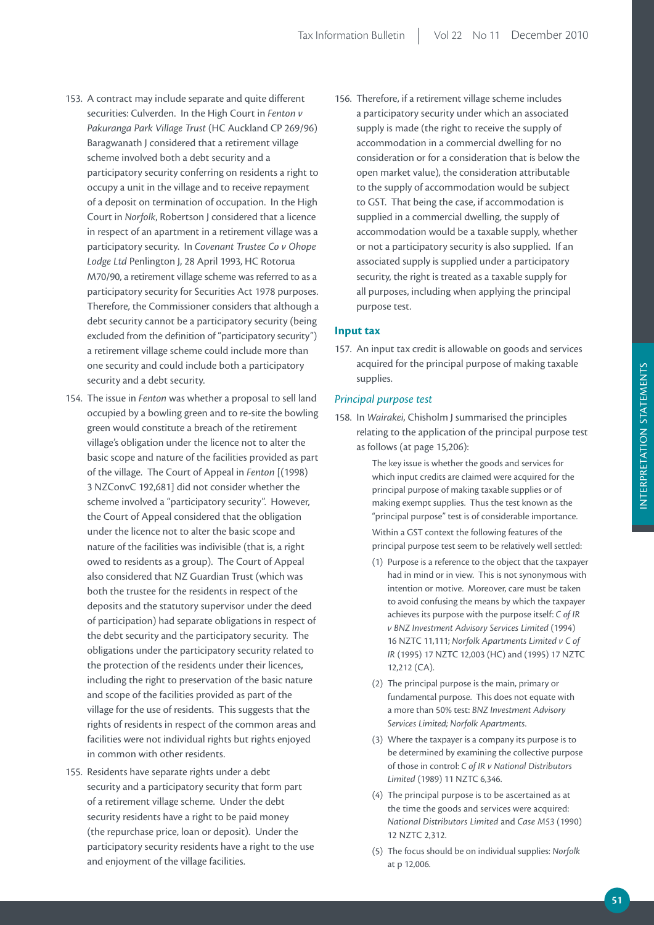- 153. A contract may include separate and quite different securities: Culverden. In the High Court in *Fenton v Pakuranga Park Village Trust* (HC Auckland CP 269/96) Baragwanath J considered that a retirement village scheme involved both a debt security and a participatory security conferring on residents a right to occupy a unit in the village and to receive repayment of a deposit on termination of occupation. In the High Court in *Norfolk*, Robertson J considered that a licence in respect of an apartment in a retirement village was a participatory security. In *Covenant Trustee Co v Ohope Lodge Ltd* Penlington J, 28 April 1993, HC Rotorua M70/90, a retirement village scheme was referred to as a participatory security for Securities Act 1978 purposes. Therefore, the Commissioner considers that although a debt security cannot be a participatory security (being excluded from the definition of "participatory security") a retirement village scheme could include more than one security and could include both a participatory security and a debt security.
- 154. The issue in *Fenton* was whether a proposal to sell land occupied by a bowling green and to re-site the bowling green would constitute a breach of the retirement village's obligation under the licence not to alter the basic scope and nature of the facilities provided as part of the village. The Court of Appeal in *Fenton* [(1998) 3 NZConvC 192,681] did not consider whether the scheme involved a "participatory security". However, the Court of Appeal considered that the obligation under the licence not to alter the basic scope and nature of the facilities was indivisible (that is, a right owed to residents as a group). The Court of Appeal also considered that NZ Guardian Trust (which was both the trustee for the residents in respect of the deposits and the statutory supervisor under the deed of participation) had separate obligations in respect of the debt security and the participatory security. The obligations under the participatory security related to the protection of the residents under their licences, including the right to preservation of the basic nature and scope of the facilities provided as part of the village for the use of residents. This suggests that the rights of residents in respect of the common areas and facilities were not individual rights but rights enjoyed in common with other residents.
- 155. Residents have separate rights under a debt security and a participatory security that form part of a retirement village scheme. Under the debt security residents have a right to be paid money (the repurchase price, loan or deposit). Under the participatory security residents have a right to the use and enjoyment of the village facilities.

156. Therefore, if a retirement village scheme includes a participatory security under which an associated supply is made (the right to receive the supply of accommodation in a commercial dwelling for no consideration or for a consideration that is below the open market value), the consideration attributable to the supply of accommodation would be subject to GST. That being the case, if accommodation is supplied in a commercial dwelling, the supply of accommodation would be a taxable supply, whether or not a participatory security is also supplied. If an associated supply is supplied under a participatory security, the right is treated as a taxable supply for all purposes, including when applying the principal purpose test.

# **Input tax**

157. An input tax credit is allowable on goods and services acquired for the principal purpose of making taxable supplies.

### *Principal purpose test*

158. In *Wairakei*, Chisholm J summarised the principles relating to the application of the principal purpose test as follows (at page 15,206):

> The key issue is whether the goods and services for which input credits are claimed were acquired for the principal purpose of making taxable supplies or of making exempt supplies. Thus the test known as the "principal purpose" test is of considerable importance. Within a GST context the following features of the principal purpose test seem to be relatively well settled:

- (1) Purpose is a reference to the object that the taxpayer had in mind or in view. This is not synonymous with intention or motive. Moreover, care must be taken to avoid confusing the means by which the taxpayer achieves its purpose with the purpose itself: *C of IR v BNZ Investment Advisory Services Limited* (1994) 16 NZTC 11,111; *Norfolk Apartments Limited v C of IR* (1995) 17 NZTC 12,003 (HC) and (1995) 17 NZTC 12,212 (CA).
- (2) The principal purpose is the main, primary or fundamental purpose. This does not equate with a more than 50% test: *BNZ Investment Advisory Services Limited; Norfolk Apartments*.
- (3) Where the taxpayer is a company its purpose is to be determined by examining the collective purpose of those in control: *C of IR v National Distributors Limited* (1989) 11 NZTC 6,346.
- (4) The principal purpose is to be ascertained as at the time the goods and services were acquired: *National Distributors Limited* and *Case M53* (1990) 12 NZTC 2,312.
- (5) The focus should be on individual supplies: *Norfolk* at p 12,006.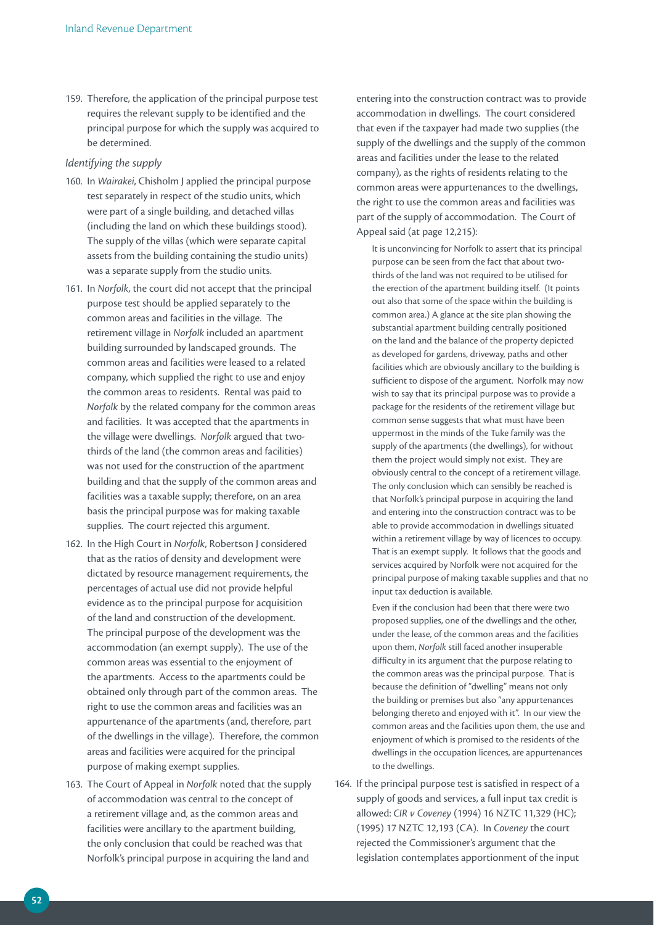159. Therefore, the application of the principal purpose test requires the relevant supply to be identified and the principal purpose for which the supply was acquired to be determined.

### *Identifying the supply*

- 160. In *Wairakei*, Chisholm J applied the principal purpose test separately in respect of the studio units, which were part of a single building, and detached villas (including the land on which these buildings stood). The supply of the villas (which were separate capital assets from the building containing the studio units) was a separate supply from the studio units.
- 161. In *Norfolk*, the court did not accept that the principal purpose test should be applied separately to the common areas and facilities in the village. The retirement village in *Norfolk* included an apartment building surrounded by landscaped grounds. The common areas and facilities were leased to a related company, which supplied the right to use and enjoy the common areas to residents. Rental was paid to *Norfolk* by the related company for the common areas and facilities. It was accepted that the apartments in the village were dwellings. *Norfolk* argued that twothirds of the land (the common areas and facilities) was not used for the construction of the apartment building and that the supply of the common areas and facilities was a taxable supply; therefore, on an area basis the principal purpose was for making taxable supplies. The court rejected this argument.
- 162. In the High Court in *Norfolk*, Robertson J considered that as the ratios of density and development were dictated by resource management requirements, the percentages of actual use did not provide helpful evidence as to the principal purpose for acquisition of the land and construction of the development. The principal purpose of the development was the accommodation (an exempt supply). The use of the common areas was essential to the enjoyment of the apartments. Access to the apartments could be obtained only through part of the common areas. The right to use the common areas and facilities was an appurtenance of the apartments (and, therefore, part of the dwellings in the village). Therefore, the common areas and facilities were acquired for the principal purpose of making exempt supplies.
- 163. The Court of Appeal in *Norfolk* noted that the supply of accommodation was central to the concept of a retirement village and, as the common areas and facilities were ancillary to the apartment building, the only conclusion that could be reached was that Norfolk's principal purpose in acquiring the land and

entering into the construction contract was to provide accommodation in dwellings. The court considered that even if the taxpayer had made two supplies (the supply of the dwellings and the supply of the common areas and facilities under the lease to the related company), as the rights of residents relating to the common areas were appurtenances to the dwellings, the right to use the common areas and facilities was part of the supply of accommodation. The Court of Appeal said (at page 12,215):

It is unconvincing for Norfolk to assert that its principal purpose can be seen from the fact that about twothirds of the land was not required to be utilised for the erection of the apartment building itself. (It points out also that some of the space within the building is common area.) A glance at the site plan showing the substantial apartment building centrally positioned on the land and the balance of the property depicted as developed for gardens, driveway, paths and other facilities which are obviously ancillary to the building is sufficient to dispose of the argument. Norfolk may now wish to say that its principal purpose was to provide a package for the residents of the retirement village but common sense suggests that what must have been uppermost in the minds of the Tuke family was the supply of the apartments (the dwellings), for without them the project would simply not exist. They are obviously central to the concept of a retirement village. The only conclusion which can sensibly be reached is that Norfolk's principal purpose in acquiring the land and entering into the construction contract was to be able to provide accommodation in dwellings situated within a retirement village by way of licences to occupy. That is an exempt supply. It follows that the goods and services acquired by Norfolk were not acquired for the principal purpose of making taxable supplies and that no input tax deduction is available.

Even if the conclusion had been that there were two proposed supplies, one of the dwellings and the other, under the lease, of the common areas and the facilities upon them, *Norfolk* still faced another insuperable difficulty in its argument that the purpose relating to the common areas was the principal purpose. That is because the definition of "dwelling" means not only the building or premises but also "any appurtenances belonging thereto and enjoyed with it". In our view the common areas and the facilities upon them, the use and enjoyment of which is promised to the residents of the dwellings in the occupation licences, are appurtenances to the dwellings.

164. If the principal purpose test is satisfied in respect of a supply of goods and services, a full input tax credit is allowed: *CIR v Coveney* (1994) 16 NZTC 11,329 (HC); (1995) 17 NZTC 12,193 (CA). In *Coveney* the court rejected the Commissioner's argument that the legislation contemplates apportionment of the input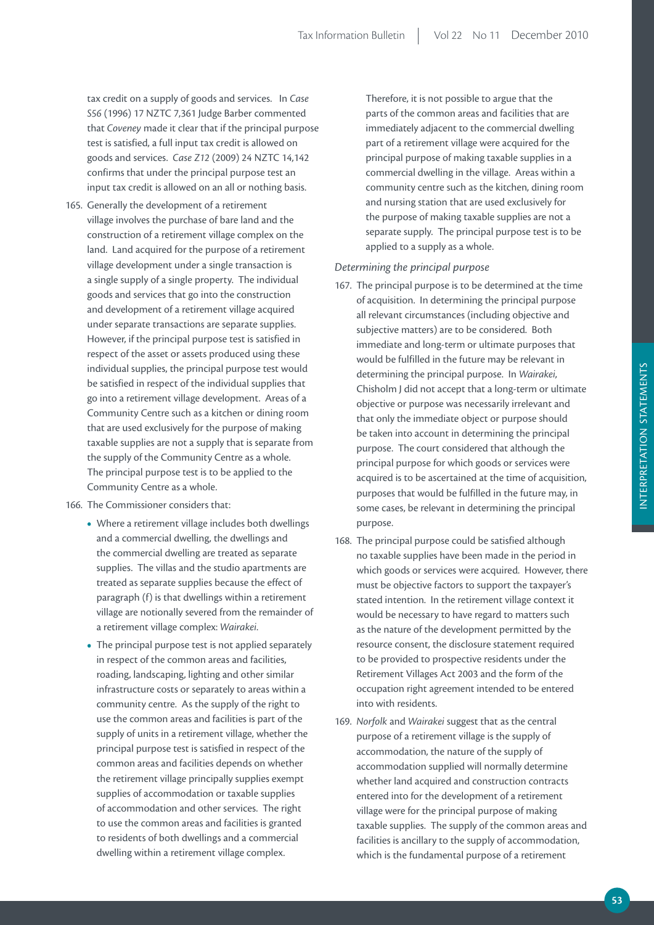tax credit on a supply of goods and services. In *Case S56* (1996) 17 NZTC 7,361 Judge Barber commented that *Coveney* made it clear that if the principal purpose test is satisfied, a full input tax credit is allowed on goods and services. *Case Z12* (2009) 24 NZTC 14,142 confirms that under the principal purpose test an input tax credit is allowed on an all or nothing basis.

165. Generally the development of a retirement village involves the purchase of bare land and the construction of a retirement village complex on the land. Land acquired for the purpose of a retirement village development under a single transaction is a single supply of a single property. The individual goods and services that go into the construction and development of a retirement village acquired under separate transactions are separate supplies. However, if the principal purpose test is satisfied in respect of the asset or assets produced using these individual supplies, the principal purpose test would be satisfied in respect of the individual supplies that go into a retirement village development. Areas of a Community Centre such as a kitchen or dining room that are used exclusively for the purpose of making taxable supplies are not a supply that is separate from the supply of the Community Centre as a whole. The principal purpose test is to be applied to the Community Centre as a whole.

166. The Commissioner considers that:

- Where a retirement village includes both dwellings and a commercial dwelling, the dwellings and the commercial dwelling are treated as separate supplies. The villas and the studio apartments are treated as separate supplies because the effect of paragraph (f) is that dwellings within a retirement village are notionally severed from the remainder of a retirement village complex: *Wairakei*.
- The principal purpose test is not applied separately in respect of the common areas and facilities, roading, landscaping, lighting and other similar infrastructure costs or separately to areas within a community centre. As the supply of the right to use the common areas and facilities is part of the supply of units in a retirement village, whether the principal purpose test is satisfied in respect of the common areas and facilities depends on whether the retirement village principally supplies exempt supplies of accommodation or taxable supplies of accommodation and other services. The right to use the common areas and facilities is granted to residents of both dwellings and a commercial dwelling within a retirement village complex.

Therefore, it is not possible to argue that the parts of the common areas and facilities that are immediately adjacent to the commercial dwelling part of a retirement village were acquired for the principal purpose of making taxable supplies in a commercial dwelling in the village. Areas within a community centre such as the kitchen, dining room and nursing station that are used exclusively for the purpose of making taxable supplies are not a separate supply. The principal purpose test is to be applied to a supply as a whole.

### *Determining the principal purpose*

- 167. The principal purpose is to be determined at the time of acquisition. In determining the principal purpose all relevant circumstances (including objective and subjective matters) are to be considered. Both immediate and long-term or ultimate purposes that would be fulfilled in the future may be relevant in determining the principal purpose. In *Wairakei*, Chisholm J did not accept that a long-term or ultimate objective or purpose was necessarily irrelevant and that only the immediate object or purpose should be taken into account in determining the principal purpose. The court considered that although the principal purpose for which goods or services were acquired is to be ascertained at the time of acquisition, purposes that would be fulfilled in the future may, in some cases, be relevant in determining the principal purpose.
- 168. The principal purpose could be satisfied although no taxable supplies have been made in the period in which goods or services were acquired. However, there must be objective factors to support the taxpayer's stated intention. In the retirement village context it would be necessary to have regard to matters such as the nature of the development permitted by the resource consent, the disclosure statement required to be provided to prospective residents under the Retirement Villages Act 2003 and the form of the occupation right agreement intended to be entered into with residents.
- 169. *Norfolk* and *Wairakei* suggest that as the central purpose of a retirement village is the supply of accommodation, the nature of the supply of accommodation supplied will normally determine whether land acquired and construction contracts entered into for the development of a retirement village were for the principal purpose of making taxable supplies. The supply of the common areas and facilities is ancillary to the supply of accommodation, which is the fundamental purpose of a retirement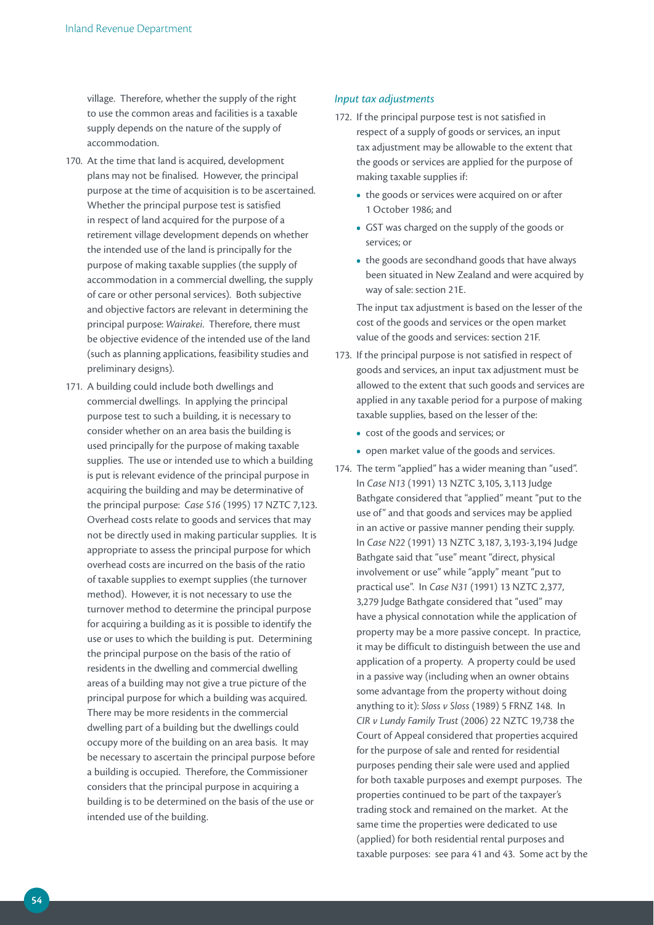village. Therefore, whether the supply of the right to use the common areas and facilities is a taxable supply depends on the nature of the supply of accommodation.

- 170. At the time that land is acquired, development plans may not be finalised. However, the principal purpose at the time of acquisition is to be ascertained. Whether the principal purpose test is satisfied in respect of land acquired for the purpose of a retirement village development depends on whether the intended use of the land is principally for the purpose of making taxable supplies (the supply of accommodation in a commercial dwelling, the supply of care or other personal services). Both subjective and objective factors are relevant in determining the principal purpose: *Wairakei*. Therefore, there must be objective evidence of the intended use of the land (such as planning applications, feasibility studies and preliminary designs).
- 171. A building could include both dwellings and commercial dwellings. In applying the principal purpose test to such a building, it is necessary to consider whether on an area basis the building is used principally for the purpose of making taxable supplies. The use or intended use to which a building is put is relevant evidence of the principal purpose in acquiring the building and may be determinative of the principal purpose: *Case S16* (1995) 17 NZTC 7,123. Overhead costs relate to goods and services that may not be directly used in making particular supplies. It is appropriate to assess the principal purpose for which overhead costs are incurred on the basis of the ratio of taxable supplies to exempt supplies (the turnover method). However, it is not necessary to use the turnover method to determine the principal purpose for acquiring a building as it is possible to identify the use or uses to which the building is put. Determining the principal purpose on the basis of the ratio of residents in the dwelling and commercial dwelling areas of a building may not give a true picture of the principal purpose for which a building was acquired. There may be more residents in the commercial dwelling part of a building but the dwellings could occupy more of the building on an area basis. It may be necessary to ascertain the principal purpose before a building is occupied. Therefore, the Commissioner considers that the principal purpose in acquiring a building is to be determined on the basis of the use or intended use of the building.

### *Input tax adjustments*

- 172. If the principal purpose test is not satisfied in respect of a supply of goods or services, an input tax adjustment may be allowable to the extent that the goods or services are applied for the purpose of making taxable supplies if:
	- the goods or services were acquired on or after 1 October 1986; and
	- **•**  GST was charged on the supply of the goods or services; or
	- the goods are secondhand goods that have always been situated in New Zealand and were acquired by way of sale: section 21E.

 The input tax adjustment is based on the lesser of the cost of the goods and services or the open market value of the goods and services: section 21F.

- 173. If the principal purpose is not satisfied in respect of goods and services, an input tax adjustment must be allowed to the extent that such goods and services are applied in any taxable period for a purpose of making taxable supplies, based on the lesser of the:
	- **•**  cost of the goods and services; or
	- open market value of the goods and services.
- 174. The term "applied" has a wider meaning than "used". In *Case N13* (1991) 13 NZTC 3,105, 3,113 Judge Bathgate considered that "applied" meant "put to the use of" and that goods and services may be applied in an active or passive manner pending their supply. In *Case N22* (1991) 13 NZTC 3,187, 3,193-3,194 Judge Bathgate said that "use" meant "direct, physical involvement or use" while "apply" meant "put to practical use". In *Case N31* (1991) 13 NZTC 2,377, 3,279 Judge Bathgate considered that "used" may have a physical connotation while the application of property may be a more passive concept. In practice, it may be difficult to distinguish between the use and application of a property. A property could be used in a passive way (including when an owner obtains some advantage from the property without doing anything to it): *Sloss v Sloss* (1989) 5 FRNZ 148. In *CIR v Lundy Family Trust* (2006) 22 NZTC 19,738 the Court of Appeal considered that properties acquired for the purpose of sale and rented for residential purposes pending their sale were used and applied for both taxable purposes and exempt purposes. The properties continued to be part of the taxpayer's trading stock and remained on the market. At the same time the properties were dedicated to use (applied) for both residential rental purposes and taxable purposes: see para 41 and 43. Some act by the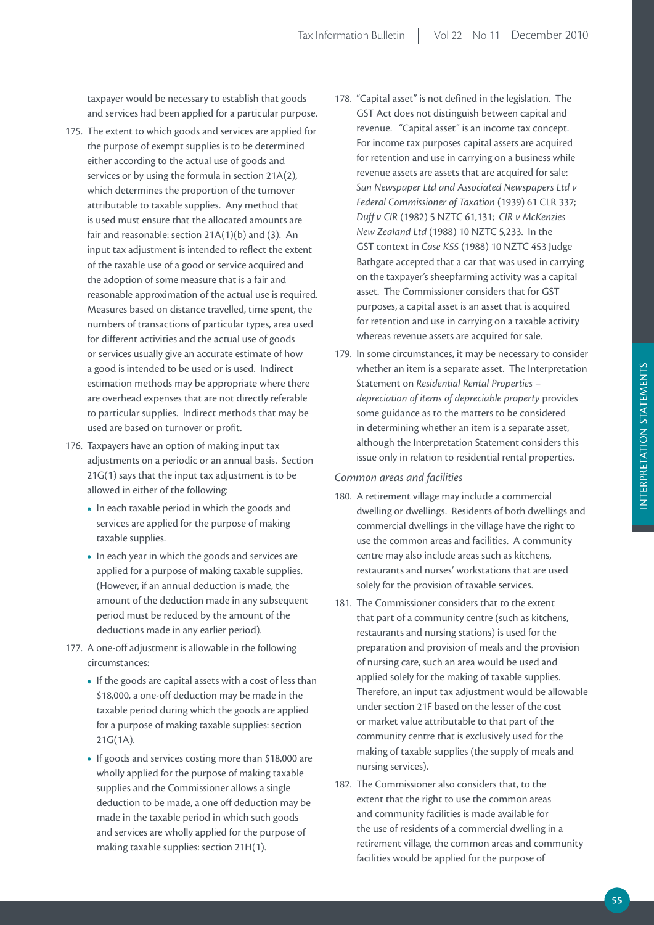taxpayer would be necessary to establish that goods and services had been applied for a particular purpose.

- 175. The extent to which goods and services are applied for the purpose of exempt supplies is to be determined either according to the actual use of goods and services or by using the formula in section 21A(2), which determines the proportion of the turnover attributable to taxable supplies. Any method that is used must ensure that the allocated amounts are fair and reasonable: section 21A(1)(b) and (3). An input tax adjustment is intended to reflect the extent of the taxable use of a good or service acquired and the adoption of some measure that is a fair and reasonable approximation of the actual use is required. Measures based on distance travelled, time spent, the numbers of transactions of particular types, area used for different activities and the actual use of goods or services usually give an accurate estimate of how a good is intended to be used or is used. Indirect estimation methods may be appropriate where there are overhead expenses that are not directly referable to particular supplies. Indirect methods that may be used are based on turnover or profit.
- 176. Taxpayers have an option of making input tax adjustments on a periodic or an annual basis. Section 21G(1) says that the input tax adjustment is to be allowed in either of the following:
	- In each taxable period in which the goods and services are applied for the purpose of making taxable supplies.
	- In each year in which the goods and services are applied for a purpose of making taxable supplies. (However, if an annual deduction is made, the amount of the deduction made in any subsequent period must be reduced by the amount of the deductions made in any earlier period).
- 177. A one-off adjustment is allowable in the following circumstances:
	- If the goods are capital assets with a cost of less than \$18,000, a one-off deduction may be made in the taxable period during which the goods are applied for a purpose of making taxable supplies: section 21G(1A).
	- If goods and services costing more than \$18,000 are wholly applied for the purpose of making taxable supplies and the Commissioner allows a single deduction to be made, a one off deduction may be made in the taxable period in which such goods and services are wholly applied for the purpose of making taxable supplies: section 21H(1).
- 178. "Capital asset" is not defined in the legislation. The GST Act does not distinguish between capital and revenue. "Capital asset" is an income tax concept. For income tax purposes capital assets are acquired for retention and use in carrying on a business while revenue assets are assets that are acquired for sale: *Sun Newspaper Ltd and Associated Newspapers Ltd v Federal Commissioner of Taxation* (1939) 61 CLR 337; *Duff v CIR* (1982) 5 NZTC 61,131; *CIR v McKenzies New Zealand Ltd* (1988) 10 NZTC 5,233. In the GST context in *Case K55* (1988) 10 NZTC 453 Judge Bathgate accepted that a car that was used in carrying on the taxpayer's sheepfarming activity was a capital asset. The Commissioner considers that for GST purposes, a capital asset is an asset that is acquired for retention and use in carrying on a taxable activity whereas revenue assets are acquired for sale.
- 179. In some circumstances, it may be necessary to consider whether an item is a separate asset. The Interpretation Statement on *Residential Rental Properties – depreciation of items of depreciable property* provides some guidance as to the matters to be considered in determining whether an item is a separate asset, although the Interpretation Statement considers this issue only in relation to residential rental properties.

# *Common areas and facilities*

- 180. A retirement village may include a commercial dwelling or dwellings. Residents of both dwellings and commercial dwellings in the village have the right to use the common areas and facilities. A community centre may also include areas such as kitchens, restaurants and nurses' workstations that are used solely for the provision of taxable services.
- 181. The Commissioner considers that to the extent that part of a community centre (such as kitchens, restaurants and nursing stations) is used for the preparation and provision of meals and the provision of nursing care, such an area would be used and applied solely for the making of taxable supplies. Therefore, an input tax adjustment would be allowable under section 21F based on the lesser of the cost or market value attributable to that part of the community centre that is exclusively used for the making of taxable supplies (the supply of meals and nursing services).
- 182. The Commissioner also considers that, to the extent that the right to use the common areas and community facilities is made available for the use of residents of a commercial dwelling in a retirement village, the common areas and community facilities would be applied for the purpose of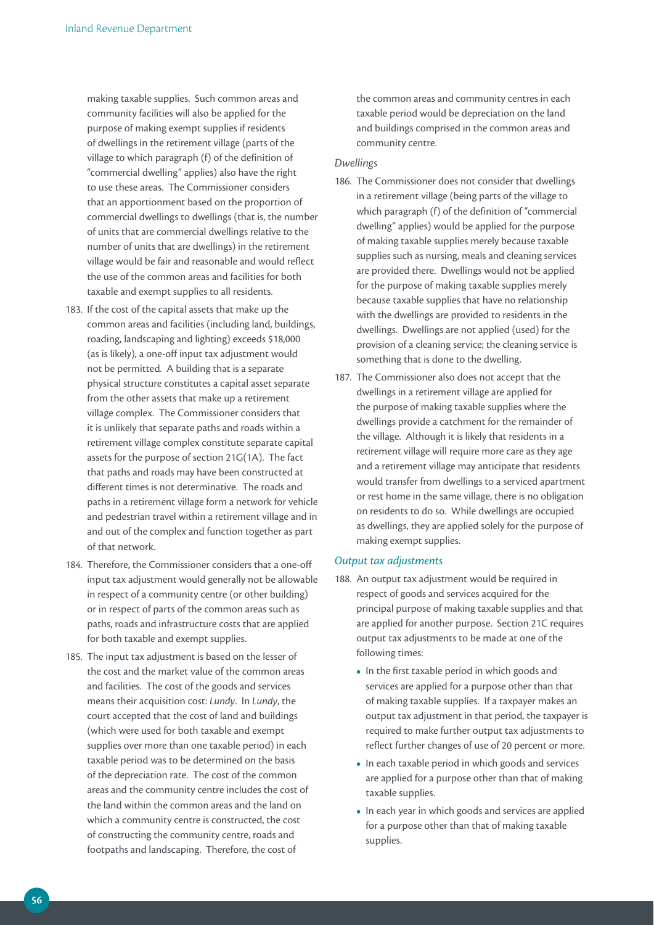making taxable supplies. Such common areas and community facilities will also be applied for the purpose of making exempt supplies if residents of dwellings in the retirement village (parts of the village to which paragraph (f) of the definition of "commercial dwelling" applies) also have the right to use these areas. The Commissioner considers that an apportionment based on the proportion of commercial dwellings to dwellings (that is, the number of units that are commercial dwellings relative to the number of units that are dwellings) in the retirement village would be fair and reasonable and would reflect the use of the common areas and facilities for both taxable and exempt supplies to all residents.

- 183. If the cost of the capital assets that make up the common areas and facilities (including land, buildings, roading, landscaping and lighting) exceeds \$18,000 (as is likely), a one-off input tax adjustment would not be permitted. A building that is a separate physical structure constitutes a capital asset separate from the other assets that make up a retirement village complex. The Commissioner considers that it is unlikely that separate paths and roads within a retirement village complex constitute separate capital assets for the purpose of section 21G(1A). The fact that paths and roads may have been constructed at different times is not determinative. The roads and paths in a retirement village form a network for vehicle and pedestrian travel within a retirement village and in and out of the complex and function together as part of that network.
- 184. Therefore, the Commissioner considers that a one-off input tax adjustment would generally not be allowable in respect of a community centre (or other building) or in respect of parts of the common areas such as paths, roads and infrastructure costs that are applied for both taxable and exempt supplies.
- 185. The input tax adjustment is based on the lesser of the cost and the market value of the common areas and facilities. The cost of the goods and services means their acquisition cost: *Lundy*. In *Lundy*, the court accepted that the cost of land and buildings (which were used for both taxable and exempt supplies over more than one taxable period) in each taxable period was to be determined on the basis of the depreciation rate. The cost of the common areas and the community centre includes the cost of the land within the common areas and the land on which a community centre is constructed, the cost of constructing the community centre, roads and footpaths and landscaping. Therefore, the cost of

the common areas and community centres in each taxable period would be depreciation on the land and buildings comprised in the common areas and community centre.

### *Dwellings*

- 186. The Commissioner does not consider that dwellings in a retirement village (being parts of the village to which paragraph (f) of the definition of "commercial dwelling" applies) would be applied for the purpose of making taxable supplies merely because taxable supplies such as nursing, meals and cleaning services are provided there. Dwellings would not be applied for the purpose of making taxable supplies merely because taxable supplies that have no relationship with the dwellings are provided to residents in the dwellings. Dwellings are not applied (used) for the provision of a cleaning service; the cleaning service is something that is done to the dwelling.
- 187. The Commissioner also does not accept that the dwellings in a retirement village are applied for the purpose of making taxable supplies where the dwellings provide a catchment for the remainder of the village. Although it is likely that residents in a retirement village will require more care as they age and a retirement village may anticipate that residents would transfer from dwellings to a serviced apartment or rest home in the same village, there is no obligation on residents to do so. While dwellings are occupied as dwellings, they are applied solely for the purpose of making exempt supplies.

### *Output tax adjustments*

- 188. An output tax adjustment would be required in respect of goods and services acquired for the principal purpose of making taxable supplies and that are applied for another purpose. Section 21C requires output tax adjustments to be made at one of the following times:
	- In the first taxable period in which goods and services are applied for a purpose other than that of making taxable supplies. If a taxpayer makes an output tax adjustment in that period, the taxpayer is required to make further output tax adjustments to reflect further changes of use of 20 percent or more.
	- In each taxable period in which goods and services are applied for a purpose other than that of making taxable supplies.
	- **•**  In each year in which goods and services are applied for a purpose other than that of making taxable supplies.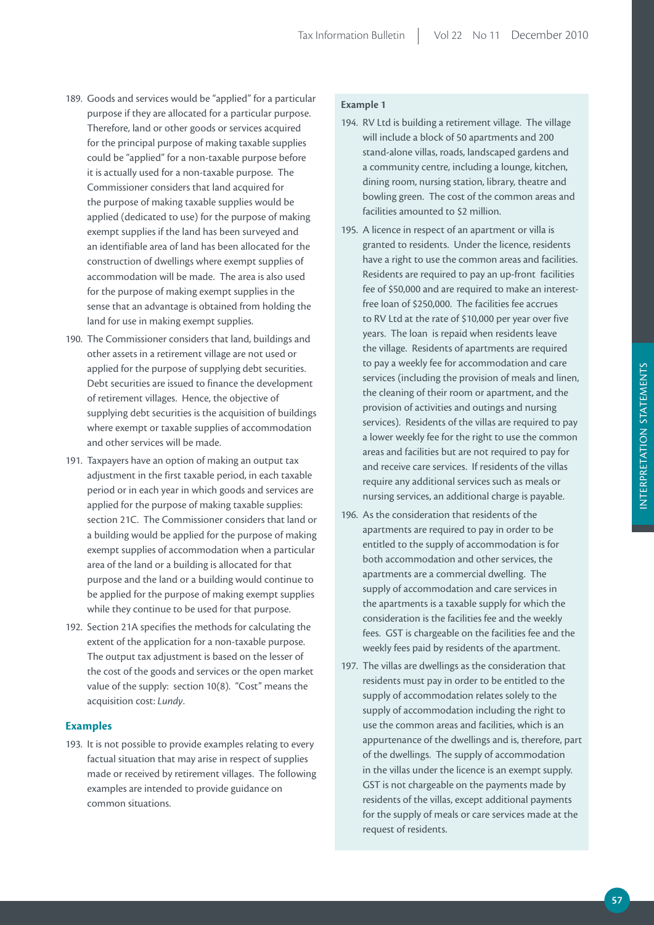- 189. Goods and services would be "applied" for a particular purpose if they are allocated for a particular purpose. Therefore, land or other goods or services acquired for the principal purpose of making taxable supplies could be "applied" for a non-taxable purpose before it is actually used for a non-taxable purpose. The Commissioner considers that land acquired for the purpose of making taxable supplies would be applied (dedicated to use) for the purpose of making exempt supplies if the land has been surveyed and an identifiable area of land has been allocated for the construction of dwellings where exempt supplies of accommodation will be made. The area is also used for the purpose of making exempt supplies in the sense that an advantage is obtained from holding the land for use in making exempt supplies.
- 190. The Commissioner considers that land, buildings and other assets in a retirement village are not used or applied for the purpose of supplying debt securities. Debt securities are issued to finance the development of retirement villages. Hence, the objective of supplying debt securities is the acquisition of buildings where exempt or taxable supplies of accommodation and other services will be made.
- 191. Taxpayers have an option of making an output tax adjustment in the first taxable period, in each taxable period or in each year in which goods and services are applied for the purpose of making taxable supplies: section 21C. The Commissioner considers that land or a building would be applied for the purpose of making exempt supplies of accommodation when a particular area of the land or a building is allocated for that purpose and the land or a building would continue to be applied for the purpose of making exempt supplies while they continue to be used for that purpose.
- 192. Section 21A specifies the methods for calculating the extent of the application for a non-taxable purpose. The output tax adjustment is based on the lesser of the cost of the goods and services or the open market value of the supply: section 10(8). "Cost" means the acquisition cost: *Lundy*.

# **Examples**

193. It is not possible to provide examples relating to every factual situation that may arise in respect of supplies made or received by retirement villages. The following examples are intended to provide guidance on common situations.

# **Example 1**

- 194. RV Ltd is building a retirement village. The village will include a block of 50 apartments and 200 stand-alone villas, roads, landscaped gardens and a community centre, including a lounge, kitchen, dining room, nursing station, library, theatre and bowling green. The cost of the common areas and facilities amounted to \$2 million.
- 195. A licence in respect of an apartment or villa is granted to residents. Under the licence, residents have a right to use the common areas and facilities. Residents are required to pay an up-front facilities fee of \$50,000 and are required to make an interestfree loan of \$250,000. The facilities fee accrues to RV Ltd at the rate of \$10,000 per year over five years. The loan is repaid when residents leave the village. Residents of apartments are required to pay a weekly fee for accommodation and care services (including the provision of meals and linen, the cleaning of their room or apartment, and the provision of activities and outings and nursing services). Residents of the villas are required to pay a lower weekly fee for the right to use the common areas and facilities but are not required to pay for and receive care services. If residents of the villas require any additional services such as meals or nursing services, an additional charge is payable.
- 196. As the consideration that residents of the apartments are required to pay in order to be entitled to the supply of accommodation is for both accommodation and other services, the apartments are a commercial dwelling. The supply of accommodation and care services in the apartments is a taxable supply for which the consideration is the facilities fee and the weekly fees. GST is chargeable on the facilities fee and the weekly fees paid by residents of the apartment.
- 197. The villas are dwellings as the consideration that residents must pay in order to be entitled to the supply of accommodation relates solely to the supply of accommodation including the right to use the common areas and facilities, which is an appurtenance of the dwellings and is, therefore, part of the dwellings. The supply of accommodation in the villas under the licence is an exempt supply. GST is not chargeable on the payments made by residents of the villas, except additional payments for the supply of meals or care services made at the request of residents.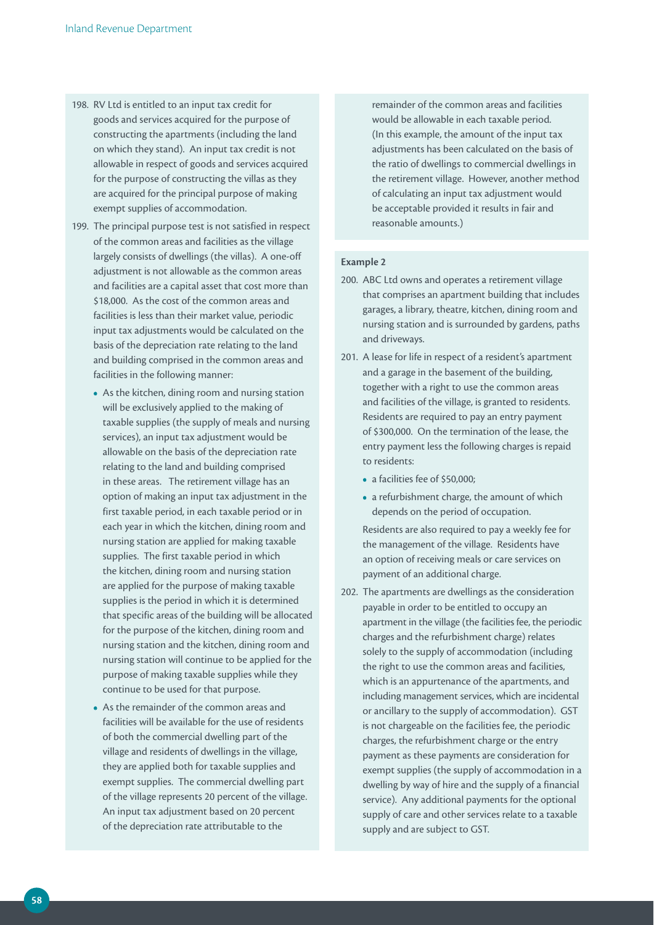- 198. RV Ltd is entitled to an input tax credit for goods and services acquired for the purpose of constructing the apartments (including the land on which they stand). An input tax credit is not allowable in respect of goods and services acquired for the purpose of constructing the villas as they are acquired for the principal purpose of making exempt supplies of accommodation.
- 199. The principal purpose test is not satisfied in respect of the common areas and facilities as the village largely consists of dwellings (the villas). A one-off adjustment is not allowable as the common areas and facilities are a capital asset that cost more than \$18,000. As the cost of the common areas and facilities is less than their market value, periodic input tax adjustments would be calculated on the basis of the depreciation rate relating to the land and building comprised in the common areas and facilities in the following manner:
	- **•**  As the kitchen, dining room and nursing station will be exclusively applied to the making of taxable supplies (the supply of meals and nursing services), an input tax adjustment would be allowable on the basis of the depreciation rate relating to the land and building comprised in these areas. The retirement village has an option of making an input tax adjustment in the first taxable period, in each taxable period or in each year in which the kitchen, dining room and nursing station are applied for making taxable supplies. The first taxable period in which the kitchen, dining room and nursing station are applied for the purpose of making taxable supplies is the period in which it is determined that specific areas of the building will be allocated for the purpose of the kitchen, dining room and nursing station and the kitchen, dining room and nursing station will continue to be applied for the purpose of making taxable supplies while they continue to be used for that purpose.
	- **•**  As the remainder of the common areas and facilities will be available for the use of residents of both the commercial dwelling part of the village and residents of dwellings in the village, they are applied both for taxable supplies and exempt supplies. The commercial dwelling part of the village represents 20 percent of the village. An input tax adjustment based on 20 percent of the depreciation rate attributable to the

remainder of the common areas and facilities would be allowable in each taxable period. (In this example, the amount of the input tax adjustments has been calculated on the basis of the ratio of dwellings to commercial dwellings in the retirement village. However, another method of calculating an input tax adjustment would be acceptable provided it results in fair and reasonable amounts.)

# **Example 2**

- 200. ABC Ltd owns and operates a retirement village that comprises an apartment building that includes garages, a library, theatre, kitchen, dining room and nursing station and is surrounded by gardens, paths and driveways.
- 201. A lease for life in respect of a resident's apartment and a garage in the basement of the building, together with a right to use the common areas and facilities of the village, is granted to residents. Residents are required to pay an entry payment of \$300,000. On the termination of the lease, the entry payment less the following charges is repaid to residents:
	- a facilities fee of \$50,000:
	- **•**  a refurbishment charge, the amount of which depends on the period of occupation.

 Residents are also required to pay a weekly fee for the management of the village. Residents have an option of receiving meals or care services on payment of an additional charge.

202. The apartments are dwellings as the consideration payable in order to be entitled to occupy an apartment in the village (the facilities fee, the periodic charges and the refurbishment charge) relates solely to the supply of accommodation (including the right to use the common areas and facilities, which is an appurtenance of the apartments, and including management services, which are incidental or ancillary to the supply of accommodation). GST is not chargeable on the facilities fee, the periodic charges, the refurbishment charge or the entry payment as these payments are consideration for exempt supplies (the supply of accommodation in a dwelling by way of hire and the supply of a financial service). Any additional payments for the optional supply of care and other services relate to a taxable supply and are subject to GST.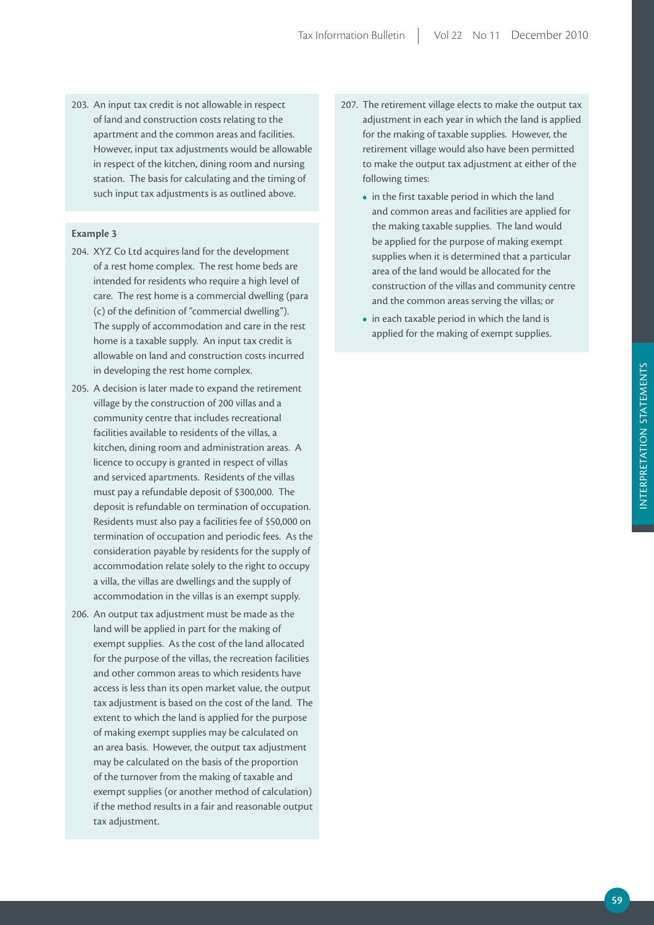203. An input tax credit is not allowable in respect of land and construction costs relating to the apartment and the common areas and facilities. However, input tax adjustments would be allowable in respect of the kitchen, dining room and nursing station. The basis for calculating and the timing of such input tax adjustments is as outlined above.

### **Example 3**

- 204. XYZ Co Ltd acquires land for the development of a rest home complex. The rest home beds are intended for residents who require a high level of care. The rest home is a commercial dwelling (para (c) of the definition of "commercial dwelling"). The supply of accommodation and care in the rest home is a taxable supply. An input tax credit is allowable on land and construction costs incurred in developing the rest home complex.
- 205. A decision is later made to expand the retirement village by the construction of 200 villas and a community centre that includes recreational facilities available to residents of the villas, a kitchen, dining room and administration areas. A licence to occupy is granted in respect of villas and serviced apartments. Residents of the villas must pay a refundable deposit of \$300,000. The deposit is refundable on termination of occupation. Residents must also pay a facilities fee of \$50,000 on termination of occupation and periodic fees. As the consideration payable by residents for the supply of accommodation relate solely to the right to occupy a villa, the villas are dwellings and the supply of accommodation in the villas is an exempt supply.
- 206. An output tax adjustment must be made as the land will be applied in part for the making of exempt supplies. As the cost of the land allocated for the purpose of the villas, the recreation facilities and other common areas to which residents have access is less than its open market value, the output tax adjustment is based on the cost of the land. The extent to which the land is applied for the purpose of making exempt supplies may be calculated on an area basis. However, the output tax adjustment may be calculated on the basis of the proportion of the turnover from the making of taxable and exempt supplies (or another method of calculation) if the method results in a fair and reasonable output tax adjustment.
- 207. The retirement village elects to make the output tax adjustment in each year in which the land is applied for the making of taxable supplies. However, the retirement village would also have been permitted to make the output tax adjustment at either of the following times:
	- in the first taxable period in which the land and common areas and facilities are applied for the making taxable supplies. The land would be applied for the purpose of making exempt supplies when it is determined that a particular area of the land would be allocated for the construction of the villas and community centre and the common areas serving the villas; or
	- in each taxable period in which the land is applied for the making of exempt supplies.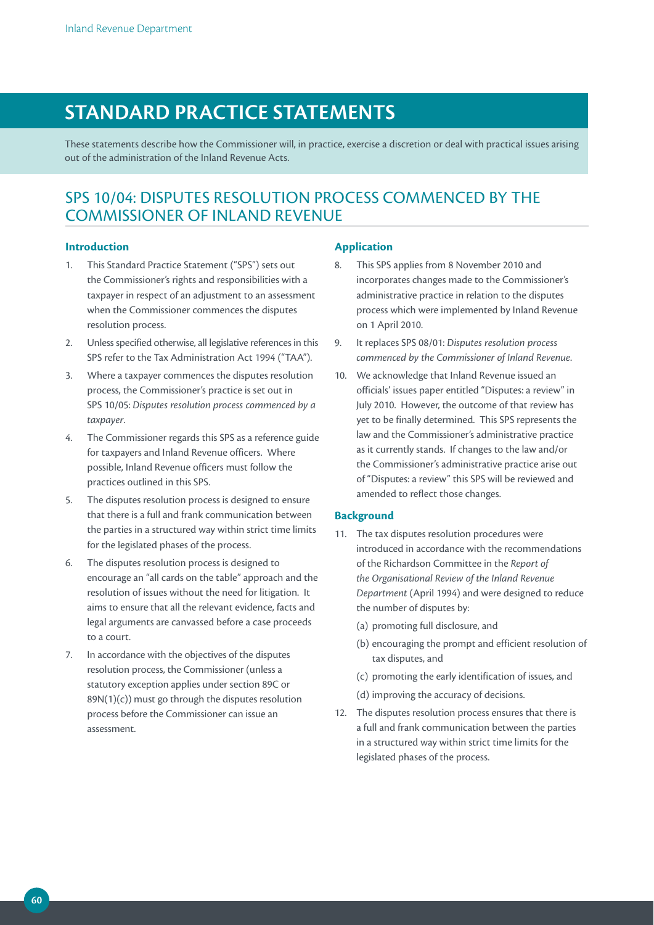# **STANDArD prACTiCE STATEmENTS**

These statements describe how the Commissioner will, in practice, exercise a discretion or deal with practical issues arising out of the administration of the Inland Revenue Acts.

# SPS 10/04: DISPUTES RESOLUTION PROCESS COMMENCED BY THE COMMISSIONER OF INLAND REVENUE

### **Introduction**

- 1. This Standard Practice Statement ("SPS") sets out the Commissioner's rights and responsibilities with a taxpayer in respect of an adjustment to an assessment when the Commissioner commences the disputes resolution process.
- 2. Unless specified otherwise, all legislative references in this SPS refer to the Tax Administration Act 1994 ("TAA").
- 3. Where a taxpayer commences the disputes resolution process, the Commissioner's practice is set out in SPS 10/05: *Disputes resolution process commenced by a taxpayer*.
- 4. The Commissioner regards this SPS as a reference guide for taxpayers and Inland Revenue officers. Where possible, Inland Revenue officers must follow the practices outlined in this SPS.
- 5. The disputes resolution process is designed to ensure that there is a full and frank communication between the parties in a structured way within strict time limits for the legislated phases of the process.
- 6. The disputes resolution process is designed to encourage an "all cards on the table" approach and the resolution of issues without the need for litigation. It aims to ensure that all the relevant evidence, facts and legal arguments are canvassed before a case proceeds to a court.
- 7. In accordance with the objectives of the disputes resolution process, the Commissioner (unless a statutory exception applies under section 89C or  $89N(1)(c)$ ) must go through the disputes resolution process before the Commissioner can issue an assessment.

# **Application**

- 8. This SPS applies from 8 November 2010 and incorporates changes made to the Commissioner's administrative practice in relation to the disputes process which were implemented by Inland Revenue on 1 April 2010.
- 9. It replaces SPS 08/01: *Disputes resolution process commenced by the Commissioner of Inland Revenue*.
- 10. We acknowledge that Inland Revenue issued an officials' issues paper entitled "Disputes: a review" in July 2010. However, the outcome of that review has yet to be finally determined. This SPS represents the law and the Commissioner's administrative practice as it currently stands. If changes to the law and/or the Commissioner's administrative practice arise out of "Disputes: a review" this SPS will be reviewed and amended to reflect those changes.

### **Background**

- 11. The tax disputes resolution procedures were introduced in accordance with the recommendations of the Richardson Committee in the *Report of the Organisational Review of the Inland Revenue Department* (April 1994) and were designed to reduce the number of disputes by:
	- (a) promoting full disclosure, and
	- (b) encouraging the prompt and efficient resolution of tax disputes, and
	- (c) promoting the early identification of issues, and
	- (d) improving the accuracy of decisions.
- 12. The disputes resolution process ensures that there is a full and frank communication between the parties in a structured way within strict time limits for the legislated phases of the process.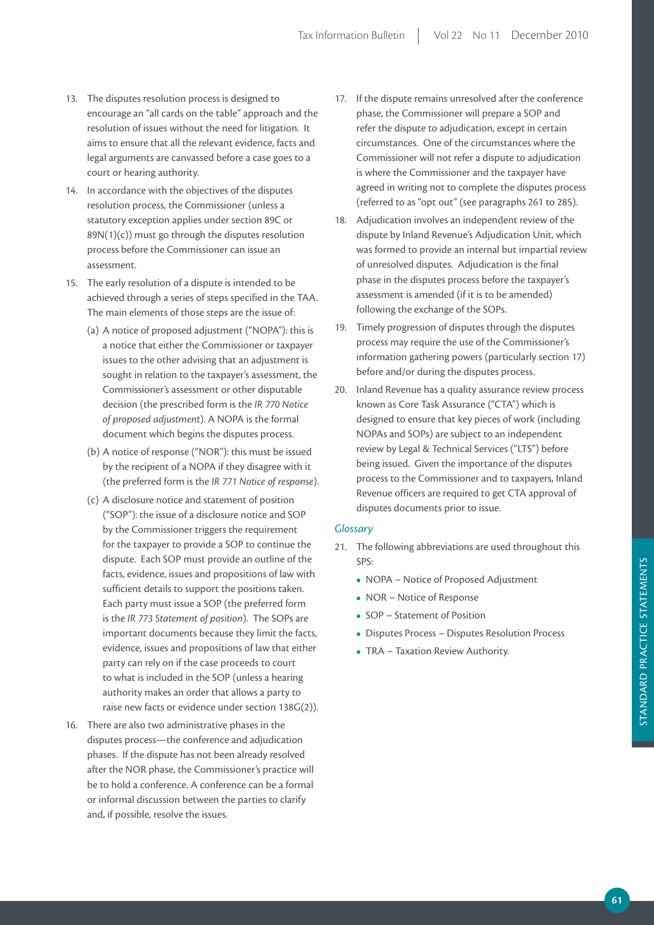- 13. The disputes resolution process is designed to encourage an "all cards on the table" approach and the resolution of issues without the need for litigation. It aims to ensure that all the relevant evidence, facts and legal arguments are canvassed before a case goes to a court or hearing authority.
- 14. In accordance with the objectives of the disputes resolution process, the Commissioner (unless a statutory exception applies under section 89C or 89N(1)(c)) must go through the disputes resolution process before the Commissioner can issue an assessment.
- 15. The early resolution of a dispute is intended to be achieved through a series of steps specified in the TAA. The main elements of those steps are the issue of:
	- (a) A notice of proposed adjustment ("NOPA"): this is a notice that either the Commissioner or taxpayer issues to the other advising that an adjustment is sought in relation to the taxpayer's assessment, the Commissioner's assessment or other disputable decision (the prescribed form is the *IR 770 Notice of proposed adjustment*). A NOPA is the formal document which begins the disputes process.
	- (b) A notice of response ("NOR"): this must be issued by the recipient of a NOPA if they disagree with it (the preferred form is the *IR 771 Notice of response*).
	- (c) A disclosure notice and statement of position ("SOP"): the issue of a disclosure notice and SOP by the Commissioner triggers the requirement for the taxpayer to provide a SOP to continue the dispute. Each SOP must provide an outline of the facts, evidence, issues and propositions of law with sufficient details to support the positions taken. Each party must issue a SOP (the preferred form is the *IR 773 Statement of position*). The SOPs are important documents because they limit the facts, evidence, issues and propositions of law that either party can rely on if the case proceeds to court to what is included in the SOP (unless a hearing authority makes an order that allows a party to raise new facts or evidence under section 138G(2)).
- 16. There are also two administrative phases in the disputes process—the conference and adjudication phases. If the dispute has not been already resolved after the NOR phase, the Commissioner's practice will be to hold a conference. A conference can be a formal or informal discussion between the parties to clarify and, if possible, resolve the issues.
- 17. If the dispute remains unresolved after the conference phase, the Commissioner will prepare a SOP and refer the dispute to adjudication, except in certain circumstances. One of the circumstances where the Commissioner will not refer a dispute to adjudication is where the Commissioner and the taxpayer have agreed in writing not to complete the disputes process (referred to as "opt out" (see paragraphs 261 to 285).
- 18. Adjudication involves an independent review of the dispute by Inland Revenue's Adjudication Unit, which was formed to provide an internal but impartial review of unresolved disputes. Adjudication is the final phase in the disputes process before the taxpayer's assessment is amended (if it is to be amended) following the exchange of the SOPs.
- 19. Timely progression of disputes through the disputes process may require the use of the Commissioner's information gathering powers (particularly section 17) before and/or during the disputes process.
- 20. Inland Revenue has a quality assurance review process known as Core Task Assurance ("CTA") which is designed to ensure that key pieces of work (including NOPAs and SOPs) are subject to an independent review by Legal & Technical Services ("LTS") before being issued. Given the importance of the disputes process to the Commissioner and to taxpayers, Inland Revenue officers are required to get CTA approval of disputes documents prior to issue.

### *Glossary*

- 21. The following abbreviations are used throughout this SPS:
	- **•**  NOPA Notice of Proposed Adjustment
	- **•**  NOR Notice of Response
	- **•**  SOP Statement of Position
	- **•**  Disputes Process Disputes Resolution Process
	- **•**  TRA Taxation Review Authority.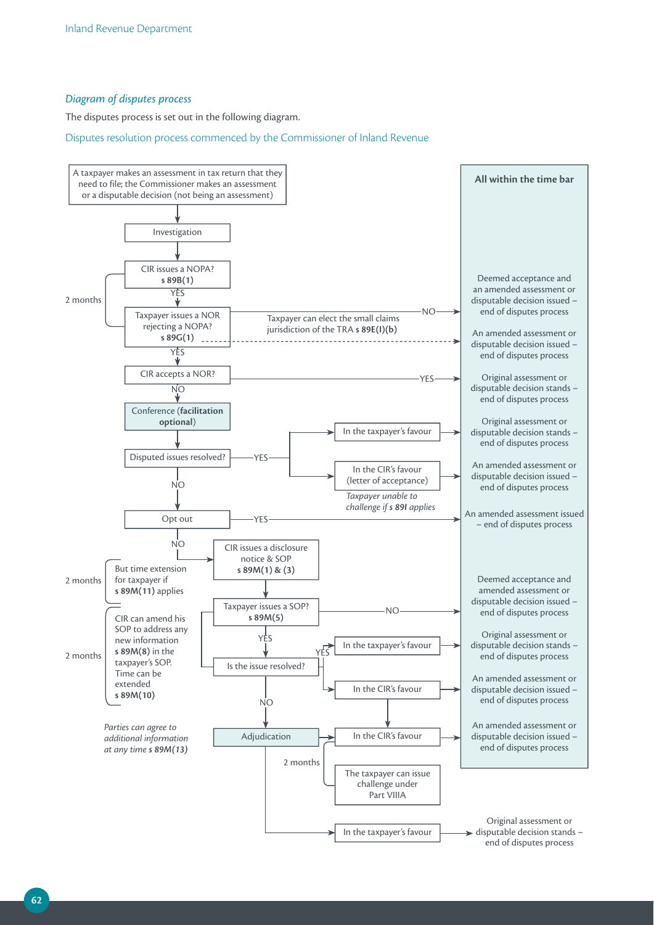# *Diagram of disputes process*

The disputes process is set out in the following diagram.

Disputes resolution process commenced by the Commissioner of Inland Revenue

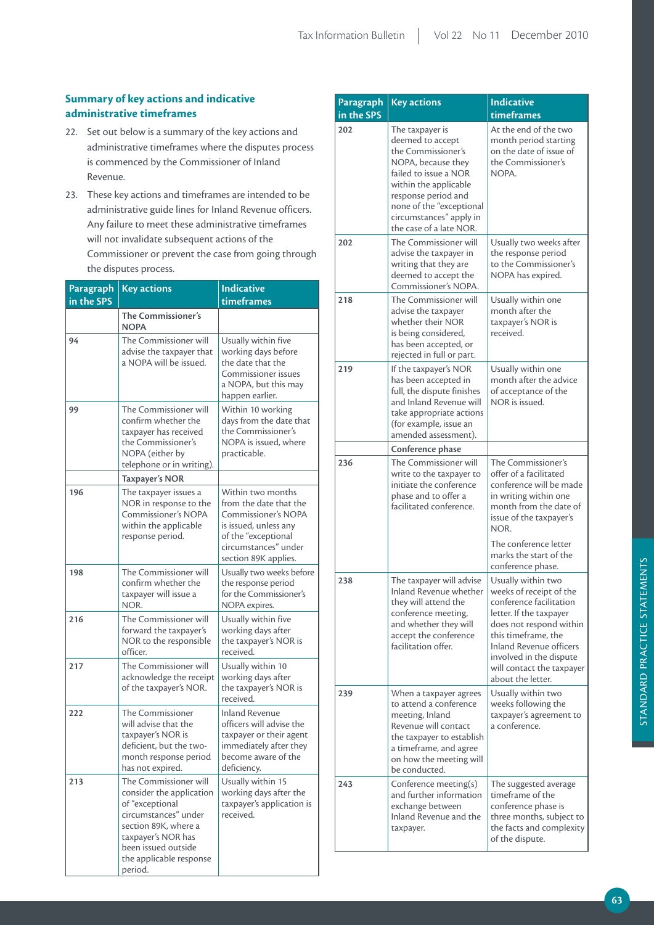# **Summary of key actions and indicative administrative timeframes**

- 22. Set out below is a summary of the key actions and administrative timeframes where the disputes process is commenced by the Commissioner of Inland Revenue.
- 23. These key actions and timeframes are intended to be administrative guide lines for Inland Revenue officers. Any failure to meet these administrative timeframes will not invalidate subsequent actions of the Commissioner or prevent the case from going through the disputes process.

| Paragraph  | <b>Key actions</b>                                                                                                                                                                                      | <b>Indicative</b>                                                                                                                                                  |
|------------|---------------------------------------------------------------------------------------------------------------------------------------------------------------------------------------------------------|--------------------------------------------------------------------------------------------------------------------------------------------------------------------|
| in the SPS |                                                                                                                                                                                                         | timeframes                                                                                                                                                         |
|            | The Commissioner's<br><b>NOPA</b>                                                                                                                                                                       |                                                                                                                                                                    |
| 94         | The Commissioner will<br>advise the taxpayer that<br>a NOPA will be issued.                                                                                                                             | Usually within five<br>working days before<br>the date that the<br><b>Commissioner issues</b><br>a NOPA, but this may<br>happen earlier.                           |
| 99         | The Commissioner will<br>confirm whether the<br>taxpayer has received<br>the Commissioner's<br>NOPA (either by<br>telephone or in writing).                                                             | Within 10 working<br>days from the date that<br>the Commissioner's<br>NOPA is issued, where<br>practicable.                                                        |
|            | <b>Taxpayer's NOR</b>                                                                                                                                                                                   |                                                                                                                                                                    |
| 196        | The taxpayer issues a<br>NOR in response to the<br><b>Commissioner's NOPA</b><br>within the applicable<br>response period.                                                                              | Within two months<br>from the date that the<br>Commissioner's NOPA<br>is issued, unless any<br>of the "exceptional<br>circumstances" under<br>section 89K applies. |
| 198        | The Commissioner will<br>confirm whether the<br>taxpayer will issue a<br>NOR.                                                                                                                           | Usually two weeks before<br>the response period<br>for the Commissioner's<br>NOPA expires.                                                                         |
| 216        | The Commissioner will<br>forward the taxpayer's<br>NOR to the responsible<br>officer.                                                                                                                   | Usually within five<br>working days after<br>the taxpayer's NOR is<br>received.                                                                                    |
| 217        | The Commissioner will<br>acknowledge the receipt<br>of the taxpayer's NOR.                                                                                                                              | Usually within 10<br>working days after<br>the taxpayer's NOR is<br>received.                                                                                      |
| 222        | The Commissioner<br>will advise that the<br>taxpayer's NOR is<br>deficient, but the two-<br>month response period<br>has not expired.                                                                   | <b>Inland Revenue</b><br>officers will advise the<br>taxpayer or their agent<br>immediately after they<br>become aware of the<br>deficiency.                       |
| 213        | The Commissioner will<br>consider the application<br>of "exceptional<br>circumstances" under<br>section 89K, where a<br>taxpayer's NOR has<br>been issued outside<br>the applicable response<br>period. | Usually within 15<br>working days after the<br>taxpayer's application is<br>received.                                                                              |

| <b>Paragraph</b><br>in the SPS | <b>Key actions</b>                                                                                                                                                                                                                         | <b>Indicative</b><br>timeframes                                                                                                                                                                                                                                      |
|--------------------------------|--------------------------------------------------------------------------------------------------------------------------------------------------------------------------------------------------------------------------------------------|----------------------------------------------------------------------------------------------------------------------------------------------------------------------------------------------------------------------------------------------------------------------|
| 202                            | The taxpayer is<br>deemed to accept<br>the Commissioner's<br>NOPA, because they<br>failed to issue a NOR<br>within the applicable<br>response period and<br>none of the "exceptional<br>circumstances" apply in<br>the case of a late NOR. | At the end of the two<br>month period starting<br>on the date of issue of<br>the Commissioner's<br>NOPA.                                                                                                                                                             |
| 202                            | The Commissioner will<br>advise the taxpayer in<br>writing that they are<br>deemed to accept the<br>Commissioner's NOPA.                                                                                                                   | Usually two weeks after<br>the response period<br>to the Commissioner's<br>NOPA has expired.                                                                                                                                                                         |
| 218                            | The Commissioner will<br>advise the taxpayer<br>whether their NOR<br>is being considered,<br>has been accepted, or<br>rejected in full or part.                                                                                            | Usually within one<br>month after the<br>taxpayer's NOR is<br>received.                                                                                                                                                                                              |
| 219                            | If the taxpayer's NOR<br>has been accepted in<br>full, the dispute finishes<br>and Inland Revenue will<br>take appropriate actions<br>(for example, issue an<br>amended assessment).                                                       | Usually within one<br>month after the advice<br>of acceptance of the<br>NOR is issued.                                                                                                                                                                               |
|                                | Conference phase                                                                                                                                                                                                                           |                                                                                                                                                                                                                                                                      |
| 236                            | The Commissioner will<br>write to the taxpayer to<br>initiate the conference<br>phase and to offer a<br>facilitated conference.                                                                                                            | The Commissioner's<br>offer of a facilitated<br>conference will be made<br>in writing within one<br>month from the date of<br>issue of the taxpayer's<br>NOR.<br>The conference letter                                                                               |
|                                |                                                                                                                                                                                                                                            | marks the start of the<br>conference phase.                                                                                                                                                                                                                          |
| 238                            | The taxpayer will advise<br>Inland Revenue whether<br>they will attend the<br>conference meeting,<br>and whether they will<br>accept the conference<br>facilitation offer.                                                                 | Usually within two<br>weeks of receipt of the<br>conference facilitation<br>letter. If the taxpayer<br>does not respond within<br>this timeframe, the<br><b>Inland Revenue officers</b><br>involved in the dispute<br>will contact the taxpayer<br>about the letter. |
| 239                            | When a taxpayer agrees<br>to attend a conference<br>meeting, Inland<br>Revenue will contact<br>the taxpayer to establish<br>a timeframe, and agree<br>on how the meeting will<br>be conducted.                                             | Usually within two<br>weeks following the<br>taxpayer's agreement to<br>a conference.                                                                                                                                                                                |
| 243                            | Conference meeting(s)<br>and further information<br>exchange between<br>Inland Revenue and the<br>taxpayer.                                                                                                                                | The suggested average<br>timeframe of the<br>conference phase is<br>three months, subject to<br>the facts and complexity<br>of the dispute.                                                                                                                          |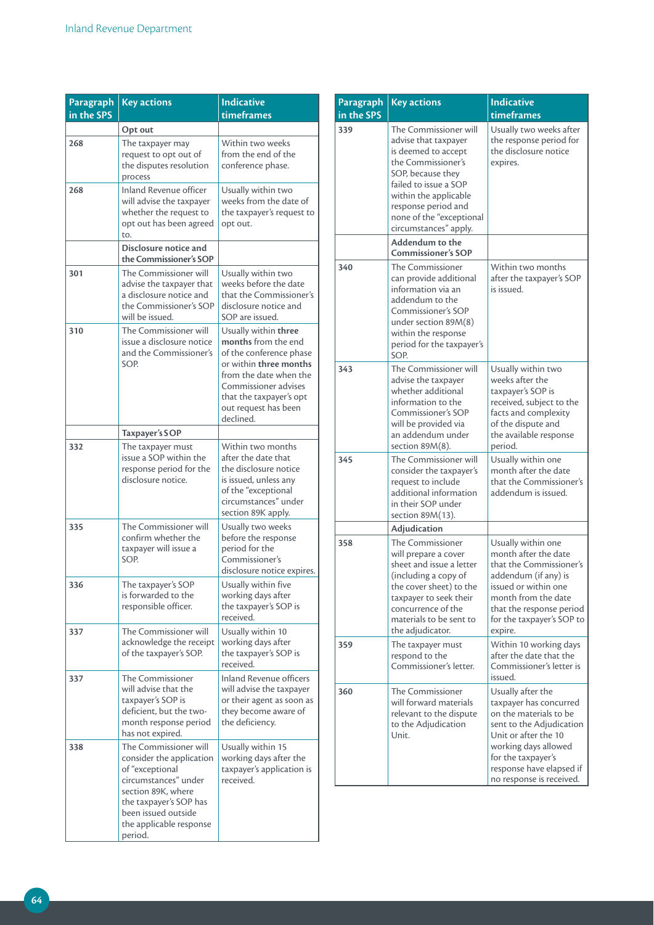| Paragraph<br>in the SPS | <b>Key actions</b>                                                                                                                                                                                        | <b>Indicative</b><br>timeframes                                                                                                                                                                                           |
|-------------------------|-----------------------------------------------------------------------------------------------------------------------------------------------------------------------------------------------------------|---------------------------------------------------------------------------------------------------------------------------------------------------------------------------------------------------------------------------|
|                         | Opt out                                                                                                                                                                                                   |                                                                                                                                                                                                                           |
| 268                     | The taxpayer may<br>request to opt out of<br>the disputes resolution<br>process                                                                                                                           | Within two weeks<br>from the end of the<br>conference phase.                                                                                                                                                              |
| 268                     | <b>Inland Revenue officer</b><br>will advise the taxpaver<br>whether the request to<br>opt out has been agreed<br>to.                                                                                     | Usually within two<br>weeks from the date of<br>the taxpayer's request to<br>opt out.                                                                                                                                     |
|                         | Disclosure notice and<br>the Commissioner's SOP                                                                                                                                                           |                                                                                                                                                                                                                           |
| 301                     | The Commissioner will<br>advise the taxpayer that<br>a disclosure notice and<br>the Commissioner's SOP<br>will be issued.                                                                                 | Usually within two<br>weeks before the date<br>that the Commissioner's<br>disclosure notice and<br>SOP are issued.                                                                                                        |
| 310                     | The Commissioner will<br>issue a disclosure notice<br>and the Commissioner's<br>SOP.                                                                                                                      | Usually within three<br>months from the end<br>of the conference phase<br>or within three months<br>from the date when the<br><b>Commissioner advises</b><br>that the taxpayer's opt<br>out request has been<br>declined. |
|                         | Taxpayer's SOP                                                                                                                                                                                            |                                                                                                                                                                                                                           |
| 332                     | The taxpayer must<br>issue a SOP within the<br>response period for the<br>disclosure notice.                                                                                                              | Within two months<br>after the date that<br>the disclosure notice<br>is issued, unless any<br>of the "exceptional<br>circumstances" under<br>section 89K apply.                                                           |
| 335                     | The Commissioner will<br>confirm whether the<br>taxpayer will issue a<br>SOP.                                                                                                                             | Usually two weeks<br>before the response<br>period for the<br>Commissioner's<br>disclosure notice expires.                                                                                                                |
| 336                     | The taxpayer's SOP<br>is forwarded to the<br>responsible officer.                                                                                                                                         | Usually within five<br>working days after<br>the taxpayer's SOP is<br>received.                                                                                                                                           |
| 337                     | The Commissioner will<br>acknowledge the receipt<br>of the taxpayer's SOP.                                                                                                                                | Usually within 10<br>working days after<br>the taxpayer's SOP is<br>received.                                                                                                                                             |
| 337                     | The Commissioner<br>will advise that the<br>taxpayer's SOP is<br>deficient, but the two-<br>month response period<br>has not expired.                                                                     | Inland Revenue officers<br>will advise the taxpayer<br>or their agent as soon as<br>they become aware of<br>the deficiency.                                                                                               |
| 338                     | The Commissioner will<br>consider the application<br>of "exceptional<br>circumstances" under<br>section 89K, where<br>the taxpayer's SOP has<br>been issued outside<br>the applicable response<br>period. | Usually within 15<br>working days after the<br>taxpayer's application is<br>received.                                                                                                                                     |

| Paragraph<br>in the SPS | <b>Key actions</b>                                                                                                                                                                                                                            | <b>Indicative</b><br>timeframes                                                                                                                                                                                                 |
|-------------------------|-----------------------------------------------------------------------------------------------------------------------------------------------------------------------------------------------------------------------------------------------|---------------------------------------------------------------------------------------------------------------------------------------------------------------------------------------------------------------------------------|
| 339                     | The Commissioner will<br>advise that taxpayer<br>is deemed to accept<br>the Commissioner's<br>SOP, because they<br>failed to issue a SOP<br>within the applicable<br>response period and<br>none of the "exceptional<br>circumstances" apply. | Usually two weeks after<br>the response period for<br>the disclosure notice<br>expires.                                                                                                                                         |
|                         | <b>Addendum to the</b><br><b>Commissioner's SOP</b>                                                                                                                                                                                           |                                                                                                                                                                                                                                 |
| 340                     | The Commissioner<br>can provide additional<br>information via an<br>addendum to the<br>Commissioner's SOP<br>under section 89M(8)<br>within the response<br>period for the taxpayer's<br>SOP.                                                 | Within two months<br>after the taxpayer's SOP<br>is issued.                                                                                                                                                                     |
| 343                     | The Commissioner will<br>advise the taxpayer<br>whether additional<br>information to the<br>Commissioner's SOP<br>will be provided via<br>an addendum under<br>section 89M(8).                                                                | Usually within two<br>weeks after the<br>taxpayer's SOP is<br>received, subject to the<br>facts and complexity<br>of the dispute and<br>the available response<br>period.                                                       |
| 345                     | The Commissioner will<br>consider the taxpayer's<br>request to include<br>additional information<br>in their SOP under<br>section 89M(13).                                                                                                    | Usually within one<br>month after the date<br>that the Commissioner's<br>addendum is issued.                                                                                                                                    |
|                         | Adjudication                                                                                                                                                                                                                                  |                                                                                                                                                                                                                                 |
| 358                     | The Commissioner<br>will prepare a cover<br>sheet and issue a letter<br>(including a copy of<br>the cover sheet) to the<br>taxpayer to seek their<br>concurrence of the<br>materials to be sent to<br>the adjudicator.                        | Usually within one<br>month after the date<br>that the Commissioner's<br>addendum (if any) is<br>issued or within one<br>month from the date<br>that the response period<br>for the taxpayer's SOP to<br>expire.                |
| 359                     | The taxpayer must<br>respond to the<br>Commissioner's letter.                                                                                                                                                                                 | Within 10 working days<br>after the date that the<br>Commissioner's letter is<br>issued.                                                                                                                                        |
| 360                     | The Commissioner<br>will forward materials<br>relevant to the dispute<br>to the Adjudication<br>Unit.                                                                                                                                         | Usually after the<br>taxpayer has concurred<br>on the materials to be<br>sent to the Adjudication<br>Unit or after the 10<br>working days allowed<br>for the taxpayer's<br>response have elapsed if<br>no response is received. |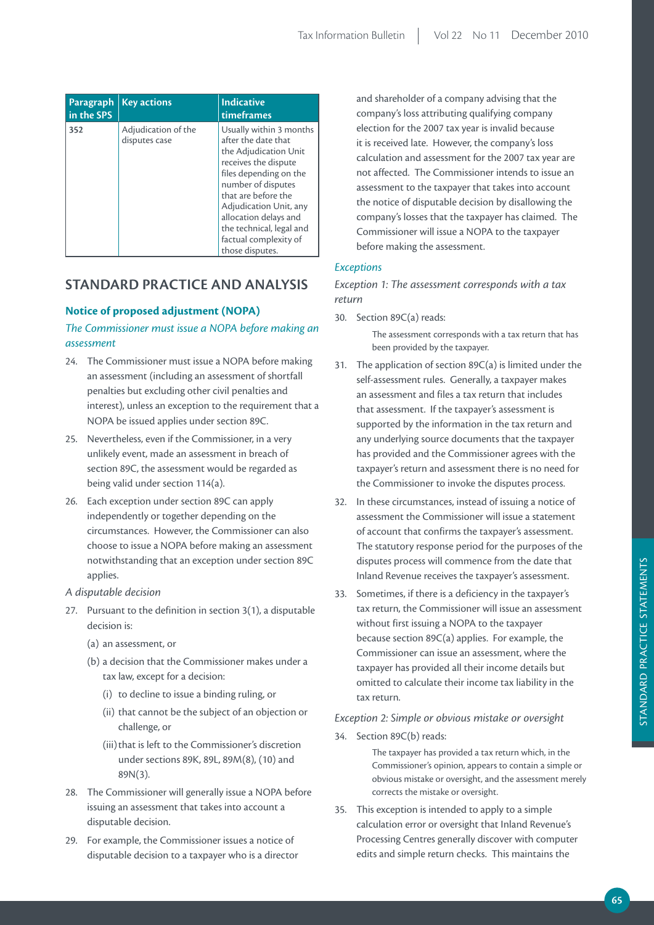| Paragraph<br>in the SPS | <b>Key actions</b>                   | <b>Indicative</b><br>timeframes                                                                                                                                                                                                                                                                   |
|-------------------------|--------------------------------------|---------------------------------------------------------------------------------------------------------------------------------------------------------------------------------------------------------------------------------------------------------------------------------------------------|
| 352                     | Adjudication of the<br>disputes case | Usually within 3 months<br>after the date that<br>the Adjudication Unit<br>receives the dispute<br>files depending on the<br>number of disputes<br>that are before the<br>Adjudication Unit, any<br>allocation delays and<br>the technical, legal and<br>factual complexity of<br>those disputes. |

# **STANDArD prACTiCE AND ANALYSiS**

# **Notice of proposed adjustment (NOPA)**

# *The Commissioner must issue a NOPA before making an assessment*

- 24. The Commissioner must issue a NOPA before making an assessment (including an assessment of shortfall penalties but excluding other civil penalties and interest), unless an exception to the requirement that a NOPA be issued applies under section 89C.
- 25. Nevertheless, even if the Commissioner, in a very unlikely event, made an assessment in breach of section 89C, the assessment would be regarded as being valid under section 114(a).
- 26. Each exception under section 89C can apply independently or together depending on the circumstances. However, the Commissioner can also choose to issue a NOPA before making an assessment notwithstanding that an exception under section 89C applies.

### *A disputable decision*

- 27. Pursuant to the definition in section 3(1), a disputable decision is:
	- (a) an assessment, or
	- (b) a decision that the Commissioner makes under a tax law, except for a decision:
		- (i) to decline to issue a binding ruling, or
		- (ii) that cannot be the subject of an objection or challenge, or
		- (iii) that is left to the Commissioner's discretion under sections 89K, 89L, 89M(8), (10) and 89N(3).
- 28. The Commissioner will generally issue a NOPA before issuing an assessment that takes into account a disputable decision.
- 29. For example, the Commissioner issues a notice of disputable decision to a taxpayer who is a director

and shareholder of a company advising that the company's loss attributing qualifying company election for the 2007 tax year is invalid because it is received late. However, the company's loss calculation and assessment for the 2007 tax year are not affected. The Commissioner intends to issue an assessment to the taxpayer that takes into account the notice of disputable decision by disallowing the company's losses that the taxpayer has claimed. The Commissioner will issue a NOPA to the taxpayer before making the assessment.

# *Exceptions*

*Exception 1: The assessment corresponds with a tax return*

30. Section 89C(a) reads:

The assessment corresponds with a tax return that has been provided by the taxpayer.

- 31. The application of section 89C(a) is limited under the self-assessment rules. Generally, a taxpayer makes an assessment and files a tax return that includes that assessment. If the taxpayer's assessment is supported by the information in the tax return and any underlying source documents that the taxpayer has provided and the Commissioner agrees with the taxpayer's return and assessment there is no need for the Commissioner to invoke the disputes process.
- 32. In these circumstances, instead of issuing a notice of assessment the Commissioner will issue a statement of account that confirms the taxpayer's assessment. The statutory response period for the purposes of the disputes process will commence from the date that Inland Revenue receives the taxpayer's assessment.
- 33. Sometimes, if there is a deficiency in the taxpayer's tax return, the Commissioner will issue an assessment without first issuing a NOPA to the taxpayer because section 89C(a) applies. For example, the Commissioner can issue an assessment, where the taxpayer has provided all their income details but omitted to calculate their income tax liability in the tax return.

### *Exception 2: Simple or obvious mistake or oversight*

34. Section 89C(b) reads:

The taxpayer has provided a tax return which, in the Commissioner's opinion, appears to contain a simple or obvious mistake or oversight, and the assessment merely corrects the mistake or oversight.

35. This exception is intended to apply to a simple calculation error or oversight that Inland Revenue's Processing Centres generally discover with computer edits and simple return checks. This maintains the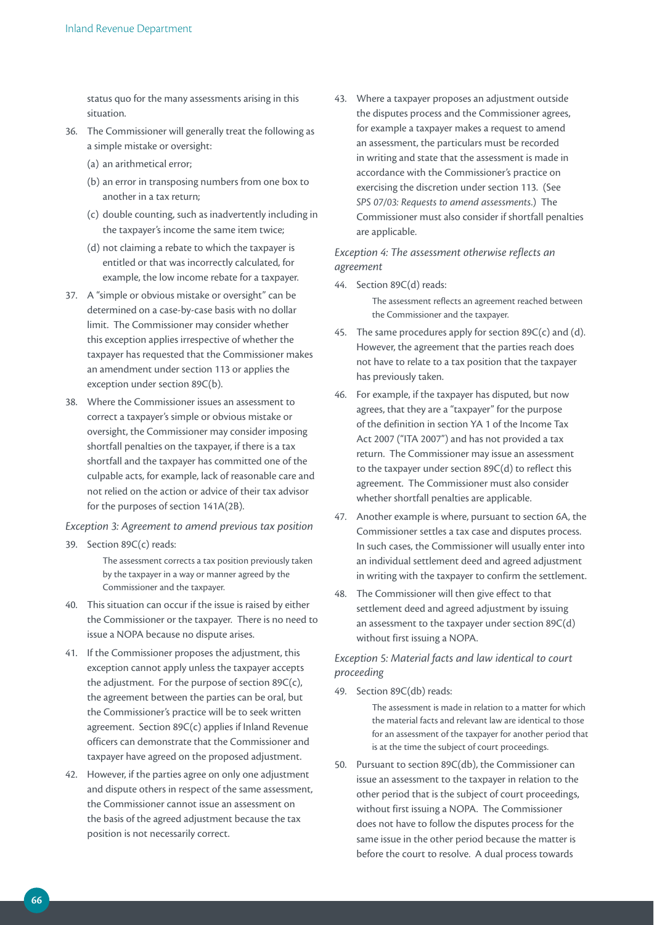status quo for the many assessments arising in this situation.

- 36. The Commissioner will generally treat the following as a simple mistake or oversight:
	- (a) an arithmetical error;
	- (b) an error in transposing numbers from one box to another in a tax return;
	- (c) double counting, such as inadvertently including in the taxpayer's income the same item twice;
	- (d) not claiming a rebate to which the taxpayer is entitled or that was incorrectly calculated, for example, the low income rebate for a taxpayer.
- 37. A "simple or obvious mistake or oversight" can be determined on a case-by-case basis with no dollar limit. The Commissioner may consider whether this exception applies irrespective of whether the taxpayer has requested that the Commissioner makes an amendment under section 113 or applies the exception under section 89C(b).
- 38. Where the Commissioner issues an assessment to correct a taxpayer's simple or obvious mistake or oversight, the Commissioner may consider imposing shortfall penalties on the taxpayer, if there is a tax shortfall and the taxpayer has committed one of the culpable acts, for example, lack of reasonable care and not relied on the action or advice of their tax advisor for the purposes of section 141A(2B).

### *Exception 3: Agreement to amend previous tax position*

39. Section 89C(c) reads:

The assessment corrects a tax position previously taken by the taxpayer in a way or manner agreed by the Commissioner and the taxpayer.

- 40. This situation can occur if the issue is raised by either the Commissioner or the taxpayer. There is no need to issue a NOPA because no dispute arises.
- 41. If the Commissioner proposes the adjustment, this exception cannot apply unless the taxpayer accepts the adjustment. For the purpose of section 89C(c), the agreement between the parties can be oral, but the Commissioner's practice will be to seek written agreement. Section 89C(c) applies if Inland Revenue officers can demonstrate that the Commissioner and taxpayer have agreed on the proposed adjustment.
- 42. However, if the parties agree on only one adjustment and dispute others in respect of the same assessment, the Commissioner cannot issue an assessment on the basis of the agreed adjustment because the tax position is not necessarily correct.

43. Where a taxpayer proposes an adjustment outside the disputes process and the Commissioner agrees, for example a taxpayer makes a request to amend an assessment, the particulars must be recorded in writing and state that the assessment is made in accordance with the Commissioner's practice on exercising the discretion under section 113. (See *SPS 07/03: Requests to amend assessments*.) The Commissioner must also consider if shortfall penalties are applicable.

*Exception 4: The assessment otherwise reflects an agreement*

44. Section 89C(d) reads:

The assessment reflects an agreement reached between the Commissioner and the taxpayer.

- 45. The same procedures apply for section  $89C(c)$  and (d). However, the agreement that the parties reach does not have to relate to a tax position that the taxpayer has previously taken.
- 46. For example, if the taxpayer has disputed, but now agrees, that they are a "taxpayer" for the purpose of the definition in section YA 1 of the Income Tax Act 2007 ("ITA 2007") and has not provided a tax return. The Commissioner may issue an assessment to the taxpayer under section 89C(d) to reflect this agreement. The Commissioner must also consider whether shortfall penalties are applicable.
- 47. Another example is where, pursuant to section 6A, the Commissioner settles a tax case and disputes process. In such cases, the Commissioner will usually enter into an individual settlement deed and agreed adjustment in writing with the taxpayer to confirm the settlement.
- 48. The Commissioner will then give effect to that settlement deed and agreed adjustment by issuing an assessment to the taxpayer under section 89C(d) without first issuing a NOPA.

# *Exception 5: Material facts and law identical to court proceeding*

49. Section 89C(db) reads:

The assessment is made in relation to a matter for which the material facts and relevant law are identical to those for an assessment of the taxpayer for another period that is at the time the subject of court proceedings.

50. Pursuant to section 89C(db), the Commissioner can issue an assessment to the taxpayer in relation to the other period that is the subject of court proceedings, without first issuing a NOPA. The Commissioner does not have to follow the disputes process for the same issue in the other period because the matter is before the court to resolve. A dual process towards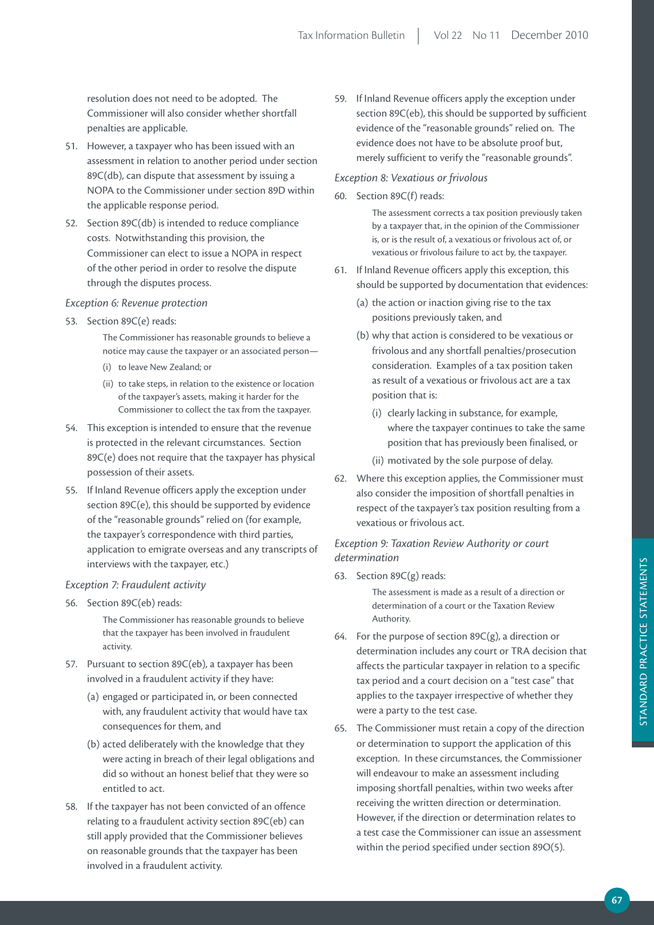resolution does not need to be adopted. The Commissioner will also consider whether shortfall penalties are applicable.

- 51. However, a taxpayer who has been issued with an assessment in relation to another period under section 89C(db), can dispute that assessment by issuing a NOPA to the Commissioner under section 89D within the applicable response period.
- 52. Section 89C(db) is intended to reduce compliance costs. Notwithstanding this provision, the Commissioner can elect to issue a NOPA in respect of the other period in order to resolve the dispute through the disputes process.

# *Exception 6: Revenue protection*

53. Section 89C(e) reads:

The Commissioner has reasonable grounds to believe a notice may cause the taxpayer or an associated person—

- (i) to leave New Zealand; or
- (ii) to take steps, in relation to the existence or location of the taxpayer's assets, making it harder for the Commissioner to collect the tax from the taxpayer.
- 54. This exception is intended to ensure that the revenue is protected in the relevant circumstances. Section 89C(e) does not require that the taxpayer has physical possession of their assets.
- 55. If Inland Revenue officers apply the exception under section 89C(e), this should be supported by evidence of the "reasonable grounds" relied on (for example, the taxpayer's correspondence with third parties, application to emigrate overseas and any transcripts of interviews with the taxpayer, etc.)

### *Exception 7: Fraudulent activity*

56. Section 89C(eb) reads:

The Commissioner has reasonable grounds to believe that the taxpayer has been involved in fraudulent activity.

- 57. Pursuant to section 89C(eb), a taxpayer has been involved in a fraudulent activity if they have:
	- (a) engaged or participated in, or been connected with, any fraudulent activity that would have tax consequences for them, and
	- (b) acted deliberately with the knowledge that they were acting in breach of their legal obligations and did so without an honest belief that they were so entitled to act.
- 58. If the taxpayer has not been convicted of an offence relating to a fraudulent activity section 89C(eb) can still apply provided that the Commissioner believes on reasonable grounds that the taxpayer has been involved in a fraudulent activity.

59. If Inland Revenue officers apply the exception under section 89C(eb), this should be supported by sufficient evidence of the "reasonable grounds" relied on. The evidence does not have to be absolute proof but, merely sufficient to verify the "reasonable grounds".

### *Exception 8: Vexatious or frivolous*

60. Section 89C(f) reads:

The assessment corrects a tax position previously taken by a taxpayer that, in the opinion of the Commissioner is, or is the result of, a vexatious or frivolous act of, or vexatious or frivolous failure to act by, the taxpayer.

- 61. If Inland Revenue officers apply this exception, this should be supported by documentation that evidences:
	- (a) the action or inaction giving rise to the tax positions previously taken, and
	- (b) why that action is considered to be vexatious or frivolous and any shortfall penalties/prosecution consideration. Examples of a tax position taken as result of a vexatious or frivolous act are a tax position that is:
		- (i) clearly lacking in substance, for example, where the taxpayer continues to take the same position that has previously been finalised, or
		- (ii) motivated by the sole purpose of delay.
- 62. Where this exception applies, the Commissioner must also consider the imposition of shortfall penalties in respect of the taxpayer's tax position resulting from a vexatious or frivolous act.

*Exception 9: Taxation Review Authority or court determination*

63. Section 89C(g) reads:

The assessment is made as a result of a direction or determination of a court or the Taxation Review Authority.

- 64. For the purpose of section  $89C(g)$ , a direction or determination includes any court or TRA decision that affects the particular taxpayer in relation to a specific tax period and a court decision on a "test case" that applies to the taxpayer irrespective of whether they were a party to the test case.
- 65. The Commissioner must retain a copy of the direction or determination to support the application of this exception. In these circumstances, the Commissioner will endeavour to make an assessment including imposing shortfall penalties, within two weeks after receiving the written direction or determination. However, if the direction or determination relates to a test case the Commissioner can issue an assessment within the period specified under section 89O(5).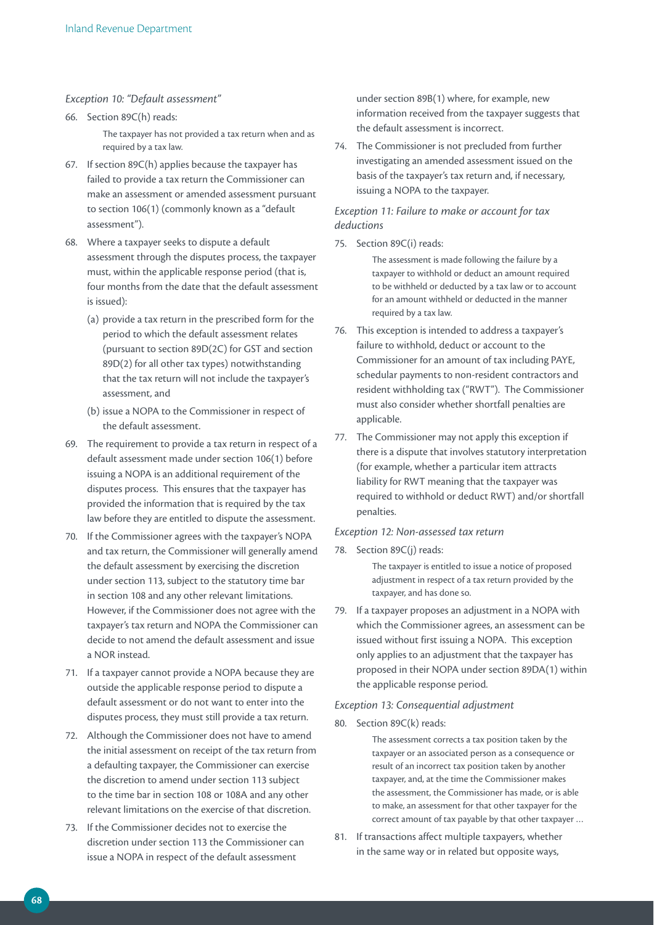### *Exception 10: "Default assessment"*

- 66. Section 89C(h) reads: The taxpayer has not provided a tax return when and as required by a tax law.
- 67. If section 89C(h) applies because the taxpayer has failed to provide a tax return the Commissioner can make an assessment or amended assessment pursuant to section 106(1) (commonly known as a "default assessment").
- 68. Where a taxpayer seeks to dispute a default assessment through the disputes process, the taxpayer must, within the applicable response period (that is, four months from the date that the default assessment is issued):
	- (a) provide a tax return in the prescribed form for the period to which the default assessment relates (pursuant to section 89D(2C) for GST and section 89D(2) for all other tax types) notwithstanding that the tax return will not include the taxpayer's assessment, and
	- (b) issue a NOPA to the Commissioner in respect of the default assessment.
- 69. The requirement to provide a tax return in respect of a default assessment made under section 106(1) before issuing a NOPA is an additional requirement of the disputes process. This ensures that the taxpayer has provided the information that is required by the tax law before they are entitled to dispute the assessment.
- 70. If the Commissioner agrees with the taxpayer's NOPA and tax return, the Commissioner will generally amend the default assessment by exercising the discretion under section 113, subject to the statutory time bar in section 108 and any other relevant limitations. However, if the Commissioner does not agree with the taxpayer's tax return and NOPA the Commissioner can decide to not amend the default assessment and issue a NOR instead.
- 71. If a taxpayer cannot provide a NOPA because they are outside the applicable response period to dispute a default assessment or do not want to enter into the disputes process, they must still provide a tax return.
- 72. Although the Commissioner does not have to amend the initial assessment on receipt of the tax return from a defaulting taxpayer, the Commissioner can exercise the discretion to amend under section 113 subject to the time bar in section 108 or 108A and any other relevant limitations on the exercise of that discretion.
- 73. If the Commissioner decides not to exercise the discretion under section 113 the Commissioner can issue a NOPA in respect of the default assessment

under section 89B(1) where, for example, new information received from the taxpayer suggests that the default assessment is incorrect.

74. The Commissioner is not precluded from further investigating an amended assessment issued on the basis of the taxpayer's tax return and, if necessary, issuing a NOPA to the taxpayer.

# *Exception 11: Failure to make or account for tax deductions*

75. Section 89C(i) reads:

The assessment is made following the failure by a taxpayer to withhold or deduct an amount required to be withheld or deducted by a tax law or to account for an amount withheld or deducted in the manner required by a tax law.

- 76. This exception is intended to address a taxpayer's failure to withhold, deduct or account to the Commissioner for an amount of tax including PAYE, schedular payments to non-resident contractors and resident withholding tax ("RWT"). The Commissioner must also consider whether shortfall penalties are applicable.
- 77. The Commissioner may not apply this exception if there is a dispute that involves statutory interpretation (for example, whether a particular item attracts liability for RWT meaning that the taxpayer was required to withhold or deduct RWT) and/or shortfall penalties.

### *Exception 12: Non-assessed tax return*

78. Section 89C(j) reads:

The taxpayer is entitled to issue a notice of proposed adjustment in respect of a tax return provided by the taxpayer, and has done so.

79. If a taxpayer proposes an adjustment in a NOPA with which the Commissioner agrees, an assessment can be issued without first issuing a NOPA. This exception only applies to an adjustment that the taxpayer has proposed in their NOPA under section 89DA(1) within the applicable response period.

### *Exception 13: Consequential adjustment*

80. Section 89C(k) reads:

The assessment corrects a tax position taken by the taxpayer or an associated person as a consequence or result of an incorrect tax position taken by another taxpayer, and, at the time the Commissioner makes the assessment, the Commissioner has made, or is able to make, an assessment for that other taxpayer for the correct amount of tax payable by that other taxpayer …

81. If transactions affect multiple taxpayers, whether in the same way or in related but opposite ways,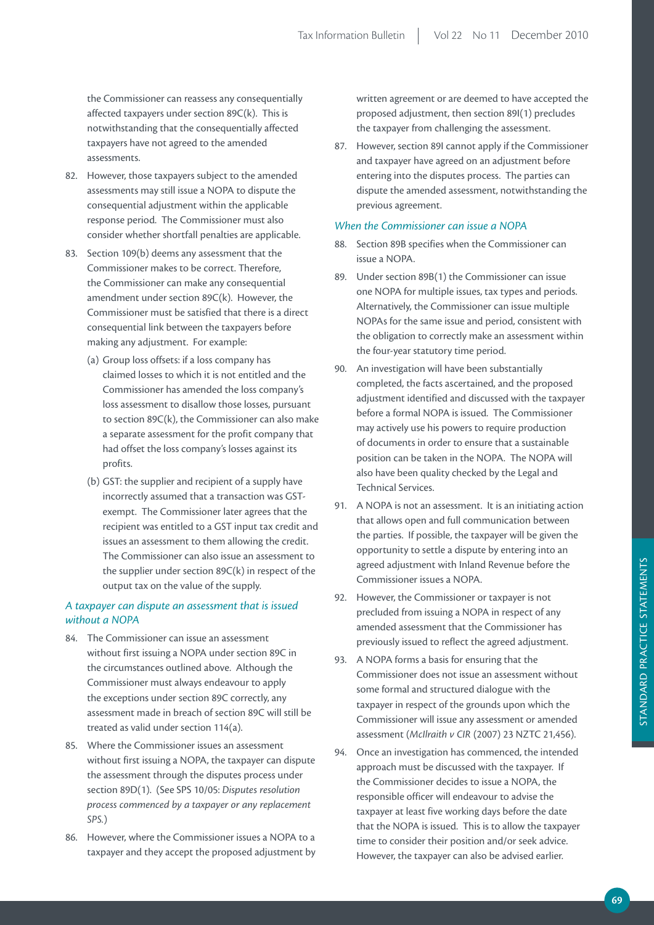the Commissioner can reassess any consequentially affected taxpayers under section 89C(k). This is notwithstanding that the consequentially affected taxpayers have not agreed to the amended assessments.

- 82. However, those taxpayers subject to the amended assessments may still issue a NOPA to dispute the consequential adjustment within the applicable response period. The Commissioner must also consider whether shortfall penalties are applicable.
- 83. Section 109(b) deems any assessment that the Commissioner makes to be correct. Therefore, the Commissioner can make any consequential amendment under section 89C(k). However, the Commissioner must be satisfied that there is a direct consequential link between the taxpayers before making any adjustment. For example:
	- (a) Group loss offsets: if a loss company has claimed losses to which it is not entitled and the Commissioner has amended the loss company's loss assessment to disallow those losses, pursuant to section 89C(k), the Commissioner can also make a separate assessment for the profit company that had offset the loss company's losses against its profits.
	- (b) GST: the supplier and recipient of a supply have incorrectly assumed that a transaction was GSTexempt. The Commissioner later agrees that the recipient was entitled to a GST input tax credit and issues an assessment to them allowing the credit. The Commissioner can also issue an assessment to the supplier under section 89C(k) in respect of the output tax on the value of the supply.

# *A taxpayer can dispute an assessment that is issued without a NOPA*

- 84. The Commissioner can issue an assessment without first issuing a NOPA under section 89C in the circumstances outlined above. Although the Commissioner must always endeavour to apply the exceptions under section 89C correctly, any assessment made in breach of section 89C will still be treated as valid under section 114(a).
- 85. Where the Commissioner issues an assessment without first issuing a NOPA, the taxpayer can dispute the assessment through the disputes process under section 89D(1). (See SPS 10/05: *Disputes resolution process commenced by a taxpayer or any replacement SPS.*)
- 86. However, where the Commissioner issues a NOPA to a taxpayer and they accept the proposed adjustment by

written agreement or are deemed to have accepted the proposed adjustment, then section 89I(1) precludes the taxpayer from challenging the assessment.

87. However, section 89I cannot apply if the Commissioner and taxpayer have agreed on an adjustment before entering into the disputes process. The parties can dispute the amended assessment, notwithstanding the previous agreement.

# *When the Commissioner can issue a NOPA*

- 88. Section 89B specifies when the Commissioner can issue a NOPA.
- 89. Under section 89B(1) the Commissioner can issue one NOPA for multiple issues, tax types and periods. Alternatively, the Commissioner can issue multiple NOPAs for the same issue and period, consistent with the obligation to correctly make an assessment within the four-year statutory time period.
- 90. An investigation will have been substantially completed, the facts ascertained, and the proposed adjustment identified and discussed with the taxpayer before a formal NOPA is issued. The Commissioner may actively use his powers to require production of documents in order to ensure that a sustainable position can be taken in the NOPA. The NOPA will also have been quality checked by the Legal and Technical Services.
- 91. A NOPA is not an assessment. It is an initiating action that allows open and full communication between the parties. If possible, the taxpayer will be given the opportunity to settle a dispute by entering into an agreed adjustment with Inland Revenue before the Commissioner issues a NOPA.
- 92. However, the Commissioner or taxpayer is not precluded from issuing a NOPA in respect of any amended assessment that the Commissioner has previously issued to reflect the agreed adjustment.
- 93. A NOPA forms a basis for ensuring that the Commissioner does not issue an assessment without some formal and structured dialogue with the taxpayer in respect of the grounds upon which the Commissioner will issue any assessment or amended assessment (*McIlraith v CIR* (2007) 23 NZTC 21,456).
- 94. Once an investigation has commenced, the intended approach must be discussed with the taxpayer. If the Commissioner decides to issue a NOPA, the responsible officer will endeavour to advise the taxpayer at least five working days before the date that the NOPA is issued. This is to allow the taxpayer time to consider their position and/or seek advice. However, the taxpayer can also be advised earlier.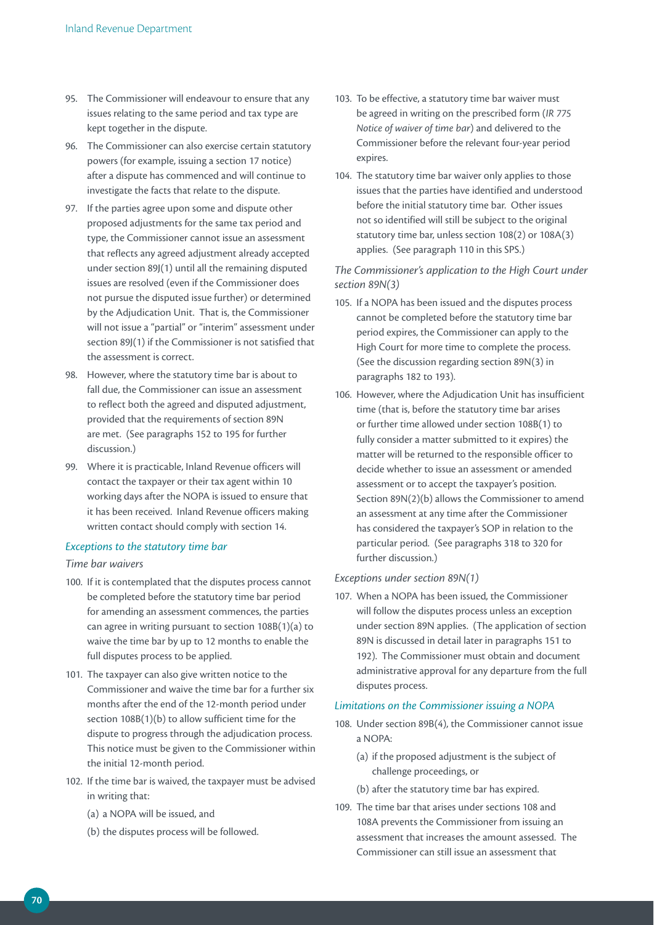- 95. The Commissioner will endeavour to ensure that any issues relating to the same period and tax type are kept together in the dispute.
- 96. The Commissioner can also exercise certain statutory powers (for example, issuing a section 17 notice) after a dispute has commenced and will continue to investigate the facts that relate to the dispute.
- 97. If the parties agree upon some and dispute other proposed adjustments for the same tax period and type, the Commissioner cannot issue an assessment that reflects any agreed adjustment already accepted under section 89J(1) until all the remaining disputed issues are resolved (even if the Commissioner does not pursue the disputed issue further) or determined by the Adjudication Unit. That is, the Commissioner will not issue a "partial" or "interim" assessment under section 89J(1) if the Commissioner is not satisfied that the assessment is correct.
- 98. However, where the statutory time bar is about to fall due, the Commissioner can issue an assessment to reflect both the agreed and disputed adjustment, provided that the requirements of section 89N are met. (See paragraphs 152 to 195 for further discussion.)
- 99. Where it is practicable, Inland Revenue officers will contact the taxpayer or their tax agent within 10 working days after the NOPA is issued to ensure that it has been received. Inland Revenue officers making written contact should comply with section 14.

# *Exceptions to the statutory time bar*

### *Time bar waivers*

- 100. If it is contemplated that the disputes process cannot be completed before the statutory time bar period for amending an assessment commences, the parties can agree in writing pursuant to section 108B(1)(a) to waive the time bar by up to 12 months to enable the full disputes process to be applied.
- 101. The taxpayer can also give written notice to the Commissioner and waive the time bar for a further six months after the end of the 12-month period under section 108B(1)(b) to allow sufficient time for the dispute to progress through the adjudication process. This notice must be given to the Commissioner within the initial 12-month period.
- 102. If the time bar is waived, the taxpayer must be advised in writing that:
	- (a) a NOPA will be issued, and
	- (b) the disputes process will be followed.
- 103. To be effective, a statutory time bar waiver must be agreed in writing on the prescribed form (*IR 775 Notice of waiver of time bar*) and delivered to the Commissioner before the relevant four-year period expires.
- 104. The statutory time bar waiver only applies to those issues that the parties have identified and understood before the initial statutory time bar. Other issues not so identified will still be subject to the original statutory time bar, unless section 108(2) or 108A(3) applies. (See paragraph 110 in this SPS.)

# *The Commissioner's application to the High Court under section 89N(3)*

- 105. If a NOPA has been issued and the disputes process cannot be completed before the statutory time bar period expires, the Commissioner can apply to the High Court for more time to complete the process. (See the discussion regarding section 89N(3) in paragraphs 182 to 193).
- 106. However, where the Adjudication Unit has insufficient time (that is, before the statutory time bar arises or further time allowed under section 108B(1) to fully consider a matter submitted to it expires) the matter will be returned to the responsible officer to decide whether to issue an assessment or amended assessment or to accept the taxpayer's position. Section 89N(2)(b) allows the Commissioner to amend an assessment at any time after the Commissioner has considered the taxpayer's SOP in relation to the particular period. (See paragraphs 318 to 320 for further discussion.)

### *Exceptions under section 89N(1)*

107. When a NOPA has been issued, the Commissioner will follow the disputes process unless an exception under section 89N applies. (The application of section 89N is discussed in detail later in paragraphs 151 to 192). The Commissioner must obtain and document administrative approval for any departure from the full disputes process.

### *Limitations on the Commissioner issuing a NOPA*

- 108. Under section 89B(4), the Commissioner cannot issue a NOPA:
	- (a) if the proposed adjustment is the subject of challenge proceedings, or
	- (b) after the statutory time bar has expired.
- 109. The time bar that arises under sections 108 and 108A prevents the Commissioner from issuing an assessment that increases the amount assessed. The Commissioner can still issue an assessment that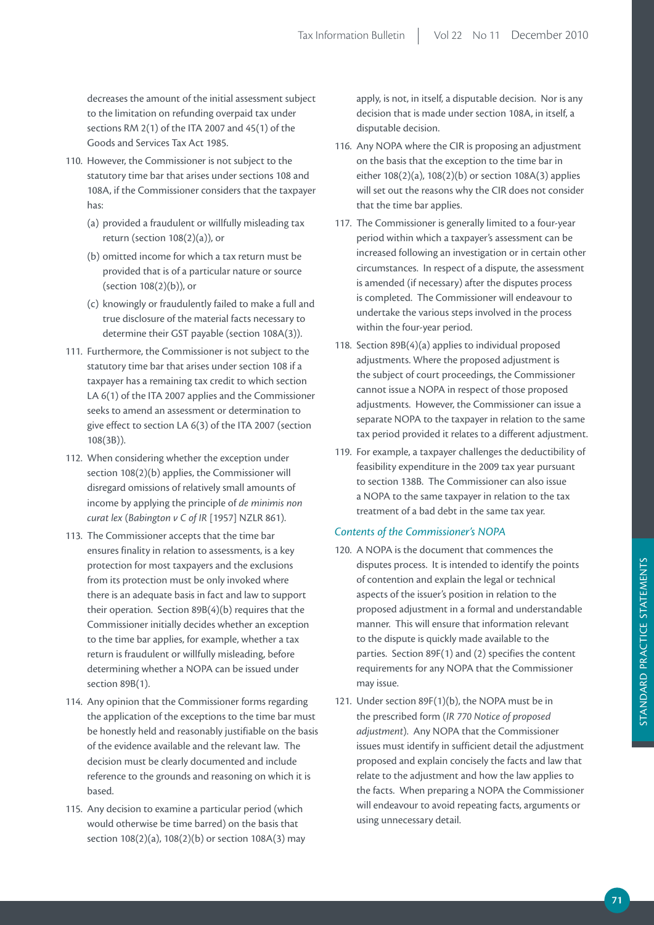decreases the amount of the initial assessment subject to the limitation on refunding overpaid tax under sections RM 2(1) of the ITA 2007 and 45(1) of the Goods and Services Tax Act 1985.

- 110. However, the Commissioner is not subject to the statutory time bar that arises under sections 108 and 108A, if the Commissioner considers that the taxpayer has:
	- (a) provided a fraudulent or willfully misleading tax return (section 108(2)(a)), or
	- (b) omitted income for which a tax return must be provided that is of a particular nature or source (section 108(2)(b)), or
	- (c) knowingly or fraudulently failed to make a full and true disclosure of the material facts necessary to determine their GST payable (section 108A(3)).
- 111. Furthermore, the Commissioner is not subject to the statutory time bar that arises under section 108 if a taxpayer has a remaining tax credit to which section LA 6(1) of the ITA 2007 applies and the Commissioner seeks to amend an assessment or determination to give effect to section LA 6(3) of the ITA 2007 (section 108(3B)).
- 112. When considering whether the exception under section 108(2)(b) applies, the Commissioner will disregard omissions of relatively small amounts of income by applying the principle of *de minimis non curat lex* (*Babington v C of IR* [1957] NZLR 861).
- 113. The Commissioner accepts that the time bar ensures finality in relation to assessments, is a key protection for most taxpayers and the exclusions from its protection must be only invoked where there is an adequate basis in fact and law to support their operation. Section 89B(4)(b) requires that the Commissioner initially decides whether an exception to the time bar applies, for example, whether a tax return is fraudulent or willfully misleading, before determining whether a NOPA can be issued under section 89B(1).
- 114. Any opinion that the Commissioner forms regarding the application of the exceptions to the time bar must be honestly held and reasonably justifiable on the basis of the evidence available and the relevant law. The decision must be clearly documented and include reference to the grounds and reasoning on which it is based.
- 115. Any decision to examine a particular period (which would otherwise be time barred) on the basis that section 108(2)(a), 108(2)(b) or section 108A(3) may

apply, is not, in itself, a disputable decision. Nor is any decision that is made under section 108A, in itself, a disputable decision.

- 116. Any NOPA where the CIR is proposing an adjustment on the basis that the exception to the time bar in either 108(2)(a), 108(2)(b) or section 108A(3) applies will set out the reasons why the CIR does not consider that the time bar applies.
- 117. The Commissioner is generally limited to a four-year period within which a taxpayer's assessment can be increased following an investigation or in certain other circumstances. In respect of a dispute, the assessment is amended (if necessary) after the disputes process is completed. The Commissioner will endeavour to undertake the various steps involved in the process within the four-year period.
- 118. Section 89B(4)(a) applies to individual proposed adjustments. Where the proposed adjustment is the subject of court proceedings, the Commissioner cannot issue a NOPA in respect of those proposed adjustments. However, the Commissioner can issue a separate NOPA to the taxpayer in relation to the same tax period provided it relates to a different adjustment.
- 119. For example, a taxpayer challenges the deductibility of feasibility expenditure in the 2009 tax year pursuant to section 138B. The Commissioner can also issue a NOPA to the same taxpayer in relation to the tax treatment of a bad debt in the same tax year.

## *Contents of the Commissioner's NOPA*

- 120. A NOPA is the document that commences the disputes process. It is intended to identify the points of contention and explain the legal or technical aspects of the issuer's position in relation to the proposed adjustment in a formal and understandable manner. This will ensure that information relevant to the dispute is quickly made available to the parties. Section 89F(1) and (2) specifies the content requirements for any NOPA that the Commissioner may issue.
- 121. Under section 89F(1)(b), the NOPA must be in the prescribed form (*IR 770 Notice of proposed adjustment*). Any NOPA that the Commissioner issues must identify in sufficient detail the adjustment proposed and explain concisely the facts and law that relate to the adjustment and how the law applies to the facts. When preparing a NOPA the Commissioner will endeavour to avoid repeating facts, arguments or using unnecessary detail.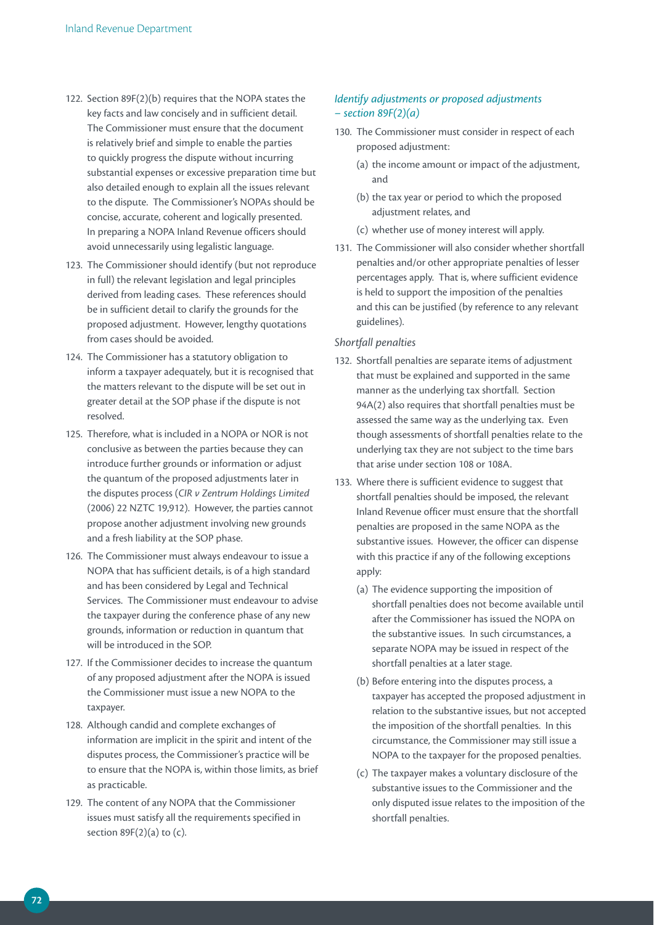- 122. Section 89F(2)(b) requires that the NOPA states the key facts and law concisely and in sufficient detail. The Commissioner must ensure that the document is relatively brief and simple to enable the parties to quickly progress the dispute without incurring substantial expenses or excessive preparation time but also detailed enough to explain all the issues relevant to the dispute. The Commissioner's NOPAs should be concise, accurate, coherent and logically presented. In preparing a NOPA Inland Revenue officers should avoid unnecessarily using legalistic language.
- 123. The Commissioner should identify (but not reproduce in full) the relevant legislation and legal principles derived from leading cases. These references should be in sufficient detail to clarify the grounds for the proposed adjustment. However, lengthy quotations from cases should be avoided.
- 124. The Commissioner has a statutory obligation to inform a taxpayer adequately, but it is recognised that the matters relevant to the dispute will be set out in greater detail at the SOP phase if the dispute is not resolved.
- 125. Therefore, what is included in a NOPA or NOR is not conclusive as between the parties because they can introduce further grounds or information or adjust the quantum of the proposed adjustments later in the disputes process (*CIR v Zentrum Holdings Limited*  (2006) 22 NZTC 19,912). However, the parties cannot propose another adjustment involving new grounds and a fresh liability at the SOP phase.
- 126. The Commissioner must always endeavour to issue a NOPA that has sufficient details, is of a high standard and has been considered by Legal and Technical Services. The Commissioner must endeavour to advise the taxpayer during the conference phase of any new grounds, information or reduction in quantum that will be introduced in the SOP.
- 127. If the Commissioner decides to increase the quantum of any proposed adjustment after the NOPA is issued the Commissioner must issue a new NOPA to the taxpayer.
- 128. Although candid and complete exchanges of information are implicit in the spirit and intent of the disputes process, the Commissioner's practice will be to ensure that the NOPA is, within those limits, as brief as practicable.
- 129. The content of any NOPA that the Commissioner issues must satisfy all the requirements specified in section  $89F(2)(a)$  to (c).

# *Identify adjustments or proposed adjustments – section 89F(2)(a)*

- 130. The Commissioner must consider in respect of each proposed adjustment:
	- (a) the income amount or impact of the adjustment, and
	- (b) the tax year or period to which the proposed adjustment relates, and
	- (c) whether use of money interest will apply.
- 131. The Commissioner will also consider whether shortfall penalties and/or other appropriate penalties of lesser percentages apply. That is, where sufficient evidence is held to support the imposition of the penalties and this can be justified (by reference to any relevant guidelines).

## *Shortfall penalties*

- 132. Shortfall penalties are separate items of adjustment that must be explained and supported in the same manner as the underlying tax shortfall. Section 94A(2) also requires that shortfall penalties must be assessed the same way as the underlying tax. Even though assessments of shortfall penalties relate to the underlying tax they are not subject to the time bars that arise under section 108 or 108A.
- 133. Where there is sufficient evidence to suggest that shortfall penalties should be imposed, the relevant Inland Revenue officer must ensure that the shortfall penalties are proposed in the same NOPA as the substantive issues. However, the officer can dispense with this practice if any of the following exceptions apply:
	- (a) The evidence supporting the imposition of shortfall penalties does not become available until after the Commissioner has issued the NOPA on the substantive issues. In such circumstances, a separate NOPA may be issued in respect of the shortfall penalties at a later stage.
	- (b) Before entering into the disputes process, a taxpayer has accepted the proposed adjustment in relation to the substantive issues, but not accepted the imposition of the shortfall penalties. In this circumstance, the Commissioner may still issue a NOPA to the taxpayer for the proposed penalties.
	- (c) The taxpayer makes a voluntary disclosure of the substantive issues to the Commissioner and the only disputed issue relates to the imposition of the shortfall penalties.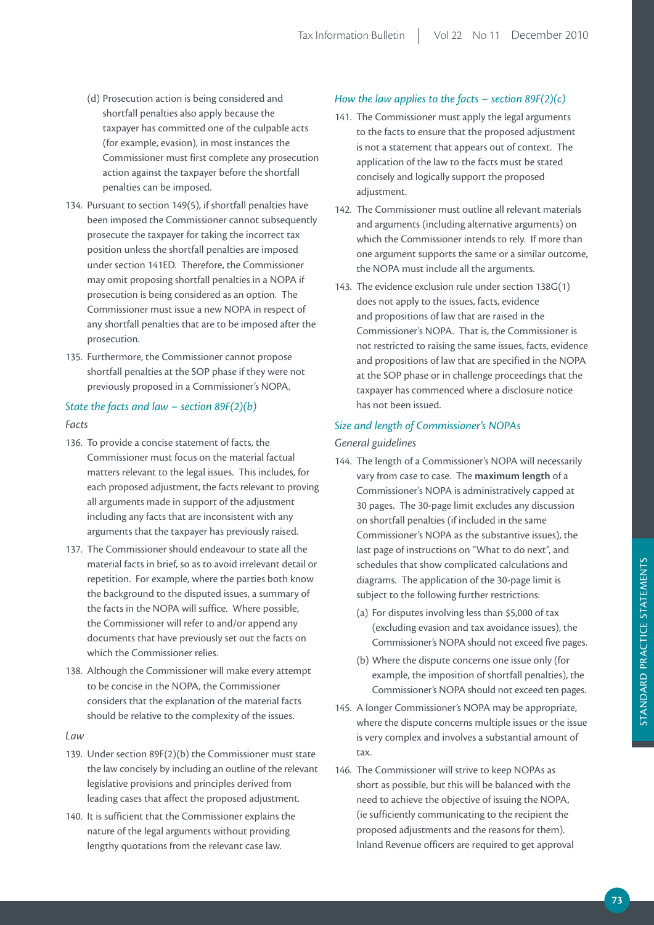- (d) Prosecution action is being considered and shortfall penalties also apply because the taxpayer has committed one of the culpable acts (for example, evasion), in most instances the Commissioner must first complete any prosecution action against the taxpayer before the shortfall penalties can be imposed.
- 134. Pursuant to section 149(5), if shortfall penalties have been imposed the Commissioner cannot subsequently prosecute the taxpayer for taking the incorrect tax position unless the shortfall penalties are imposed under section 141ED. Therefore, the Commissioner may omit proposing shortfall penalties in a NOPA if prosecution is being considered as an option. The Commissioner must issue a new NOPA in respect of any shortfall penalties that are to be imposed after the prosecution.
- 135. Furthermore, the Commissioner cannot propose shortfall penalties at the SOP phase if they were not previously proposed in a Commissioner's NOPA.

## *State the facts and law − section 89F(2)(b)*

## *Facts*

- 136. To provide a concise statement of facts, the Commissioner must focus on the material factual matters relevant to the legal issues. This includes, for each proposed adjustment, the facts relevant to proving all arguments made in support of the adjustment including any facts that are inconsistent with any arguments that the taxpayer has previously raised.
- 137. The Commissioner should endeavour to state all the material facts in brief, so as to avoid irrelevant detail or repetition. For example, where the parties both know the background to the disputed issues, a summary of the facts in the NOPA will suffice. Where possible, the Commissioner will refer to and/or append any documents that have previously set out the facts on which the Commissioner relies.
- 138. Although the Commissioner will make every attempt to be concise in the NOPA, the Commissioner considers that the explanation of the material facts should be relative to the complexity of the issues.

#### *Law*

- 139. Under section 89F(2)(b) the Commissioner must state the law concisely by including an outline of the relevant legislative provisions and principles derived from leading cases that affect the proposed adjustment.
- 140. It is sufficient that the Commissioner explains the nature of the legal arguments without providing lengthy quotations from the relevant case law.

## *How the law applies to the facts − section 89F(2)(c)*

- 141. The Commissioner must apply the legal arguments to the facts to ensure that the proposed adjustment is not a statement that appears out of context. The application of the law to the facts must be stated concisely and logically support the proposed adjustment.
- 142. The Commissioner must outline all relevant materials and arguments (including alternative arguments) on which the Commissioner intends to rely. If more than one argument supports the same or a similar outcome, the NOPA must include all the arguments.
- 143. The evidence exclusion rule under section 138G(1) does not apply to the issues, facts, evidence and propositions of law that are raised in the Commissioner's NOPA. That is, the Commissioner is not restricted to raising the same issues, facts, evidence and propositions of law that are specified in the NOPA at the SOP phase or in challenge proceedings that the taxpayer has commenced where a disclosure notice has not been issued.

## *Size and length of Commissioner's NOPAs*

## *General guidelines*

- 144. The length of a Commissioner's NOPA will necessarily vary from case to case. The **maximum length** of a Commissioner's NOPA is administratively capped at 30 pages. The 30-page limit excludes any discussion on shortfall penalties (if included in the same Commissioner's NOPA as the substantive issues), the last page of instructions on "What to do next", and schedules that show complicated calculations and diagrams. The application of the 30-page limit is subject to the following further restrictions:
	- (a) For disputes involving less than \$5,000 of tax (excluding evasion and tax avoidance issues), the Commissioner's NOPA should not exceed five pages.
	- (b) Where the dispute concerns one issue only (for example, the imposition of shortfall penalties), the Commissioner's NOPA should not exceed ten pages.
- 145. A longer Commissioner's NOPA may be appropriate, where the dispute concerns multiple issues or the issue is very complex and involves a substantial amount of tax.
- 146. The Commissioner will strive to keep NOPAs as short as possible, but this will be balanced with the need to achieve the objective of issuing the NOPA, (ie sufficiently communicating to the recipient the proposed adjustments and the reasons for them). Inland Revenue officers are required to get approval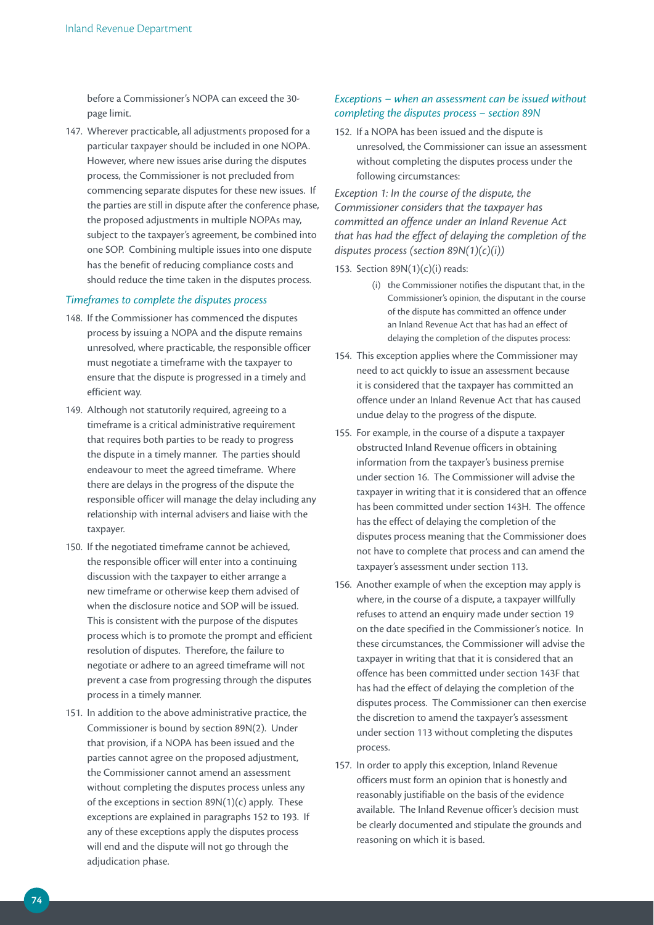before a Commissioner's NOPA can exceed the 30 page limit.

147. Wherever practicable, all adjustments proposed for a particular taxpayer should be included in one NOPA. However, where new issues arise during the disputes process, the Commissioner is not precluded from commencing separate disputes for these new issues. If the parties are still in dispute after the conference phase, the proposed adjustments in multiple NOPAs may, subject to the taxpayer's agreement, be combined into one SOP. Combining multiple issues into one dispute has the benefit of reducing compliance costs and should reduce the time taken in the disputes process.

## *Timeframes to complete the disputes process*

- 148. If the Commissioner has commenced the disputes process by issuing a NOPA and the dispute remains unresolved, where practicable, the responsible officer must negotiate a timeframe with the taxpayer to ensure that the dispute is progressed in a timely and efficient way.
- 149. Although not statutorily required, agreeing to a timeframe is a critical administrative requirement that requires both parties to be ready to progress the dispute in a timely manner. The parties should endeavour to meet the agreed timeframe. Where there are delays in the progress of the dispute the responsible officer will manage the delay including any relationship with internal advisers and liaise with the taxpayer.
- 150. If the negotiated timeframe cannot be achieved, the responsible officer will enter into a continuing discussion with the taxpayer to either arrange a new timeframe or otherwise keep them advised of when the disclosure notice and SOP will be issued. This is consistent with the purpose of the disputes process which is to promote the prompt and efficient resolution of disputes. Therefore, the failure to negotiate or adhere to an agreed timeframe will not prevent a case from progressing through the disputes process in a timely manner.
- 151. In addition to the above administrative practice, the Commissioner is bound by section 89N(2). Under that provision, if a NOPA has been issued and the parties cannot agree on the proposed adjustment, the Commissioner cannot amend an assessment without completing the disputes process unless any of the exceptions in section 89N(1)(c) apply. These exceptions are explained in paragraphs 152 to 193. If any of these exceptions apply the disputes process will end and the dispute will not go through the adjudication phase.

# *Exceptions − when an assessment can be issued without completing the disputes process – section 89N*

152. If a NOPA has been issued and the dispute is unresolved, the Commissioner can issue an assessment without completing the disputes process under the following circumstances:

*Exception 1: In the course of the dispute, the Commissioner considers that the taxpayer has committed an offence under an Inland Revenue Act that has had the effect of delaying the completion of the disputes process (section 89N(1)(c)(i))*

153. Section 89N(1)(c)(i) reads:

- (i) the Commissioner notifies the disputant that, in the Commissioner's opinion, the disputant in the course of the dispute has committed an offence under an Inland Revenue Act that has had an effect of delaying the completion of the disputes process:
- 154. This exception applies where the Commissioner may need to act quickly to issue an assessment because it is considered that the taxpayer has committed an offence under an Inland Revenue Act that has caused undue delay to the progress of the dispute.
- 155. For example, in the course of a dispute a taxpayer obstructed Inland Revenue officers in obtaining information from the taxpayer's business premise under section 16. The Commissioner will advise the taxpayer in writing that it is considered that an offence has been committed under section 143H. The offence has the effect of delaying the completion of the disputes process meaning that the Commissioner does not have to complete that process and can amend the taxpayer's assessment under section 113.
- 156. Another example of when the exception may apply is where, in the course of a dispute, a taxpayer willfully refuses to attend an enquiry made under section 19 on the date specified in the Commissioner's notice. In these circumstances, the Commissioner will advise the taxpayer in writing that that it is considered that an offence has been committed under section 143F that has had the effect of delaying the completion of the disputes process. The Commissioner can then exercise the discretion to amend the taxpayer's assessment under section 113 without completing the disputes process.
- 157. In order to apply this exception, Inland Revenue officers must form an opinion that is honestly and reasonably justifiable on the basis of the evidence available. The Inland Revenue officer's decision must be clearly documented and stipulate the grounds and reasoning on which it is based.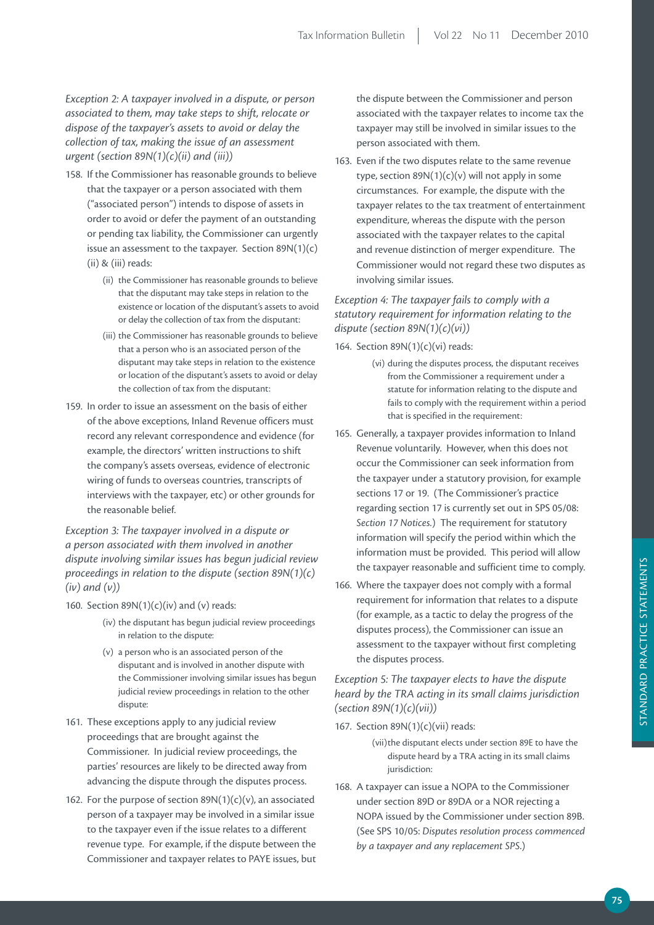# *Exception 2: A taxpayer involved in a dispute, or person associated to them, may take steps to shift, relocate or dispose of the taxpayer's assets to avoid or delay the collection of tax, making the issue of an assessment urgent (section 89N(1)(c)(ii) and (iii))*

- 158. If the Commissioner has reasonable grounds to believe that the taxpayer or a person associated with them ("associated person") intends to dispose of assets in order to avoid or defer the payment of an outstanding or pending tax liability, the Commissioner can urgently issue an assessment to the taxpayer. Section  $89N(1)(c)$ (ii) & (iii) reads:
	- (ii) the Commissioner has reasonable grounds to believe that the disputant may take steps in relation to the existence or location of the disputant's assets to avoid or delay the collection of tax from the disputant:
	- (iii) the Commissioner has reasonable grounds to believe that a person who is an associated person of the disputant may take steps in relation to the existence or location of the disputant's assets to avoid or delay the collection of tax from the disputant:
- 159. In order to issue an assessment on the basis of either of the above exceptions, Inland Revenue officers must record any relevant correspondence and evidence (for example, the directors' written instructions to shift the company's assets overseas, evidence of electronic wiring of funds to overseas countries, transcripts of interviews with the taxpayer, etc) or other grounds for the reasonable belief.

*Exception 3: The taxpayer involved in a dispute or a person associated with them involved in another dispute involving similar issues has begun judicial review proceedings in relation to the dispute (section 89N(1)(c) (iv) and (v))*

- 160. Section  $89N(1)(c)(iv)$  and (v) reads:
	- (iv) the disputant has begun judicial review proceedings in relation to the dispute:
	- (v) a person who is an associated person of the disputant and is involved in another dispute with the Commissioner involving similar issues has begun judicial review proceedings in relation to the other dispute:
- 161. These exceptions apply to any judicial review proceedings that are brought against the Commissioner. In judicial review proceedings, the parties' resources are likely to be directed away from advancing the dispute through the disputes process.
- 162. For the purpose of section  $89N(1)(c)(v)$ , an associated person of a taxpayer may be involved in a similar issue to the taxpayer even if the issue relates to a different revenue type. For example, if the dispute between the Commissioner and taxpayer relates to PAYE issues, but

the dispute between the Commissioner and person associated with the taxpayer relates to income tax the taxpayer may still be involved in similar issues to the person associated with them.

163. Even if the two disputes relate to the same revenue type, section  $89N(1)(c)(v)$  will not apply in some circumstances. For example, the dispute with the taxpayer relates to the tax treatment of entertainment expenditure, whereas the dispute with the person associated with the taxpayer relates to the capital and revenue distinction of merger expenditure. The Commissioner would not regard these two disputes as involving similar issues.

# *Exception 4: The taxpayer fails to comply with a statutory requirement for information relating to the dispute (section 89N(1)(c)(vi))*

#### 164. Section 89N(1)(c)(vi) reads:

- (vi) during the disputes process, the disputant receives from the Commissioner a requirement under a statute for information relating to the dispute and fails to comply with the requirement within a period that is specified in the requirement:
- 165. Generally, a taxpayer provides information to Inland Revenue voluntarily. However, when this does not occur the Commissioner can seek information from the taxpayer under a statutory provision, for example sections 17 or 19. (The Commissioner's practice regarding section 17 is currently set out in SPS 05/08: *Section 17 Notices.*) The requirement for statutory information will specify the period within which the information must be provided. This period will allow the taxpayer reasonable and sufficient time to comply.
- 166. Where the taxpayer does not comply with a formal requirement for information that relates to a dispute (for example, as a tactic to delay the progress of the disputes process), the Commissioner can issue an assessment to the taxpayer without first completing the disputes process.

## *Exception 5: The taxpayer elects to have the dispute heard by the TRA acting in its small claims jurisdiction (section 89N(1)(c)(vii))*

167. Section 89N(1)(c)(vii) reads:

(vii) the disputant elects under section 89E to have the dispute heard by a TRA acting in its small claims jurisdiction:

168. A taxpayer can issue a NOPA to the Commissioner under section 89D or 89DA or a NOR rejecting a NOPA issued by the Commissioner under section 89B. (See SPS 10/05: *Disputes resolution process commenced by a taxpayer and any replacement SPS*.)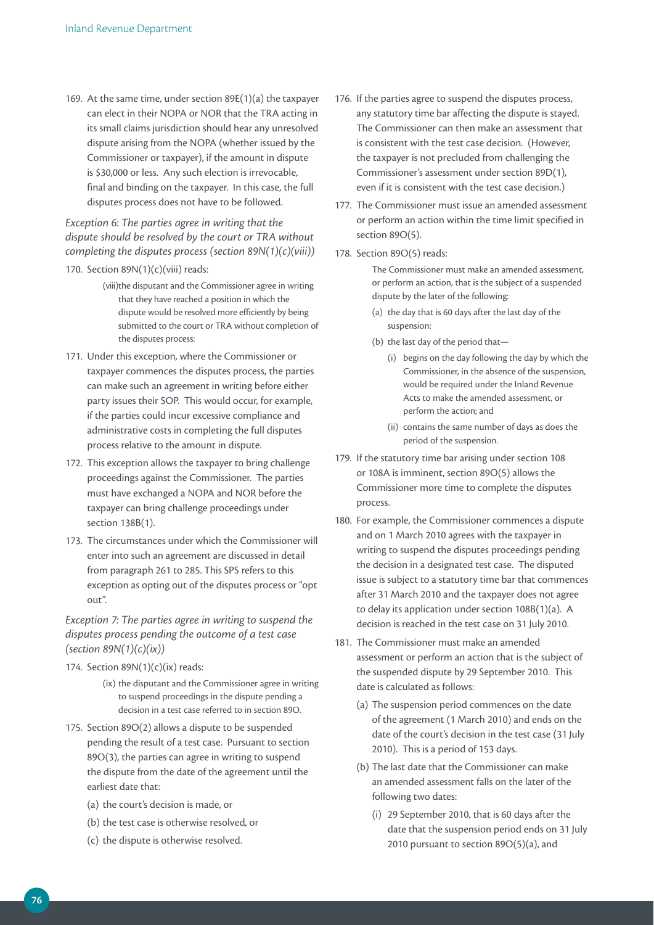169. At the same time, under section 89E(1)(a) the taxpayer can elect in their NOPA or NOR that the TRA acting in its small claims jurisdiction should hear any unresolved dispute arising from the NOPA (whether issued by the Commissioner or taxpayer), if the amount in dispute is \$30,000 or less. Any such election is irrevocable, final and binding on the taxpayer. In this case, the full disputes process does not have to be followed.

# *Exception 6: The parties agree in writing that the dispute should be resolved by the court or TRA without completing the disputes process (section 89N(1)(c)(viii))*

- 170. Section  $89N(1)(c)(viii)$  reads:
	- (viii)the disputant and the Commissioner agree in writing that they have reached a position in which the dispute would be resolved more efficiently by being submitted to the court or TRA without completion of the disputes process:
- 171. Under this exception, where the Commissioner or taxpayer commences the disputes process, the parties can make such an agreement in writing before either party issues their SOP. This would occur, for example, if the parties could incur excessive compliance and administrative costs in completing the full disputes process relative to the amount in dispute.
- 172. This exception allows the taxpayer to bring challenge proceedings against the Commissioner. The parties must have exchanged a NOPA and NOR before the taxpayer can bring challenge proceedings under section 138B(1).
- 173. The circumstances under which the Commissioner will enter into such an agreement are discussed in detail from paragraph 261 to 285. This SPS refers to this exception as opting out of the disputes process or "opt out".

*Exception 7: The parties agree in writing to suspend the disputes process pending the outcome of a test case (section 89N(1)(c)(ix))*

- 174. Section  $89N(1)(c)(ix)$  reads:
	- (ix) the disputant and the Commissioner agree in writing to suspend proceedings in the dispute pending a decision in a test case referred to in section 89O.
- 175. Section 89O(2) allows a dispute to be suspended pending the result of a test case. Pursuant to section 89O(3), the parties can agree in writing to suspend the dispute from the date of the agreement until the earliest date that:
	- (a) the court's decision is made, or
	- (b) the test case is otherwise resolved, or
	- (c) the dispute is otherwise resolved.
- 176. If the parties agree to suspend the disputes process, any statutory time bar affecting the dispute is stayed. The Commissioner can then make an assessment that is consistent with the test case decision. (However, the taxpayer is not precluded from challenging the Commissioner's assessment under section 89D(1), even if it is consistent with the test case decision.)
- 177. The Commissioner must issue an amended assessment or perform an action within the time limit specified in section 89O(5).
- 178. Section 89O(5) reads:

The Commissioner must make an amended assessment, or perform an action, that is the subject of a suspended dispute by the later of the following:

- (a) the day that is 60 days after the last day of the suspension:
- (b) the last day of the period that—
	- (i) begins on the day following the day by which the Commissioner, in the absence of the suspension, would be required under the Inland Revenue Acts to make the amended assessment, or perform the action; and
	- (ii) contains the same number of days as does the period of the suspension.
- 179. If the statutory time bar arising under section 108 or 108A is imminent, section 89O(5) allows the Commissioner more time to complete the disputes process.
- 180. For example, the Commissioner commences a dispute and on 1 March 2010 agrees with the taxpayer in writing to suspend the disputes proceedings pending the decision in a designated test case. The disputed issue is subject to a statutory time bar that commences after 31 March 2010 and the taxpayer does not agree to delay its application under section 108B(1)(a). A decision is reached in the test case on 31 July 2010.
- 181. The Commissioner must make an amended assessment or perform an action that is the subject of the suspended dispute by 29 September 2010. This date is calculated as follows:
	- (a) The suspension period commences on the date of the agreement (1 March 2010) and ends on the date of the court's decision in the test case (31 July 2010). This is a period of 153 days.
	- (b) The last date that the Commissioner can make an amended assessment falls on the later of the following two dates:
		- (i) 29 September 2010, that is 60 days after the date that the suspension period ends on 31 July 2010 pursuant to section 89O(5)(a), and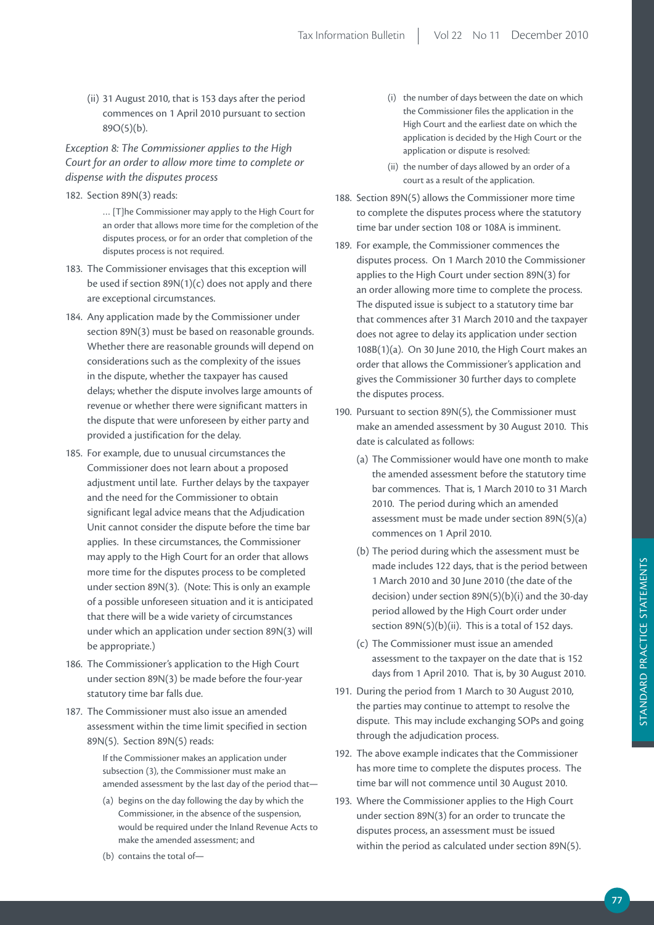(ii) 31 August 2010, that is 153 days after the period commences on 1 April 2010 pursuant to section 89O(5)(b).

*Exception 8: The Commissioner applies to the High Court for an order to allow more time to complete or dispense with the disputes process*

182. Section 89N(3) reads:

… [T]he Commissioner may apply to the High Court for an order that allows more time for the completion of the disputes process, or for an order that completion of the disputes process is not required.

- 183. The Commissioner envisages that this exception will be used if section 89N(1)(c) does not apply and there are exceptional circumstances.
- 184. Any application made by the Commissioner under section 89N(3) must be based on reasonable grounds. Whether there are reasonable grounds will depend on considerations such as the complexity of the issues in the dispute, whether the taxpayer has caused delays; whether the dispute involves large amounts of revenue or whether there were significant matters in the dispute that were unforeseen by either party and provided a justification for the delay.
- 185. For example, due to unusual circumstances the Commissioner does not learn about a proposed adjustment until late. Further delays by the taxpayer and the need for the Commissioner to obtain significant legal advice means that the Adjudication Unit cannot consider the dispute before the time bar applies. In these circumstances, the Commissioner may apply to the High Court for an order that allows more time for the disputes process to be completed under section 89N(3). (Note: This is only an example of a possible unforeseen situation and it is anticipated that there will be a wide variety of circumstances under which an application under section 89N(3) will be appropriate.)
- 186. The Commissioner's application to the High Court under section 89N(3) be made before the four-year statutory time bar falls due.
- 187. The Commissioner must also issue an amended assessment within the time limit specified in section 89N(5). Section 89N(5) reads:

If the Commissioner makes an application under subsection (3), the Commissioner must make an amended assessment by the last day of the period that—

(a) begins on the day following the day by which the Commissioner, in the absence of the suspension, would be required under the Inland Revenue Acts to make the amended assessment; and

- (i) the number of days between the date on which the Commissioner files the application in the High Court and the earliest date on which the application is decided by the High Court or the application or dispute is resolved:
- (ii) the number of days allowed by an order of a court as a result of the application.
- 188. Section 89N(5) allows the Commissioner more time to complete the disputes process where the statutory time bar under section 108 or 108A is imminent.
- 189. For example, the Commissioner commences the disputes process. On 1 March 2010 the Commissioner applies to the High Court under section 89N(3) for an order allowing more time to complete the process. The disputed issue is subject to a statutory time bar that commences after 31 March 2010 and the taxpayer does not agree to delay its application under section 108B(1)(a). On 30 June 2010, the High Court makes an order that allows the Commissioner's application and gives the Commissioner 30 further days to complete the disputes process.
- 190. Pursuant to section 89N(5), the Commissioner must make an amended assessment by 30 August 2010. This date is calculated as follows:
	- (a) The Commissioner would have one month to make the amended assessment before the statutory time bar commences. That is, 1 March 2010 to 31 March 2010. The period during which an amended assessment must be made under section 89N(5)(a) commences on 1 April 2010.
	- (b) The period during which the assessment must be made includes 122 days, that is the period between 1 March 2010 and 30 June 2010 (the date of the decision) under section 89N(5)(b)(i) and the 30-day period allowed by the High Court order under section  $89N(5)(b)(ii)$ . This is a total of 152 days.
	- (c) The Commissioner must issue an amended assessment to the taxpayer on the date that is 152 days from 1 April 2010. That is, by 30 August 2010.
- 191. During the period from 1 March to 30 August 2010, the parties may continue to attempt to resolve the dispute. This may include exchanging SOPs and going through the adjudication process.
- 192. The above example indicates that the Commissioner has more time to complete the disputes process. The time bar will not commence until 30 August 2010.
- 193. Where the Commissioner applies to the High Court under section 89N(3) for an order to truncate the disputes process, an assessment must be issued within the period as calculated under section 89N(5).

(b) contains the total of—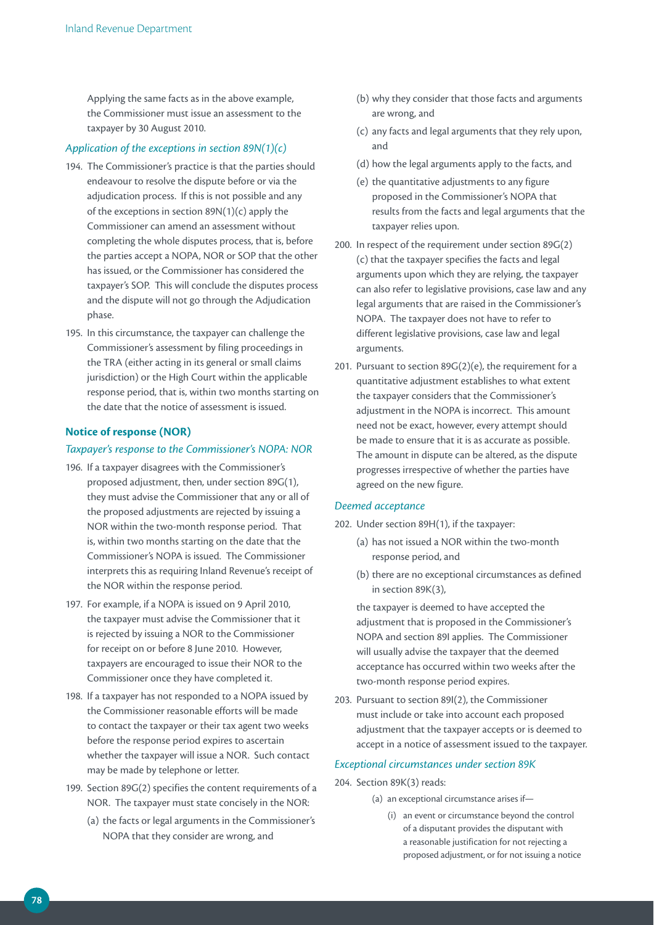Applying the same facts as in the above example, the Commissioner must issue an assessment to the taxpayer by 30 August 2010.

## *Application of the exceptions in section 89N(1)(c)*

- 194. The Commissioner's practice is that the parties should endeavour to resolve the dispute before or via the adjudication process. If this is not possible and any of the exceptions in section 89N(1)(c) apply the Commissioner can amend an assessment without completing the whole disputes process, that is, before the parties accept a NOPA, NOR or SOP that the other has issued, or the Commissioner has considered the taxpayer's SOP. This will conclude the disputes process and the dispute will not go through the Adjudication phase.
- 195. In this circumstance, the taxpayer can challenge the Commissioner's assessment by filing proceedings in the TRA (either acting in its general or small claims jurisdiction) or the High Court within the applicable response period, that is, within two months starting on the date that the notice of assessment is issued.

## **Notice of response (NOR)**

#### *Taxpayer's response to the Commissioner's NOPA: NOR*

- 196. If a taxpayer disagrees with the Commissioner's proposed adjustment, then, under section 89G(1), they must advise the Commissioner that any or all of the proposed adjustments are rejected by issuing a NOR within the two-month response period. That is, within two months starting on the date that the Commissioner's NOPA is issued. The Commissioner interprets this as requiring Inland Revenue's receipt of the NOR within the response period.
- 197. For example, if a NOPA is issued on 9 April 2010, the taxpayer must advise the Commissioner that it is rejected by issuing a NOR to the Commissioner for receipt on or before 8 June 2010. However, taxpayers are encouraged to issue their NOR to the Commissioner once they have completed it.
- 198. If a taxpayer has not responded to a NOPA issued by the Commissioner reasonable efforts will be made to contact the taxpayer or their tax agent two weeks before the response period expires to ascertain whether the taxpayer will issue a NOR. Such contact may be made by telephone or letter.
- 199. Section 89G(2) specifies the content requirements of a NOR. The taxpayer must state concisely in the NOR:
	- (a) the facts or legal arguments in the Commissioner's NOPA that they consider are wrong, and
- (b) why they consider that those facts and arguments are wrong, and
- (c) any facts and legal arguments that they rely upon, and
- (d) how the legal arguments apply to the facts, and
- (e) the quantitative adjustments to any figure proposed in the Commissioner's NOPA that results from the facts and legal arguments that the taxpayer relies upon.
- 200. In respect of the requirement under section 89G(2) (c) that the taxpayer specifies the facts and legal arguments upon which they are relying, the taxpayer can also refer to legislative provisions, case law and any legal arguments that are raised in the Commissioner's NOPA. The taxpayer does not have to refer to different legislative provisions, case law and legal arguments.
- 201. Pursuant to section  $89G(2)(e)$ , the requirement for a quantitative adjustment establishes to what extent the taxpayer considers that the Commissioner's adjustment in the NOPA is incorrect. This amount need not be exact, however, every attempt should be made to ensure that it is as accurate as possible. The amount in dispute can be altered, as the dispute progresses irrespective of whether the parties have agreed on the new figure.

#### *Deemed acceptance*

- 202. Under section 89H(1), if the taxpayer:
	- (a) has not issued a NOR within the two-month response period, and
	- (b) there are no exceptional circumstances as defined in section 89K(3),

 the taxpayer is deemed to have accepted the adjustment that is proposed in the Commissioner's NOPA and section 89I applies. The Commissioner will usually advise the taxpayer that the deemed acceptance has occurred within two weeks after the two-month response period expires.

203. Pursuant to section 89I(2), the Commissioner must include or take into account each proposed adjustment that the taxpayer accepts or is deemed to accept in a notice of assessment issued to the taxpayer.

## *Exceptional circumstances under section 89K*

204. Section 89K(3) reads:

- (a) an exceptional circumstance arises if—
	- (i) an event or circumstance beyond the control of a disputant provides the disputant with a reasonable justification for not rejecting a proposed adjustment, or for not issuing a notice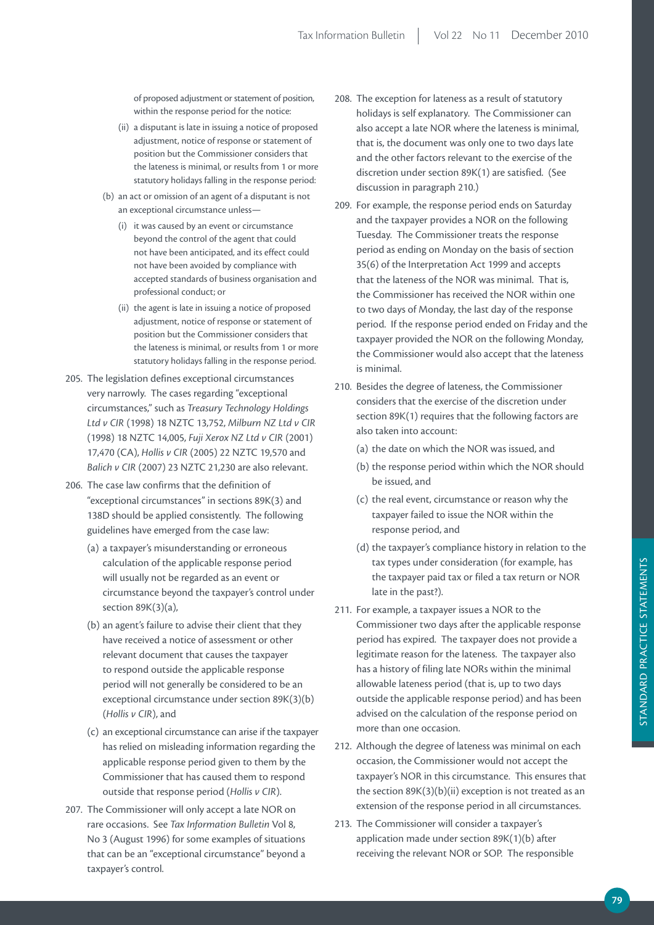of proposed adjustment or statement of position, within the response period for the notice:

- (ii) a disputant is late in issuing a notice of proposed adjustment, notice of response or statement of position but the Commissioner considers that the lateness is minimal, or results from 1 or more statutory holidays falling in the response period:
- (b) an act or omission of an agent of a disputant is not an exceptional circumstance unless—
	- (i) it was caused by an event or circumstance beyond the control of the agent that could not have been anticipated, and its effect could not have been avoided by compliance with accepted standards of business organisation and professional conduct; or
	- (ii) the agent is late in issuing a notice of proposed adjustment, notice of response or statement of position but the Commissioner considers that the lateness is minimal, or results from 1 or more statutory holidays falling in the response period.
- 205. The legislation defines exceptional circumstances very narrowly. The cases regarding "exceptional circumstances," such as *Treasury Technology Holdings Ltd v CIR* (1998) 18 NZTC 13,752, *Milburn NZ Ltd v CIR*  (1998) 18 NZTC 14,005, *Fuji Xerox NZ Ltd v CIR* (2001) 17,470 (CA), *Hollis v CIR* (2005) 22 NZTC 19,570 and *Balich v CIR* (2007) 23 NZTC 21,230 are also relevant.
- 206. The case law confirms that the definition of "exceptional circumstances" in sections 89K(3) and 138D should be applied consistently. The following guidelines have emerged from the case law:
	- (a) a taxpayer's misunderstanding or erroneous calculation of the applicable response period will usually not be regarded as an event or circumstance beyond the taxpayer's control under section 89K(3)(a),
	- (b) an agent's failure to advise their client that they have received a notice of assessment or other relevant document that causes the taxpayer to respond outside the applicable response period will not generally be considered to be an exceptional circumstance under section 89K(3)(b) (*Hollis v CIR*), and
	- (c) an exceptional circumstance can arise if the taxpayer has relied on misleading information regarding the applicable response period given to them by the Commissioner that has caused them to respond outside that response period (*Hollis v CIR*).
- 207. The Commissioner will only accept a late NOR on rare occasions. See *Tax Information Bulletin* Vol 8, No 3 (August 1996) for some examples of situations that can be an "exceptional circumstance" beyond a taxpayer's control.
- 208. The exception for lateness as a result of statutory holidays is self explanatory. The Commissioner can also accept a late NOR where the lateness is minimal, that is, the document was only one to two days late and the other factors relevant to the exercise of the discretion under section 89K(1) are satisfied. (See discussion in paragraph 210.)
- 209. For example, the response period ends on Saturday and the taxpayer provides a NOR on the following Tuesday. The Commissioner treats the response period as ending on Monday on the basis of section 35(6) of the Interpretation Act 1999 and accepts that the lateness of the NOR was minimal. That is, the Commissioner has received the NOR within one to two days of Monday, the last day of the response period. If the response period ended on Friday and the taxpayer provided the NOR on the following Monday, the Commissioner would also accept that the lateness is minimal.
- 210. Besides the degree of lateness, the Commissioner considers that the exercise of the discretion under section 89K(1) requires that the following factors are also taken into account:
	- (a) the date on which the NOR was issued, and
	- (b) the response period within which the NOR should be issued, and
	- (c) the real event, circumstance or reason why the taxpayer failed to issue the NOR within the response period, and
	- (d) the taxpayer's compliance history in relation to the tax types under consideration (for example, has the taxpayer paid tax or filed a tax return or NOR late in the past?).
- 211. For example, a taxpayer issues a NOR to the Commissioner two days after the applicable response period has expired. The taxpayer does not provide a legitimate reason for the lateness. The taxpayer also has a history of filing late NORs within the minimal allowable lateness period (that is, up to two days outside the applicable response period) and has been advised on the calculation of the response period on more than one occasion.
- 212. Although the degree of lateness was minimal on each occasion, the Commissioner would not accept the taxpayer's NOR in this circumstance. This ensures that the section 89K(3)(b)(ii) exception is not treated as an extension of the response period in all circumstances.
- 213. The Commissioner will consider a taxpayer's application made under section 89K(1)(b) after receiving the relevant NOR or SOP. The responsible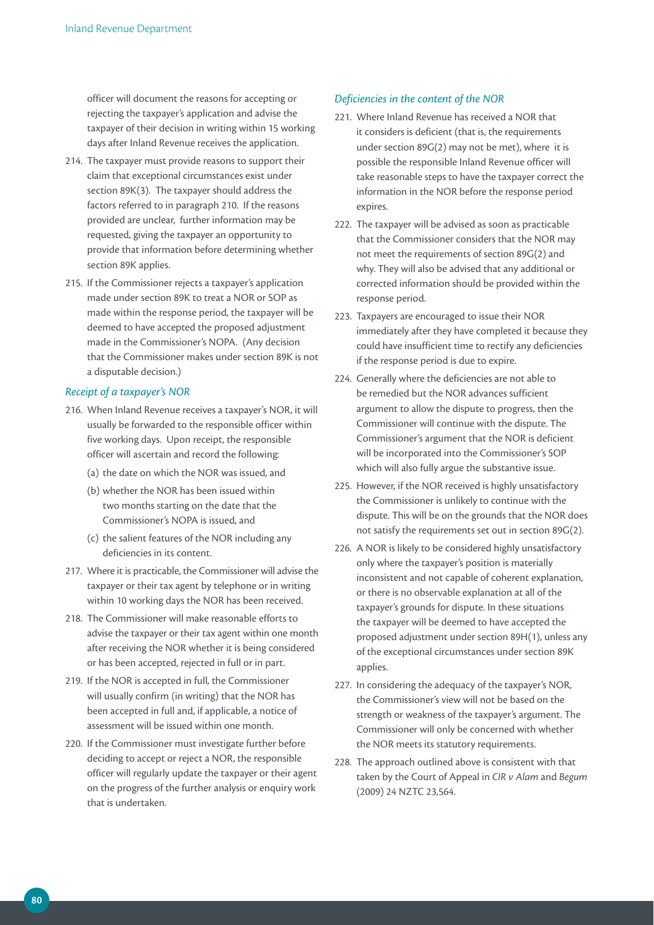officer will document the reasons for accepting or rejecting the taxpayer's application and advise the taxpayer of their decision in writing within 15 working days after Inland Revenue receives the application.

- 214. The taxpayer must provide reasons to support their claim that exceptional circumstances exist under section 89K(3). The taxpayer should address the factors referred to in paragraph 210. If the reasons provided are unclear, further information may be requested, giving the taxpayer an opportunity to provide that information before determining whether section 89K applies.
- 215. If the Commissioner rejects a taxpayer's application made under section 89K to treat a NOR or SOP as made within the response period, the taxpayer will be deemed to have accepted the proposed adjustment made in the Commissioner's NOPA. (Any decision that the Commissioner makes under section 89K is not a disputable decision.)

#### *Receipt of a taxpayer's NOR*

- 216. When Inland Revenue receives a taxpayer's NOR, it will usually be forwarded to the responsible officer within five working days. Upon receipt, the responsible officer will ascertain and record the following:
	- (a) the date on which the NOR was issued, and
	- (b) whether the NOR has been issued within two months starting on the date that the Commissioner's NOPA is issued, and
	- (c) the salient features of the NOR including any deficiencies in its content.
- 217. Where it is practicable, the Commissioner will advise the taxpayer or their tax agent by telephone or in writing within 10 working days the NOR has been received.
- 218. The Commissioner will make reasonable efforts to advise the taxpayer or their tax agent within one month after receiving the NOR whether it is being considered or has been accepted, rejected in full or in part.
- 219. If the NOR is accepted in full, the Commissioner will usually confirm (in writing) that the NOR has been accepted in full and, if applicable, a notice of assessment will be issued within one month.
- 220. If the Commissioner must investigate further before deciding to accept or reject a NOR, the responsible officer will regularly update the taxpayer or their agent on the progress of the further analysis or enquiry work that is undertaken.

#### *Deficiencies in the content of the NOR*

- 221. Where Inland Revenue has received a NOR that it considers is deficient (that is, the requirements under section 89G(2) may not be met), where it is possible the responsible Inland Revenue officer will take reasonable steps to have the taxpayer correct the information in the NOR before the response period expires.
- 222. The taxpayer will be advised as soon as practicable that the Commissioner considers that the NOR may not meet the requirements of section 89G(2) and why. They will also be advised that any additional or corrected information should be provided within the response period.
- 223. Taxpayers are encouraged to issue their NOR immediately after they have completed it because they could have insufficient time to rectify any deficiencies if the response period is due to expire.
- 224. Generally where the deficiencies are not able to be remedied but the NOR advances sufficient argument to allow the dispute to progress, then the Commissioner will continue with the dispute. The Commissioner's argument that the NOR is deficient will be incorporated into the Commissioner's SOP which will also fully argue the substantive issue.
- 225. However, if the NOR received is highly unsatisfactory the Commissioner is unlikely to continue with the dispute. This will be on the grounds that the NOR does not satisfy the requirements set out in section 89G(2).
- 226. A NOR is likely to be considered highly unsatisfactory only where the taxpayer's position is materially inconsistent and not capable of coherent explanation, or there is no observable explanation at all of the taxpayer's grounds for dispute. In these situations the taxpayer will be deemed to have accepted the proposed adjustment under section 89H(1), unless any of the exceptional circumstances under section 89K applies.
- 227. In considering the adequacy of the taxpayer's NOR, the Commissioner's view will not be based on the strength or weakness of the taxpayer's argument. The Commissioner will only be concerned with whether the NOR meets its statutory requirements.
- 228. The approach outlined above is consistent with that taken by the Court of Appeal in *CIR v Alam* and *Begum* (2009) 24 NZTC 23,564.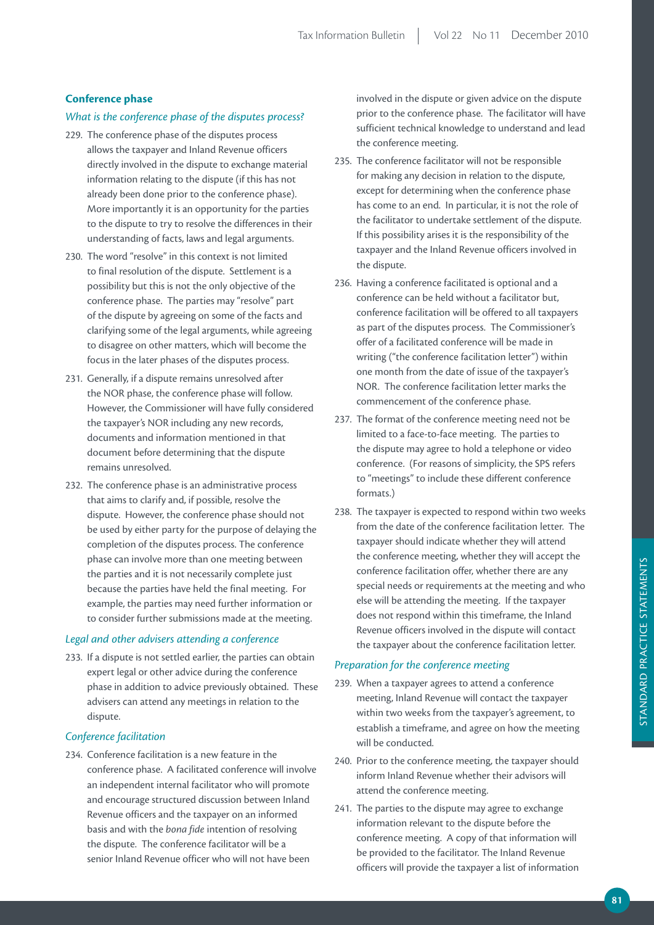## **Conference phase**

## *What is the conference phase of the disputes process?*

- 229. The conference phase of the disputes process allows the taxpayer and Inland Revenue officers directly involved in the dispute to exchange material information relating to the dispute (if this has not already been done prior to the conference phase). More importantly it is an opportunity for the parties to the dispute to try to resolve the differences in their understanding of facts, laws and legal arguments.
- 230. The word "resolve" in this context is not limited to final resolution of the dispute. Settlement is a possibility but this is not the only objective of the conference phase. The parties may "resolve" part of the dispute by agreeing on some of the facts and clarifying some of the legal arguments, while agreeing to disagree on other matters, which will become the focus in the later phases of the disputes process.
- 231. Generally, if a dispute remains unresolved after the NOR phase, the conference phase will follow. However, the Commissioner will have fully considered the taxpayer's NOR including any new records, documents and information mentioned in that document before determining that the dispute remains unresolved.
- 232. The conference phase is an administrative process that aims to clarify and, if possible, resolve the dispute. However, the conference phase should not be used by either party for the purpose of delaying the completion of the disputes process. The conference phase can involve more than one meeting between the parties and it is not necessarily complete just because the parties have held the final meeting. For example, the parties may need further information or to consider further submissions made at the meeting.

#### *Legal and other advisers attending a conference*

233. If a dispute is not settled earlier, the parties can obtain expert legal or other advice during the conference phase in addition to advice previously obtained. These advisers can attend any meetings in relation to the dispute.

#### *Conference facilitation*

234. Conference facilitation is a new feature in the conference phase. A facilitated conference will involve an independent internal facilitator who will promote and encourage structured discussion between Inland Revenue officers and the taxpayer on an informed basis and with the *bona fide* intention of resolving the dispute. The conference facilitator will be a senior Inland Revenue officer who will not have been

involved in the dispute or given advice on the dispute prior to the conference phase. The facilitator will have sufficient technical knowledge to understand and lead the conference meeting.

- 235. The conference facilitator will not be responsible for making any decision in relation to the dispute, except for determining when the conference phase has come to an end. In particular, it is not the role of the facilitator to undertake settlement of the dispute. If this possibility arises it is the responsibility of the taxpayer and the Inland Revenue officers involved in the dispute.
- 236. Having a conference facilitated is optional and a conference can be held without a facilitator but, conference facilitation will be offered to all taxpayers as part of the disputes process. The Commissioner's offer of a facilitated conference will be made in writing ("the conference facilitation letter") within one month from the date of issue of the taxpayer's NOR. The conference facilitation letter marks the commencement of the conference phase.
- 237. The format of the conference meeting need not be limited to a face-to-face meeting. The parties to the dispute may agree to hold a telephone or video conference. (For reasons of simplicity, the SPS refers to "meetings" to include these different conference formats.)
- 238. The taxpayer is expected to respond within two weeks from the date of the conference facilitation letter. The taxpayer should indicate whether they will attend the conference meeting, whether they will accept the conference facilitation offer, whether there are any special needs or requirements at the meeting and who else will be attending the meeting. If the taxpayer does not respond within this timeframe, the Inland Revenue officers involved in the dispute will contact the taxpayer about the conference facilitation letter.

#### *Preparation for the conference meeting*

- 239. When a taxpayer agrees to attend a conference meeting, Inland Revenue will contact the taxpayer within two weeks from the taxpayer's agreement, to establish a timeframe, and agree on how the meeting will be conducted.
- 240. Prior to the conference meeting, the taxpayer should inform Inland Revenue whether their advisors will attend the conference meeting.
- 241. The parties to the dispute may agree to exchange information relevant to the dispute before the conference meeting. A copy of that information will be provided to the facilitator. The Inland Revenue officers will provide the taxpayer a list of information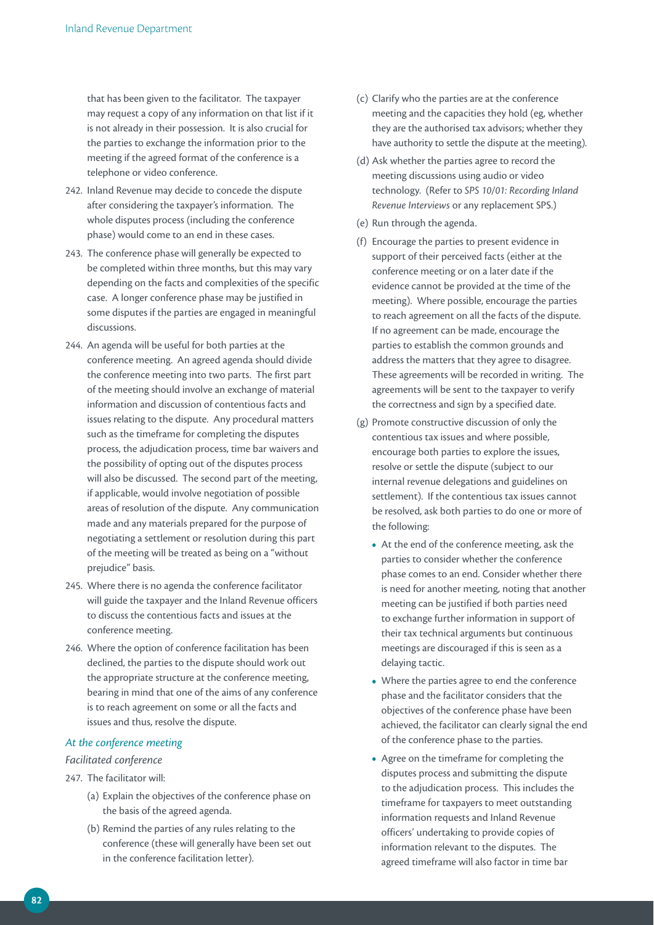that has been given to the facilitator. The taxpayer may request a copy of any information on that list if it is not already in their possession. It is also crucial for the parties to exchange the information prior to the meeting if the agreed format of the conference is a telephone or video conference.

- 242. Inland Revenue may decide to concede the dispute after considering the taxpayer's information. The whole disputes process (including the conference phase) would come to an end in these cases.
- 243. The conference phase will generally be expected to be completed within three months, but this may vary depending on the facts and complexities of the specific case. A longer conference phase may be justified in some disputes if the parties are engaged in meaningful discussions.
- 244. An agenda will be useful for both parties at the conference meeting. An agreed agenda should divide the conference meeting into two parts. The first part of the meeting should involve an exchange of material information and discussion of contentious facts and issues relating to the dispute. Any procedural matters such as the timeframe for completing the disputes process, the adjudication process, time bar waivers and the possibility of opting out of the disputes process will also be discussed. The second part of the meeting, if applicable, would involve negotiation of possible areas of resolution of the dispute. Any communication made and any materials prepared for the purpose of negotiating a settlement or resolution during this part of the meeting will be treated as being on a "without prejudice" basis.
- 245. Where there is no agenda the conference facilitator will guide the taxpayer and the Inland Revenue officers to discuss the contentious facts and issues at the conference meeting.
- 246. Where the option of conference facilitation has been declined, the parties to the dispute should work out the appropriate structure at the conference meeting, bearing in mind that one of the aims of any conference is to reach agreement on some or all the facts and issues and thus, resolve the dispute.

## *At the conference meeting*

#### *Facilitated conference*

- 247. The facilitator will:
	- (a) Explain the objectives of the conference phase on the basis of the agreed agenda.
	- (b) Remind the parties of any rules relating to the conference (these will generally have been set out in the conference facilitation letter).
- (c) Clarify who the parties are at the conference meeting and the capacities they hold (eg, whether they are the authorised tax advisors; whether they have authority to settle the dispute at the meeting).
- (d) Ask whether the parties agree to record the meeting discussions using audio or video technology. (Refer to *SPS 10/01: Recording Inland Revenue Interviews* or any replacement SPS.)
- (e) Run through the agenda.
- (f) Encourage the parties to present evidence in support of their perceived facts (either at the conference meeting or on a later date if the evidence cannot be provided at the time of the meeting). Where possible, encourage the parties to reach agreement on all the facts of the dispute. If no agreement can be made, encourage the parties to establish the common grounds and address the matters that they agree to disagree. These agreements will be recorded in writing. The agreements will be sent to the taxpayer to verify the correctness and sign by a specified date.
- (g) Promote constructive discussion of only the contentious tax issues and where possible, encourage both parties to explore the issues, resolve or settle the dispute (subject to our internal revenue delegations and guidelines on settlement). If the contentious tax issues cannot be resolved, ask both parties to do one or more of the following:
	- **•**  At the end of the conference meeting, ask the parties to consider whether the conference phase comes to an end. Consider whether there is need for another meeting, noting that another meeting can be justified if both parties need to exchange further information in support of their tax technical arguments but continuous meetings are discouraged if this is seen as a delaying tactic.
	- Where the parties agree to end the conference phase and the facilitator considers that the objectives of the conference phase have been achieved, the facilitator can clearly signal the end of the conference phase to the parties.
	- **•**  Agree on the timeframe for completing the disputes process and submitting the dispute to the adjudication process. This includes the timeframe for taxpayers to meet outstanding information requests and Inland Revenue officers' undertaking to provide copies of information relevant to the disputes. The agreed timeframe will also factor in time bar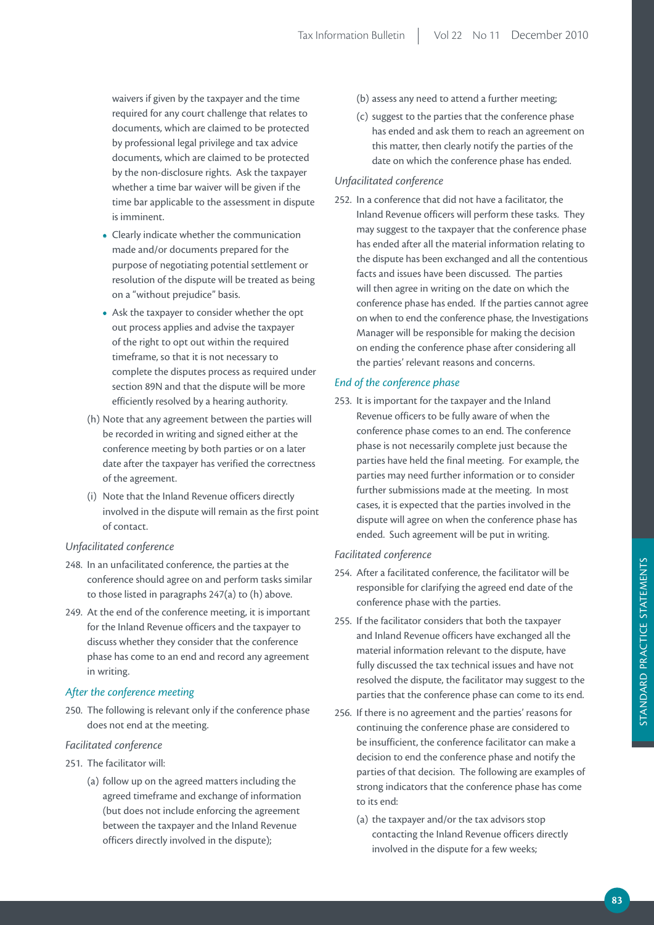waivers if given by the taxpayer and the time required for any court challenge that relates to documents, which are claimed to be protected by professional legal privilege and tax advice documents, which are claimed to be protected by the non-disclosure rights. Ask the taxpayer whether a time bar waiver will be given if the time bar applicable to the assessment in dispute is imminent.

- **•**  Clearly indicate whether the communication made and/or documents prepared for the purpose of negotiating potential settlement or resolution of the dispute will be treated as being on a "without prejudice" basis.
- **•**  Ask the taxpayer to consider whether the opt out process applies and advise the taxpayer of the right to opt out within the required timeframe, so that it is not necessary to complete the disputes process as required under section 89N and that the dispute will be more efficiently resolved by a hearing authority.
- (h) Note that any agreement between the parties will be recorded in writing and signed either at the conference meeting by both parties or on a later date after the taxpayer has verified the correctness of the agreement.
- (i) Note that the Inland Revenue officers directly involved in the dispute will remain as the first point of contact.

## *Unfacilitated conference*

- 248. In an unfacilitated conference, the parties at the conference should agree on and perform tasks similar to those listed in paragraphs 247(a) to (h) above.
- 249. At the end of the conference meeting, it is important for the Inland Revenue officers and the taxpayer to discuss whether they consider that the conference phase has come to an end and record any agreement in writing.

# *After the conference meeting*

250. The following is relevant only if the conference phase does not end at the meeting.

## *Facilitated conference*

- 251. The facilitator will:
	- (a) follow up on the agreed matters including the agreed timeframe and exchange of information (but does not include enforcing the agreement between the taxpayer and the Inland Revenue officers directly involved in the dispute);
- (b) assess any need to attend a further meeting;
- (c) suggest to the parties that the conference phase has ended and ask them to reach an agreement on this matter, then clearly notify the parties of the date on which the conference phase has ended.

# *Unfacilitated conference*

252. In a conference that did not have a facilitator, the Inland Revenue officers will perform these tasks. They may suggest to the taxpayer that the conference phase has ended after all the material information relating to the dispute has been exchanged and all the contentious facts and issues have been discussed. The parties will then agree in writing on the date on which the conference phase has ended. If the parties cannot agree on when to end the conference phase, the Investigations Manager will be responsible for making the decision on ending the conference phase after considering all the parties' relevant reasons and concerns.

# *End of the conference phase*

253. It is important for the taxpayer and the Inland Revenue officers to be fully aware of when the conference phase comes to an end. The conference phase is not necessarily complete just because the parties have held the final meeting. For example, the parties may need further information or to consider further submissions made at the meeting. In most cases, it is expected that the parties involved in the dispute will agree on when the conference phase has ended. Such agreement will be put in writing.

# *Facilitated conference*

- 254. After a facilitated conference, the facilitator will be responsible for clarifying the agreed end date of the conference phase with the parties.
- 255. If the facilitator considers that both the taxpayer and Inland Revenue officers have exchanged all the material information relevant to the dispute, have fully discussed the tax technical issues and have not resolved the dispute, the facilitator may suggest to the parties that the conference phase can come to its end.
- 256. If there is no agreement and the parties' reasons for continuing the conference phase are considered to be insufficient, the conference facilitator can make a decision to end the conference phase and notify the parties of that decision. The following are examples of strong indicators that the conference phase has come to its end:
	- (a) the taxpayer and/or the tax advisors stop contacting the Inland Revenue officers directly involved in the dispute for a few weeks;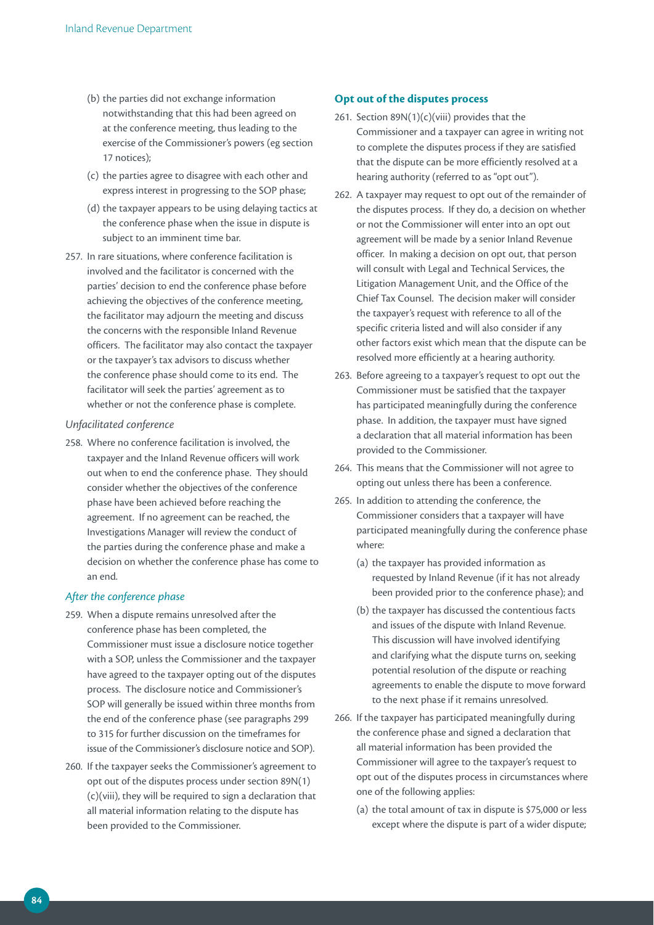- (b) the parties did not exchange information notwithstanding that this had been agreed on at the conference meeting, thus leading to the exercise of the Commissioner's powers (eg section 17 notices);
- (c) the parties agree to disagree with each other and express interest in progressing to the SOP phase;
- (d) the taxpayer appears to be using delaying tactics at the conference phase when the issue in dispute is subject to an imminent time bar.
- 257. In rare situations, where conference facilitation is involved and the facilitator is concerned with the parties' decision to end the conference phase before achieving the objectives of the conference meeting, the facilitator may adjourn the meeting and discuss the concerns with the responsible Inland Revenue officers. The facilitator may also contact the taxpayer or the taxpayer's tax advisors to discuss whether the conference phase should come to its end. The facilitator will seek the parties' agreement as to whether or not the conference phase is complete.

#### *Unfacilitated conference*

258. Where no conference facilitation is involved, the taxpayer and the Inland Revenue officers will work out when to end the conference phase. They should consider whether the objectives of the conference phase have been achieved before reaching the agreement. If no agreement can be reached, the Investigations Manager will review the conduct of the parties during the conference phase and make a decision on whether the conference phase has come to an end.

## *After the conference phase*

- 259. When a dispute remains unresolved after the conference phase has been completed, the Commissioner must issue a disclosure notice together with a SOP, unless the Commissioner and the taxpayer have agreed to the taxpayer opting out of the disputes process. The disclosure notice and Commissioner's SOP will generally be issued within three months from the end of the conference phase (see paragraphs 299 to 315 for further discussion on the timeframes for issue of the Commissioner's disclosure notice and SOP).
- 260. If the taxpayer seeks the Commissioner's agreement to opt out of the disputes process under section 89N(1) (c)(viii), they will be required to sign a declaration that all material information relating to the dispute has been provided to the Commissioner.

### **Opt out of the disputes process**

- 261. Section  $89N(1)(c)(viii)$  provides that the Commissioner and a taxpayer can agree in writing not to complete the disputes process if they are satisfied that the dispute can be more efficiently resolved at a hearing authority (referred to as "opt out").
- 262. A taxpayer may request to opt out of the remainder of the disputes process. If they do, a decision on whether or not the Commissioner will enter into an opt out agreement will be made by a senior Inland Revenue officer. In making a decision on opt out, that person will consult with Legal and Technical Services, the Litigation Management Unit, and the Office of the Chief Tax Counsel. The decision maker will consider the taxpayer's request with reference to all of the specific criteria listed and will also consider if any other factors exist which mean that the dispute can be resolved more efficiently at a hearing authority.
- 263. Before agreeing to a taxpayer's request to opt out the Commissioner must be satisfied that the taxpayer has participated meaningfully during the conference phase. In addition, the taxpayer must have signed a declaration that all material information has been provided to the Commissioner.
- 264. This means that the Commissioner will not agree to opting out unless there has been a conference.
- 265. In addition to attending the conference, the Commissioner considers that a taxpayer will have participated meaningfully during the conference phase where:
	- (a) the taxpayer has provided information as requested by Inland Revenue (if it has not already been provided prior to the conference phase); and
	- (b) the taxpayer has discussed the contentious facts and issues of the dispute with Inland Revenue. This discussion will have involved identifying and clarifying what the dispute turns on, seeking potential resolution of the dispute or reaching agreements to enable the dispute to move forward to the next phase if it remains unresolved.
- 266. If the taxpayer has participated meaningfully during the conference phase and signed a declaration that all material information has been provided the Commissioner will agree to the taxpayer's request to opt out of the disputes process in circumstances where one of the following applies:
	- (a) the total amount of tax in dispute is \$75,000 or less except where the dispute is part of a wider dispute;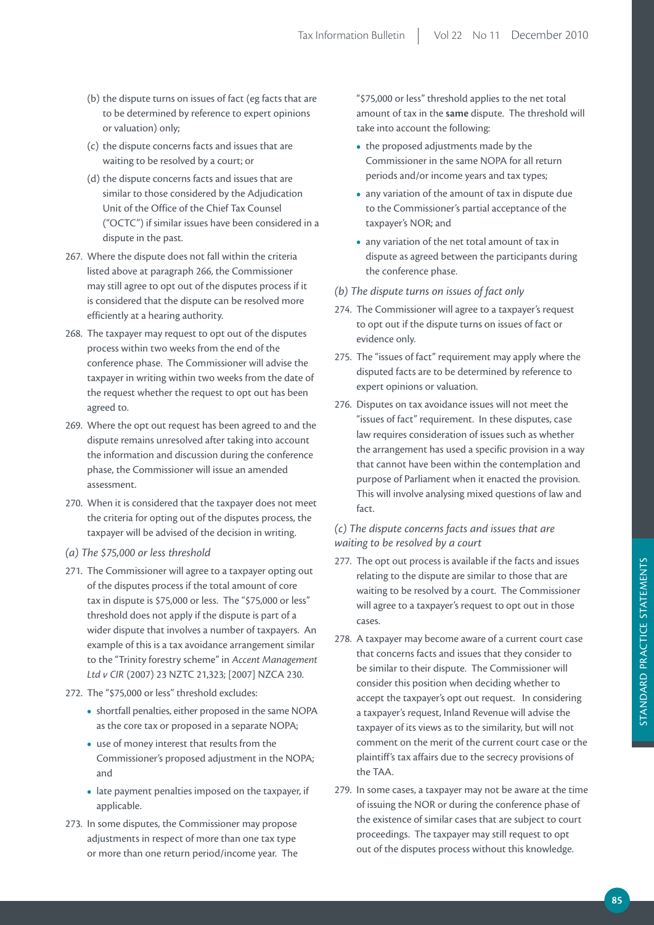- (b) the dispute turns on issues of fact (eg facts that are to be determined by reference to expert opinions or valuation) only;
- (c) the dispute concerns facts and issues that are waiting to be resolved by a court; or
- (d) the dispute concerns facts and issues that are similar to those considered by the Adjudication Unit of the Office of the Chief Tax Counsel ("OCTC") if similar issues have been considered in a dispute in the past.
- 267. Where the dispute does not fall within the criteria listed above at paragraph 266, the Commissioner may still agree to opt out of the disputes process if it is considered that the dispute can be resolved more efficiently at a hearing authority.
- 268. The taxpayer may request to opt out of the disputes process within two weeks from the end of the conference phase. The Commissioner will advise the taxpayer in writing within two weeks from the date of the request whether the request to opt out has been agreed to.
- 269. Where the opt out request has been agreed to and the dispute remains unresolved after taking into account the information and discussion during the conference phase, the Commissioner will issue an amended assessment.
- 270. When it is considered that the taxpayer does not meet the criteria for opting out of the disputes process, the taxpayer will be advised of the decision in writing.
- *(a) The \$75,000 or less threshold*
- 271. The Commissioner will agree to a taxpayer opting out of the disputes process if the total amount of core tax in dispute is \$75,000 or less. The "\$75,000 or less" threshold does not apply if the dispute is part of a wider dispute that involves a number of taxpayers. An example of this is a tax avoidance arrangement similar to the "Trinity forestry scheme" in *Accent Management Ltd v CIR* (2007) 23 NZTC 21,323; [2007] NZCA 230.
- 272. The "\$75,000 or less" threshold excludes:
	- **•**  shortfall penalties, either proposed in the same NOPA as the core tax or proposed in a separate NOPA;
	- **•**  use of money interest that results from the Commissioner's proposed adjustment in the NOPA; and
	- late payment penalties imposed on the taxpayer, if applicable.
- 273. In some disputes, the Commissioner may propose adjustments in respect of more than one tax type or more than one return period/income year. The

"\$75,000 or less" threshold applies to the net total amount of tax in the **same** dispute. The threshold will take into account the following:

- the proposed adjustments made by the Commissioner in the same NOPA for all return periods and/or income years and tax types;
- **•**  any variation of the amount of tax in dispute due to the Commissioner's partial acceptance of the taxpayer's NOR; and
- **•**  any variation of the net total amount of tax in dispute as agreed between the participants during the conference phase.
- *(b) The dispute turns on issues of fact only*
- 274. The Commissioner will agree to a taxpayer's request to opt out if the dispute turns on issues of fact or evidence only.
- 275. The "issues of fact" requirement may apply where the disputed facts are to be determined by reference to expert opinions or valuation.
- 276. Disputes on tax avoidance issues will not meet the "issues of fact" requirement. In these disputes, case law requires consideration of issues such as whether the arrangement has used a specific provision in a way that cannot have been within the contemplation and purpose of Parliament when it enacted the provision. This will involve analysing mixed questions of law and fact.

# *(c) The dispute concerns facts and issues that are waiting to be resolved by a court*

- 277. The opt out process is available if the facts and issues relating to the dispute are similar to those that are waiting to be resolved by a court. The Commissioner will agree to a taxpayer's request to opt out in those cases.
- 278. A taxpayer may become aware of a current court case that concerns facts and issues that they consider to be similar to their dispute. The Commissioner will consider this position when deciding whether to accept the taxpayer's opt out request. In considering a taxpayer's request, Inland Revenue will advise the taxpayer of its views as to the similarity, but will not comment on the merit of the current court case or the plaintiff's tax affairs due to the secrecy provisions of the TAA.
- 279. In some cases, a taxpayer may not be aware at the time of issuing the NOR or during the conference phase of the existence of similar cases that are subject to court proceedings. The taxpayer may still request to opt out of the disputes process without this knowledge.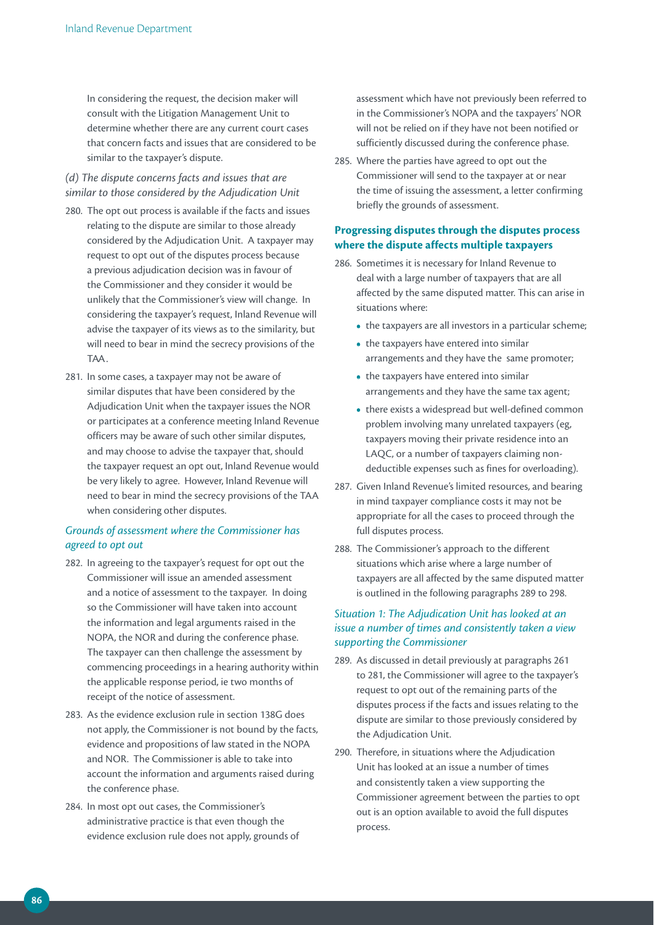In considering the request, the decision maker will consult with the Litigation Management Unit to determine whether there are any current court cases that concern facts and issues that are considered to be similar to the taxpayer's dispute.

*(d) The dispute concerns facts and issues that are similar to those considered by the Adjudication Unit*

- 280. The opt out process is available if the facts and issues relating to the dispute are similar to those already considered by the Adjudication Unit. A taxpayer may request to opt out of the disputes process because a previous adjudication decision was in favour of the Commissioner and they consider it would be unlikely that the Commissioner's view will change. In considering the taxpayer's request, Inland Revenue will advise the taxpayer of its views as to the similarity, but will need to bear in mind the secrecy provisions of the TAA.
- 281. In some cases, a taxpayer may not be aware of similar disputes that have been considered by the Adjudication Unit when the taxpayer issues the NOR or participates at a conference meeting Inland Revenue officers may be aware of such other similar disputes, and may choose to advise the taxpayer that, should the taxpayer request an opt out, Inland Revenue would be very likely to agree. However, Inland Revenue will need to bear in mind the secrecy provisions of the TAA when considering other disputes.

## *Grounds of assessment where the Commissioner has agreed to opt out*

- 282. In agreeing to the taxpayer's request for opt out the Commissioner will issue an amended assessment and a notice of assessment to the taxpayer. In doing so the Commissioner will have taken into account the information and legal arguments raised in the NOPA, the NOR and during the conference phase. The taxpayer can then challenge the assessment by commencing proceedings in a hearing authority within the applicable response period, ie two months of receipt of the notice of assessment.
- 283. As the evidence exclusion rule in section 138G does not apply, the Commissioner is not bound by the facts, evidence and propositions of law stated in the NOPA and NOR. The Commissioner is able to take into account the information and arguments raised during the conference phase.
- 284. In most opt out cases, the Commissioner's administrative practice is that even though the evidence exclusion rule does not apply, grounds of

assessment which have not previously been referred to in the Commissioner's NOPA and the taxpayers' NOR will not be relied on if they have not been notified or sufficiently discussed during the conference phase.

285. Where the parties have agreed to opt out the Commissioner will send to the taxpayer at or near the time of issuing the assessment, a letter confirming briefly the grounds of assessment.

## **Progressing disputes through the disputes process where** the dispute affects multiple taxpayers

- 286. Sometimes it is necessary for Inland Revenue to deal with a large number of taxpayers that are all affected by the same disputed matter. This can arise in situations where:
	- the taxpayers are all investors in a particular scheme;
	- the taxpayers have entered into similar arrangements and they have the same promoter;
	- the taxpayers have entered into similar arrangements and they have the same tax agent;
	- there exists a widespread but well-defined common problem involving many unrelated taxpayers (eg, taxpayers moving their private residence into an LAQC, or a number of taxpayers claiming nondeductible expenses such as fines for overloading).
- 287. Given Inland Revenue's limited resources, and bearing in mind taxpayer compliance costs it may not be appropriate for all the cases to proceed through the full disputes process.
- 288. The Commissioner's approach to the different situations which arise where a large number of taxpayers are all affected by the same disputed matter is outlined in the following paragraphs 289 to 298.

# *Situation 1: The Adjudication Unit has looked at an issue a number of times and consistently taken a view supporting the Commissioner*

- 289. As discussed in detail previously at paragraphs 261 to 281, the Commissioner will agree to the taxpayer's request to opt out of the remaining parts of the disputes process if the facts and issues relating to the dispute are similar to those previously considered by the Adjudication Unit.
- 290. Therefore, in situations where the Adjudication Unit has looked at an issue a number of times and consistently taken a view supporting the Commissioner agreement between the parties to opt out is an option available to avoid the full disputes process.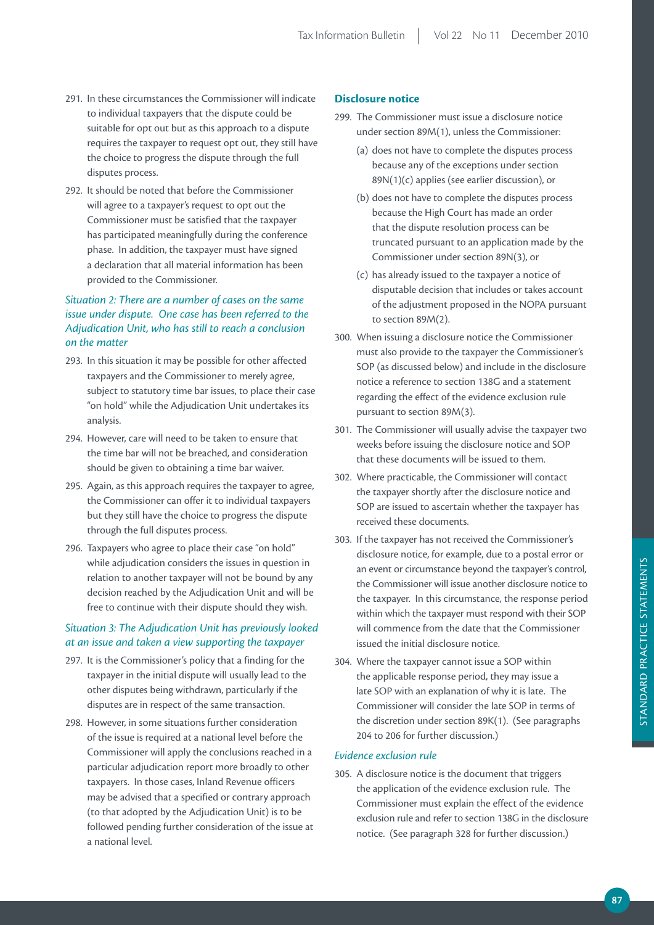- 291. In these circumstances the Commissioner will indicate to individual taxpayers that the dispute could be suitable for opt out but as this approach to a dispute requires the taxpayer to request opt out, they still have the choice to progress the dispute through the full disputes process.
- 292. It should be noted that before the Commissioner will agree to a taxpayer's request to opt out the Commissioner must be satisfied that the taxpayer has participated meaningfully during the conference phase. In addition, the taxpayer must have signed a declaration that all material information has been provided to the Commissioner.

## *Situation 2: There are a number of cases on the same issue under dispute. One case has been referred to the Adjudication Unit, who has still to reach a conclusion on the matter*

- 293. In this situation it may be possible for other affected taxpayers and the Commissioner to merely agree, subject to statutory time bar issues, to place their case "on hold" while the Adjudication Unit undertakes its analysis.
- 294. However, care will need to be taken to ensure that the time bar will not be breached, and consideration should be given to obtaining a time bar waiver.
- 295. Again, as this approach requires the taxpayer to agree, the Commissioner can offer it to individual taxpayers but they still have the choice to progress the dispute through the full disputes process.
- 296. Taxpayers who agree to place their case "on hold" while adjudication considers the issues in question in relation to another taxpayer will not be bound by any decision reached by the Adjudication Unit and will be free to continue with their dispute should they wish.

## *Situation 3: The Adjudication Unit has previously looked at an issue and taken a view supporting the taxpayer*

- 297. It is the Commissioner's policy that a finding for the taxpayer in the initial dispute will usually lead to the other disputes being withdrawn, particularly if the disputes are in respect of the same transaction.
- 298. However, in some situations further consideration of the issue is required at a national level before the Commissioner will apply the conclusions reached in a particular adjudication report more broadly to other taxpayers. In those cases, Inland Revenue officers may be advised that a specified or contrary approach (to that adopted by the Adjudication Unit) is to be followed pending further consideration of the issue at a national level.

## **Disclosure** notice

- 299. The Commissioner must issue a disclosure notice under section 89M(1), unless the Commissioner:
	- (a) does not have to complete the disputes process because any of the exceptions under section 89N(1)(c) applies (see earlier discussion), or
	- (b) does not have to complete the disputes process because the High Court has made an order that the dispute resolution process can be truncated pursuant to an application made by the Commissioner under section 89N(3), or
	- (c) has already issued to the taxpayer a notice of disputable decision that includes or takes account of the adjustment proposed in the NOPA pursuant to section 89M(2).
- 300. When issuing a disclosure notice the Commissioner must also provide to the taxpayer the Commissioner's SOP (as discussed below) and include in the disclosure notice a reference to section 138G and a statement regarding the effect of the evidence exclusion rule pursuant to section 89M(3).
- 301. The Commissioner will usually advise the taxpayer two weeks before issuing the disclosure notice and SOP that these documents will be issued to them.
- 302. Where practicable, the Commissioner will contact the taxpayer shortly after the disclosure notice and SOP are issued to ascertain whether the taxpayer has received these documents.
- 303. If the taxpayer has not received the Commissioner's disclosure notice, for example, due to a postal error or an event or circumstance beyond the taxpayer's control, the Commissioner will issue another disclosure notice to the taxpayer. In this circumstance, the response period within which the taxpayer must respond with their SOP will commence from the date that the Commissioner issued the initial disclosure notice.
- 304. Where the taxpayer cannot issue a SOP within the applicable response period, they may issue a late SOP with an explanation of why it is late. The Commissioner will consider the late SOP in terms of the discretion under section 89K(1). (See paragraphs 204 to 206 for further discussion.)

#### *Evidence exclusion rule*

305. A disclosure notice is the document that triggers the application of the evidence exclusion rule. The Commissioner must explain the effect of the evidence exclusion rule and refer to section 138G in the disclosure notice. (See paragraph 328 for further discussion.)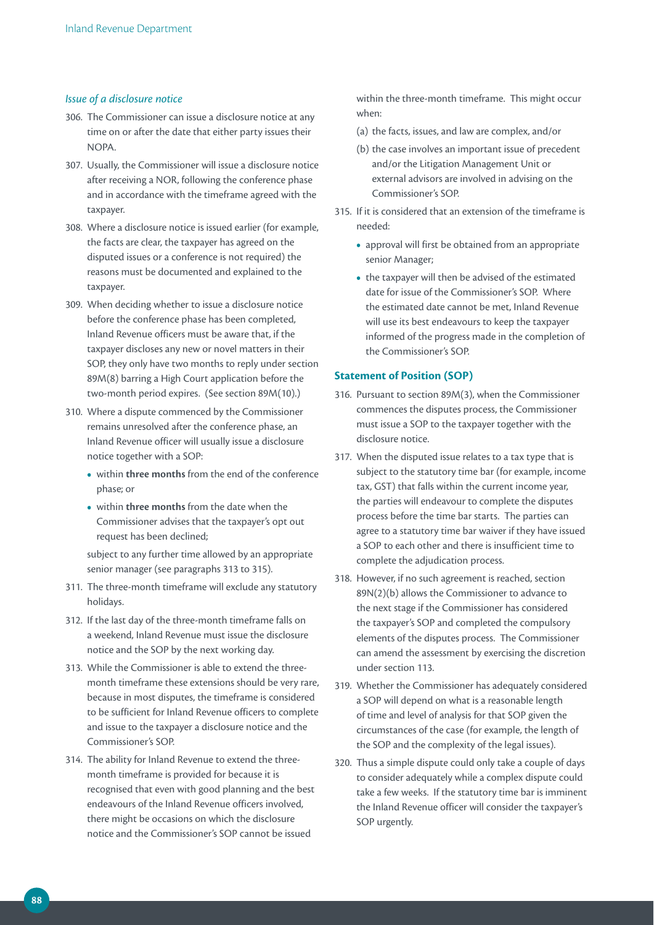## *Issue of a disclosure notice*

- 306. The Commissioner can issue a disclosure notice at any time on or after the date that either party issues their NOPA.
- 307. Usually, the Commissioner will issue a disclosure notice after receiving a NOR, following the conference phase and in accordance with the timeframe agreed with the taxpayer.
- 308. Where a disclosure notice is issued earlier (for example, the facts are clear, the taxpayer has agreed on the disputed issues or a conference is not required) the reasons must be documented and explained to the taxpayer.
- 309. When deciding whether to issue a disclosure notice before the conference phase has been completed, Inland Revenue officers must be aware that, if the taxpayer discloses any new or novel matters in their SOP, they only have two months to reply under section 89M(8) barring a High Court application before the two-month period expires. (See section 89M(10).)
- 310. Where a dispute commenced by the Commissioner remains unresolved after the conference phase, an Inland Revenue officer will usually issue a disclosure notice together with a SOP:
	- **•**  within **three months** from the end of the conference phase; or
	- **•**  within **three months** from the date when the Commissioner advises that the taxpayer's opt out request has been declined;

 subject to any further time allowed by an appropriate senior manager (see paragraphs 313 to 315).

- 311. The three-month timeframe will exclude any statutory holidays.
- 312. If the last day of the three-month timeframe falls on a weekend, Inland Revenue must issue the disclosure notice and the SOP by the next working day.
- 313. While the Commissioner is able to extend the threemonth timeframe these extensions should be very rare, because in most disputes, the timeframe is considered to be sufficient for Inland Revenue officers to complete and issue to the taxpayer a disclosure notice and the Commissioner's SOP.
- 314. The ability for Inland Revenue to extend the threemonth timeframe is provided for because it is recognised that even with good planning and the best endeavours of the Inland Revenue officers involved, there might be occasions on which the disclosure notice and the Commissioner's SOP cannot be issued

within the three-month timeframe. This might occur when:

(a) the facts, issues, and law are complex, and/or

- (b) the case involves an important issue of precedent and/or the Litigation Management Unit or external advisors are involved in advising on the Commissioner's SOP.
- 315. If it is considered that an extension of the timeframe is needed:
	- **•**  approval will first be obtained from an appropriate senior Manager;
	- the taxpayer will then be advised of the estimated date for issue of the Commissioner's SOP. Where the estimated date cannot be met, Inland Revenue will use its best endeavours to keep the taxpayer informed of the progress made in the completion of the Commissioner's SOP.

#### **Statement of Position (SOP)**

- 316. Pursuant to section 89M(3), when the Commissioner commences the disputes process, the Commissioner must issue a SOP to the taxpayer together with the disclosure notice.
- 317. When the disputed issue relates to a tax type that is subject to the statutory time bar (for example, income tax, GST) that falls within the current income year, the parties will endeavour to complete the disputes process before the time bar starts. The parties can agree to a statutory time bar waiver if they have issued a SOP to each other and there is insufficient time to complete the adjudication process.
- 318. However, if no such agreement is reached, section 89N(2)(b) allows the Commissioner to advance to the next stage if the Commissioner has considered the taxpayer's SOP and completed the compulsory elements of the disputes process. The Commissioner can amend the assessment by exercising the discretion under section 113.
- 319. Whether the Commissioner has adequately considered a SOP will depend on what is a reasonable length of time and level of analysis for that SOP given the circumstances of the case (for example, the length of the SOP and the complexity of the legal issues).
- 320. Thus a simple dispute could only take a couple of days to consider adequately while a complex dispute could take a few weeks. If the statutory time bar is imminent the Inland Revenue officer will consider the taxpayer's SOP urgently.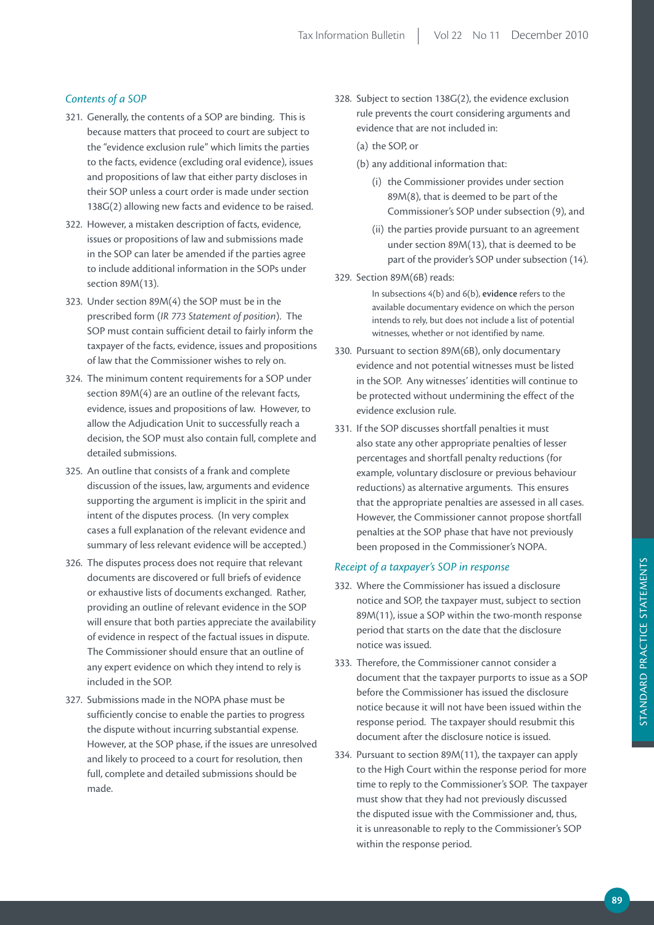## *Contents of a SOP*

- 321. Generally, the contents of a SOP are binding. This is because matters that proceed to court are subject to the "evidence exclusion rule" which limits the parties to the facts, evidence (excluding oral evidence), issues and propositions of law that either party discloses in their SOP unless a court order is made under section 138G(2) allowing new facts and evidence to be raised.
- 322. However, a mistaken description of facts, evidence, issues or propositions of law and submissions made in the SOP can later be amended if the parties agree to include additional information in the SOPs under section 89M(13).
- 323. Under section 89M(4) the SOP must be in the prescribed form (*IR 773 Statement of position*). The SOP must contain sufficient detail to fairly inform the taxpayer of the facts, evidence, issues and propositions of law that the Commissioner wishes to rely on.
- 324. The minimum content requirements for a SOP under section 89M(4) are an outline of the relevant facts, evidence, issues and propositions of law. However, to allow the Adjudication Unit to successfully reach a decision, the SOP must also contain full, complete and detailed submissions.
- 325. An outline that consists of a frank and complete discussion of the issues, law, arguments and evidence supporting the argument is implicit in the spirit and intent of the disputes process. (In very complex cases a full explanation of the relevant evidence and summary of less relevant evidence will be accepted.)
- 326. The disputes process does not require that relevant documents are discovered or full briefs of evidence or exhaustive lists of documents exchanged. Rather, providing an outline of relevant evidence in the SOP will ensure that both parties appreciate the availability of evidence in respect of the factual issues in dispute. The Commissioner should ensure that an outline of any expert evidence on which they intend to rely is included in the SOP.
- 327. Submissions made in the NOPA phase must be sufficiently concise to enable the parties to progress the dispute without incurring substantial expense. However, at the SOP phase, if the issues are unresolved and likely to proceed to a court for resolution, then full, complete and detailed submissions should be made.
- 328. Subject to section 138G(2), the evidence exclusion rule prevents the court considering arguments and evidence that are not included in:
	- (a) the SOP, or
	- (b) any additional information that:
		- (i) the Commissioner provides under section 89M(8), that is deemed to be part of the Commissioner's SOP under subsection (9), and
		- (ii) the parties provide pursuant to an agreement under section 89M(13), that is deemed to be part of the provider's SOP under subsection (14).
- 329. Section 89M(6B) reads:

In subsections 4(b) and 6(b), **evidence** refers to the available documentary evidence on which the person intends to rely, but does not include a list of potential witnesses, whether or not identified by name.

- 330. Pursuant to section 89M(6B), only documentary evidence and not potential witnesses must be listed in the SOP. Any witnesses' identities will continue to be protected without undermining the effect of the evidence exclusion rule.
- 331. If the SOP discusses shortfall penalties it must also state any other appropriate penalties of lesser percentages and shortfall penalty reductions (for example, voluntary disclosure or previous behaviour reductions) as alternative arguments. This ensures that the appropriate penalties are assessed in all cases. However, the Commissioner cannot propose shortfall penalties at the SOP phase that have not previously been proposed in the Commissioner's NOPA.

## *Receipt of a taxpayer's SOP in response*

- 332. Where the Commissioner has issued a disclosure notice and SOP, the taxpayer must, subject to section 89M(11), issue a SOP within the two-month response period that starts on the date that the disclosure notice was issued.
- 333. Therefore, the Commissioner cannot consider a document that the taxpayer purports to issue as a SOP before the Commissioner has issued the disclosure notice because it will not have been issued within the response period. The taxpayer should resubmit this document after the disclosure notice is issued.
- 334. Pursuant to section 89M(11), the taxpayer can apply to the High Court within the response period for more time to reply to the Commissioner's SOP. The taxpayer must show that they had not previously discussed the disputed issue with the Commissioner and, thus, it is unreasonable to reply to the Commissioner's SOP within the response period.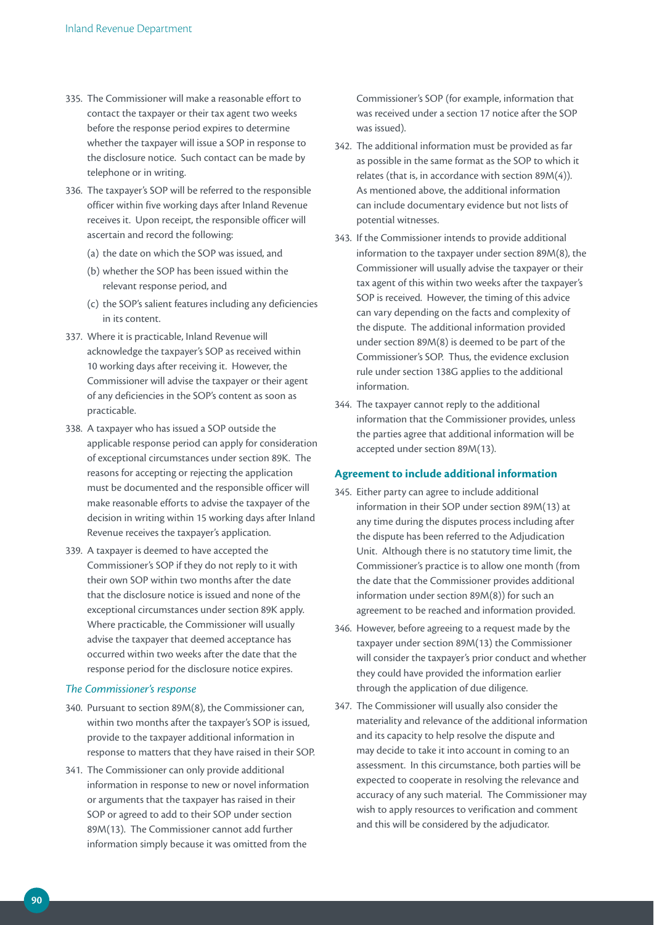- 335. The Commissioner will make a reasonable effort to contact the taxpayer or their tax agent two weeks before the response period expires to determine whether the taxpayer will issue a SOP in response to the disclosure notice. Such contact can be made by telephone or in writing.
- 336. The taxpayer's SOP will be referred to the responsible officer within five working days after Inland Revenue receives it. Upon receipt, the responsible officer will ascertain and record the following:
	- (a) the date on which the SOP was issued, and
	- (b) whether the SOP has been issued within the relevant response period, and
	- (c) the SOP's salient features including any deficiencies in its content.
- 337. Where it is practicable, Inland Revenue will acknowledge the taxpayer's SOP as received within 10 working days after receiving it. However, the Commissioner will advise the taxpayer or their agent of any deficiencies in the SOP's content as soon as practicable.
- 338. A taxpayer who has issued a SOP outside the applicable response period can apply for consideration of exceptional circumstances under section 89K. The reasons for accepting or rejecting the application must be documented and the responsible officer will make reasonable efforts to advise the taxpayer of the decision in writing within 15 working days after Inland Revenue receives the taxpayer's application.
- 339. A taxpayer is deemed to have accepted the Commissioner's SOP if they do not reply to it with their own SOP within two months after the date that the disclosure notice is issued and none of the exceptional circumstances under section 89K apply. Where practicable, the Commissioner will usually advise the taxpayer that deemed acceptance has occurred within two weeks after the date that the response period for the disclosure notice expires.

#### *The Commissioner's response*

- 340. Pursuant to section 89M(8), the Commissioner can, within two months after the taxpayer's SOP is issued, provide to the taxpayer additional information in response to matters that they have raised in their SOP.
- 341. The Commissioner can only provide additional information in response to new or novel information or arguments that the taxpayer has raised in their SOP or agreed to add to their SOP under section 89M(13). The Commissioner cannot add further information simply because it was omitted from the

Commissioner's SOP (for example, information that was received under a section 17 notice after the SOP was issued).

- 342. The additional information must be provided as far as possible in the same format as the SOP to which it relates (that is, in accordance with section 89M(4)). As mentioned above, the additional information can include documentary evidence but not lists of potential witnesses.
- 343. If the Commissioner intends to provide additional information to the taxpayer under section 89M(8), the Commissioner will usually advise the taxpayer or their tax agent of this within two weeks after the taxpayer's SOP is received. However, the timing of this advice can vary depending on the facts and complexity of the dispute. The additional information provided under section 89M(8) is deemed to be part of the Commissioner's SOP. Thus, the evidence exclusion rule under section 138G applies to the additional information.
- 344. The taxpayer cannot reply to the additional information that the Commissioner provides, unless the parties agree that additional information will be accepted under section 89M(13).

## **Agreement to include additional information**

- 345. Either party can agree to include additional information in their SOP under section 89M(13) at any time during the disputes process including after the dispute has been referred to the Adjudication Unit. Although there is no statutory time limit, the Commissioner's practice is to allow one month (from the date that the Commissioner provides additional information under section 89M(8)) for such an agreement to be reached and information provided.
- 346. However, before agreeing to a request made by the taxpayer under section 89M(13) the Commissioner will consider the taxpayer's prior conduct and whether they could have provided the information earlier through the application of due diligence.
- 347. The Commissioner will usually also consider the materiality and relevance of the additional information and its capacity to help resolve the dispute and may decide to take it into account in coming to an assessment. In this circumstance, both parties will be expected to cooperate in resolving the relevance and accuracy of any such material. The Commissioner may wish to apply resources to verification and comment and this will be considered by the adjudicator.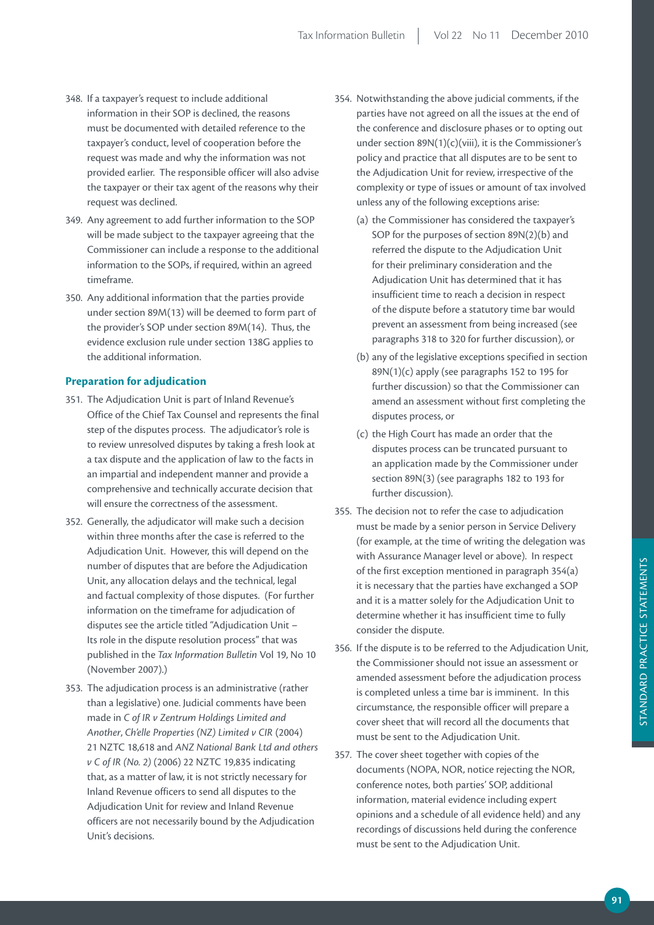- 348. If a taxpayer's request to include additional information in their SOP is declined, the reasons must be documented with detailed reference to the taxpayer's conduct, level of cooperation before the request was made and why the information was not provided earlier. The responsible officer will also advise the taxpayer or their tax agent of the reasons why their request was declined.
- 349. Any agreement to add further information to the SOP will be made subject to the taxpayer agreeing that the Commissioner can include a response to the additional information to the SOPs, if required, within an agreed timeframe.
- 350. Any additional information that the parties provide under section 89M(13) will be deemed to form part of the provider's SOP under section 89M(14). Thus, the evidence exclusion rule under section 138G applies to the additional information.

## **Preparation for adjudication**

- 351. The Adjudication Unit is part of Inland Revenue's Office of the Chief Tax Counsel and represents the final step of the disputes process. The adjudicator's role is to review unresolved disputes by taking a fresh look at a tax dispute and the application of law to the facts in an impartial and independent manner and provide a comprehensive and technically accurate decision that will ensure the correctness of the assessment.
- 352. Generally, the adjudicator will make such a decision within three months after the case is referred to the Adjudication Unit. However, this will depend on the number of disputes that are before the Adjudication Unit, any allocation delays and the technical, legal and factual complexity of those disputes. (For further information on the timeframe for adjudication of disputes see the article titled "Adjudication Unit – Its role in the dispute resolution process" that was published in the *Tax Information Bulletin* Vol 19, No 10 (November 2007).)
- 353. The adjudication process is an administrative (rather than a legislative) one. Judicial comments have been made in *C of IR v Zentrum Holdings Limited and Another*, *Ch'elle Properties (NZ) Limited v CIR* (2004) 21 NZTC 18,618 and *ANZ National Bank Ltd and others v C of IR (No. 2)* (2006) 22 NZTC 19,835 indicating that, as a matter of law, it is not strictly necessary for Inland Revenue officers to send all disputes to the Adjudication Unit for review and Inland Revenue officers are not necessarily bound by the Adjudication Unit's decisions.
- 354. Notwithstanding the above judicial comments, if the parties have not agreed on all the issues at the end of the conference and disclosure phases or to opting out under section 89N(1)(c)(viii), it is the Commissioner's policy and practice that all disputes are to be sent to the Adjudication Unit for review, irrespective of the complexity or type of issues or amount of tax involved unless any of the following exceptions arise:
	- (a) the Commissioner has considered the taxpayer's SOP for the purposes of section 89N(2)(b) and referred the dispute to the Adjudication Unit for their preliminary consideration and the Adjudication Unit has determined that it has insufficient time to reach a decision in respect of the dispute before a statutory time bar would prevent an assessment from being increased (see paragraphs 318 to 320 for further discussion), or
	- (b) any of the legislative exceptions specified in section 89N(1)(c) apply (see paragraphs 152 to 195 for further discussion) so that the Commissioner can amend an assessment without first completing the disputes process, or
	- (c) the High Court has made an order that the disputes process can be truncated pursuant to an application made by the Commissioner under section 89N(3) (see paragraphs 182 to 193 for further discussion).
- 355. The decision not to refer the case to adjudication must be made by a senior person in Service Delivery (for example, at the time of writing the delegation was with Assurance Manager level or above). In respect of the first exception mentioned in paragraph 354(a) it is necessary that the parties have exchanged a SOP and it is a matter solely for the Adjudication Unit to determine whether it has insufficient time to fully consider the dispute.
- 356. If the dispute is to be referred to the Adjudication Unit, the Commissioner should not issue an assessment or amended assessment before the adjudication process is completed unless a time bar is imminent. In this circumstance, the responsible officer will prepare a cover sheet that will record all the documents that must be sent to the Adjudication Unit.
- 357. The cover sheet together with copies of the documents (NOPA, NOR, notice rejecting the NOR, conference notes, both parties' SOP, additional information, material evidence including expert opinions and a schedule of all evidence held) and any recordings of discussions held during the conference must be sent to the Adjudication Unit.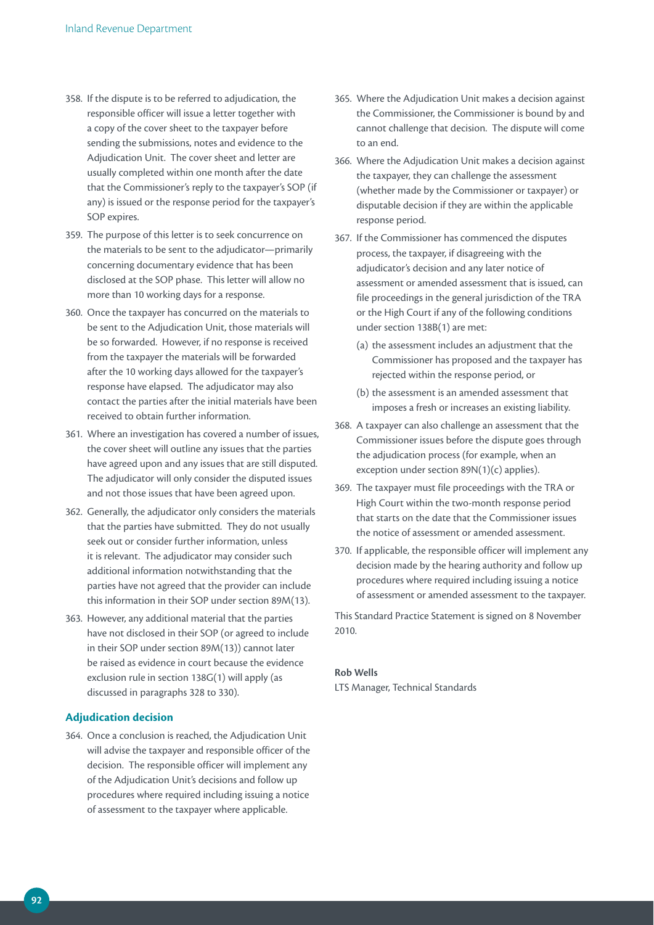- 358. If the dispute is to be referred to adjudication, the responsible officer will issue a letter together with a copy of the cover sheet to the taxpayer before sending the submissions, notes and evidence to the Adjudication Unit. The cover sheet and letter are usually completed within one month after the date that the Commissioner's reply to the taxpayer's SOP (if any) is issued or the response period for the taxpayer's SOP expires.
- 359. The purpose of this letter is to seek concurrence on the materials to be sent to the adjudicator—primarily concerning documentary evidence that has been disclosed at the SOP phase. This letter will allow no more than 10 working days for a response.
- 360. Once the taxpayer has concurred on the materials to be sent to the Adjudication Unit, those materials will be so forwarded. However, if no response is received from the taxpayer the materials will be forwarded after the 10 working days allowed for the taxpayer's response have elapsed. The adjudicator may also contact the parties after the initial materials have been received to obtain further information.
- 361. Where an investigation has covered a number of issues, the cover sheet will outline any issues that the parties have agreed upon and any issues that are still disputed. The adjudicator will only consider the disputed issues and not those issues that have been agreed upon.
- 362. Generally, the adjudicator only considers the materials that the parties have submitted. They do not usually seek out or consider further information, unless it is relevant. The adjudicator may consider such additional information notwithstanding that the parties have not agreed that the provider can include this information in their SOP under section 89M(13).
- 363. However, any additional material that the parties have not disclosed in their SOP (or agreed to include in their SOP under section 89M(13)) cannot later be raised as evidence in court because the evidence exclusion rule in section 138G(1) will apply (as discussed in paragraphs 328 to 330).

## **Adjudication decision**

364. Once a conclusion is reached, the Adjudication Unit will advise the taxpayer and responsible officer of the decision. The responsible officer will implement any of the Adjudication Unit's decisions and follow up procedures where required including issuing a notice of assessment to the taxpayer where applicable.

- 365. Where the Adjudication Unit makes a decision against the Commissioner, the Commissioner is bound by and cannot challenge that decision. The dispute will come to an end.
- 366. Where the Adjudication Unit makes a decision against the taxpayer, they can challenge the assessment (whether made by the Commissioner or taxpayer) or disputable decision if they are within the applicable response period.
- 367. If the Commissioner has commenced the disputes process, the taxpayer, if disagreeing with the adjudicator's decision and any later notice of assessment or amended assessment that is issued, can file proceedings in the general jurisdiction of the TRA or the High Court if any of the following conditions under section 138B(1) are met:
	- (a) the assessment includes an adjustment that the Commissioner has proposed and the taxpayer has rejected within the response period, or
	- (b) the assessment is an amended assessment that imposes a fresh or increases an existing liability.
- 368. A taxpayer can also challenge an assessment that the Commissioner issues before the dispute goes through the adjudication process (for example, when an exception under section 89N(1)(c) applies).
- 369. The taxpayer must file proceedings with the TRA or High Court within the two-month response period that starts on the date that the Commissioner issues the notice of assessment or amended assessment.
- 370. If applicable, the responsible officer will implement any decision made by the hearing authority and follow up procedures where required including issuing a notice of assessment or amended assessment to the taxpayer.

This Standard Practice Statement is signed on 8 November 2010.

#### **rob Wells**

LTS Manager, Technical Standards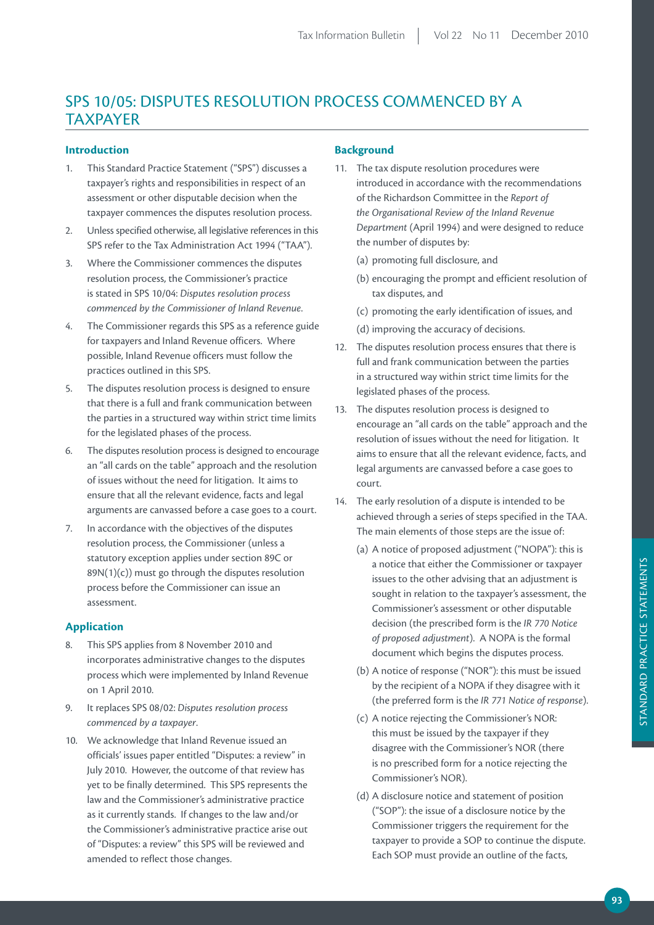# SPS 10/05: DISPUTES RESOLUTION PROCESS COMMENCED BY A TAXPAYER

## **Introduction**

- 1. This Standard Practice Statement ("SPS") discusses a taxpayer's rights and responsibilities in respect of an assessment or other disputable decision when the taxpayer commences the disputes resolution process.
- 2. Unless specified otherwise, all legislative references in this SPS refer to the Tax Administration Act 1994 ("TAA").
- 3. Where the Commissioner commences the disputes resolution process, the Commissioner's practice is stated in SPS 10/04: *Disputes resolution process commenced by the Commissioner of Inland Revenue*.
- 4. The Commissioner regards this SPS as a reference guide for taxpayers and Inland Revenue officers. Where possible, Inland Revenue officers must follow the practices outlined in this SPS.
- 5. The disputes resolution process is designed to ensure that there is a full and frank communication between the parties in a structured way within strict time limits for the legislated phases of the process.
- 6. The disputes resolution process is designed to encourage an "all cards on the table" approach and the resolution of issues without the need for litigation. It aims to ensure that all the relevant evidence, facts and legal arguments are canvassed before a case goes to a court.
- 7. In accordance with the objectives of the disputes resolution process, the Commissioner (unless a statutory exception applies under section 89C or 89N(1)(c)) must go through the disputes resolution process before the Commissioner can issue an assessment.

## **Application**

- 8. This SPS applies from 8 November 2010 and incorporates administrative changes to the disputes process which were implemented by Inland Revenue on 1 April 2010.
- 9. It replaces SPS 08/02: *Disputes resolution process commenced by a taxpayer*.
- 10. We acknowledge that Inland Revenue issued an officials' issues paper entitled "Disputes: a review" in July 2010. However, the outcome of that review has yet to be finally determined. This SPS represents the law and the Commissioner's administrative practice as it currently stands. If changes to the law and/or the Commissioner's administrative practice arise out of "Disputes: a review" this SPS will be reviewed and amended to reflect those changes.

## **Background**

- 11. The tax dispute resolution procedures were introduced in accordance with the recommendations of the Richardson Committee in the *Report of the Organisational Review of the Inland Revenue Department* (April 1994) and were designed to reduce the number of disputes by:
	- (a) promoting full disclosure, and
	- (b) encouraging the prompt and efficient resolution of tax disputes, and
	- (c) promoting the early identification of issues, and
	- (d) improving the accuracy of decisions.
- 12. The disputes resolution process ensures that there is full and frank communication between the parties in a structured way within strict time limits for the legislated phases of the process.
- 13. The disputes resolution process is designed to encourage an "all cards on the table" approach and the resolution of issues without the need for litigation. It aims to ensure that all the relevant evidence, facts, and legal arguments are canvassed before a case goes to court.
- 14. The early resolution of a dispute is intended to be achieved through a series of steps specified in the TAA. The main elements of those steps are the issue of:
	- (a) A notice of proposed adjustment ("NOPA"): this is a notice that either the Commissioner or taxpayer issues to the other advising that an adjustment is sought in relation to the taxpayer's assessment, the Commissioner's assessment or other disputable decision (the prescribed form is the *IR 770 Notice of proposed adjustment*). A NOPA is the formal document which begins the disputes process.
	- (b) A notice of response ("NOR"): this must be issued by the recipient of a NOPA if they disagree with it (the preferred form is the *IR 771 Notice of response*).
	- (c) A notice rejecting the Commissioner's NOR: this must be issued by the taxpayer if they disagree with the Commissioner's NOR (there is no prescribed form for a notice rejecting the Commissioner's NOR).
	- (d) A disclosure notice and statement of position ("SOP"): the issue of a disclosure notice by the Commissioner triggers the requirement for the taxpayer to provide a SOP to continue the dispute. Each SOP must provide an outline of the facts,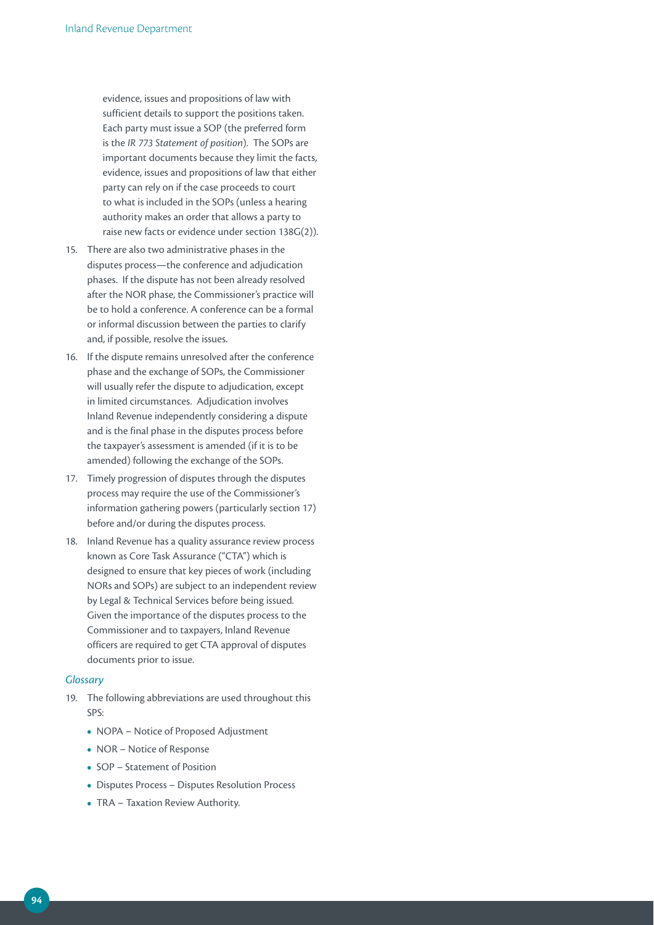evidence, issues and propositions of law with sufficient details to support the positions taken. Each party must issue a SOP (the preferred form is the *IR 773 Statement of position*). The SOPs are important documents because they limit the facts, evidence, issues and propositions of law that either party can rely on if the case proceeds to court to what is included in the SOPs (unless a hearing authority makes an order that allows a party to raise new facts or evidence under section 138G(2)).

- 15. There are also two administrative phases in the disputes process—the conference and adjudication phases. If the dispute has not been already resolved after the NOR phase, the Commissioner's practice will be to hold a conference. A conference can be a formal or informal discussion between the parties to clarify and, if possible, resolve the issues.
- 16. If the dispute remains unresolved after the conference phase and the exchange of SOPs, the Commissioner will usually refer the dispute to adjudication, except in limited circumstances. Adjudication involves Inland Revenue independently considering a dispute and is the final phase in the disputes process before the taxpayer's assessment is amended (if it is to be amended) following the exchange of the SOPs.
- 17. Timely progression of disputes through the disputes process may require the use of the Commissioner's information gathering powers (particularly section 17) before and/or during the disputes process.
- 18. Inland Revenue has a quality assurance review process known as Core Task Assurance ("CTA") which is designed to ensure that key pieces of work (including NORs and SOPs) are subject to an independent review by Legal & Technical Services before being issued. Given the importance of the disputes process to the Commissioner and to taxpayers, Inland Revenue officers are required to get CTA approval of disputes documents prior to issue.

#### *Glossary*

- 19. The following abbreviations are used throughout this SPS:
	- **•**  NOPA Notice of Proposed Adjustment
	- **•**  NOR Notice of Response
	- **•**  SOP Statement of Position
	- **•**  Disputes Process Disputes Resolution Process
	- **•**  TRA Taxation Review Authority.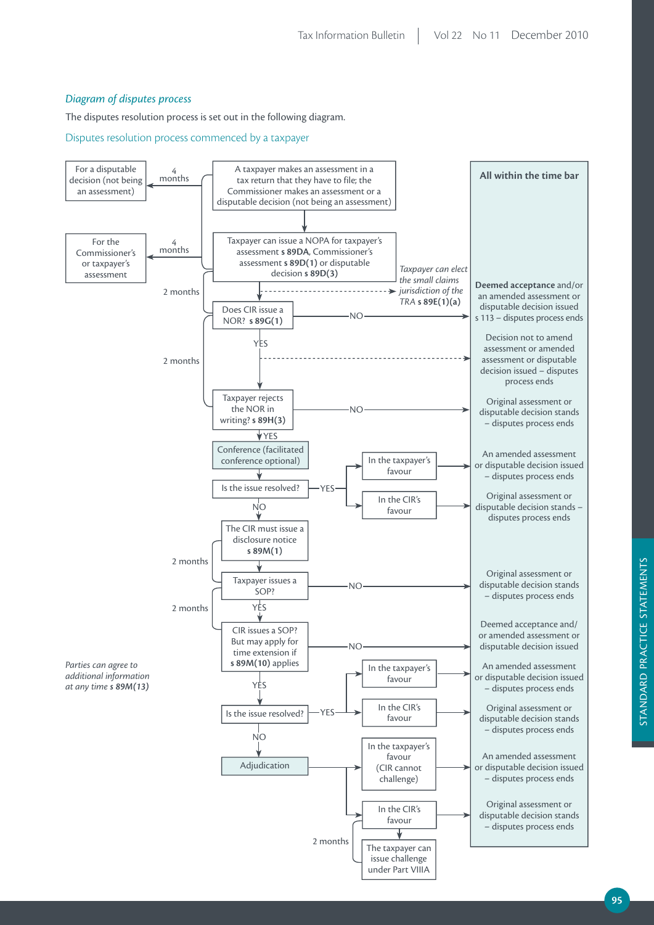# *Diagram of disputes process*

The disputes resolution process is set out in the following diagram.

Disputes resolution process commenced by a taxpayer

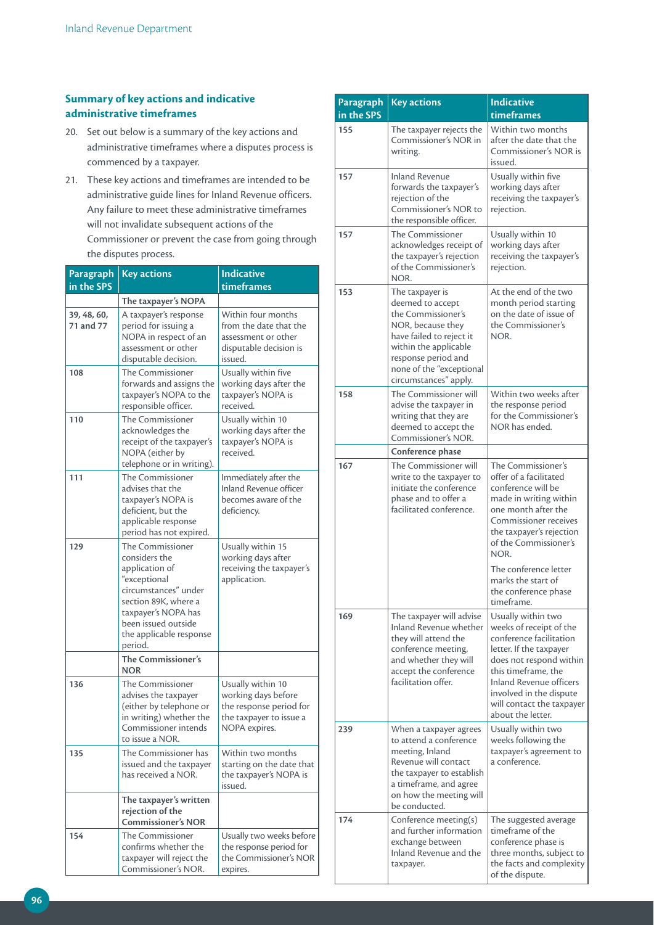# **Summary of key actions and indicative administrative timeframes**

- 20. Set out below is a summary of the key actions and administrative timeframes where a disputes process is commenced by a taxpayer.
- 21. These key actions and timeframes are intended to be administrative guide lines for Inland Revenue officers. Any failure to meet these administrative timeframes will not invalidate subsequent actions of the Commissioner or prevent the case from going through

| the disputes process. |  |
|-----------------------|--|
|-----------------------|--|

| Paragraph                | <b>Key actions</b>                                                                                                                                                                                             | <b>Indicative</b>                                                                                               |
|--------------------------|----------------------------------------------------------------------------------------------------------------------------------------------------------------------------------------------------------------|-----------------------------------------------------------------------------------------------------------------|
| in the SPS               |                                                                                                                                                                                                                | timeframes                                                                                                      |
|                          | The taxpayer's NOPA                                                                                                                                                                                            |                                                                                                                 |
| 39, 48, 60,<br>71 and 77 | A taxpayer's response<br>period for issuing a<br>NOPA in respect of an<br>assessment or other<br>disputable decision.                                                                                          | Within four months<br>from the date that the<br>assessment or other<br>disputable decision is<br>issued.        |
| 108                      | The Commissioner<br>forwards and assigns the<br>taxpayer's NOPA to the<br>responsible officer.                                                                                                                 | Usually within five<br>working days after the<br>taxpayer's NOPA is<br>received.                                |
| 110                      | The Commissioner<br>acknowledges the<br>receipt of the taxpayer's<br>NOPA (either by<br>telephone or in writing).                                                                                              | Usually within 10<br>working days after the<br>taxpayer's NOPA is<br>received.                                  |
| 111                      | The Commissioner<br>advises that the<br>taxpayer's NOPA is<br>deficient, but the<br>applicable response<br>period has not expired.                                                                             | Immediately after the<br><b>Inland Revenue officer</b><br>becomes aware of the<br>deficiency.                   |
| 129                      | <b>The Commissioner</b><br>considers the<br>application of<br>"exceptional<br>circumstances" under<br>section 89K, where a<br>taxpayer's NOPA has<br>been issued outside<br>the applicable response<br>period. | Usually within 15<br>working days after<br>receiving the taxpayer's<br>application.                             |
|                          | The Commissioner's<br><b>NOR</b>                                                                                                                                                                               |                                                                                                                 |
| 136                      | The Commissioner<br>advises the taxpayer<br>(either by telephone or<br>in writing) whether the<br>Commissioner intends<br>to issue a NOR.                                                                      | Usually within 10<br>working days before<br>the response period for<br>the taxpayer to issue a<br>NOPA expires. |
| 135                      | The Commissioner has<br>issued and the taxpayer<br>has received a NOR.                                                                                                                                         | Within two months<br>starting on the date that<br>the taxpayer's NOPA is<br>issued.                             |
|                          | The taxpayer's written<br>rejection of the<br><b>Commissioner's NOR</b>                                                                                                                                        |                                                                                                                 |
| 154                      | The Commissioner<br>confirms whether the<br>taxpayer will reject the<br>Commissioner's NOR.                                                                                                                    | Usually two weeks before<br>the response period for<br>the Commissioner's NOR<br>expires.                       |

| Paragraph<br>in the SPS | <b>Key actions</b>                                                                                                                                                                                              | <b>Indicative</b><br>timeframes                                                                                                                                                                                                                               |
|-------------------------|-----------------------------------------------------------------------------------------------------------------------------------------------------------------------------------------------------------------|---------------------------------------------------------------------------------------------------------------------------------------------------------------------------------------------------------------------------------------------------------------|
| 155                     | The taxpayer rejects the<br>Commissioner's NOR in<br>writing.                                                                                                                                                   | Within two months<br>after the date that the<br>Commissioner's NOR is<br>issued.                                                                                                                                                                              |
| 157                     | <b>Inland Revenue</b><br>forwards the taxpayer's<br>rejection of the<br>Commissioner's NOR to<br>the responsible officer.                                                                                       | Usually within five<br>working days after<br>receiving the taxpayer's<br>rejection.                                                                                                                                                                           |
| 157                     | The Commissioner<br>acknowledges receipt of<br>the taxpayer's rejection<br>of the Commissioner's<br>NOR.                                                                                                        | Usually within 10<br>working days after<br>receiving the taxpayer's<br>rejection.                                                                                                                                                                             |
| 153                     | The taxpayer is<br>deemed to accept<br>the Commissioner's<br>NOR, because they<br>have failed to reject it<br>within the applicable<br>response period and<br>none of the "exceptional<br>circumstances" apply. | At the end of the two<br>month period starting<br>on the date of issue of<br>the Commissioner's<br>NOR.                                                                                                                                                       |
| 158                     | The Commissioner will<br>advise the taxpayer in<br>writing that they are<br>deemed to accept the<br>Commissioner's NOR.                                                                                         | Within two weeks after<br>the response period<br>for the Commissioner's<br>NOR has ended.                                                                                                                                                                     |
|                         | Conference phase                                                                                                                                                                                                |                                                                                                                                                                                                                                                               |
| 167                     | The Commissioner will<br>write to the taxpayer to<br>initiate the conference<br>phase and to offer a<br>facilitated conference.                                                                                 | The Commissioner's<br>offer of a facilitated<br>conference will be<br>made in writing within<br>one month after the<br>Commissioner receives<br>the taxpayer's rejection<br>of the Commissioner's<br>NOR.<br>The conference letter<br>marks the start of      |
|                         |                                                                                                                                                                                                                 | the conference phase<br>timeframe.                                                                                                                                                                                                                            |
| 169                     | The taxpayer will advise<br>Inland Revenue whether<br>they will attend the<br>conference meeting,<br>and whether they will<br>accept the conference<br>facilitation offer.                                      | Usually within two<br>weeks of receipt of the<br>conference facilitation<br>letter. If the taxpayer<br>does not respond within<br>this timeframe, the<br>Inland Revenue officers<br>involved in the dispute<br>will contact the taxpayer<br>about the letter. |
| 239                     | When a taxpayer agrees<br>to attend a conference<br>meeting, Inland<br>Revenue will contact<br>the taxpayer to establish<br>a timeframe, and agree<br>on how the meeting will<br>be conducted.                  | Usually within two<br>weeks following the<br>taxpayer's agreement to<br>a conference.                                                                                                                                                                         |
| 174                     | Conference meeting(s)<br>and further information<br>exchange between<br>Inland Revenue and the<br>taxpayer.                                                                                                     | The suggested average<br>timeframe of the<br>conference phase is<br>three months, subject to<br>the facts and complexity<br>of the dispute.                                                                                                                   |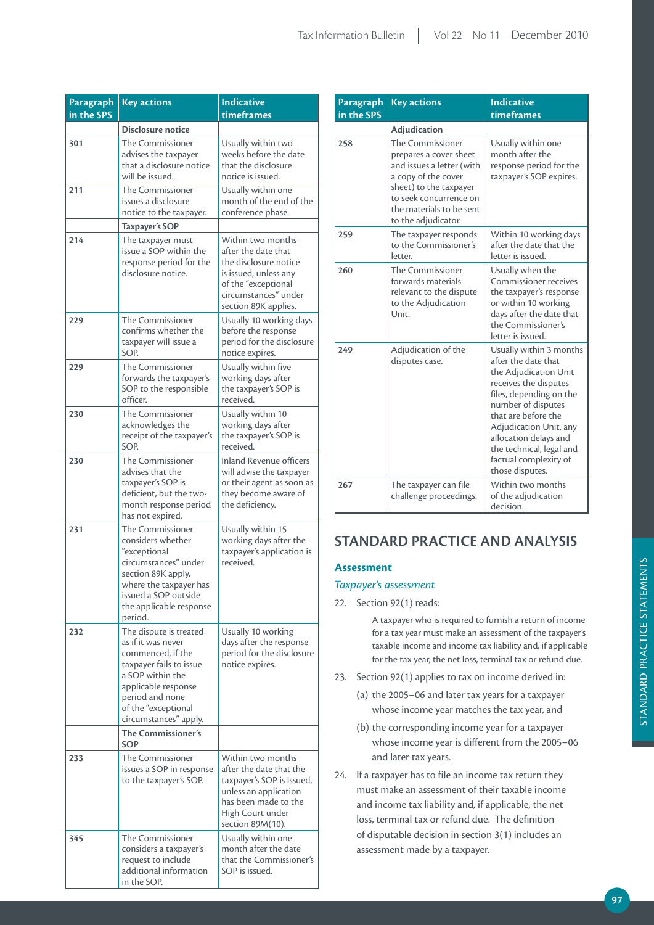| <b>Paragraph</b><br>in the SPS | <b>Key actions</b>                                                                                                                                                                                         | <b>Indicative</b><br>timeframes                                                                                                                                    |
|--------------------------------|------------------------------------------------------------------------------------------------------------------------------------------------------------------------------------------------------------|--------------------------------------------------------------------------------------------------------------------------------------------------------------------|
|                                | Disclosure notice                                                                                                                                                                                          |                                                                                                                                                                    |
| 301                            | <b>The Commissioner</b><br>advises the taxpayer<br>that a disclosure notice<br>will be issued.                                                                                                             | Usually within two<br>weeks before the date<br>that the disclosure<br>notice is issued.                                                                            |
| 211                            | <b>The Commissioner</b><br>issues a disclosure<br>notice to the taxpayer.<br><b>Taxpayer's SOP</b>                                                                                                         | Usually within one<br>month of the end of the<br>conference phase.                                                                                                 |
| 214                            | The taxpayer must<br>issue a SOP within the<br>response period for the<br>disclosure notice.                                                                                                               | Within two months<br>after the date that<br>the disclosure notice<br>is issued, unless any<br>of the "exceptional<br>circumstances" under<br>section 89K applies.  |
| 229                            | The Commissioner<br>confirms whether the<br>taxpayer will issue a<br>SOP.                                                                                                                                  | Usually 10 working days<br>before the response<br>period for the disclosure<br>notice expires.                                                                     |
| 229                            | <b>The Commissioner</b><br>forwards the taxpayer's<br>SOP to the responsible<br>officer.                                                                                                                   | Usually within five<br>working days after<br>the taxpayer's SOP is<br>received.                                                                                    |
| 230                            | <b>The Commissioner</b><br>acknowledges the<br>receipt of the taxpayer's<br>SOP.                                                                                                                           | Usually within 10<br>working days after<br>the taxpayer's SOP is<br>received.                                                                                      |
| 230                            | The Commissioner<br>advises that the<br>taxpayer's SOP is<br>deficient, but the two-<br>month response period<br>has not expired.                                                                          | <b>Inland Revenue officers</b><br>will advise the taxpayer<br>or their agent as soon as<br>they become aware of<br>the deficiency.                                 |
| 231                            | The Commissioner<br>considers whether<br>"exceptional<br>circumstances" under<br>section 89K apply,<br>where the taxpayer has<br>issued a SOP outside<br>the applicable response<br>period.                | Usually within 15<br>working days after the<br>taxpayer's application is<br>received.                                                                              |
| 232                            | The dispute is treated<br>as if it was never<br>commenced, if the<br>taxpayer fails to issue<br>a SOP within the<br>applicable response<br>period and none<br>of the "exceptional<br>circumstances" apply. | Usually 10 working<br>days after the response<br>period for the disclosure<br>notice expires.                                                                      |
|                                | <b>The Commissioner's</b><br>SOP                                                                                                                                                                           |                                                                                                                                                                    |
| 233                            | The Commissioner<br>issues a SOP in response<br>to the taxpayer's SOP.                                                                                                                                     | Within two months<br>after the date that the<br>taxpayer's SOP is issued,<br>unless an application<br>has been made to the<br>High Court under<br>section 89M(10). |
| 345                            | The Commissioner<br>considers a taxpayer's<br>request to include<br>additional information<br>in the SOP.                                                                                                  | Usually within one<br>month after the date<br>that the Commissioner's<br>SOP is issued.                                                                            |

| Paragraph  | <b>Key actions</b>                                                                                                                                                                                    | <b>Indicative</b>                                                                                                                                                                                                                                                                                   |
|------------|-------------------------------------------------------------------------------------------------------------------------------------------------------------------------------------------------------|-----------------------------------------------------------------------------------------------------------------------------------------------------------------------------------------------------------------------------------------------------------------------------------------------------|
| in the SPS |                                                                                                                                                                                                       | timeframes                                                                                                                                                                                                                                                                                          |
|            | Adjudication                                                                                                                                                                                          |                                                                                                                                                                                                                                                                                                     |
| 258        | The Commissioner<br>prepares a cover sheet<br>and issues a letter (with<br>a copy of the cover<br>sheet) to the taxpayer<br>to seek concurrence on<br>the materials to be sent<br>to the adjudicator. | Usually within one<br>month after the<br>response period for the<br>taxpayer's SOP expires.                                                                                                                                                                                                         |
| 259        | The taxpayer responds<br>to the Commissioner's<br>letter.                                                                                                                                             | Within 10 working days<br>after the date that the<br>letter is issued.                                                                                                                                                                                                                              |
| 260        | The Commissioner<br>forwards materials<br>relevant to the dispute<br>to the Adjudication<br>Unit.                                                                                                     | Usually when the<br>Commissioner receives<br>the taxpayer's response<br>or within 10 working<br>days after the date that<br>the Commissioner's<br>letter is issued.                                                                                                                                 |
| 249        | Adjudication of the<br>disputes case.                                                                                                                                                                 | Usually within 3 months<br>after the date that<br>the Adjudication Unit<br>receives the disputes<br>files, depending on the<br>number of disputes<br>that are before the<br>Adjudication Unit, any<br>allocation delays and<br>the technical, legal and<br>factual complexity of<br>those disputes. |
| 267        | The taxpayer can file<br>challenge proceedings.                                                                                                                                                       | Within two months<br>of the adjudication<br>decision.                                                                                                                                                                                                                                               |

# **STANDArD prACTiCE AND ANALYSiS**

## **Assessment**

## *Taxpayer's assessment*

#### 22. Section 92(1) reads:

A taxpayer who is required to furnish a return of income for a tax year must make an assessment of the taxpayer's taxable income and income tax liability and, if applicable for the tax year, the net loss, terminal tax or refund due.

- 23. Section 92(1) applies to tax on income derived in:
	- (a) the 2005−06 and later tax years for a taxpayer whose income year matches the tax year, and
	- (b) the corresponding income year for a taxpayer whose income year is different from the 2005−06 and later tax years.
- 24. If a taxpayer has to file an income tax return they must make an assessment of their taxable income and income tax liability and, if applicable, the net loss, terminal tax or refund due. The definition of disputable decision in section 3(1) includes an assessment made by a taxpayer.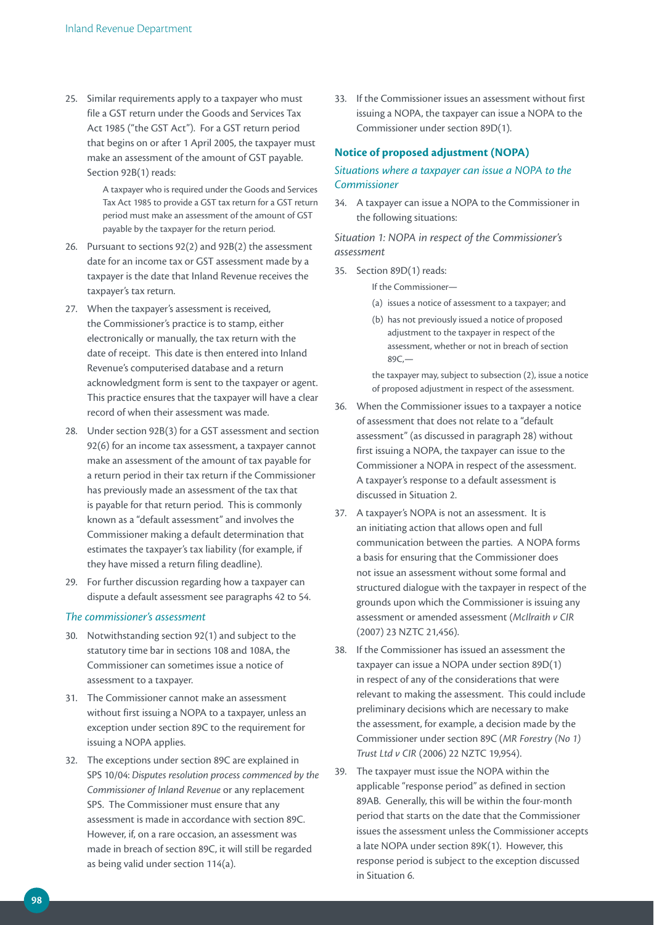25. Similar requirements apply to a taxpayer who must file a GST return under the Goods and Services Tax Act 1985 ("the GST Act"). For a GST return period that begins on or after 1 April 2005, the taxpayer must make an assessment of the amount of GST payable. Section 92B(1) reads:

> A taxpayer who is required under the Goods and Services Tax Act 1985 to provide a GST tax return for a GST return period must make an assessment of the amount of GST payable by the taxpayer for the return period.

- 26. Pursuant to sections 92(2) and 92B(2) the assessment date for an income tax or GST assessment made by a taxpayer is the date that Inland Revenue receives the taxpayer's tax return.
- 27. When the taxpayer's assessment is received, the Commissioner's practice is to stamp, either electronically or manually, the tax return with the date of receipt. This date is then entered into Inland Revenue's computerised database and a return acknowledgment form is sent to the taxpayer or agent. This practice ensures that the taxpayer will have a clear record of when their assessment was made.
- 28. Under section 92B(3) for a GST assessment and section 92(6) for an income tax assessment, a taxpayer cannot make an assessment of the amount of tax payable for a return period in their tax return if the Commissioner has previously made an assessment of the tax that is payable for that return period. This is commonly known as a "default assessment" and involves the Commissioner making a default determination that estimates the taxpayer's tax liability (for example, if they have missed a return filing deadline).
- 29. For further discussion regarding how a taxpayer can dispute a default assessment see paragraphs 42 to 54.

#### *The commissioner's assessment*

- 30. Notwithstanding section 92(1) and subject to the statutory time bar in sections 108 and 108A, the Commissioner can sometimes issue a notice of assessment to a taxpayer.
- 31. The Commissioner cannot make an assessment without first issuing a NOPA to a taxpayer, unless an exception under section 89C to the requirement for issuing a NOPA applies.
- 32. The exceptions under section 89C are explained in SPS 10/04: *Disputes resolution process commenced by the Commissioner of Inland Revenue* or any replacement SPS. The Commissioner must ensure that any assessment is made in accordance with section 89C. However, if, on a rare occasion, an assessment was made in breach of section 89C, it will still be regarded as being valid under section 114(a).

33. If the Commissioner issues an assessment without first issuing a NOPA, the taxpayer can issue a NOPA to the Commissioner under section 89D(1).

# **Notice of proposed adjustment (NOPA)**

# *Situations where a taxpayer can issue a NOPA to the Commissioner*

34. A taxpayer can issue a NOPA to the Commissioner in the following situations:

*Situation 1: NOPA in respect of the Commissioner's assessment*

35. Section 89D(1) reads:

If the Commissioner—

- (a) issues a notice of assessment to a taxpayer; and
- (b) has not previously issued a notice of proposed adjustment to the taxpayer in respect of the assessment, whether or not in breach of section 89C,—

the taxpayer may, subject to subsection (2), issue a notice of proposed adjustment in respect of the assessment.

- 36. When the Commissioner issues to a taxpayer a notice of assessment that does not relate to a "default assessment" (as discussed in paragraph 28) without first issuing a NOPA, the taxpayer can issue to the Commissioner a NOPA in respect of the assessment. A taxpayer's response to a default assessment is discussed in Situation 2.
- 37. A taxpayer's NOPA is not an assessment. It is an initiating action that allows open and full communication between the parties. A NOPA forms a basis for ensuring that the Commissioner does not issue an assessment without some formal and structured dialogue with the taxpayer in respect of the grounds upon which the Commissioner is issuing any assessment or amended assessment (*McIlraith v CIR* (2007) 23 NZTC 21,456).
- 38. If the Commissioner has issued an assessment the taxpayer can issue a NOPA under section 89D(1) in respect of any of the considerations that were relevant to making the assessment. This could include preliminary decisions which are necessary to make the assessment, for example, a decision made by the Commissioner under section 89C (*MR Forestry (No 1) Trust Ltd v CIR* (2006) 22 NZTC 19,954).
- 39. The taxpayer must issue the NOPA within the applicable "response period" as defined in section 89AB. Generally, this will be within the four-month period that starts on the date that the Commissioner issues the assessment unless the Commissioner accepts a late NOPA under section 89K(1). However, this response period is subject to the exception discussed in Situation 6.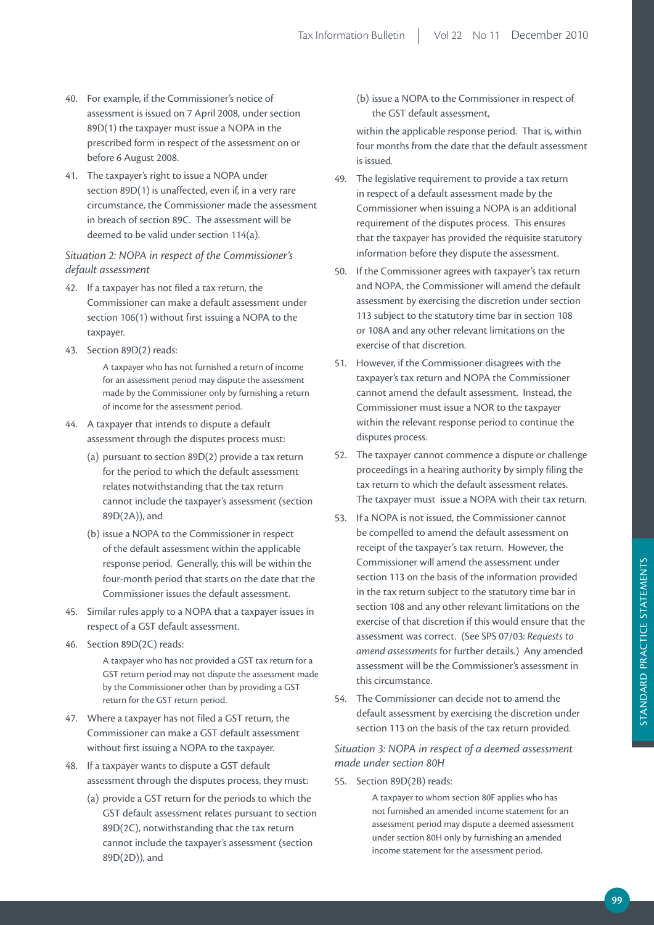- 40. For example, if the Commissioner's notice of assessment is issued on 7 April 2008, under section 89D(1) the taxpayer must issue a NOPA in the prescribed form in respect of the assessment on or before 6 August 2008.
- 41. The taxpayer's right to issue a NOPA under section 89D(1) is unaffected, even if, in a very rare circumstance, the Commissioner made the assessment in breach of section 89C. The assessment will be deemed to be valid under section 114(a).

## *Situation 2: NOPA in respect of the Commissioner's default assessment*

- 42. If a taxpayer has not filed a tax return, the Commissioner can make a default assessment under section 106(1) without first issuing a NOPA to the taxpayer.
- 43. Section 89D(2) reads:

A taxpayer who has not furnished a return of income for an assessment period may dispute the assessment made by the Commissioner only by furnishing a return of income for the assessment period.

- 44. A taxpayer that intends to dispute a default assessment through the disputes process must:
	- (a) pursuant to section 89D(2) provide a tax return for the period to which the default assessment relates notwithstanding that the tax return cannot include the taxpayer's assessment (section 89D(2A)), and
	- (b) issue a NOPA to the Commissioner in respect of the default assessment within the applicable response period. Generally, this will be within the four-month period that starts on the date that the Commissioner issues the default assessment.
- 45. Similar rules apply to a NOPA that a taxpayer issues in respect of a GST default assessment.
- 46. Section 89D(2C) reads:

A taxpayer who has not provided a GST tax return for a GST return period may not dispute the assessment made by the Commissioner other than by providing a GST return for the GST return period.

- 47. Where a taxpayer has not filed a GST return, the Commissioner can make a GST default assessment without first issuing a NOPA to the taxpayer.
- 48. If a taxpayer wants to dispute a GST default assessment through the disputes process, they must:
	- (a) provide a GST return for the periods to which the GST default assessment relates pursuant to section 89D(2C), notwithstanding that the tax return cannot include the taxpayer's assessment (section 89D(2D)), and

(b) issue a NOPA to the Commissioner in respect of the GST default assessment,

 within the applicable response period. That is, within four months from the date that the default assessment is issued.

- 49. The legislative requirement to provide a tax return in respect of a default assessment made by the Commissioner when issuing a NOPA is an additional requirement of the disputes process. This ensures that the taxpayer has provided the requisite statutory information before they dispute the assessment.
- 50. If the Commissioner agrees with taxpayer's tax return and NOPA, the Commissioner will amend the default assessment by exercising the discretion under section 113 subject to the statutory time bar in section 108 or 108A and any other relevant limitations on the exercise of that discretion.
- 51. However, if the Commissioner disagrees with the taxpayer's tax return and NOPA the Commissioner cannot amend the default assessment. Instead, the Commissioner must issue a NOR to the taxpayer within the relevant response period to continue the disputes process.
- 52. The taxpayer cannot commence a dispute or challenge proceedings in a hearing authority by simply filing the tax return to which the default assessment relates. The taxpayer must issue a NOPA with their tax return.
- 53. If a NOPA is not issued, the Commissioner cannot be compelled to amend the default assessment on receipt of the taxpayer's tax return. However, the Commissioner will amend the assessment under section 113 on the basis of the information provided in the tax return subject to the statutory time bar in section 108 and any other relevant limitations on the exercise of that discretion if this would ensure that the assessment was correct. (See SPS 07/03: *Requests to amend assessments* for further details.) Any amended assessment will be the Commissioner's assessment in this circumstance.
- 54. The Commissioner can decide not to amend the default assessment by exercising the discretion under section 113 on the basis of the tax return provided.

# *Situation 3: NOPA in respect of a deemed assessment made under section 80H*

55. Section 89D(2B) reads:

A taxpayer to whom section 80F applies who has not furnished an amended income statement for an assessment period may dispute a deemed assessment under section 80H only by furnishing an amended income statement for the assessment period.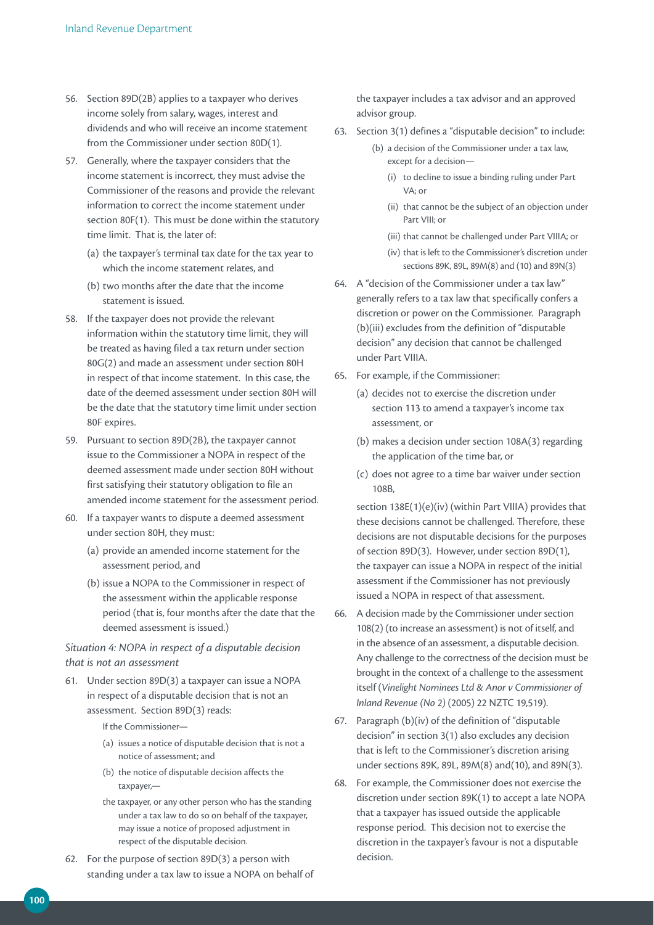- 56. Section 89D(2B) applies to a taxpayer who derives income solely from salary, wages, interest and dividends and who will receive an income statement from the Commissioner under section 80D(1).
- 57. Generally, where the taxpayer considers that the income statement is incorrect, they must advise the Commissioner of the reasons and provide the relevant information to correct the income statement under section 80F(1). This must be done within the statutory time limit. That is, the later of:
	- (a) the taxpayer's terminal tax date for the tax year to which the income statement relates, and
	- (b) two months after the date that the income statement is issued.
- 58. If the taxpayer does not provide the relevant information within the statutory time limit, they will be treated as having filed a tax return under section 80G(2) and made an assessment under section 80H in respect of that income statement. In this case, the date of the deemed assessment under section 80H will be the date that the statutory time limit under section 80F expires.
- 59. Pursuant to section 89D(2B), the taxpayer cannot issue to the Commissioner a NOPA in respect of the deemed assessment made under section 80H without first satisfying their statutory obligation to file an amended income statement for the assessment period.
- 60. If a taxpayer wants to dispute a deemed assessment under section 80H, they must:
	- (a) provide an amended income statement for the assessment period, and
	- (b) issue a NOPA to the Commissioner in respect of the assessment within the applicable response period (that is, four months after the date that the deemed assessment is issued.)

## *Situation 4: NOPA in respect of a disputable decision that is not an assessment*

61. Under section 89D(3) a taxpayer can issue a NOPA in respect of a disputable decision that is not an assessment. Section 89D(3) reads:

If the Commissioner—

- (a) issues a notice of disputable decision that is not a notice of assessment; and
- (b) the notice of disputable decision affects the taxpayer,—
- the taxpayer, or any other person who has the standing under a tax law to do so on behalf of the taxpayer, may issue a notice of proposed adjustment in respect of the disputable decision.
- 62. For the purpose of section 89D(3) a person with standing under a tax law to issue a NOPA on behalf of

the taxpayer includes a tax advisor and an approved advisor group.

- 63. Section 3(1) defines a "disputable decision" to include:
	- (b) a decision of the Commissioner under a tax law, except for a decision—
		- (i) to decline to issue a binding ruling under Part  $VA·$  or
		- (ii) that cannot be the subject of an objection under Part VIII; or
		- (iii) that cannot be challenged under Part VIIIA; or
		- (iv) that is left to the Commissioner's discretion under sections 89K, 89L, 89M(8) and (10) and 89N(3)
- 64. A "decision of the Commissioner under a tax law" generally refers to a tax law that specifically confers a discretion or power on the Commissioner. Paragraph (b)(iii) excludes from the definition of "disputable decision" any decision that cannot be challenged under Part VIIIA.
- 65. For example, if the Commissioner:
	- (a) decides not to exercise the discretion under section 113 to amend a taxpayer's income tax assessment, or
	- (b) makes a decision under section 108A(3) regarding the application of the time bar, or
	- (c) does not agree to a time bar waiver under section 108B,

 section 138E(1)(e)(iv) (within Part VIIIA) provides that these decisions cannot be challenged. Therefore, these decisions are not disputable decisions for the purposes of section 89D(3). However, under section 89D(1), the taxpayer can issue a NOPA in respect of the initial assessment if the Commissioner has not previously issued a NOPA in respect of that assessment.

- 66. A decision made by the Commissioner under section 108(2) (to increase an assessment) is not of itself, and in the absence of an assessment, a disputable decision. Any challenge to the correctness of the decision must be brought in the context of a challenge to the assessment itself (*Vinelight Nominees Ltd & Anor v Commissioner of Inland Revenue (No 2)* (2005) 22 NZTC 19,519).
- 67. Paragraph (b)(iv) of the definition of "disputable decision" in section 3(1) also excludes any decision that is left to the Commissioner's discretion arising under sections 89K, 89L, 89M(8) and(10), and 89N(3).
- 68. For example, the Commissioner does not exercise the discretion under section 89K(1) to accept a late NOPA that a taxpayer has issued outside the applicable response period. This decision not to exercise the discretion in the taxpayer's favour is not a disputable decision.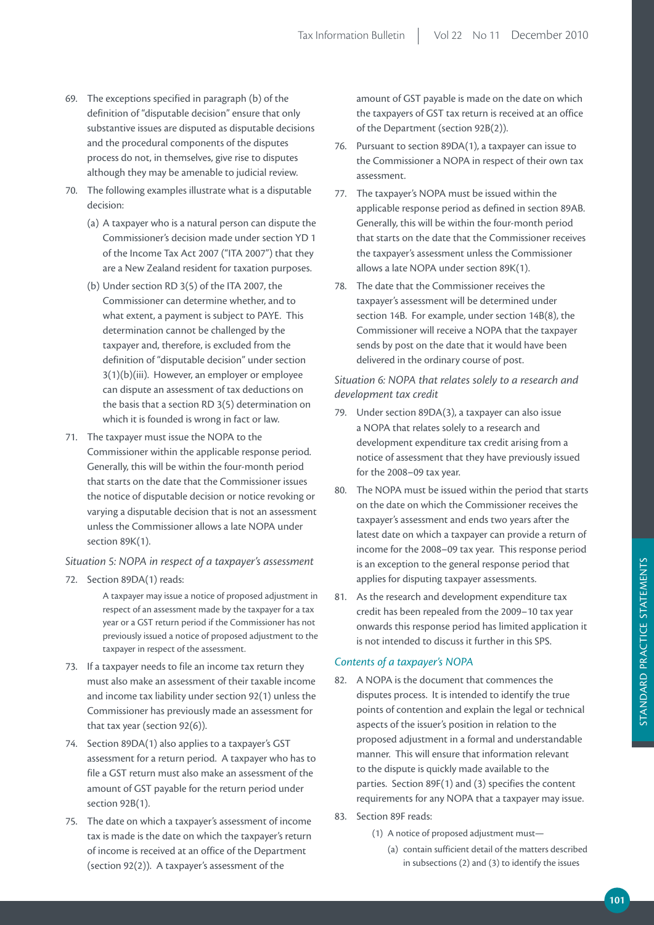- 69. The exceptions specified in paragraph (b) of the definition of "disputable decision" ensure that only substantive issues are disputed as disputable decisions and the procedural components of the disputes process do not, in themselves, give rise to disputes although they may be amenable to judicial review.
- 70. The following examples illustrate what is a disputable decision:
	- (a) A taxpayer who is a natural person can dispute the Commissioner's decision made under section YD 1 of the Income Tax Act 2007 ("ITA 2007") that they are a New Zealand resident for taxation purposes.
	- (b) Under section RD 3(5) of the ITA 2007, the Commissioner can determine whether, and to what extent, a payment is subject to PAYE. This determination cannot be challenged by the taxpayer and, therefore, is excluded from the definition of "disputable decision" under section 3(1)(b)(iii). However, an employer or employee can dispute an assessment of tax deductions on the basis that a section RD 3(5) determination on which it is founded is wrong in fact or law.
- 71. The taxpayer must issue the NOPA to the Commissioner within the applicable response period. Generally, this will be within the four-month period that starts on the date that the Commissioner issues the notice of disputable decision or notice revoking or varying a disputable decision that is not an assessment unless the Commissioner allows a late NOPA under section 89K(1).

#### *Situation 5: NOPA in respect of a taxpayer's assessment*

72. Section 89DA(1) reads:

A taxpayer may issue a notice of proposed adjustment in respect of an assessment made by the taxpayer for a tax year or a GST return period if the Commissioner has not previously issued a notice of proposed adjustment to the taxpayer in respect of the assessment.

- 73. If a taxpayer needs to file an income tax return they must also make an assessment of their taxable income and income tax liability under section 92(1) unless the Commissioner has previously made an assessment for that tax year (section 92(6)).
- 74. Section 89DA(1) also applies to a taxpayer's GST assessment for a return period. A taxpayer who has to file a GST return must also make an assessment of the amount of GST payable for the return period under section 92B(1).
- 75. The date on which a taxpayer's assessment of income tax is made is the date on which the taxpayer's return of income is received at an office of the Department (section 92(2)). A taxpayer's assessment of the

amount of GST payable is made on the date on which the taxpayers of GST tax return is received at an office of the Department (section 92B(2)).

- 76. Pursuant to section 89DA(1), a taxpayer can issue to the Commissioner a NOPA in respect of their own tax assessment.
- 77. The taxpayer's NOPA must be issued within the applicable response period as defined in section 89AB. Generally, this will be within the four-month period that starts on the date that the Commissioner receives the taxpayer's assessment unless the Commissioner allows a late NOPA under section 89K(1).
- 78. The date that the Commissioner receives the taxpayer's assessment will be determined under section 14B. For example, under section 14B(8), the Commissioner will receive a NOPA that the taxpayer sends by post on the date that it would have been delivered in the ordinary course of post.

# *Situation 6: NOPA that relates solely to a research and development tax credit*

- 79. Under section 89DA(3), a taxpayer can also issue a NOPA that relates solely to a research and development expenditure tax credit arising from a notice of assessment that they have previously issued for the 2008–09 tax year.
- 80. The NOPA must be issued within the period that starts on the date on which the Commissioner receives the taxpayer's assessment and ends two years after the latest date on which a taxpayer can provide a return of income for the 2008–09 tax year. This response period is an exception to the general response period that applies for disputing taxpayer assessments.
- 81. As the research and development expenditure tax credit has been repealed from the 2009–10 tax year onwards this response period has limited application it is not intended to discuss it further in this SPS.

## *Contents of a taxpayer's NOPA*

- 82. A NOPA is the document that commences the disputes process. It is intended to identify the true points of contention and explain the legal or technical aspects of the issuer's position in relation to the proposed adjustment in a formal and understandable manner. This will ensure that information relevant to the dispute is quickly made available to the parties. Section 89F(1) and (3) specifies the content requirements for any NOPA that a taxpayer may issue.
- 83. Section 89F reads:
	- (1) A notice of proposed adjustment must—
		- (a) contain sufficient detail of the matters described in subsections (2) and (3) to identify the issues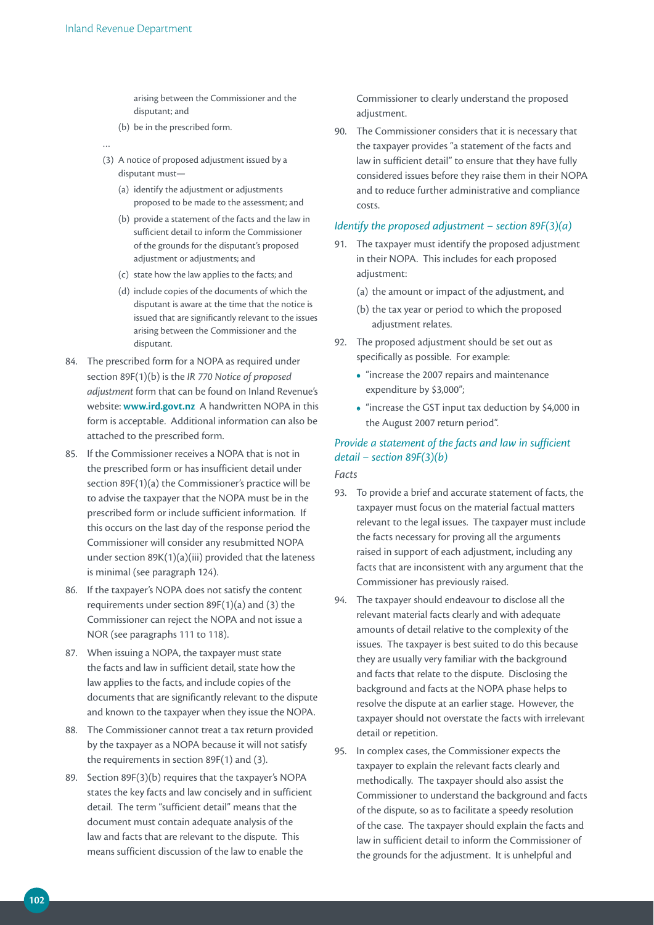arising between the Commissioner and the disputant; and

- (b) be in the prescribed form.
- …
- (3) A notice of proposed adjustment issued by a disputant must—
	- (a) identify the adjustment or adjustments proposed to be made to the assessment; and
	- (b) provide a statement of the facts and the law in sufficient detail to inform the Commissioner of the grounds for the disputant's proposed adjustment or adjustments; and
	- (c) state how the law applies to the facts; and
	- (d) include copies of the documents of which the disputant is aware at the time that the notice is issued that are significantly relevant to the issues arising between the Commissioner and the disputant.
- 84. The prescribed form for a NOPA as required under section 89F(1)(b) is the *IR 770 Notice of proposed adjustment* form that can be found on Inland Revenue's website: **www.ird.govt.nz** A handwritten NOPA in this form is acceptable. Additional information can also be attached to the prescribed form.
- 85. If the Commissioner receives a NOPA that is not in the prescribed form or has insufficient detail under section 89F(1)(a) the Commissioner's practice will be to advise the taxpayer that the NOPA must be in the prescribed form or include sufficient information. If this occurs on the last day of the response period the Commissioner will consider any resubmitted NOPA under section 89K(1)(a)(iii) provided that the lateness is minimal (see paragraph 124).
- 86. If the taxpayer's NOPA does not satisfy the content requirements under section 89F(1)(a) and (3) the Commissioner can reject the NOPA and not issue a NOR (see paragraphs 111 to 118).
- 87. When issuing a NOPA, the taxpayer must state the facts and law in sufficient detail, state how the law applies to the facts, and include copies of the documents that are significantly relevant to the dispute and known to the taxpayer when they issue the NOPA.
- 88. The Commissioner cannot treat a tax return provided by the taxpayer as a NOPA because it will not satisfy the requirements in section 89F(1) and (3).
- 89. Section 89F(3)(b) requires that the taxpayer's NOPA states the key facts and law concisely and in sufficient detail. The term "sufficient detail" means that the document must contain adequate analysis of the law and facts that are relevant to the dispute. This means sufficient discussion of the law to enable the

Commissioner to clearly understand the proposed adjustment.

90. The Commissioner considers that it is necessary that the taxpayer provides "a statement of the facts and law in sufficient detail" to ensure that they have fully considered issues before they raise them in their NOPA and to reduce further administrative and compliance costs.

## *Identify the proposed adjustment – section 89F(3)(a)*

- 91. The taxpayer must identify the proposed adjustment in their NOPA. This includes for each proposed adjustment:
	- (a) the amount or impact of the adjustment, and
	- (b) the tax year or period to which the proposed adjustment relates.
- 92. The proposed adjustment should be set out as specifically as possible. For example:
	- **•**  "increase the 2007 repairs and maintenance expenditure by \$3,000";
	- "increase the GST input tax deduction by \$4,000 in the August 2007 return period".

# *Provide a statement of the facts and law in sufficient detail – section 89F(3)(b) Facts*

- 93. To provide a brief and accurate statement of facts, the taxpayer must focus on the material factual matters relevant to the legal issues. The taxpayer must include the facts necessary for proving all the arguments raised in support of each adjustment, including any facts that are inconsistent with any argument that the Commissioner has previously raised.
- 94. The taxpayer should endeavour to disclose all the relevant material facts clearly and with adequate amounts of detail relative to the complexity of the issues. The taxpayer is best suited to do this because they are usually very familiar with the background and facts that relate to the dispute. Disclosing the background and facts at the NOPA phase helps to resolve the dispute at an earlier stage. However, the taxpayer should not overstate the facts with irrelevant detail or repetition.
- 95. In complex cases, the Commissioner expects the taxpayer to explain the relevant facts clearly and methodically. The taxpayer should also assist the Commissioner to understand the background and facts of the dispute, so as to facilitate a speedy resolution of the case. The taxpayer should explain the facts and law in sufficient detail to inform the Commissioner of the grounds for the adjustment. It is unhelpful and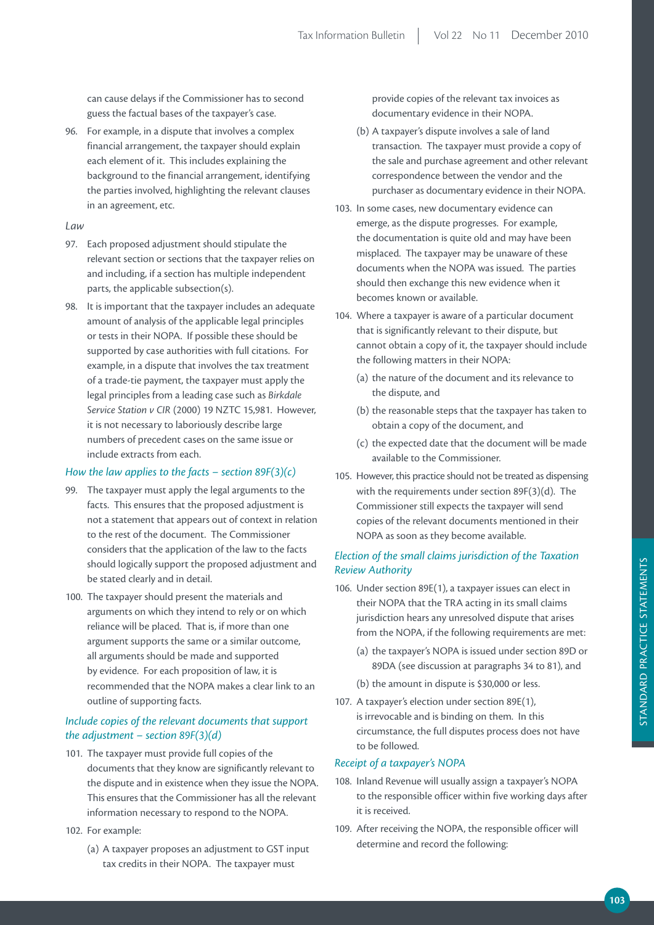can cause delays if the Commissioner has to second guess the factual bases of the taxpayer's case.

96. For example, in a dispute that involves a complex financial arrangement, the taxpayer should explain each element of it. This includes explaining the background to the financial arrangement, identifying the parties involved, highlighting the relevant clauses in an agreement, etc.

## *Law*

- 97. Each proposed adjustment should stipulate the relevant section or sections that the taxpayer relies on and including, if a section has multiple independent parts, the applicable subsection(s).
- 98. It is important that the taxpayer includes an adequate amount of analysis of the applicable legal principles or tests in their NOPA. If possible these should be supported by case authorities with full citations. For example, in a dispute that involves the tax treatment of a trade-tie payment, the taxpayer must apply the legal principles from a leading case such as *Birkdale Service Station v CIR* (2000) 19 NZTC 15,981. However, it is not necessary to laboriously describe large numbers of precedent cases on the same issue or include extracts from each.

## *How the law applies to the facts – section 89F(3)(c)*

- 99. The taxpayer must apply the legal arguments to the facts. This ensures that the proposed adjustment is not a statement that appears out of context in relation to the rest of the document. The Commissioner considers that the application of the law to the facts should logically support the proposed adjustment and be stated clearly and in detail.
- 100. The taxpayer should present the materials and arguments on which they intend to rely or on which reliance will be placed. That is, if more than one argument supports the same or a similar outcome, all arguments should be made and supported by evidence. For each proposition of law, it is recommended that the NOPA makes a clear link to an outline of supporting facts.

# *Include copies of the relevant documents that support the adjustment – section 89F(3)(d)*

- 101. The taxpayer must provide full copies of the documents that they know are significantly relevant to the dispute and in existence when they issue the NOPA. This ensures that the Commissioner has all the relevant information necessary to respond to the NOPA.
- 102. For example:
	- (a) A taxpayer proposes an adjustment to GST input tax credits in their NOPA. The taxpayer must

provide copies of the relevant tax invoices as documentary evidence in their NOPA.

- (b) A taxpayer's dispute involves a sale of land transaction. The taxpayer must provide a copy of the sale and purchase agreement and other relevant correspondence between the vendor and the purchaser as documentary evidence in their NOPA.
- 103. In some cases, new documentary evidence can emerge, as the dispute progresses. For example, the documentation is quite old and may have been misplaced. The taxpayer may be unaware of these documents when the NOPA was issued. The parties should then exchange this new evidence when it becomes known or available.
- 104. Where a taxpayer is aware of a particular document that is significantly relevant to their dispute, but cannot obtain a copy of it, the taxpayer should include the following matters in their NOPA:
	- (a) the nature of the document and its relevance to the dispute, and
	- (b) the reasonable steps that the taxpayer has taken to obtain a copy of the document, and
	- (c) the expected date that the document will be made available to the Commissioner.
- 105. However, this practice should not be treated as dispensing with the requirements under section 89F(3)(d). The Commissioner still expects the taxpayer will send copies of the relevant documents mentioned in their NOPA as soon as they become available.

# *Election of the small claims jurisdiction of the Taxation Review Authority*

- 106. Under section 89E(1), a taxpayer issues can elect in their NOPA that the TRA acting in its small claims jurisdiction hears any unresolved dispute that arises from the NOPA, if the following requirements are met:
	- (a) the taxpayer's NOPA is issued under section 89D or 89DA (see discussion at paragraphs 34 to 81), and
	- (b) the amount in dispute is \$30,000 or less.
- 107. A taxpayer's election under section 89E(1), is irrevocable and is binding on them. In this circumstance, the full disputes process does not have to be followed.

## *Receipt of a taxpayer's NOPA*

- 108. Inland Revenue will usually assign a taxpayer's NOPA to the responsible officer within five working days after it is received.
- 109. After receiving the NOPA, the responsible officer will determine and record the following: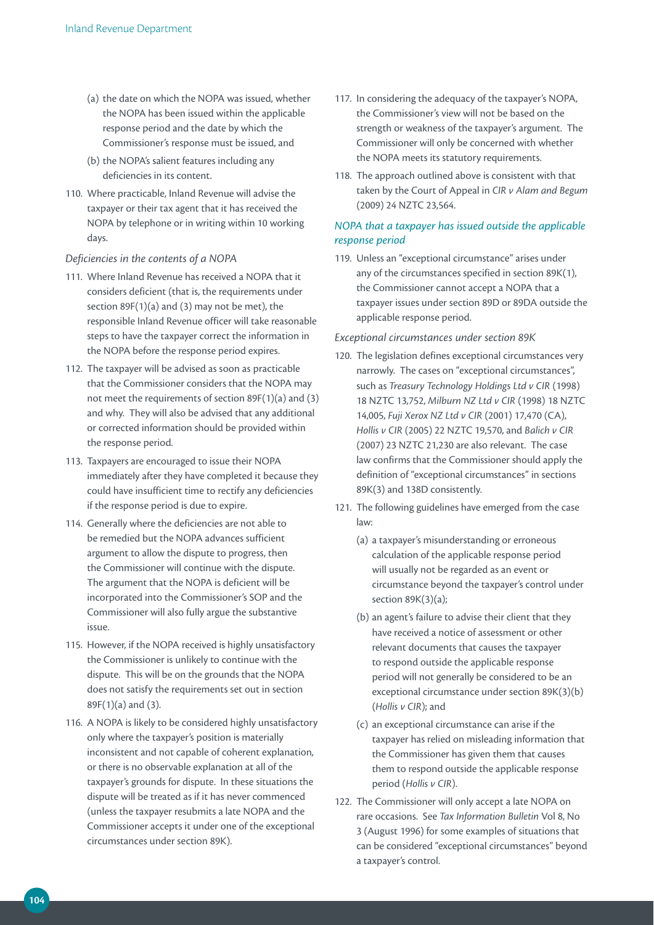- (a) the date on which the NOPA was issued, whether the NOPA has been issued within the applicable response period and the date by which the Commissioner's response must be issued, and
- (b) the NOPA's salient features including any deficiencies in its content.
- 110. Where practicable, Inland Revenue will advise the taxpayer or their tax agent that it has received the NOPA by telephone or in writing within 10 working days.

## *Deficiencies in the contents of a NOPA*

- 111. Where Inland Revenue has received a NOPA that it considers deficient (that is, the requirements under section  $89F(1)(a)$  and (3) may not be met), the responsible Inland Revenue officer will take reasonable steps to have the taxpayer correct the information in the NOPA before the response period expires.
- 112. The taxpayer will be advised as soon as practicable that the Commissioner considers that the NOPA may not meet the requirements of section 89F(1)(a) and (3) and why. They will also be advised that any additional or corrected information should be provided within the response period.
- 113. Taxpayers are encouraged to issue their NOPA immediately after they have completed it because they could have insufficient time to rectify any deficiencies if the response period is due to expire.
- 114. Generally where the deficiencies are not able to be remedied but the NOPA advances sufficient argument to allow the dispute to progress, then the Commissioner will continue with the dispute. The argument that the NOPA is deficient will be incorporated into the Commissioner's SOP and the Commissioner will also fully argue the substantive issue.
- 115. However, if the NOPA received is highly unsatisfactory the Commissioner is unlikely to continue with the dispute. This will be on the grounds that the NOPA does not satisfy the requirements set out in section 89F(1)(a) and (3).
- 116. A NOPA is likely to be considered highly unsatisfactory only where the taxpayer's position is materially inconsistent and not capable of coherent explanation, or there is no observable explanation at all of the taxpayer's grounds for dispute. In these situations the dispute will be treated as if it has never commenced (unless the taxpayer resubmits a late NOPA and the Commissioner accepts it under one of the exceptional circumstances under section 89K).
- 117. In considering the adequacy of the taxpayer's NOPA, the Commissioner's view will not be based on the strength or weakness of the taxpayer's argument. The Commissioner will only be concerned with whether the NOPA meets its statutory requirements.
- 118. The approach outlined above is consistent with that taken by the Court of Appeal in *CIR v Alam and Begum* (2009) 24 NZTC 23,564.

## *NOPA that a taxpayer has issued outside the applicable response period*

119. Unless an "exceptional circumstance" arises under any of the circumstances specified in section 89K(1), the Commissioner cannot accept a NOPA that a taxpayer issues under section 89D or 89DA outside the applicable response period.

## *Exceptional circumstances under section 89K*

- 120. The legislation defines exceptional circumstances very narrowly. The cases on "exceptional circumstances", such as *Treasury Technology Holdings Ltd v CIR* (1998) 18 NZTC 13,752, *Milburn NZ Ltd v CIR* (1998) 18 NZTC 14,005, *Fuji Xerox NZ Ltd v CIR* (2001) 17,470 (CA), *Hollis v CIR* (2005) 22 NZTC 19,570, and *Balich v CIR*  (2007) 23 NZTC 21,230 are also relevant. The case law confirms that the Commissioner should apply the definition of "exceptional circumstances" in sections 89K(3) and 138D consistently.
- 121. The following guidelines have emerged from the case law:
	- (a) a taxpayer's misunderstanding or erroneous calculation of the applicable response period will usually not be regarded as an event or circumstance beyond the taxpayer's control under section 89K(3)(a);
	- (b) an agent's failure to advise their client that they have received a notice of assessment or other relevant documents that causes the taxpayer to respond outside the applicable response period will not generally be considered to be an exceptional circumstance under section 89K(3)(b) (*Hollis v CIR*); and
	- (c) an exceptional circumstance can arise if the taxpayer has relied on misleading information that the Commissioner has given them that causes them to respond outside the applicable response period (*Hollis v CIR*).
- 122. The Commissioner will only accept a late NOPA on rare occasions. See *Tax Information Bulletin* Vol 8, No 3 (August 1996) for some examples of situations that can be considered "exceptional circumstances" beyond a taxpayer's control.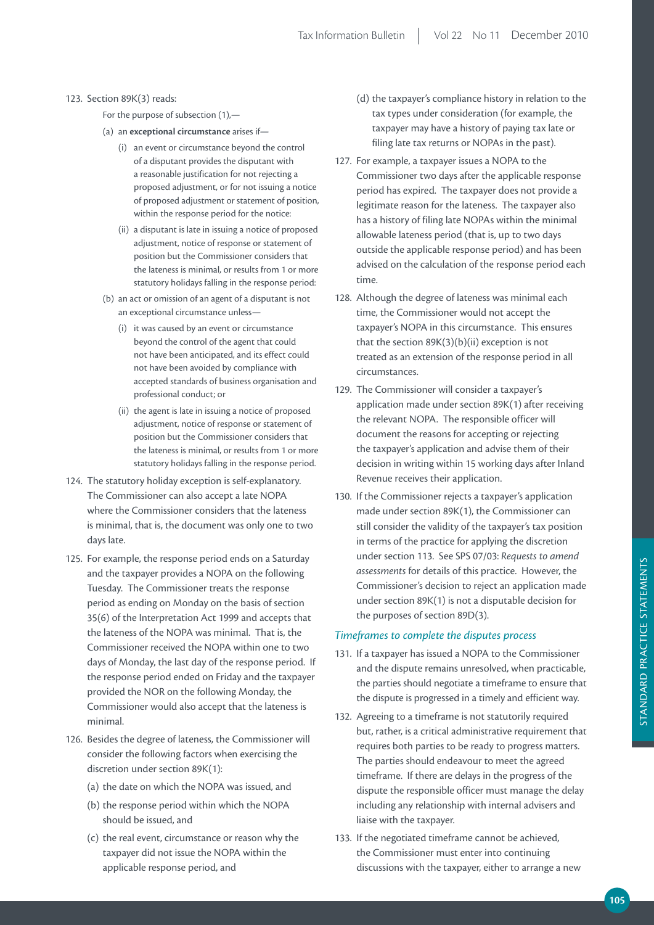#### 123. Section 89K(3) reads:

- For the purpose of subsection (1),—
- (a) an **exceptional circumstance** arises if—
	- (i) an event or circumstance beyond the control of a disputant provides the disputant with a reasonable justification for not rejecting a proposed adjustment, or for not issuing a notice of proposed adjustment or statement of position, within the response period for the notice:
	- (ii) a disputant is late in issuing a notice of proposed adjustment, notice of response or statement of position but the Commissioner considers that the lateness is minimal, or results from 1 or more statutory holidays falling in the response period:
- (b) an act or omission of an agent of a disputant is not an exceptional circumstance unless—
	- (i) it was caused by an event or circumstance beyond the control of the agent that could not have been anticipated, and its effect could not have been avoided by compliance with accepted standards of business organisation and professional conduct; or
	- (ii) the agent is late in issuing a notice of proposed adjustment, notice of response or statement of position but the Commissioner considers that the lateness is minimal, or results from 1 or more statutory holidays falling in the response period.
- 124. The statutory holiday exception is self-explanatory. The Commissioner can also accept a late NOPA where the Commissioner considers that the lateness is minimal, that is, the document was only one to two days late.
- 125. For example, the response period ends on a Saturday and the taxpayer provides a NOPA on the following Tuesday. The Commissioner treats the response period as ending on Monday on the basis of section 35(6) of the Interpretation Act 1999 and accepts that the lateness of the NOPA was minimal. That is, the Commissioner received the NOPA within one to two days of Monday, the last day of the response period. If the response period ended on Friday and the taxpayer provided the NOR on the following Monday, the Commissioner would also accept that the lateness is minimal.
- 126. Besides the degree of lateness, the Commissioner will consider the following factors when exercising the discretion under section 89K(1):
	- (a) the date on which the NOPA was issued, and
	- (b) the response period within which the NOPA should be issued, and
	- (c) the real event, circumstance or reason why the taxpayer did not issue the NOPA within the applicable response period, and
- (d) the taxpayer's compliance history in relation to the tax types under consideration (for example, the taxpayer may have a history of paying tax late or filing late tax returns or NOPAs in the past).
- 127. For example, a taxpayer issues a NOPA to the Commissioner two days after the applicable response period has expired. The taxpayer does not provide a legitimate reason for the lateness. The taxpayer also has a history of filing late NOPAs within the minimal allowable lateness period (that is, up to two days outside the applicable response period) and has been advised on the calculation of the response period each time.
- 128. Although the degree of lateness was minimal each time, the Commissioner would not accept the taxpayer's NOPA in this circumstance. This ensures that the section  $89K(3)(b)(ii)$  exception is not treated as an extension of the response period in all circumstances.
- 129. The Commissioner will consider a taxpayer's application made under section 89K(1) after receiving the relevant NOPA. The responsible officer will document the reasons for accepting or rejecting the taxpayer's application and advise them of their decision in writing within 15 working days after Inland Revenue receives their application.
- 130. If the Commissioner rejects a taxpayer's application made under section 89K(1), the Commissioner can still consider the validity of the taxpayer's tax position in terms of the practice for applying the discretion under section 113. See SPS 07/03: *Requests to amend assessments* for details of this practice. However, the Commissioner's decision to reject an application made under section 89K(1) is not a disputable decision for the purposes of section 89D(3).

#### *Timeframes to complete the disputes process*

- 131. If a taxpayer has issued a NOPA to the Commissioner and the dispute remains unresolved, when practicable, the parties should negotiate a timeframe to ensure that the dispute is progressed in a timely and efficient way.
- 132. Agreeing to a timeframe is not statutorily required but, rather, is a critical administrative requirement that requires both parties to be ready to progress matters. The parties should endeavour to meet the agreed timeframe. If there are delays in the progress of the dispute the responsible officer must manage the delay including any relationship with internal advisers and liaise with the taxpayer.
- 133. If the negotiated timeframe cannot be achieved, the Commissioner must enter into continuing discussions with the taxpayer, either to arrange a new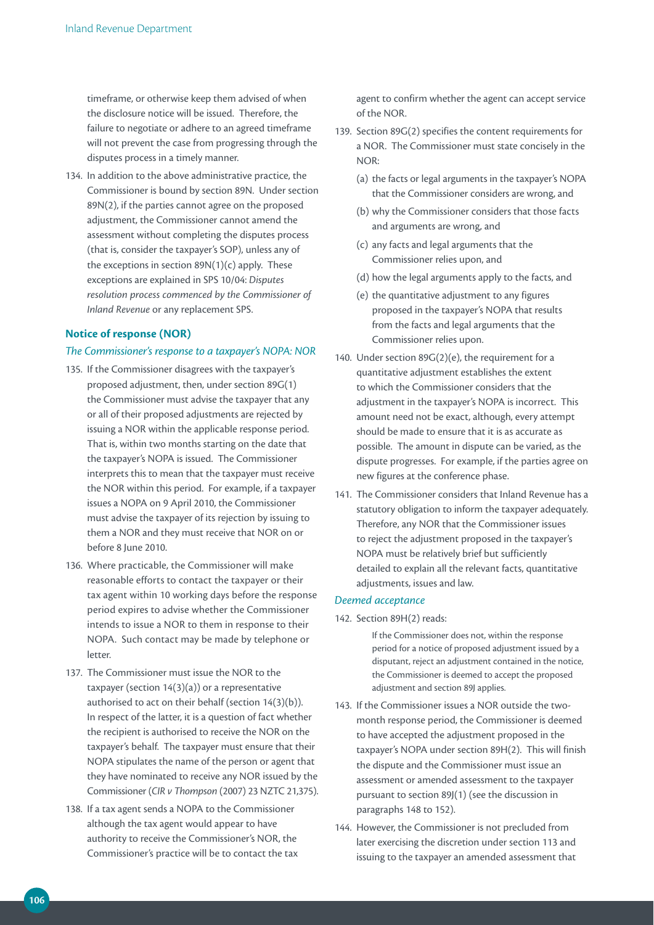timeframe, or otherwise keep them advised of when the disclosure notice will be issued. Therefore, the failure to negotiate or adhere to an agreed timeframe will not prevent the case from progressing through the disputes process in a timely manner.

134. In addition to the above administrative practice, the Commissioner is bound by section 89N. Under section 89N(2), if the parties cannot agree on the proposed adjustment, the Commissioner cannot amend the assessment without completing the disputes process (that is, consider the taxpayer's SOP), unless any of the exceptions in section  $89N(1)(c)$  apply. These exceptions are explained in SPS 10/04: *Disputes resolution process commenced by the Commissioner of Inland Revenue* or any replacement SPS.

## **Notice of response (NOR)**

#### *The Commissioner's response to a taxpayer's NOPA: NOR*

- 135. If the Commissioner disagrees with the taxpayer's proposed adjustment, then, under section 89G(1) the Commissioner must advise the taxpayer that any or all of their proposed adjustments are rejected by issuing a NOR within the applicable response period. That is, within two months starting on the date that the taxpayer's NOPA is issued. The Commissioner interprets this to mean that the taxpayer must receive the NOR within this period. For example, if a taxpayer issues a NOPA on 9 April 2010, the Commissioner must advise the taxpayer of its rejection by issuing to them a NOR and they must receive that NOR on or before 8 June 2010.
- 136. Where practicable, the Commissioner will make reasonable efforts to contact the taxpayer or their tax agent within 10 working days before the response period expires to advise whether the Commissioner intends to issue a NOR to them in response to their NOPA. Such contact may be made by telephone or letter.
- 137. The Commissioner must issue the NOR to the taxpayer (section 14(3)(a)) or a representative authorised to act on their behalf (section 14(3)(b)). In respect of the latter, it is a question of fact whether the recipient is authorised to receive the NOR on the taxpayer's behalf. The taxpayer must ensure that their NOPA stipulates the name of the person or agent that they have nominated to receive any NOR issued by the Commissioner (*CIR v Thompson* (2007) 23 NZTC 21,375).
- 138. If a tax agent sends a NOPA to the Commissioner although the tax agent would appear to have authority to receive the Commissioner's NOR, the Commissioner's practice will be to contact the tax

agent to confirm whether the agent can accept service of the NOR.

- 139. Section 89G(2) specifies the content requirements for a NOR. The Commissioner must state concisely in the NOR:
	- (a) the facts or legal arguments in the taxpayer's NOPA that the Commissioner considers are wrong, and
	- (b) why the Commissioner considers that those facts and arguments are wrong, and
	- (c) any facts and legal arguments that the Commissioner relies upon, and
	- (d) how the legal arguments apply to the facts, and
	- (e) the quantitative adjustment to any figures proposed in the taxpayer's NOPA that results from the facts and legal arguments that the Commissioner relies upon.
- 140. Under section 89G(2)(e), the requirement for a quantitative adjustment establishes the extent to which the Commissioner considers that the adjustment in the taxpayer's NOPA is incorrect. This amount need not be exact, although, every attempt should be made to ensure that it is as accurate as possible. The amount in dispute can be varied, as the dispute progresses. For example, if the parties agree on new figures at the conference phase.
- 141. The Commissioner considers that Inland Revenue has a statutory obligation to inform the taxpayer adequately. Therefore, any NOR that the Commissioner issues to reject the adjustment proposed in the taxpayer's NOPA must be relatively brief but sufficiently detailed to explain all the relevant facts, quantitative adjustments, issues and law.

#### *Deemed acceptance*

#### 142. Section 89H(2) reads:

If the Commissioner does not, within the response period for a notice of proposed adjustment issued by a disputant, reject an adjustment contained in the notice, the Commissioner is deemed to accept the proposed adjustment and section 89J applies.

- 143. If the Commissioner issues a NOR outside the twomonth response period, the Commissioner is deemed to have accepted the adjustment proposed in the taxpayer's NOPA under section 89H(2). This will finish the dispute and the Commissioner must issue an assessment or amended assessment to the taxpayer pursuant to section 89J(1) (see the discussion in paragraphs 148 to 152).
- 144. However, the Commissioner is not precluded from later exercising the discretion under section 113 and issuing to the taxpayer an amended assessment that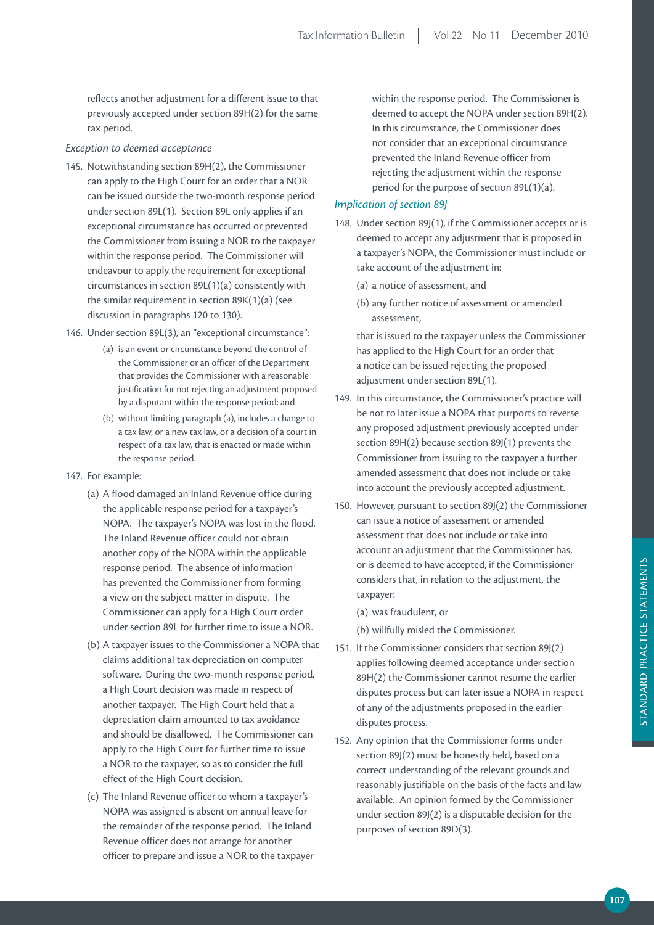reflects another adjustment for a different issue to that previously accepted under section 89H(2) for the same tax period.

#### *Exception to deemed acceptance*

- 145. Notwithstanding section 89H(2), the Commissioner can apply to the High Court for an order that a NOR can be issued outside the two-month response period under section 89L(1). Section 89L only applies if an exceptional circumstance has occurred or prevented the Commissioner from issuing a NOR to the taxpayer within the response period. The Commissioner will endeavour to apply the requirement for exceptional circumstances in section 89L(1)(a) consistently with the similar requirement in section 89K(1)(a) (see discussion in paragraphs 120 to 130).
- 146. Under section 89L(3), an "exceptional circumstance":
	- (a) is an event or circumstance beyond the control of the Commissioner or an officer of the Department that provides the Commissioner with a reasonable justification for not rejecting an adjustment proposed by a disputant within the response period; and
	- (b) without limiting paragraph (a), includes a change to a tax law, or a new tax law, or a decision of a court in respect of a tax law, that is enacted or made within the response period.
- 147. For example:
	- (a) A flood damaged an Inland Revenue office during the applicable response period for a taxpayer's NOPA. The taxpayer's NOPA was lost in the flood. The Inland Revenue officer could not obtain another copy of the NOPA within the applicable response period. The absence of information has prevented the Commissioner from forming a view on the subject matter in dispute. The Commissioner can apply for a High Court order under section 89L for further time to issue a NOR.
	- (b) A taxpayer issues to the Commissioner a NOPA that claims additional tax depreciation on computer software. During the two-month response period, a High Court decision was made in respect of another taxpayer. The High Court held that a depreciation claim amounted to tax avoidance and should be disallowed. The Commissioner can apply to the High Court for further time to issue a NOR to the taxpayer, so as to consider the full effect of the High Court decision.
	- (c) The Inland Revenue officer to whom a taxpayer's NOPA was assigned is absent on annual leave for the remainder of the response period. The Inland Revenue officer does not arrange for another officer to prepare and issue a NOR to the taxpayer

within the response period. The Commissioner is deemed to accept the NOPA under section 89H(2). In this circumstance, the Commissioner does not consider that an exceptional circumstance prevented the Inland Revenue officer from rejecting the adjustment within the response period for the purpose of section 89L(1)(a).

## *Implication of section 89J*

- 148. Under section 89J(1), if the Commissioner accepts or is deemed to accept any adjustment that is proposed in a taxpayer's NOPA, the Commissioner must include or take account of the adjustment in:
	- (a) a notice of assessment, and
	- (b) any further notice of assessment or amended assessment,

 that is issued to the taxpayer unless the Commissioner has applied to the High Court for an order that a notice can be issued rejecting the proposed adjustment under section 89L(1).

- 149. In this circumstance, the Commissioner's practice will be not to later issue a NOPA that purports to reverse any proposed adjustment previously accepted under section 89H(2) because section 89J(1) prevents the Commissioner from issuing to the taxpayer a further amended assessment that does not include or take into account the previously accepted adjustment.
- 150. However, pursuant to section 89J(2) the Commissioner can issue a notice of assessment or amended assessment that does not include or take into account an adjustment that the Commissioner has, or is deemed to have accepted, if the Commissioner considers that, in relation to the adjustment, the taxpayer:
	- (a) was fraudulent, or

(b) willfully misled the Commissioner.

- 151. If the Commissioner considers that section 89J(2) applies following deemed acceptance under section 89H(2) the Commissioner cannot resume the earlier disputes process but can later issue a NOPA in respect of any of the adjustments proposed in the earlier disputes process.
- 152. Any opinion that the Commissioner forms under section 89J(2) must be honestly held, based on a correct understanding of the relevant grounds and reasonably justifiable on the basis of the facts and law available. An opinion formed by the Commissioner under section 89J(2) is a disputable decision for the purposes of section 89D(3).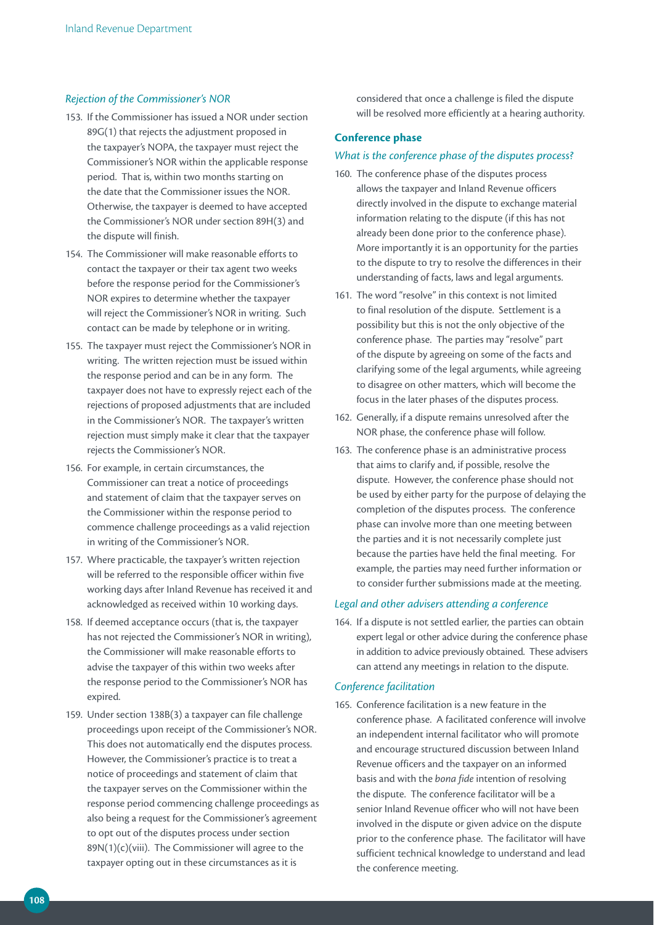## *Rejection of the Commissioner's NOR*

- 153. If the Commissioner has issued a NOR under section 89G(1) that rejects the adjustment proposed in the taxpayer's NOPA, the taxpayer must reject the Commissioner's NOR within the applicable response period. That is, within two months starting on the date that the Commissioner issues the NOR. Otherwise, the taxpayer is deemed to have accepted the Commissioner's NOR under section 89H(3) and the dispute will finish.
- 154. The Commissioner will make reasonable efforts to contact the taxpayer or their tax agent two weeks before the response period for the Commissioner's NOR expires to determine whether the taxpayer will reject the Commissioner's NOR in writing. Such contact can be made by telephone or in writing.
- 155. The taxpayer must reject the Commissioner's NOR in writing. The written rejection must be issued within the response period and can be in any form. The taxpayer does not have to expressly reject each of the rejections of proposed adjustments that are included in the Commissioner's NOR. The taxpayer's written rejection must simply make it clear that the taxpayer rejects the Commissioner's NOR.
- 156. For example, in certain circumstances, the Commissioner can treat a notice of proceedings and statement of claim that the taxpayer serves on the Commissioner within the response period to commence challenge proceedings as a valid rejection in writing of the Commissioner's NOR.
- 157. Where practicable, the taxpayer's written rejection will be referred to the responsible officer within five working days after Inland Revenue has received it and acknowledged as received within 10 working days.
- 158. If deemed acceptance occurs (that is, the taxpayer has not rejected the Commissioner's NOR in writing), the Commissioner will make reasonable efforts to advise the taxpayer of this within two weeks after the response period to the Commissioner's NOR has expired.
- 159. Under section 138B(3) a taxpayer can file challenge proceedings upon receipt of the Commissioner's NOR. This does not automatically end the disputes process. However, the Commissioner's practice is to treat a notice of proceedings and statement of claim that the taxpayer serves on the Commissioner within the response period commencing challenge proceedings as also being a request for the Commissioner's agreement to opt out of the disputes process under section 89N(1)(c)(viii). The Commissioner will agree to the taxpayer opting out in these circumstances as it is

considered that once a challenge is filed the dispute will be resolved more efficiently at a hearing authority.

#### **Conference phase**

#### *What is the conference phase of the disputes process?*

- 160. The conference phase of the disputes process allows the taxpayer and Inland Revenue officers directly involved in the dispute to exchange material information relating to the dispute (if this has not already been done prior to the conference phase). More importantly it is an opportunity for the parties to the dispute to try to resolve the differences in their understanding of facts, laws and legal arguments.
- 161. The word "resolve" in this context is not limited to final resolution of the dispute. Settlement is a possibility but this is not the only objective of the conference phase. The parties may "resolve" part of the dispute by agreeing on some of the facts and clarifying some of the legal arguments, while agreeing to disagree on other matters, which will become the focus in the later phases of the disputes process.
- 162. Generally, if a dispute remains unresolved after the NOR phase, the conference phase will follow.
- 163. The conference phase is an administrative process that aims to clarify and, if possible, resolve the dispute. However, the conference phase should not be used by either party for the purpose of delaying the completion of the disputes process. The conference phase can involve more than one meeting between the parties and it is not necessarily complete just because the parties have held the final meeting. For example, the parties may need further information or to consider further submissions made at the meeting.

#### *Legal and other advisers attending a conference*

164. If a dispute is not settled earlier, the parties can obtain expert legal or other advice during the conference phase in addition to advice previously obtained. These advisers can attend any meetings in relation to the dispute.

#### *Conference facilitation*

165. Conference facilitation is a new feature in the conference phase. A facilitated conference will involve an independent internal facilitator who will promote and encourage structured discussion between Inland Revenue officers and the taxpayer on an informed basis and with the *bona fide* intention of resolving the dispute. The conference facilitator will be a senior Inland Revenue officer who will not have been involved in the dispute or given advice on the dispute prior to the conference phase. The facilitator will have sufficient technical knowledge to understand and lead the conference meeting.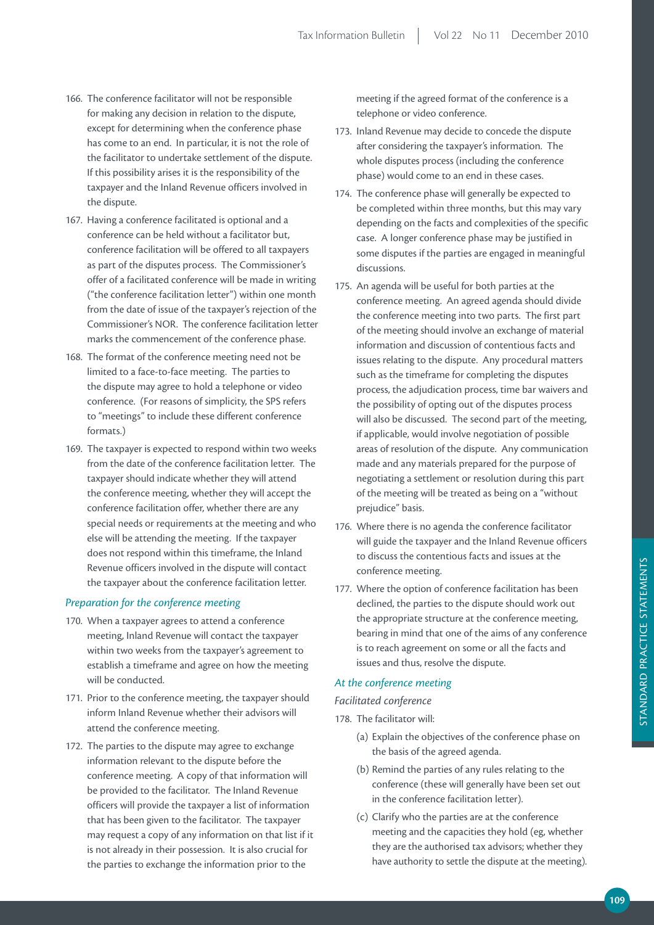- 166. The conference facilitator will not be responsible for making any decision in relation to the dispute, except for determining when the conference phase has come to an end. In particular, it is not the role of the facilitator to undertake settlement of the dispute. If this possibility arises it is the responsibility of the taxpayer and the Inland Revenue officers involved in the dispute.
- 167. Having a conference facilitated is optional and a conference can be held without a facilitator but, conference facilitation will be offered to all taxpayers as part of the disputes process. The Commissioner's offer of a facilitated conference will be made in writing ("the conference facilitation letter") within one month from the date of issue of the taxpayer's rejection of the Commissioner's NOR. The conference facilitation letter marks the commencement of the conference phase.
- 168. The format of the conference meeting need not be limited to a face-to-face meeting. The parties to the dispute may agree to hold a telephone or video conference. (For reasons of simplicity, the SPS refers to "meetings" to include these different conference formats.)
- 169. The taxpayer is expected to respond within two weeks from the date of the conference facilitation letter. The taxpayer should indicate whether they will attend the conference meeting, whether they will accept the conference facilitation offer, whether there are any special needs or requirements at the meeting and who else will be attending the meeting. If the taxpayer does not respond within this timeframe, the Inland Revenue officers involved in the dispute will contact the taxpayer about the conference facilitation letter.

#### *Preparation for the conference meeting*

- 170. When a taxpayer agrees to attend a conference meeting, Inland Revenue will contact the taxpayer within two weeks from the taxpayer's agreement to establish a timeframe and agree on how the meeting will be conducted.
- 171. Prior to the conference meeting, the taxpayer should inform Inland Revenue whether their advisors will attend the conference meeting.
- 172. The parties to the dispute may agree to exchange information relevant to the dispute before the conference meeting. A copy of that information will be provided to the facilitator. The Inland Revenue officers will provide the taxpayer a list of information that has been given to the facilitator. The taxpayer may request a copy of any information on that list if it is not already in their possession. It is also crucial for the parties to exchange the information prior to the

meeting if the agreed format of the conference is a telephone or video conference.

- 173. Inland Revenue may decide to concede the dispute after considering the taxpayer's information. The whole disputes process (including the conference phase) would come to an end in these cases.
- 174. The conference phase will generally be expected to be completed within three months, but this may vary depending on the facts and complexities of the specific case. A longer conference phase may be justified in some disputes if the parties are engaged in meaningful discussions.
- 175. An agenda will be useful for both parties at the conference meeting. An agreed agenda should divide the conference meeting into two parts. The first part of the meeting should involve an exchange of material information and discussion of contentious facts and issues relating to the dispute. Any procedural matters such as the timeframe for completing the disputes process, the adjudication process, time bar waivers and the possibility of opting out of the disputes process will also be discussed. The second part of the meeting, if applicable, would involve negotiation of possible areas of resolution of the dispute. Any communication made and any materials prepared for the purpose of negotiating a settlement or resolution during this part of the meeting will be treated as being on a "without prejudice" basis.
- 176. Where there is no agenda the conference facilitator will guide the taxpayer and the Inland Revenue officers to discuss the contentious facts and issues at the conference meeting.
- 177. Where the option of conference facilitation has been declined, the parties to the dispute should work out the appropriate structure at the conference meeting, bearing in mind that one of the aims of any conference is to reach agreement on some or all the facts and issues and thus, resolve the dispute.

## *At the conference meeting*

#### *Facilitated conference*

- 178. The facilitator will:
	- (a) Explain the objectives of the conference phase on the basis of the agreed agenda.
	- (b) Remind the parties of any rules relating to the conference (these will generally have been set out in the conference facilitation letter).
	- (c) Clarify who the parties are at the conference meeting and the capacities they hold (eg, whether they are the authorised tax advisors; whether they have authority to settle the dispute at the meeting).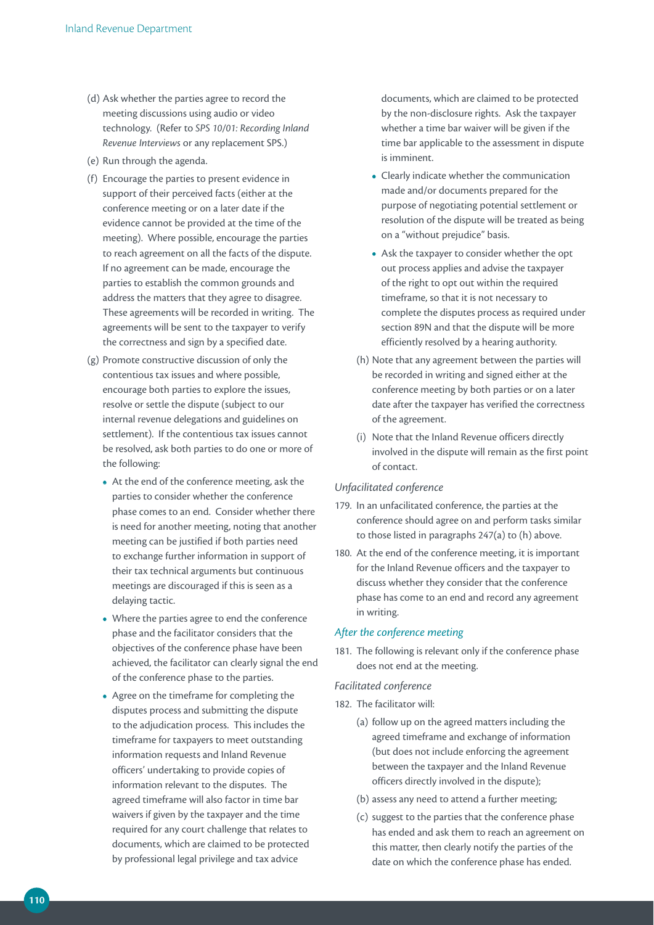- (d) Ask whether the parties agree to record the meeting discussions using audio or video technology. (Refer to *SPS 10/01: Recording Inland Revenue Interviews* or any replacement SPS.)
- (e) Run through the agenda.
- (f) Encourage the parties to present evidence in support of their perceived facts (either at the conference meeting or on a later date if the evidence cannot be provided at the time of the meeting). Where possible, encourage the parties to reach agreement on all the facts of the dispute. If no agreement can be made, encourage the parties to establish the common grounds and address the matters that they agree to disagree. These agreements will be recorded in writing. The agreements will be sent to the taxpayer to verify the correctness and sign by a specified date.
- (g) Promote constructive discussion of only the contentious tax issues and where possible, encourage both parties to explore the issues, resolve or settle the dispute (subject to our internal revenue delegations and guidelines on settlement). If the contentious tax issues cannot be resolved, ask both parties to do one or more of the following:
	- **•**  At the end of the conference meeting, ask the parties to consider whether the conference phase comes to an end. Consider whether there is need for another meeting, noting that another meeting can be justified if both parties need to exchange further information in support of their tax technical arguments but continuous meetings are discouraged if this is seen as a delaying tactic.
	- Where the parties agree to end the conference phase and the facilitator considers that the objectives of the conference phase have been achieved, the facilitator can clearly signal the end of the conference phase to the parties.
	- **•**  Agree on the timeframe for completing the disputes process and submitting the dispute to the adjudication process. This includes the timeframe for taxpayers to meet outstanding information requests and Inland Revenue officers' undertaking to provide copies of information relevant to the disputes. The agreed timeframe will also factor in time bar waivers if given by the taxpayer and the time required for any court challenge that relates to documents, which are claimed to be protected by professional legal privilege and tax advice

documents, which are claimed to be protected by the non-disclosure rights. Ask the taxpayer whether a time bar waiver will be given if the time bar applicable to the assessment in dispute is imminent.

- **•**  Clearly indicate whether the communication made and/or documents prepared for the purpose of negotiating potential settlement or resolution of the dispute will be treated as being on a "without prejudice" basis.
- Ask the taxpayer to consider whether the opt out process applies and advise the taxpayer of the right to opt out within the required timeframe, so that it is not necessary to complete the disputes process as required under section 89N and that the dispute will be more efficiently resolved by a hearing authority.
- (h) Note that any agreement between the parties will be recorded in writing and signed either at the conference meeting by both parties or on a later date after the taxpayer has verified the correctness of the agreement.
- (i) Note that the Inland Revenue officers directly involved in the dispute will remain as the first point of contact.

#### *Unfacilitated conference*

- 179. In an unfacilitated conference, the parties at the conference should agree on and perform tasks similar to those listed in paragraphs 247(a) to (h) above.
- 180. At the end of the conference meeting, it is important for the Inland Revenue officers and the taxpayer to discuss whether they consider that the conference phase has come to an end and record any agreement in writing.

#### *After the conference meeting*

181. The following is relevant only if the conference phase does not end at the meeting.

#### *Facilitated conference*

- 182. The facilitator will:
	- (a) follow up on the agreed matters including the agreed timeframe and exchange of information (but does not include enforcing the agreement between the taxpayer and the Inland Revenue officers directly involved in the dispute);
	- (b) assess any need to attend a further meeting;
	- (c) suggest to the parties that the conference phase has ended and ask them to reach an agreement on this matter, then clearly notify the parties of the date on which the conference phase has ended.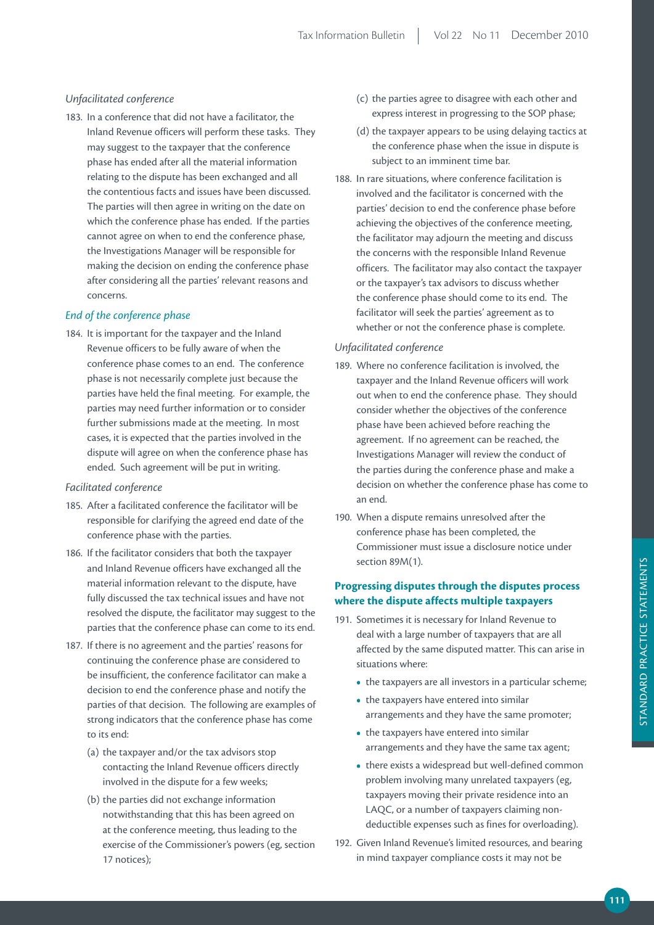## *Unfacilitated conference*

183. In a conference that did not have a facilitator, the Inland Revenue officers will perform these tasks. They may suggest to the taxpayer that the conference phase has ended after all the material information relating to the dispute has been exchanged and all the contentious facts and issues have been discussed. The parties will then agree in writing on the date on which the conference phase has ended. If the parties cannot agree on when to end the conference phase, the Investigations Manager will be responsible for making the decision on ending the conference phase after considering all the parties' relevant reasons and concerns.

## *End of the conference phase*

184. It is important for the taxpayer and the Inland Revenue officers to be fully aware of when the conference phase comes to an end. The conference phase is not necessarily complete just because the parties have held the final meeting. For example, the parties may need further information or to consider further submissions made at the meeting. In most cases, it is expected that the parties involved in the dispute will agree on when the conference phase has ended. Such agreement will be put in writing.

#### *Facilitated conference*

- 185. After a facilitated conference the facilitator will be responsible for clarifying the agreed end date of the conference phase with the parties.
- 186. If the facilitator considers that both the taxpayer and Inland Revenue officers have exchanged all the material information relevant to the dispute, have fully discussed the tax technical issues and have not resolved the dispute, the facilitator may suggest to the parties that the conference phase can come to its end.
- 187. If there is no agreement and the parties' reasons for continuing the conference phase are considered to be insufficient, the conference facilitator can make a decision to end the conference phase and notify the parties of that decision. The following are examples of strong indicators that the conference phase has come to its end:
	- (a) the taxpayer and/or the tax advisors stop contacting the Inland Revenue officers directly involved in the dispute for a few weeks;
	- (b) the parties did not exchange information notwithstanding that this has been agreed on at the conference meeting, thus leading to the exercise of the Commissioner's powers (eg, section 17 notices);
- (c) the parties agree to disagree with each other and express interest in progressing to the SOP phase;
- (d) the taxpayer appears to be using delaying tactics at the conference phase when the issue in dispute is subject to an imminent time bar.
- 188. In rare situations, where conference facilitation is involved and the facilitator is concerned with the parties' decision to end the conference phase before achieving the objectives of the conference meeting, the facilitator may adjourn the meeting and discuss the concerns with the responsible Inland Revenue officers. The facilitator may also contact the taxpayer or the taxpayer's tax advisors to discuss whether the conference phase should come to its end. The facilitator will seek the parties' agreement as to whether or not the conference phase is complete.

#### *Unfacilitated conference*

- 189. Where no conference facilitation is involved, the taxpayer and the Inland Revenue officers will work out when to end the conference phase. They should consider whether the objectives of the conference phase have been achieved before reaching the agreement. If no agreement can be reached, the Investigations Manager will review the conduct of the parties during the conference phase and make a decision on whether the conference phase has come to an end.
- 190. When a dispute remains unresolved after the conference phase has been completed, the Commissioner must issue a disclosure notice under section 89M(1).

## **Progressing disputes through the disputes process where the dispute affects multiple taxpayers**

- 191. Sometimes it is necessary for Inland Revenue to deal with a large number of taxpayers that are all affected by the same disputed matter. This can arise in situations where:
	- the taxpayers are all investors in a particular scheme;
	- the taxpayers have entered into similar arrangements and they have the same promoter;
	- the taxpayers have entered into similar arrangements and they have the same tax agent;
	- there exists a widespread but well-defined common problem involving many unrelated taxpayers (eg, taxpayers moving their private residence into an LAQC, or a number of taxpayers claiming nondeductible expenses such as fines for overloading).
- 192. Given Inland Revenue's limited resources, and bearing in mind taxpayer compliance costs it may not be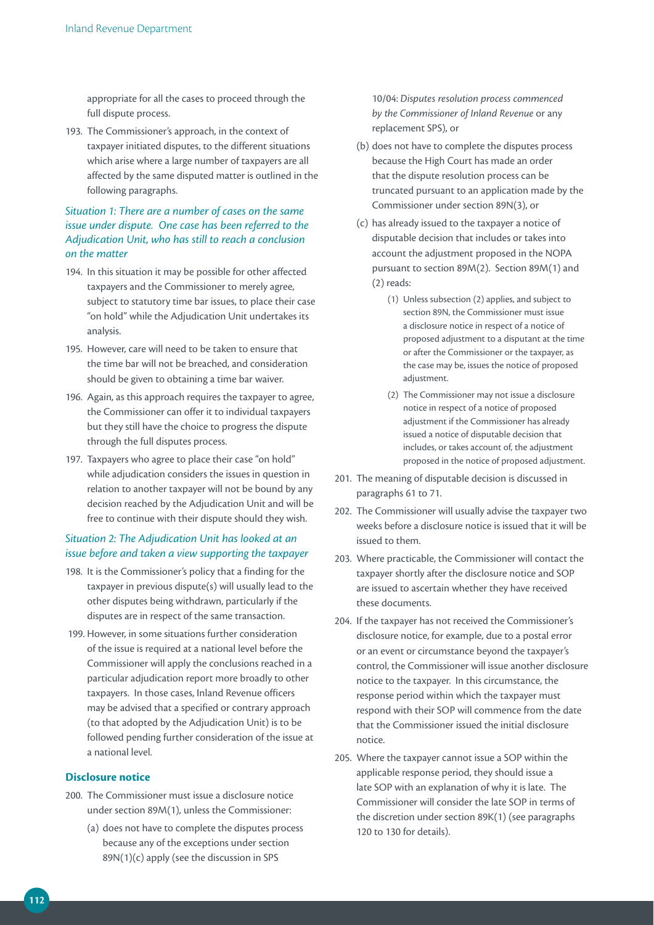appropriate for all the cases to proceed through the full dispute process.

193. The Commissioner's approach, in the context of taxpayer initiated disputes, to the different situations which arise where a large number of taxpayers are all affected by the same disputed matter is outlined in the following paragraphs.

## *Situation 1: There are a number of cases on the same issue under dispute. One case has been referred to the Adjudication Unit, who has still to reach a conclusion on the matter*

- 194. In this situation it may be possible for other affected taxpayers and the Commissioner to merely agree, subject to statutory time bar issues, to place their case "on hold" while the Adjudication Unit undertakes its analysis.
- 195. However, care will need to be taken to ensure that the time bar will not be breached, and consideration should be given to obtaining a time bar waiver.
- 196. Again, as this approach requires the taxpayer to agree, the Commissioner can offer it to individual taxpayers but they still have the choice to progress the dispute through the full disputes process.
- 197. Taxpayers who agree to place their case "on hold" while adjudication considers the issues in question in relation to another taxpayer will not be bound by any decision reached by the Adjudication Unit and will be free to continue with their dispute should they wish.

## *Situation 2: The Adjudication Unit has looked at an issue before and taken a view supporting the taxpayer*

- 198. It is the Commissioner's policy that a finding for the taxpayer in previous dispute(s) will usually lead to the other disputes being withdrawn, particularly if the disputes are in respect of the same transaction.
- 199. However, in some situations further consideration of the issue is required at a national level before the Commissioner will apply the conclusions reached in a particular adjudication report more broadly to other taxpayers. In those cases, Inland Revenue officers may be advised that a specified or contrary approach (to that adopted by the Adjudication Unit) is to be followed pending further consideration of the issue at a national level.

#### **Disclosure notice**

- 200. The Commissioner must issue a disclosure notice under section 89M(1), unless the Commissioner:
	- (a) does not have to complete the disputes process because any of the exceptions under section 89N(1)(c) apply (see the discussion in SPS

10/04: *Disputes resolution process commenced by the Commissioner of Inland Revenue* or any replacement SPS), or

- (b) does not have to complete the disputes process because the High Court has made an order that the dispute resolution process can be truncated pursuant to an application made by the Commissioner under section 89N(3), or
- (c) has already issued to the taxpayer a notice of disputable decision that includes or takes into account the adjustment proposed in the NOPA pursuant to section 89M(2). Section 89M(1) and (2) reads:
	- (1) Unless subsection (2) applies, and subject to section 89N, the Commissioner must issue a disclosure notice in respect of a notice of proposed adjustment to a disputant at the time or after the Commissioner or the taxpayer, as the case may be, issues the notice of proposed adjustment.
	- (2) The Commissioner may not issue a disclosure notice in respect of a notice of proposed adjustment if the Commissioner has already issued a notice of disputable decision that includes, or takes account of, the adjustment proposed in the notice of proposed adjustment.
- 201. The meaning of disputable decision is discussed in paragraphs 61 to 71.
- 202. The Commissioner will usually advise the taxpayer two weeks before a disclosure notice is issued that it will be issued to them.
- 203. Where practicable, the Commissioner will contact the taxpayer shortly after the disclosure notice and SOP are issued to ascertain whether they have received these documents.
- 204. If the taxpayer has not received the Commissioner's disclosure notice, for example, due to a postal error or an event or circumstance beyond the taxpayer's control, the Commissioner will issue another disclosure notice to the taxpayer. In this circumstance, the response period within which the taxpayer must respond with their SOP will commence from the date that the Commissioner issued the initial disclosure notice.
- 205. Where the taxpayer cannot issue a SOP within the applicable response period, they should issue a late SOP with an explanation of why it is late. The Commissioner will consider the late SOP in terms of the discretion under section 89K(1) (see paragraphs 120 to 130 for details).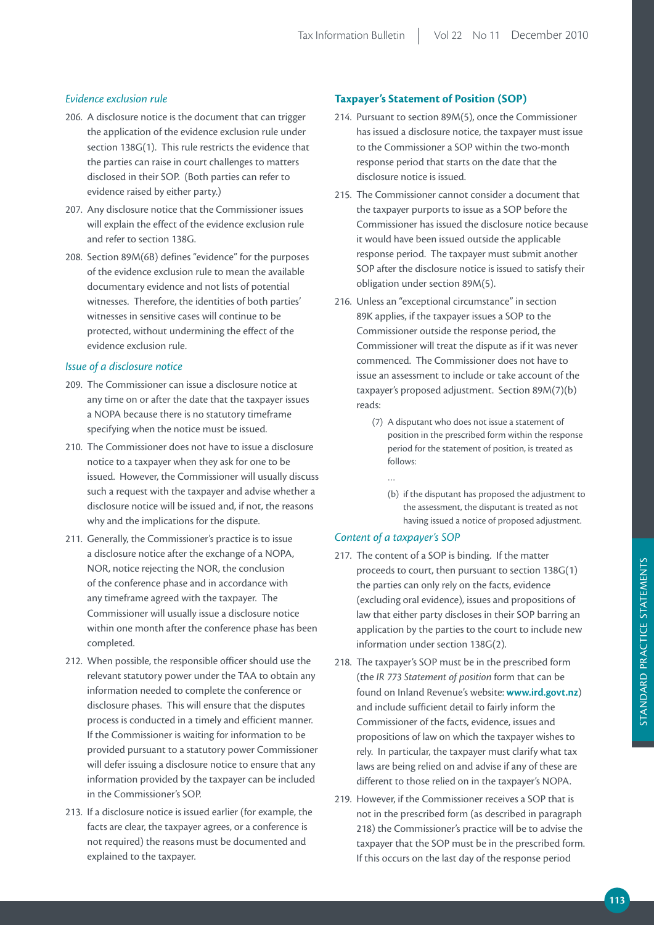## *Evidence exclusion rule*

- 206. A disclosure notice is the document that can trigger the application of the evidence exclusion rule under section 138G(1). This rule restricts the evidence that the parties can raise in court challenges to matters disclosed in their SOP. (Both parties can refer to evidence raised by either party.)
- 207. Any disclosure notice that the Commissioner issues will explain the effect of the evidence exclusion rule and refer to section 138G.
- 208. Section 89M(6B) defines "evidence" for the purposes of the evidence exclusion rule to mean the available documentary evidence and not lists of potential witnesses. Therefore, the identities of both parties' witnesses in sensitive cases will continue to be protected, without undermining the effect of the evidence exclusion rule.

#### *Issue of a disclosure notice*

- 209. The Commissioner can issue a disclosure notice at any time on or after the date that the taxpayer issues a NOPA because there is no statutory timeframe specifying when the notice must be issued.
- 210. The Commissioner does not have to issue a disclosure notice to a taxpayer when they ask for one to be issued. However, the Commissioner will usually discuss such a request with the taxpayer and advise whether a disclosure notice will be issued and, if not, the reasons why and the implications for the dispute.
- 211. Generally, the Commissioner's practice is to issue a disclosure notice after the exchange of a NOPA, NOR, notice rejecting the NOR, the conclusion of the conference phase and in accordance with any timeframe agreed with the taxpayer. The Commissioner will usually issue a disclosure notice within one month after the conference phase has been completed.
- 212. When possible, the responsible officer should use the relevant statutory power under the TAA to obtain any information needed to complete the conference or disclosure phases. This will ensure that the disputes process is conducted in a timely and efficient manner. If the Commissioner is waiting for information to be provided pursuant to a statutory power Commissioner will defer issuing a disclosure notice to ensure that any information provided by the taxpayer can be included in the Commissioner's SOP.
- 213. If a disclosure notice is issued earlier (for example, the facts are clear, the taxpayer agrees, or a conference is not required) the reasons must be documented and explained to the taxpayer.

## **Taxpayer's Statement of Position (SOP)**

- 214. Pursuant to section 89M(5), once the Commissioner has issued a disclosure notice, the taxpayer must issue to the Commissioner a SOP within the two-month response period that starts on the date that the disclosure notice is issued.
- 215. The Commissioner cannot consider a document that the taxpayer purports to issue as a SOP before the Commissioner has issued the disclosure notice because it would have been issued outside the applicable response period. The taxpayer must submit another SOP after the disclosure notice is issued to satisfy their obligation under section 89M(5).
- 216. Unless an "exceptional circumstance" in section 89K applies, if the taxpayer issues a SOP to the Commissioner outside the response period, the Commissioner will treat the dispute as if it was never commenced. The Commissioner does not have to issue an assessment to include or take account of the taxpayer's proposed adjustment. Section 89M(7)(b) reads:
	- (7) A disputant who does not issue a statement of position in the prescribed form within the response period for the statement of position, is treated as follows:
		- (b) if the disputant has proposed the adjustment to the assessment, the disputant is treated as not having issued a notice of proposed adjustment.

## *Content of a taxpayer's SOP*

- 217. The content of a SOP is binding. If the matter proceeds to court, then pursuant to section 138G(1) the parties can only rely on the facts, evidence (excluding oral evidence), issues and propositions of law that either party discloses in their SOP barring an application by the parties to the court to include new information under section 138G(2).
- 218. The taxpayer's SOP must be in the prescribed form (the *IR 773 Statement of position* form that can be found on Inland Revenue's website: **www.ird.govt.nz**) and include sufficient detail to fairly inform the Commissioner of the facts, evidence, issues and propositions of law on which the taxpayer wishes to rely. In particular, the taxpayer must clarify what tax laws are being relied on and advise if any of these are different to those relied on in the taxpayer's NOPA.
- 219. However, if the Commissioner receives a SOP that is not in the prescribed form (as described in paragraph 218) the Commissioner's practice will be to advise the taxpayer that the SOP must be in the prescribed form. If this occurs on the last day of the response period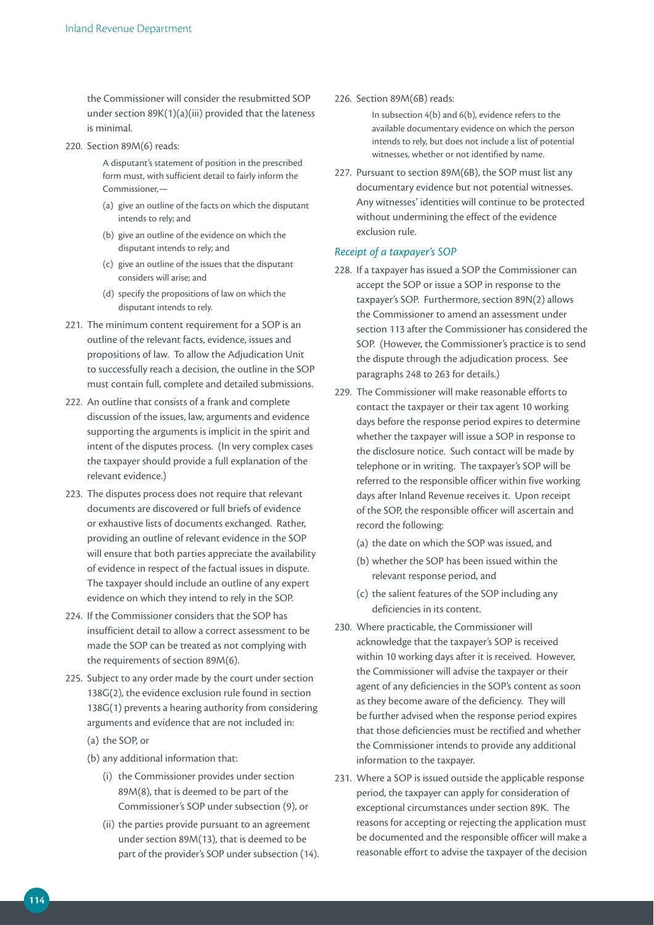the Commissioner will consider the resubmitted SOP under section 89K(1)(a)(iii) provided that the lateness is minimal.

#### 220. Section 89M(6) reads:

A disputant's statement of position in the prescribed form must, with sufficient detail to fairly inform the Commissioner,—

- (a) give an outline of the facts on which the disputant intends to rely; and
- (b) give an outline of the evidence on which the disputant intends to rely; and
- (c) give an outline of the issues that the disputant considers will arise; and
- (d) specify the propositions of law on which the disputant intends to rely.
- 221. The minimum content requirement for a SOP is an outline of the relevant facts, evidence, issues and propositions of law. To allow the Adjudication Unit to successfully reach a decision, the outline in the SOP must contain full, complete and detailed submissions.
- 222. An outline that consists of a frank and complete discussion of the issues, law, arguments and evidence supporting the arguments is implicit in the spirit and intent of the disputes process. (In very complex cases the taxpayer should provide a full explanation of the relevant evidence.)
- 223. The disputes process does not require that relevant documents are discovered or full briefs of evidence or exhaustive lists of documents exchanged. Rather, providing an outline of relevant evidence in the SOP will ensure that both parties appreciate the availability of evidence in respect of the factual issues in dispute. The taxpayer should include an outline of any expert evidence on which they intend to rely in the SOP.
- 224. If the Commissioner considers that the SOP has insufficient detail to allow a correct assessment to be made the SOP can be treated as not complying with the requirements of section 89M(6).
- 225. Subject to any order made by the court under section 138G(2), the evidence exclusion rule found in section 138G(1) prevents a hearing authority from considering arguments and evidence that are not included in:
	- (a) the SOP, or
	- (b) any additional information that:
		- (i) the Commissioner provides under section 89M(8), that is deemed to be part of the Commissioner's SOP under subsection (9), or
		- (ii) the parties provide pursuant to an agreement under section 89M(13), that is deemed to be part of the provider's SOP under subsection (14).

#### 226. Section 89M(6B) reads:

In subsection 4(b) and 6(b), evidence refers to the available documentary evidence on which the person intends to rely, but does not include a list of potential witnesses, whether or not identified by name.

227. Pursuant to section 89M(6B), the SOP must list any documentary evidence but not potential witnesses. Any witnesses' identities will continue to be protected without undermining the effect of the evidence exclusion rule.

#### *Receipt of a taxpayer's SOP*

- 228. If a taxpayer has issued a SOP the Commissioner can accept the SOP or issue a SOP in response to the taxpayer's SOP. Furthermore, section 89N(2) allows the Commissioner to amend an assessment under section 113 after the Commissioner has considered the SOP. (However, the Commissioner's practice is to send the dispute through the adjudication process. See paragraphs 248 to 263 for details.)
- 229. The Commissioner will make reasonable efforts to contact the taxpayer or their tax agent 10 working days before the response period expires to determine whether the taxpayer will issue a SOP in response to the disclosure notice. Such contact will be made by telephone or in writing. The taxpayer's SOP will be referred to the responsible officer within five working days after Inland Revenue receives it. Upon receipt of the SOP, the responsible officer will ascertain and record the following:
	- (a) the date on which the SOP was issued, and
	- (b) whether the SOP has been issued within the relevant response period, and
	- (c) the salient features of the SOP including any deficiencies in its content.
- 230. Where practicable, the Commissioner will acknowledge that the taxpayer's SOP is received within 10 working days after it is received. However, the Commissioner will advise the taxpayer or their agent of any deficiencies in the SOP's content as soon as they become aware of the deficiency. They will be further advised when the response period expires that those deficiencies must be rectified and whether the Commissioner intends to provide any additional information to the taxpayer.
- 231. Where a SOP is issued outside the applicable response period, the taxpayer can apply for consideration of exceptional circumstances under section 89K. The reasons for accepting or rejecting the application must be documented and the responsible officer will make a reasonable effort to advise the taxpayer of the decision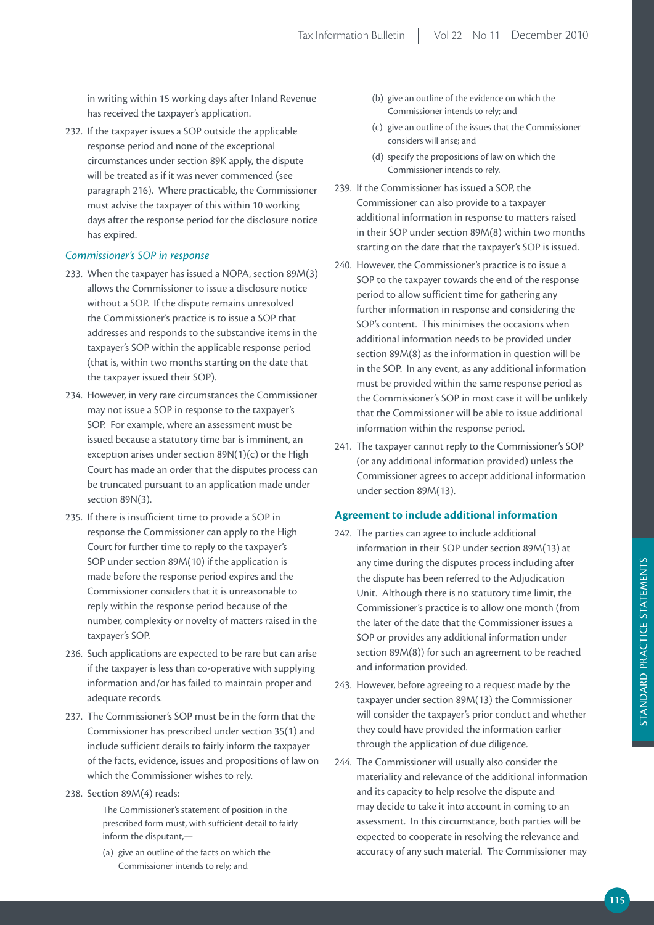in writing within 15 working days after Inland Revenue has received the taxpayer's application.

232. If the taxpayer issues a SOP outside the applicable response period and none of the exceptional circumstances under section 89K apply, the dispute will be treated as if it was never commenced (see paragraph 216). Where practicable, the Commissioner must advise the taxpayer of this within 10 working days after the response period for the disclosure notice has expired.

#### *Commissioner's SOP in response*

- 233. When the taxpayer has issued a NOPA, section 89M(3) allows the Commissioner to issue a disclosure notice without a SOP. If the dispute remains unresolved the Commissioner's practice is to issue a SOP that addresses and responds to the substantive items in the taxpayer's SOP within the applicable response period (that is, within two months starting on the date that the taxpayer issued their SOP).
- 234. However, in very rare circumstances the Commissioner may not issue a SOP in response to the taxpayer's SOP. For example, where an assessment must be issued because a statutory time bar is imminent, an exception arises under section  $89N(1)(c)$  or the High Court has made an order that the disputes process can be truncated pursuant to an application made under section 89N(3).
- 235. If there is insufficient time to provide a SOP in response the Commissioner can apply to the High Court for further time to reply to the taxpayer's SOP under section 89M(10) if the application is made before the response period expires and the Commissioner considers that it is unreasonable to reply within the response period because of the number, complexity or novelty of matters raised in the taxpayer's SOP.
- 236. Such applications are expected to be rare but can arise if the taxpayer is less than co-operative with supplying information and/or has failed to maintain proper and adequate records.
- 237. The Commissioner's SOP must be in the form that the Commissioner has prescribed under section 35(1) and include sufficient details to fairly inform the taxpayer of the facts, evidence, issues and propositions of law on which the Commissioner wishes to rely.
- 238. Section 89M(4) reads:

The Commissioner's statement of position in the prescribed form must, with sufficient detail to fairly inform the disputant,—

(a) give an outline of the facts on which the Commissioner intends to rely; and

- (b) give an outline of the evidence on which the Commissioner intends to rely; and
- (c) give an outline of the issues that the Commissioner considers will arise; and
- (d) specify the propositions of law on which the Commissioner intends to rely.
- 239. If the Commissioner has issued a SOP, the Commissioner can also provide to a taxpayer additional information in response to matters raised in their SOP under section 89M(8) within two months starting on the date that the taxpayer's SOP is issued.
- 240. However, the Commissioner's practice is to issue a SOP to the taxpayer towards the end of the response period to allow sufficient time for gathering any further information in response and considering the SOP's content. This minimises the occasions when additional information needs to be provided under section 89M(8) as the information in question will be in the SOP. In any event, as any additional information must be provided within the same response period as the Commissioner's SOP in most case it will be unlikely that the Commissioner will be able to issue additional information within the response period.
- 241. The taxpayer cannot reply to the Commissioner's SOP (or any additional information provided) unless the Commissioner agrees to accept additional information under section 89M(13).

## **Agreement to include additional information**

- 242. The parties can agree to include additional information in their SOP under section 89M(13) at any time during the disputes process including after the dispute has been referred to the Adjudication Unit. Although there is no statutory time limit, the Commissioner's practice is to allow one month (from the later of the date that the Commissioner issues a SOP or provides any additional information under section 89M(8)) for such an agreement to be reached and information provided.
- 243. However, before agreeing to a request made by the taxpayer under section 89M(13) the Commissioner will consider the taxpayer's prior conduct and whether they could have provided the information earlier through the application of due diligence.
- 244. The Commissioner will usually also consider the materiality and relevance of the additional information and its capacity to help resolve the dispute and may decide to take it into account in coming to an assessment. In this circumstance, both parties will be expected to cooperate in resolving the relevance and accuracy of any such material. The Commissioner may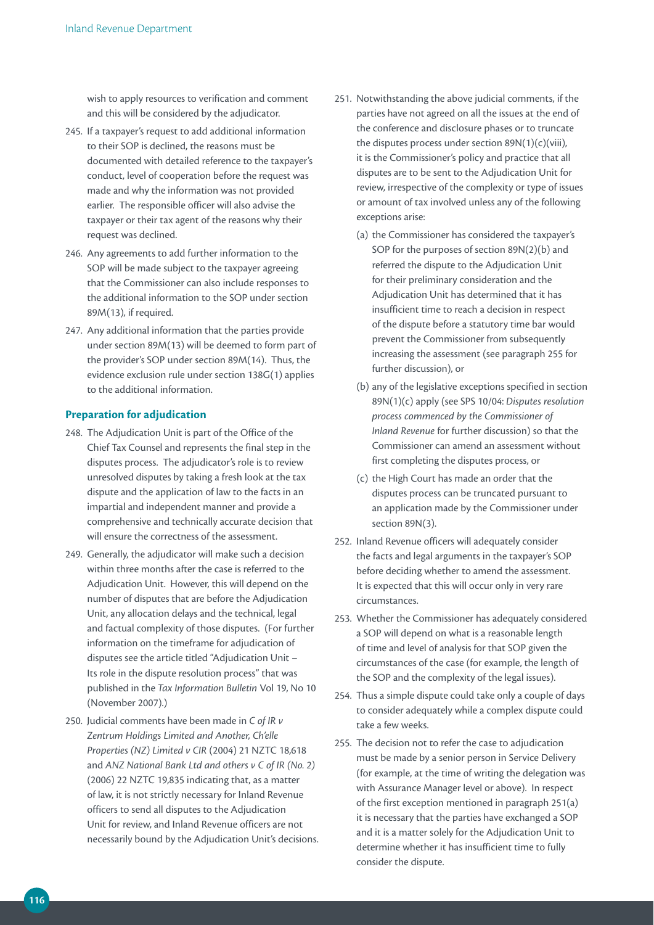wish to apply resources to verification and comment and this will be considered by the adjudicator.

- 245. If a taxpayer's request to add additional information to their SOP is declined, the reasons must be documented with detailed reference to the taxpayer's conduct, level of cooperation before the request was made and why the information was not provided earlier. The responsible officer will also advise the taxpayer or their tax agent of the reasons why their request was declined.
- 246. Any agreements to add further information to the SOP will be made subject to the taxpayer agreeing that the Commissioner can also include responses to the additional information to the SOP under section 89M(13), if required.
- 247. Any additional information that the parties provide under section 89M(13) will be deemed to form part of the provider's SOP under section 89M(14). Thus, the evidence exclusion rule under section 138G(1) applies to the additional information.

#### **Preparation for adjudication**

- 248. The Adjudication Unit is part of the Office of the Chief Tax Counsel and represents the final step in the disputes process. The adjudicator's role is to review unresolved disputes by taking a fresh look at the tax dispute and the application of law to the facts in an impartial and independent manner and provide a comprehensive and technically accurate decision that will ensure the correctness of the assessment.
- 249. Generally, the adjudicator will make such a decision within three months after the case is referred to the Adjudication Unit. However, this will depend on the number of disputes that are before the Adjudication Unit, any allocation delays and the technical, legal and factual complexity of those disputes. (For further information on the timeframe for adjudication of disputes see the article titled "Adjudication Unit – Its role in the dispute resolution process" that was published in the *Tax Information Bulletin* Vol 19, No 10 (November 2007).)
- 250. Judicial comments have been made in *C of IR v Zentrum Holdings Limited and Another, Ch'elle Properties (NZ) Limited v CIR* (2004) 21 NZTC 18,618 and *ANZ National Bank Ltd and others v C of IR (No. 2)*  (2006) 22 NZTC 19,835 indicating that, as a matter of law, it is not strictly necessary for Inland Revenue officers to send all disputes to the Adjudication Unit for review, and Inland Revenue officers are not necessarily bound by the Adjudication Unit's decisions.
- 251. Notwithstanding the above judicial comments, if the parties have not agreed on all the issues at the end of the conference and disclosure phases or to truncate the disputes process under section 89N(1)(c)(viii), it is the Commissioner's policy and practice that all disputes are to be sent to the Adjudication Unit for review, irrespective of the complexity or type of issues or amount of tax involved unless any of the following exceptions arise:
	- (a) the Commissioner has considered the taxpayer's SOP for the purposes of section 89N(2)(b) and referred the dispute to the Adjudication Unit for their preliminary consideration and the Adjudication Unit has determined that it has insufficient time to reach a decision in respect of the dispute before a statutory time bar would prevent the Commissioner from subsequently increasing the assessment (see paragraph 255 for further discussion), or
	- (b) any of the legislative exceptions specified in section 89N(1)(c) apply (see SPS 10/04: *Disputes resolution process commenced by the Commissioner of Inland Revenue* for further discussion) so that the Commissioner can amend an assessment without first completing the disputes process, or
	- (c) the High Court has made an order that the disputes process can be truncated pursuant to an application made by the Commissioner under section 89N(3).
- 252. Inland Revenue officers will adequately consider the facts and legal arguments in the taxpayer's SOP before deciding whether to amend the assessment. It is expected that this will occur only in very rare circumstances.
- 253. Whether the Commissioner has adequately considered a SOP will depend on what is a reasonable length of time and level of analysis for that SOP given the circumstances of the case (for example, the length of the SOP and the complexity of the legal issues).
- 254. Thus a simple dispute could take only a couple of days to consider adequately while a complex dispute could take a few weeks.
- 255. The decision not to refer the case to adjudication must be made by a senior person in Service Delivery (for example, at the time of writing the delegation was with Assurance Manager level or above). In respect of the first exception mentioned in paragraph 251(a) it is necessary that the parties have exchanged a SOP and it is a matter solely for the Adjudication Unit to determine whether it has insufficient time to fully consider the dispute.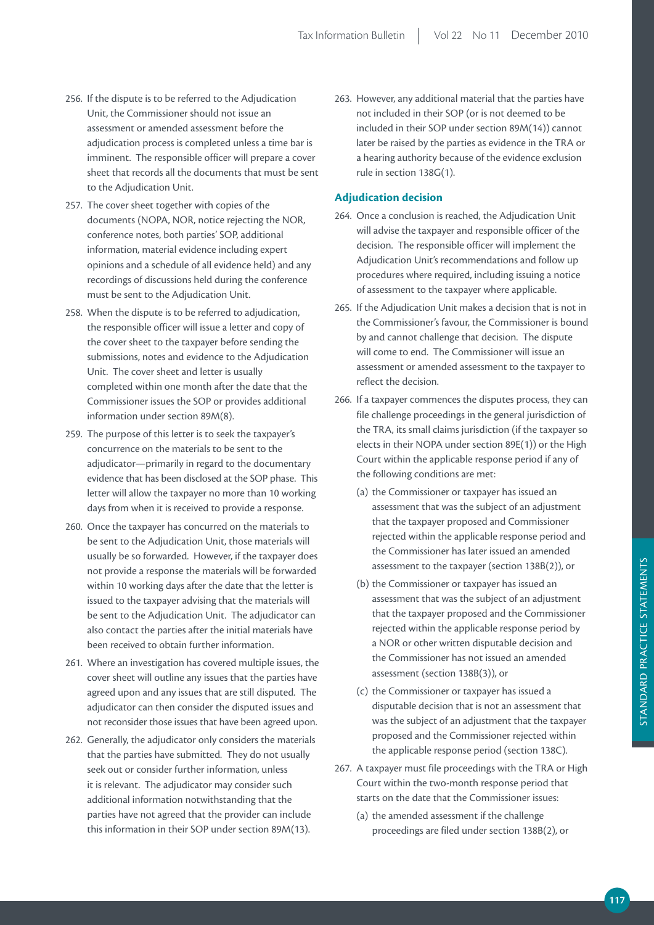- 256. If the dispute is to be referred to the Adjudication Unit, the Commissioner should not issue an assessment or amended assessment before the adjudication process is completed unless a time bar is imminent. The responsible officer will prepare a cover sheet that records all the documents that must be sent to the Adjudication Unit.
- 257. The cover sheet together with copies of the documents (NOPA, NOR, notice rejecting the NOR, conference notes, both parties' SOP, additional information, material evidence including expert opinions and a schedule of all evidence held) and any recordings of discussions held during the conference must be sent to the Adjudication Unit.
- 258. When the dispute is to be referred to adjudication, the responsible officer will issue a letter and copy of the cover sheet to the taxpayer before sending the submissions, notes and evidence to the Adjudication Unit. The cover sheet and letter is usually completed within one month after the date that the Commissioner issues the SOP or provides additional information under section 89M(8).
- 259. The purpose of this letter is to seek the taxpayer's concurrence on the materials to be sent to the adjudicator—primarily in regard to the documentary evidence that has been disclosed at the SOP phase. This letter will allow the taxpayer no more than 10 working days from when it is received to provide a response.
- 260. Once the taxpayer has concurred on the materials to be sent to the Adjudication Unit, those materials will usually be so forwarded. However, if the taxpayer does not provide a response the materials will be forwarded within 10 working days after the date that the letter is issued to the taxpayer advising that the materials will be sent to the Adjudication Unit. The adjudicator can also contact the parties after the initial materials have been received to obtain further information.
- 261. Where an investigation has covered multiple issues, the cover sheet will outline any issues that the parties have agreed upon and any issues that are still disputed. The adjudicator can then consider the disputed issues and not reconsider those issues that have been agreed upon.
- 262. Generally, the adjudicator only considers the materials that the parties have submitted. They do not usually seek out or consider further information, unless it is relevant. The adjudicator may consider such additional information notwithstanding that the parties have not agreed that the provider can include this information in their SOP under section 89M(13).

263. However, any additional material that the parties have not included in their SOP (or is not deemed to be included in their SOP under section 89M(14)) cannot later be raised by the parties as evidence in the TRA or a hearing authority because of the evidence exclusion rule in section 138G(1).

#### **Adjudication decision**

- 264. Once a conclusion is reached, the Adjudication Unit will advise the taxpayer and responsible officer of the decision. The responsible officer will implement the Adjudication Unit's recommendations and follow up procedures where required, including issuing a notice of assessment to the taxpayer where applicable.
- 265. If the Adjudication Unit makes a decision that is not in the Commissioner's favour, the Commissioner is bound by and cannot challenge that decision. The dispute will come to end. The Commissioner will issue an assessment or amended assessment to the taxpayer to reflect the decision.
- 266. If a taxpayer commences the disputes process, they can file challenge proceedings in the general jurisdiction of the TRA, its small claims jurisdiction (if the taxpayer so elects in their NOPA under section 89E(1)) or the High Court within the applicable response period if any of the following conditions are met:
	- (a) the Commissioner or taxpayer has issued an assessment that was the subject of an adjustment that the taxpayer proposed and Commissioner rejected within the applicable response period and the Commissioner has later issued an amended assessment to the taxpayer (section 138B(2)), or
	- (b) the Commissioner or taxpayer has issued an assessment that was the subject of an adjustment that the taxpayer proposed and the Commissioner rejected within the applicable response period by a NOR or other written disputable decision and the Commissioner has not issued an amended assessment (section 138B(3)), or
	- (c) the Commissioner or taxpayer has issued a disputable decision that is not an assessment that was the subject of an adjustment that the taxpayer proposed and the Commissioner rejected within the applicable response period (section 138C).
- 267. A taxpayer must file proceedings with the TRA or High Court within the two-month response period that starts on the date that the Commissioner issues:
	- (a) the amended assessment if the challenge proceedings are filed under section 138B(2), or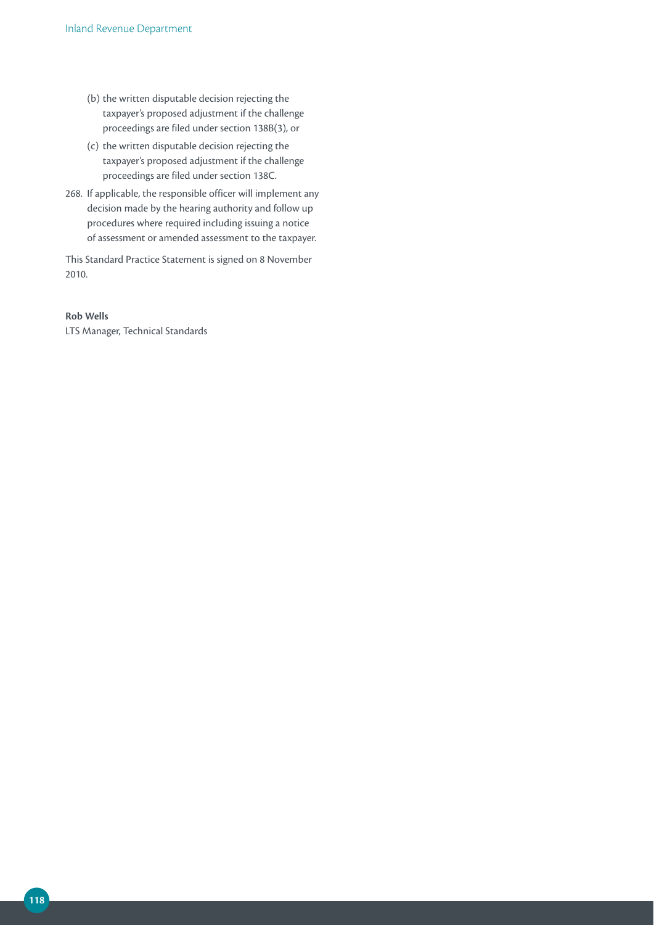- (b) the written disputable decision rejecting the taxpayer's proposed adjustment if the challenge proceedings are filed under section 138B(3), or
- (c) the written disputable decision rejecting the taxpayer's proposed adjustment if the challenge proceedings are filed under section 138C.
- 268. If applicable, the responsible officer will implement any decision made by the hearing authority and follow up procedures where required including issuing a notice of assessment or amended assessment to the taxpayer.

This Standard Practice Statement is signed on 8 November 2010.

#### **rob Wells**

LTS Manager, Technical Standards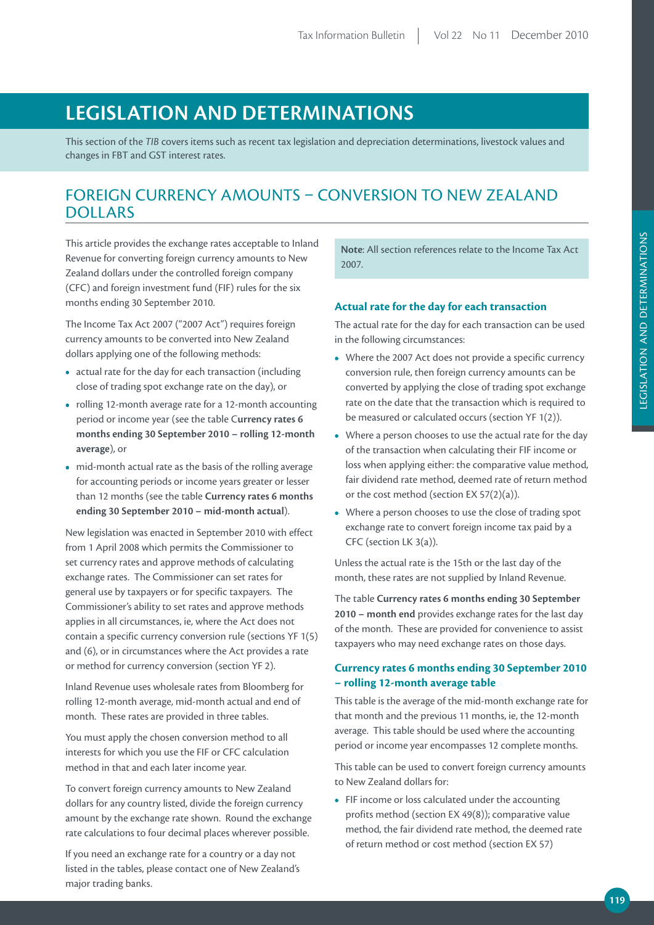# **LEGiSLATiON AND DETErmiNATiONS**

This section of the *TIB* covers items such as recent tax legislation and depreciation determinations, livestock values and changes in FBT and GST interest rates.

## FOREIGN CURRENCY AMOUNTS – CONVERSION TO NEW ZEALAND DOLLARS

This article provides the exchange rates acceptable to Inland Revenue for converting foreign currency amounts to New Zealand dollars under the controlled foreign company (CFC) and foreign investment fund (FIF) rules for the six months ending 30 September 2010.

The Income Tax Act 2007 ("2007 Act") requires foreign currency amounts to be converted into New Zealand dollars applying one of the following methods:

- **•**  actual rate for the day for each transaction (including close of trading spot exchange rate on the day), or
- **•**  rolling 12-month average rate for a 12-month accounting period or income year (see the table C**urrency rates 6 months ending 30 September 2010 – rolling 12-month average**), or
- mid-month actual rate as the basis of the rolling average for accounting periods or income years greater or lesser than 12 months (see the table **Currency rates 6 months ending 30 September 2010 – mid-month actual**).

New legislation was enacted in September 2010 with effect from 1 April 2008 which permits the Commissioner to set currency rates and approve methods of calculating exchange rates. The Commissioner can set rates for general use by taxpayers or for specific taxpayers. The Commissioner's ability to set rates and approve methods applies in all circumstances, ie, where the Act does not contain a specific currency conversion rule (sections YF 1(5) and (6), or in circumstances where the Act provides a rate or method for currency conversion (section YF 2).

Inland Revenue uses wholesale rates from Bloomberg for rolling 12-month average, mid-month actual and end of month. These rates are provided in three tables.

You must apply the chosen conversion method to all interests for which you use the FIF or CFC calculation method in that and each later income year.

To convert foreign currency amounts to New Zealand dollars for any country listed, divide the foreign currency amount by the exchange rate shown. Round the exchange rate calculations to four decimal places wherever possible.

If you need an exchange rate for a country or a day not listed in the tables, please contact one of New Zealand's major trading banks.

**Note**: All section references relate to the Income Tax Act 2007.

## **Actual rate for the day for each transaction**

The actual rate for the day for each transaction can be used in the following circumstances:

- **•**  Where the 2007 Act does not provide a specific currency conversion rule, then foreign currency amounts can be converted by applying the close of trading spot exchange rate on the date that the transaction which is required to be measured or calculated occurs (section YF 1(2)).
- Where a person chooses to use the actual rate for the day of the transaction when calculating their FIF income or loss when applying either: the comparative value method, fair dividend rate method, deemed rate of return method or the cost method (section EX 57(2)(a)).
- **•**  Where a person chooses to use the close of trading spot exchange rate to convert foreign income tax paid by a CFC (section LK 3(a)).

Unless the actual rate is the 15th or the last day of the month, these rates are not supplied by Inland Revenue.

The table **Currency rates 6 months ending 30 September 2010 – month end** provides exchange rates for the last day of the month. These are provided for convenience to assist taxpayers who may need exchange rates on those days.

## **Currency rates 6 months ending 30 September 2010 – rolling 12-month average table**

This table is the average of the mid-month exchange rate for that month and the previous 11 months, ie, the 12-month average. This table should be used where the accounting period or income year encompasses 12 complete months.

This table can be used to convert foreign currency amounts to New Zealand dollars for:

**•**  FIF income or loss calculated under the accounting profits method (section EX 49(8)); comparative value method, the fair dividend rate method, the deemed rate of return method or cost method (section EX 57)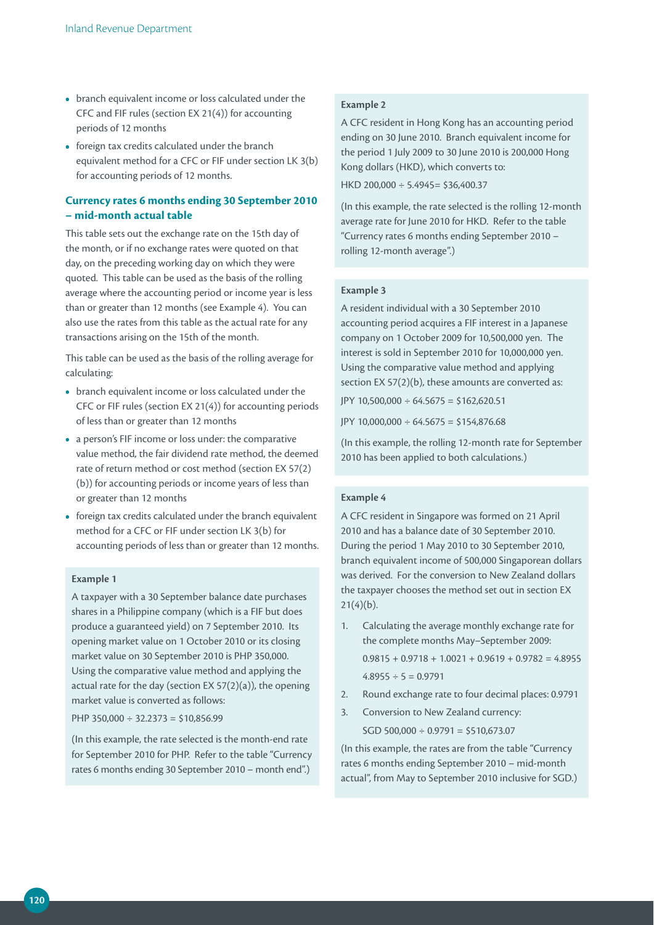- **•**  branch equivalent income or loss calculated under the CFC and FIF rules (section EX 21(4)) for accounting periods of 12 months
- **•**  foreign tax credits calculated under the branch equivalent method for a CFC or FIF under section LK 3(b) for accounting periods of 12 months.

## **Currency rates 6 months ending 30 September 2010 – mid-month actual table**

This table sets out the exchange rate on the 15th day of the month, or if no exchange rates were quoted on that day, on the preceding working day on which they were quoted. This table can be used as the basis of the rolling average where the accounting period or income year is less than or greater than 12 months (see Example 4). You can also use the rates from this table as the actual rate for any transactions arising on the 15th of the month.

This table can be used as the basis of the rolling average for calculating:

- **•**  branch equivalent income or loss calculated under the CFC or FIF rules (section EX 21(4)) for accounting periods of less than or greater than 12 months
- **•**  a person's FIF income or loss under: the comparative value method, the fair dividend rate method, the deemed rate of return method or cost method (section EX 57(2) (b)) for accounting periods or income years of less than or greater than 12 months
- foreign tax credits calculated under the branch equivalent method for a CFC or FIF under section LK 3(b) for accounting periods of less than or greater than 12 months.

#### **Example 1**

A taxpayer with a 30 September balance date purchases shares in a Philippine company (which is a FIF but does produce a guaranteed yield) on 7 September 2010. Its opening market value on 1 October 2010 or its closing market value on 30 September 2010 is PHP 350,000. Using the comparative value method and applying the actual rate for the day (section EX 57(2)(a)), the opening market value is converted as follows:

PHP 350,000  $\div$  32,2373 = \$10,856,99

(In this example, the rate selected is the month-end rate for September 2010 for PHP. Refer to the table "Currency rates 6 months ending 30 September 2010 – month end".)

#### **Example 2**

A CFC resident in Hong Kong has an accounting period ending on 30 June 2010. Branch equivalent income for the period 1 July 2009 to 30 June 2010 is 200,000 Hong Kong dollars (HKD), which converts to:

HKD 200,000 ÷ 5.4945= \$36,400.37

(In this example, the rate selected is the rolling 12-month average rate for June 2010 for HKD. Refer to the table "Currency rates 6 months ending September 2010 – rolling 12-month average".)

#### **Example 3**

A resident individual with a 30 September 2010 accounting period acquires a FIF interest in a Japanese company on 1 October 2009 for 10,500,000 yen. The interest is sold in September 2010 for 10,000,000 yen. Using the comparative value method and applying section EX 57(2)(b), these amounts are converted as: JPY 10,500,000 ÷ 64.5675 = \$162,620.51

JPY 10,000,000  $\div 64.5675 = $154,876.68$ 

(In this example, the rolling 12-month rate for September 2010 has been applied to both calculations.)

## **Example 4**

A CFC resident in Singapore was formed on 21 April 2010 and has a balance date of 30 September 2010. During the period 1 May 2010 to 30 September 2010, branch equivalent income of 500,000 Singaporean dollars was derived. For the conversion to New Zealand dollars the taxpayer chooses the method set out in section EX  $21(4)(b)$ .

- 1. Calculating the average monthly exchange rate for the complete months May–September 2009:  $0.9815 + 0.9718 + 1.0021 + 0.9619 + 0.9782 = 4.8955$  $4.8955 \div 5 = 0.9791$
- 2. Round exchange rate to four decimal places: 0.9791
- 3. Conversion to New Zealand currency:  $SGD 500,000 \div 0.9791 = $510,673.07$

(In this example, the rates are from the table "Currency rates 6 months ending September 2010 – mid-month actual", from May to September 2010 inclusive for SGD.)

**120**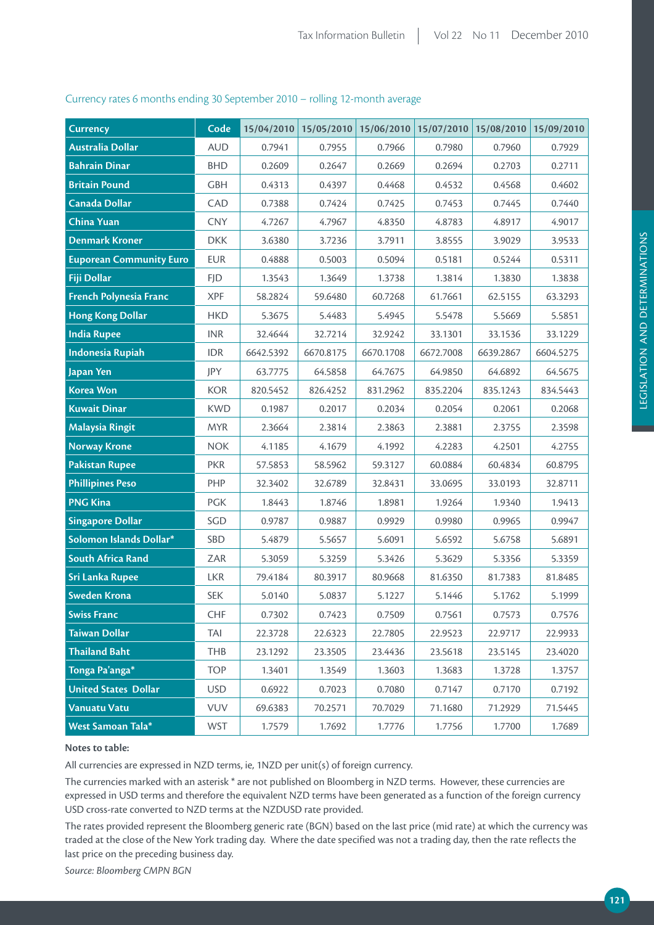| <b>Currency</b>                | Code       |           | 15/04/2010 15/05/2010 | 15/06/2010   15/07/2010   15/08/2010 |           |           | 15/09/2010 |
|--------------------------------|------------|-----------|-----------------------|--------------------------------------|-----------|-----------|------------|
| <b>Australia Dollar</b>        | <b>AUD</b> | 0.7941    | 0.7955                | 0.7966                               | 0.7980    | 0.7960    | 0.7929     |
| <b>Bahrain Dinar</b>           | <b>BHD</b> | 0.2609    | 0.2647                | 0.2669                               | 0.2694    | 0.2703    | 0.2711     |
| <b>Britain Pound</b>           | <b>GBH</b> | 0.4313    | 0.4397                | 0.4468                               | 0.4532    | 0.4568    | 0.4602     |
| <b>Canada Dollar</b>           | CAD        | 0.7388    | 0.7424                | 0.7425                               | 0.7453    | 0.7445    | 0.7440     |
| <b>China Yuan</b>              | <b>CNY</b> | 4.7267    | 4.7967                | 4.8350                               | 4.8783    | 4.8917    | 4.9017     |
| <b>Denmark Kroner</b>          | <b>DKK</b> | 3.6380    | 3.7236                | 3.7911                               | 3.8555    | 3.9029    | 3.9533     |
| <b>Euporean Community Euro</b> | <b>EUR</b> | 0.4888    | 0.5003                | 0.5094                               | 0.5181    | 0.5244    | 0.5311     |
| Fiji Dollar                    | <b>FJD</b> | 1.3543    | 1.3649                | 1.3738                               | 1.3814    | 1.3830    | 1.3838     |
| French Polynesia Franc         | <b>XPF</b> | 58.2824   | 59.6480               | 60.7268                              | 61.7661   | 62.5155   | 63.3293    |
| <b>Hong Kong Dollar</b>        | <b>HKD</b> | 5.3675    | 5.4483                | 5.4945                               | 5.5478    | 5.5669    | 5.5851     |
| <b>India Rupee</b>             | <b>INR</b> | 32.4644   | 32.7214               | 32.9242                              | 33.1301   | 33.1536   | 33.1229    |
| <b>Indonesia Rupiah</b>        | <b>IDR</b> | 6642.5392 | 6670.8175             | 6670.1708                            | 6672.7008 | 6639.2867 | 6604.5275  |
| Japan Yen                      | JPY        | 63.7775   | 64.5858               | 64.7675                              | 64.9850   | 64.6892   | 64.5675    |
| <b>Korea Won</b>               | <b>KOR</b> | 820.5452  | 826.4252              | 831.2962                             | 835.2204  | 835.1243  | 834.5443   |
| <b>Kuwait Dinar</b>            | <b>KWD</b> | 0.1987    | 0.2017                | 0.2034                               | 0.2054    | 0.2061    | 0.2068     |
| <b>Malaysia Ringit</b>         | <b>MYR</b> | 2.3664    | 2.3814                | 2.3863                               | 2.3881    | 2.3755    | 2.3598     |
| <b>Norway Krone</b>            | <b>NOK</b> | 4.1185    | 4.1679                | 4.1992                               | 4.2283    | 4.2501    | 4.2755     |
| <b>Pakistan Rupee</b>          | <b>PKR</b> | 57.5853   | 58.5962               | 59.3127                              | 60.0884   | 60.4834   | 60.8795    |
| <b>Phillipines Peso</b>        | PHP        | 32.3402   | 32.6789               | 32.8431                              | 33.0695   | 33.0193   | 32.8711    |
| <b>PNG Kina</b>                | PGK        | 1.8443    | 1.8746                | 1.8981                               | 1.9264    | 1.9340    | 1.9413     |
| <b>Singapore Dollar</b>        | SGD        | 0.9787    | 0.9887                | 0.9929                               | 0.9980    | 0.9965    | 0.9947     |
| Solomon Islands Dollar*        | SBD        | 5.4879    | 5.5657                | 5.6091                               | 5.6592    | 5.6758    | 5.6891     |
| <b>South Africa Rand</b>       | ZAR        | 5.3059    | 5.3259                | 5.3426                               | 5.3629    | 5.3356    | 5.3359     |
| <b>Sri Lanka Rupee</b>         | <b>LKR</b> | 79.4184   | 80.3917               | 80.9668                              | 81.6350   | 81.7383   | 81.8485    |
| <b>Sweden Krona</b>            | <b>SEK</b> | 5.0140    | 5.0837                | 5.1227                               | 5.1446    | 5.1762    | 5.1999     |
| <b>Swiss Franc</b>             | <b>CHF</b> | 0.7302    | 0.7423                | 0.7509                               | 0.7561    | 0.7573    | 0.7576     |
| <b>Taiwan Dollar</b>           | TAI        | 22.3728   | 22.6323               | 22.7805                              | 22.9523   | 22.9717   | 22.9933    |
| <b>Thailand Baht</b>           | THB        | 23.1292   | 23.3505               | 23.4436                              | 23.5618   | 23.5145   | 23.4020    |
| Tonga Pa'anga*                 | <b>TOP</b> | 1.3401    | 1.3549                | 1.3603                               | 1.3683    | 1.3728    | 1.3757     |
| <b>United States Dollar</b>    | <b>USD</b> | 0.6922    | 0.7023                | 0.7080                               | 0.7147    | 0.7170    | 0.7192     |
| <b>Vanuatu Vatu</b>            | VUV        | 69.6383   | 70.2571               | 70.7029                              | 71.1680   | 71.2929   | 71.5445    |
| West Samoan Tala*              | <b>WST</b> | 1.7579    | 1.7692                | 1.7776                               | 1.7756    | 1.7700    | 1.7689     |

## Currency rates 6 months ending 30 September 2010 – rolling 12-month average

#### **Notes to table:**

All currencies are expressed in NZD terms, ie, 1NZD per unit(s) of foreign currency.

The currencies marked with an asterisk \* are not published on Bloomberg in NZD terms. However, these currencies are expressed in USD terms and therefore the equivalent NZD terms have been generated as a function of the foreign currency USD cross-rate converted to NZD terms at the NZDUSD rate provided.

The rates provided represent the Bloomberg generic rate (BGN) based on the last price (mid rate) at which the currency was traded at the close of the New York trading day. Where the date specified was not a trading day, then the rate reflects the last price on the preceding business day.

*Source: Bloomberg CMPN BGN*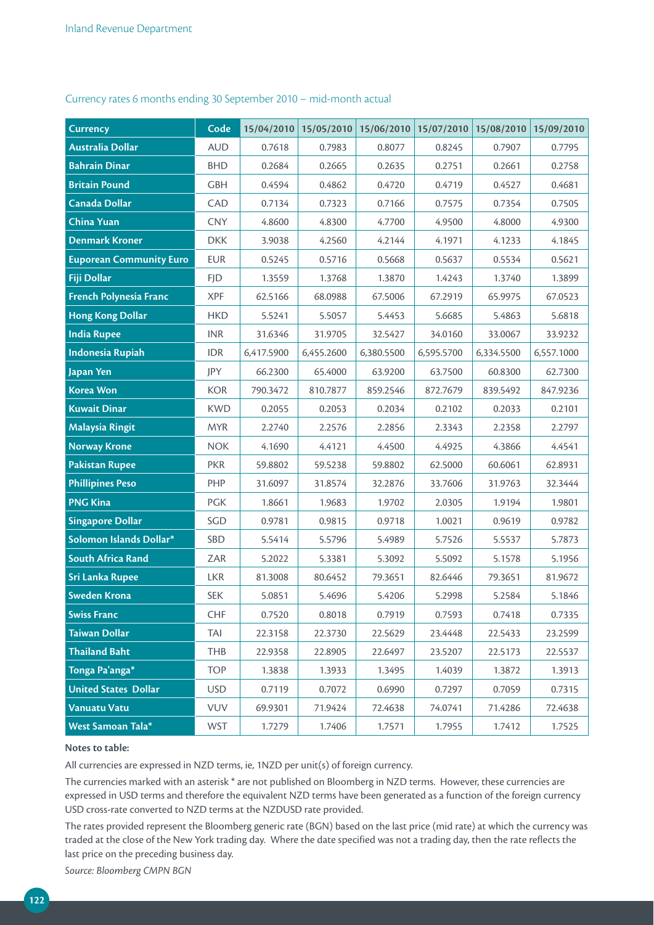| <b>Currency</b>                | Code       | 15/04/2010 | 15/05/2010 | 15/06/2010 | 15/07/2010 | 15/08/2010 | 15/09/2010 |
|--------------------------------|------------|------------|------------|------------|------------|------------|------------|
| <b>Australia Dollar</b>        | <b>AUD</b> | 0.7618     | 0.7983     | 0.8077     | 0.8245     | 0.7907     | 0.7795     |
| <b>Bahrain Dinar</b>           | <b>BHD</b> | 0.2684     | 0.2665     | 0.2635     | 0.2751     | 0.2661     | 0.2758     |
| <b>Britain Pound</b>           | <b>GBH</b> | 0.4594     | 0.4862     | 0.4720     | 0.4719     | 0.4527     | 0.4681     |
| <b>Canada Dollar</b>           | CAD        | 0.7134     | 0.7323     | 0.7166     | 0.7575     | 0.7354     | 0.7505     |
| <b>China Yuan</b>              | <b>CNY</b> | 4.8600     | 4.8300     | 4.7700     | 4.9500     | 4.8000     | 4.9300     |
| <b>Denmark Kroner</b>          | <b>DKK</b> | 3.9038     | 4.2560     | 4.2144     | 4.1971     | 4.1233     | 4.1845     |
| <b>Euporean Community Euro</b> | <b>EUR</b> | 0.5245     | 0.5716     | 0.5668     | 0.5637     | 0.5534     | 0.5621     |
| Fiji Dollar                    | <b>FJD</b> | 1.3559     | 1.3768     | 1.3870     | 1.4243     | 1.3740     | 1.3899     |
| French Polynesia Franc         | <b>XPF</b> | 62.5166    | 68.0988    | 67.5006    | 67.2919    | 65.9975    | 67.0523    |
| <b>Hong Kong Dollar</b>        | <b>HKD</b> | 5.5241     | 5.5057     | 5.4453     | 5.6685     | 5.4863     | 5.6818     |
| <b>India Rupee</b>             | <b>INR</b> | 31.6346    | 31.9705    | 32.5427    | 34.0160    | 33.0067    | 33.9232    |
| <b>Indonesia Rupiah</b>        | <b>IDR</b> | 6,417.5900 | 6,455.2600 | 6,380.5500 | 6,595.5700 | 6,334.5500 | 6,557.1000 |
| Japan Yen                      | JPY        | 66.2300    | 65.4000    | 63.9200    | 63.7500    | 60.8300    | 62.7300    |
| <b>Korea Won</b>               | <b>KOR</b> | 790.3472   | 810.7877   | 859.2546   | 872.7679   | 839.5492   | 847.9236   |
| <b>Kuwait Dinar</b>            | <b>KWD</b> | 0.2055     | 0.2053     | 0.2034     | 0.2102     | 0.2033     | 0.2101     |
| <b>Malaysia Ringit</b>         | <b>MYR</b> | 2.2740     | 2.2576     | 2.2856     | 2.3343     | 2.2358     | 2.2797     |
| <b>Norway Krone</b>            | <b>NOK</b> | 4.1690     | 4.4121     | 4.4500     | 4.4925     | 4.3866     | 4.4541     |
| <b>Pakistan Rupee</b>          | <b>PKR</b> | 59.8802    | 59.5238    | 59.8802    | 62.5000    | 60.6061    | 62.8931    |
| <b>Phillipines Peso</b>        | PHP        | 31.6097    | 31.8574    | 32.2876    | 33.7606    | 31.9763    | 32.3444    |
| <b>PNG Kina</b>                | <b>PGK</b> | 1.8661     | 1.9683     | 1.9702     | 2.0305     | 1.9194     | 1.9801     |
| <b>Singapore Dollar</b>        | SGD        | 0.9781     | 0.9815     | 0.9718     | 1.0021     | 0.9619     | 0.9782     |
| Solomon Islands Dollar*        | <b>SBD</b> | 5.5414     | 5.5796     | 5.4989     | 5.7526     | 5.5537     | 5.7873     |
| <b>South Africa Rand</b>       | ZAR        | 5.2022     | 5.3381     | 5.3092     | 5.5092     | 5.1578     | 5.1956     |
| <b>Sri Lanka Rupee</b>         | <b>LKR</b> | 81.3008    | 80.6452    | 79.3651    | 82.6446    | 79.3651    | 81.9672    |
| <b>Sweden Krona</b>            | <b>SEK</b> | 5.0851     | 5.4696     | 5.4206     | 5.2998     | 5.2584     | 5.1846     |
| <b>Swiss Franc</b>             | <b>CHF</b> | 0.7520     | 0.8018     | 0.7919     | 0.7593     | 0.7418     | 0.7335     |
| <b>Taiwan Dollar</b>           | TAI        | 22.3158    | 22.3730    | 22.5629    | 23.4448    | 22.5433    | 23.2599    |
| <b>Thailand Baht</b>           | THB        | 22.9358    | 22.8905    | 22.6497    | 23.5207    | 22.5173    | 22.5537    |
| Tonga Pa'anga*                 | <b>TOP</b> | 1.3838     | 1.3933     | 1.3495     | 1.4039     | 1.3872     | 1.3913     |
| <b>United States Dollar</b>    | <b>USD</b> | 0.7119     | 0.7072     | 0.6990     | 0.7297     | 0.7059     | 0.7315     |
| <b>Vanuatu Vatu</b>            | <b>VUV</b> | 69.9301    | 71.9424    | 72.4638    | 74.0741    | 71.4286    | 72.4638    |
| West Samoan Tala*              | <b>WST</b> | 1.7279     | 1.7406     | 1.7571     | 1.7955     | 1.7412     | 1.7525     |

## Currency rates 6 months ending 30 September 2010 – mid-month actual

#### **Notes to table:**

All currencies are expressed in NZD terms, ie, 1NZD per unit(s) of foreign currency.

The currencies marked with an asterisk \* are not published on Bloomberg in NZD terms. However, these currencies are expressed in USD terms and therefore the equivalent NZD terms have been generated as a function of the foreign currency USD cross-rate converted to NZD terms at the NZDUSD rate provided.

The rates provided represent the Bloomberg generic rate (BGN) based on the last price (mid rate) at which the currency was traded at the close of the New York trading day. Where the date specified was not a trading day, then the rate reflects the last price on the preceding business day.

*Source: Bloomberg CMPN BGN*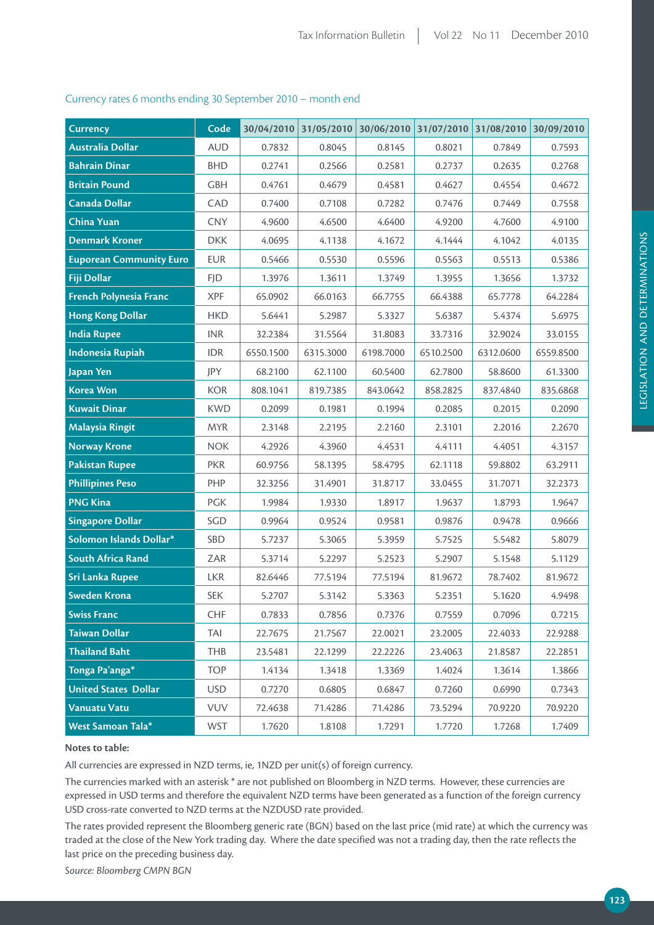| <b>Currency</b>                | Code       |           | 30/04/2010 31/05/2010 | $30/06/2010$ 31/07/2010 31/08/2010 |           |           | 30/09/2010 |
|--------------------------------|------------|-----------|-----------------------|------------------------------------|-----------|-----------|------------|
| <b>Australia Dollar</b>        | <b>AUD</b> | 0.7832    | 0.8045                | 0.8145                             | 0.8021    | 0.7849    | 0.7593     |
| <b>Bahrain Dinar</b>           | <b>BHD</b> | 0.2741    | 0.2566                | 0.2581                             | 0.2737    | 0.2635    | 0.2768     |
| <b>Britain Pound</b>           | <b>GBH</b> | 0.4761    | 0.4679                | 0.4581                             | 0.4627    | 0.4554    | 0.4672     |
| <b>Canada Dollar</b>           | CAD        | 0.7400    | 0.7108                | 0.7282                             | 0.7476    | 0.7449    | 0.7558     |
| <b>China Yuan</b>              | <b>CNY</b> | 4.9600    | 4.6500                | 4.6400                             | 4.9200    | 4.7600    | 4.9100     |
| <b>Denmark Kroner</b>          | <b>DKK</b> | 4.0695    | 4.1138                | 4.1672                             | 4.1444    | 4.1042    | 4.0135     |
| <b>Euporean Community Euro</b> | <b>EUR</b> | 0.5466    | 0.5530                | 0.5596                             | 0.5563    | 0.5513    | 0.5386     |
| <b>Fiji Dollar</b>             | <b>FJD</b> | 1.3976    | 1.3611                | 1.3749                             | 1.3955    | 1.3656    | 1.3732     |
| French Polynesia Franc         | <b>XPF</b> | 65.0902   | 66.0163               | 66.7755                            | 66.4388   | 65.7778   | 64.2284    |
| <b>Hong Kong Dollar</b>        | <b>HKD</b> | 5.6441    | 5.2987                | 5.3327                             | 5.6387    | 5.4374    | 5.6975     |
| <b>India Rupee</b>             | <b>INR</b> | 32.2384   | 31.5564               | 31.8083                            | 33.7316   | 32.9024   | 33.0155    |
| <b>Indonesia Rupiah</b>        | <b>IDR</b> | 6550.1500 | 6315.3000             | 6198.7000                          | 6510.2500 | 6312.0600 | 6559.8500  |
| Japan Yen                      | JPY        | 68.2100   | 62.1100               | 60.5400                            | 62.7800   | 58.8600   | 61.3300    |
| <b>Korea Won</b>               | <b>KOR</b> | 808.1041  | 819.7385              | 843.0642                           | 858.2825  | 837.4840  | 835.6868   |
| <b>Kuwait Dinar</b>            | <b>KWD</b> | 0.2099    | 0.1981                | 0.1994                             | 0.2085    | 0.2015    | 0.2090     |
| <b>Malaysia Ringit</b>         | <b>MYR</b> | 2.3148    | 2.2195                | 2.2160                             | 2.3101    | 2.2016    | 2.2670     |
| <b>Norway Krone</b>            | <b>NOK</b> | 4.2926    | 4.3960                | 4.4531                             | 4.4111    | 4.4051    | 4.3157     |
| <b>Pakistan Rupee</b>          | <b>PKR</b> | 60.9756   | 58.1395               | 58.4795                            | 62.1118   | 59.8802   | 63.2911    |
| <b>Phillipines Peso</b>        | PHP        | 32.3256   | 31.4901               | 31.8717                            | 33.0455   | 31.7071   | 32.2373    |
| <b>PNG Kina</b>                | PGK        | 1.9984    | 1.9330                | 1.8917                             | 1.9637    | 1.8793    | 1.9647     |
| <b>Singapore Dollar</b>        | SGD        | 0.9964    | 0.9524                | 0.9581                             | 0.9876    | 0.9478    | 0.9666     |
| Solomon Islands Dollar*        | SBD        | 5.7237    | 5.3065                | 5.3959                             | 5.7525    | 5.5482    | 5.8079     |
| <b>South Africa Rand</b>       | ZAR        | 5.3714    | 5.2297                | 5.2523                             | 5.2907    | 5.1548    | 5.1129     |
| <b>Sri Lanka Rupee</b>         | <b>LKR</b> | 82.6446   | 77.5194               | 77.5194                            | 81.9672   | 78.7402   | 81.9672    |
| <b>Sweden Krona</b>            | <b>SEK</b> | 5.2707    | 5.3142                | 5.3363                             | 5.2351    | 5.1620    | 4.9498     |
| <b>Swiss Franc</b>             | <b>CHF</b> | 0.7833    | 0.7856                | 0.7376                             | 0.7559    | 0.7096    | 0.7215     |
| <b>Taiwan Dollar</b>           | TAI        | 22.7675   | 21.7567               | 22.0021                            | 23.2005   | 22.4033   | 22.9288    |
| <b>Thailand Baht</b>           | THB        | 23.5481   | 22.1299               | 22.2226                            | 23.4063   | 21.8587   | 22.2851    |
| Tonga Pa'anga*                 | <b>TOP</b> | 1.4134    | 1.3418                | 1.3369                             | 1.4024    | 1.3614    | 1.3866     |
| <b>United States Dollar</b>    | <b>USD</b> | 0.7270    | 0.6805                | 0.6847                             | 0.7260    | 0.6990    | 0.7343     |
| <b>Vanuatu Vatu</b>            | <b>VUV</b> | 72.4638   | 71.4286               | 71.4286                            | 73.5294   | 70.9220   | 70.9220    |
| West Samoan Tala*              | <b>WST</b> | 1.7620    | 1.8108                | 1.7291                             | 1.7720    | 1.7268    | 1.7409     |

## Currency rates 6 months ending 30 September 2010 – month end

#### **Notes to table:**

All currencies are expressed in NZD terms, ie, 1NZD per unit(s) of foreign currency.

The currencies marked with an asterisk \* are not published on Bloomberg in NZD terms. However, these currencies are expressed in USD terms and therefore the equivalent NZD terms have been generated as a function of the foreign currency USD cross-rate converted to NZD terms at the NZDUSD rate provided.

The rates provided represent the Bloomberg generic rate (BGN) based on the last price (mid rate) at which the currency was traded at the close of the New York trading day. Where the date specified was not a trading day, then the rate reflects the last price on the preceding business day.

*Source: Bloomberg CMPN BGN*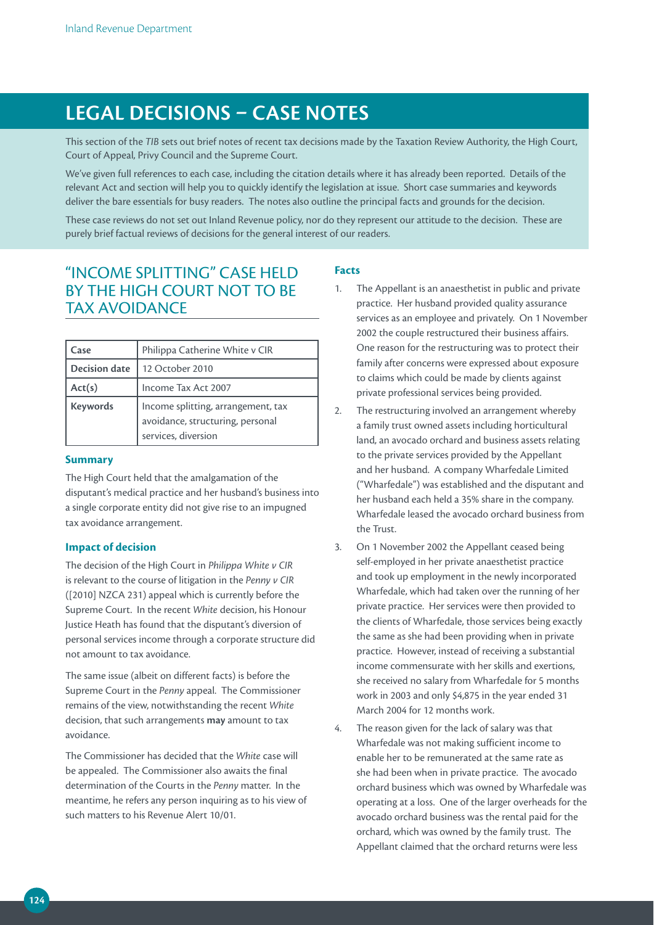# **LEGAL DECiSiONS – CASE NOTES**

This section of the *TIB* sets out brief notes of recent tax decisions made by the Taxation Review Authority, the High Court, Court of Appeal, Privy Council and the Supreme Court.

We've given full references to each case, including the citation details where it has already been reported. Details of the relevant Act and section will help you to quickly identify the legislation at issue. Short case summaries and keywords deliver the bare essentials for busy readers. The notes also outline the principal facts and grounds for the decision.

These case reviews do not set out Inland Revenue policy, nor do they represent our attitude to the decision. These are purely brief factual reviews of decisions for the general interest of our readers.

## "INCOME SPLITTING" CASE HELD BY THE HIGH COURT NOT TO BE TAX AVOIDANCE

| Case                 | Philippa Catherine White v CIR                                                                |
|----------------------|-----------------------------------------------------------------------------------------------|
| <b>Decision date</b> | 12 October 2010                                                                               |
| Act(s)               | Income Tax Act 2007                                                                           |
| <b>Keywords</b>      | Income splitting, arrangement, tax<br>avoidance, structuring, personal<br>services, diversion |

#### **Summary**

The High Court held that the amalgamation of the disputant's medical practice and her husband's business into a single corporate entity did not give rise to an impugned tax avoidance arrangement.

#### **Impact of decision**

The decision of the High Court in *Philippa White v CIR*  is relevant to the course of litigation in the *Penny v CIR*  ([2010] NZCA 231) appeal which is currently before the Supreme Court. In the recent *White* decision, his Honour Justice Heath has found that the disputant's diversion of personal services income through a corporate structure did not amount to tax avoidance.

The same issue (albeit on different facts) is before the Supreme Court in the *Penny* appeal. The Commissioner remains of the view, notwithstanding the recent *White* decision, that such arrangements **may** amount to tax avoidance.

The Commissioner has decided that the *White* case will be appealed. The Commissioner also awaits the final determination of the Courts in the *Penny* matter. In the meantime, he refers any person inquiring as to his view of such matters to his Revenue Alert 10/01.

#### **Facts**

- 1. The Appellant is an anaesthetist in public and private practice. Her husband provided quality assurance services as an employee and privately. On 1 November 2002 the couple restructured their business affairs. One reason for the restructuring was to protect their family after concerns were expressed about exposure to claims which could be made by clients against private professional services being provided.
- 2. The restructuring involved an arrangement whereby a family trust owned assets including horticultural land, an avocado orchard and business assets relating to the private services provided by the Appellant and her husband. A company Wharfedale Limited ("Wharfedale") was established and the disputant and her husband each held a 35% share in the company. Wharfedale leased the avocado orchard business from the Trust.
- 3. On 1 November 2002 the Appellant ceased being self-employed in her private anaesthetist practice and took up employment in the newly incorporated Wharfedale, which had taken over the running of her private practice. Her services were then provided to the clients of Wharfedale, those services being exactly the same as she had been providing when in private practice. However, instead of receiving a substantial income commensurate with her skills and exertions, she received no salary from Wharfedale for 5 months work in 2003 and only \$4,875 in the year ended 31 March 2004 for 12 months work.
- 4. The reason given for the lack of salary was that Wharfedale was not making sufficient income to enable her to be remunerated at the same rate as she had been when in private practice. The avocado orchard business which was owned by Wharfedale was operating at a loss. One of the larger overheads for the avocado orchard business was the rental paid for the orchard, which was owned by the family trust. The Appellant claimed that the orchard returns were less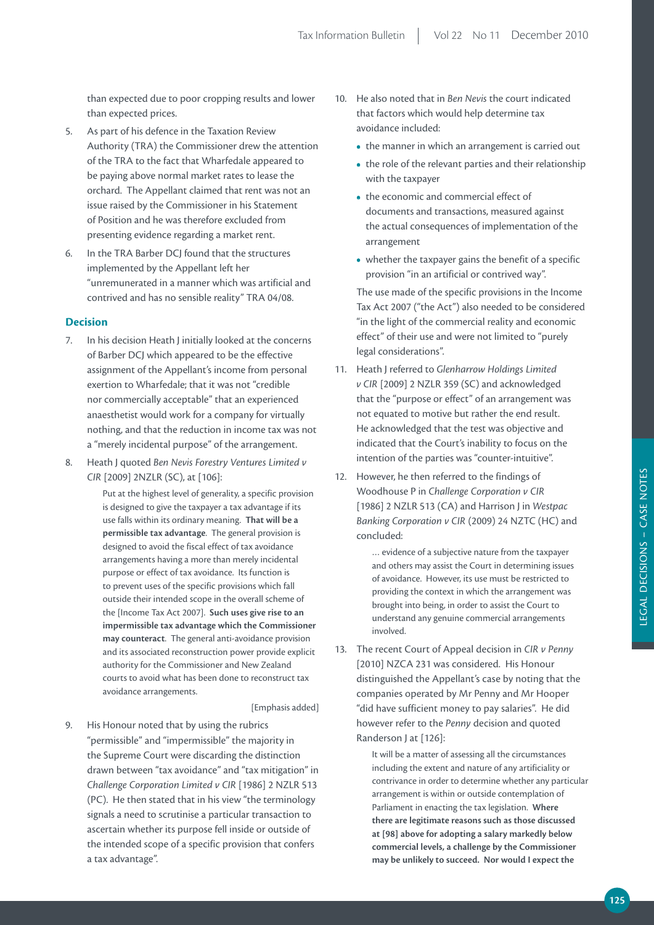than expected due to poor cropping results and lower than expected prices.

- 5. As part of his defence in the Taxation Review Authority (TRA) the Commissioner drew the attention of the TRA to the fact that Wharfedale appeared to be paying above normal market rates to lease the orchard. The Appellant claimed that rent was not an issue raised by the Commissioner in his Statement of Position and he was therefore excluded from presenting evidence regarding a market rent.
- 6. In the TRA Barber DCJ found that the structures implemented by the Appellant left her "unremunerated in a manner which was artificial and contrived and has no sensible reality" TRA 04/08.

## **Decision**

- 7. In his decision Heath J initially looked at the concerns of Barber DCJ which appeared to be the effective assignment of the Appellant's income from personal exertion to Wharfedale; that it was not "credible nor commercially acceptable" that an experienced anaesthetist would work for a company for virtually nothing, and that the reduction in income tax was not a "merely incidental purpose" of the arrangement.
- 8. Heath J quoted *Ben Nevis Forestry Ventures Limited v CIR* [2009] 2NZLR (SC), at [106]:

Put at the highest level of generality, a specific provision is designed to give the taxpayer a tax advantage if its use falls within its ordinary meaning. **That will be a permissible tax advantage**. The general provision is designed to avoid the fiscal effect of tax avoidance arrangements having a more than merely incidental purpose or effect of tax avoidance. Its function is to prevent uses of the specific provisions which fall outside their intended scope in the overall scheme of the [Income Tax Act 2007]. **Such uses give rise to an impermissible tax advantage which the Commissioner may counteract**. The general anti-avoidance provision and its associated reconstruction power provide explicit authority for the Commissioner and New Zealand courts to avoid what has been done to reconstruct tax avoidance arrangements.

#### [Emphasis added]

9. His Honour noted that by using the rubrics "permissible" and "impermissible" the majority in the Supreme Court were discarding the distinction drawn between "tax avoidance" and "tax mitigation" in *Challenge Corporation Limited v CIR* [1986] 2 NZLR 513 (PC). He then stated that in his view "the terminology signals a need to scrutinise a particular transaction to ascertain whether its purpose fell inside or outside of the intended scope of a specific provision that confers a tax advantage".

- 10. He also noted that in *Ben Nevis* the court indicated that factors which would help determine tax avoidance included:
	- the manner in which an arrangement is carried out
	- the role of the relevant parties and their relationship with the taxpayer
	- the economic and commercial effect of documents and transactions, measured against the actual consequences of implementation of the arrangement
	- whether the taxpayer gains the benefit of a specific provision "in an artificial or contrived way".

 The use made of the specific provisions in the Income Tax Act 2007 ("the Act") also needed to be considered "in the light of the commercial reality and economic effect" of their use and were not limited to "purely legal considerations".

- 11. Heath J referred to *Glenharrow Holdings Limited v CIR* [2009] 2 NZLR 359 (SC) and acknowledged that the "purpose or effect" of an arrangement was not equated to motive but rather the end result. He acknowledged that the test was objective and indicated that the Court's inability to focus on the intention of the parties was "counter-intuitive".
- 12. However, he then referred to the findings of Woodhouse P in *Challenge Corporation v CIR*  [1986] 2 NZLR 513 (CA) and Harrison J in *Westpac Banking Corporation v CIR* (2009) 24 NZTC (HC) and concluded:

… evidence of a subjective nature from the taxpayer and others may assist the Court in determining issues of avoidance. However, its use must be restricted to providing the context in which the arrangement was brought into being, in order to assist the Court to understand any genuine commercial arrangements involved.

13. The recent Court of Appeal decision in *CIR v Penny*  [2010] NZCA 231 was considered. His Honour distinguished the Appellant's case by noting that the companies operated by Mr Penny and Mr Hooper "did have sufficient money to pay salaries". He did however refer to the *Penny* decision and quoted Randerson J at [126]:

> It will be a matter of assessing all the circumstances including the extent and nature of any artificiality or contrivance in order to determine whether any particular arrangement is within or outside contemplation of Parliament in enacting the tax legislation. **Where there are legitimate reasons such as those discussed at [98] above for adopting a salary markedly below commercial levels, a challenge by the Commissioner may be unlikely to succeed. Nor would i expect the**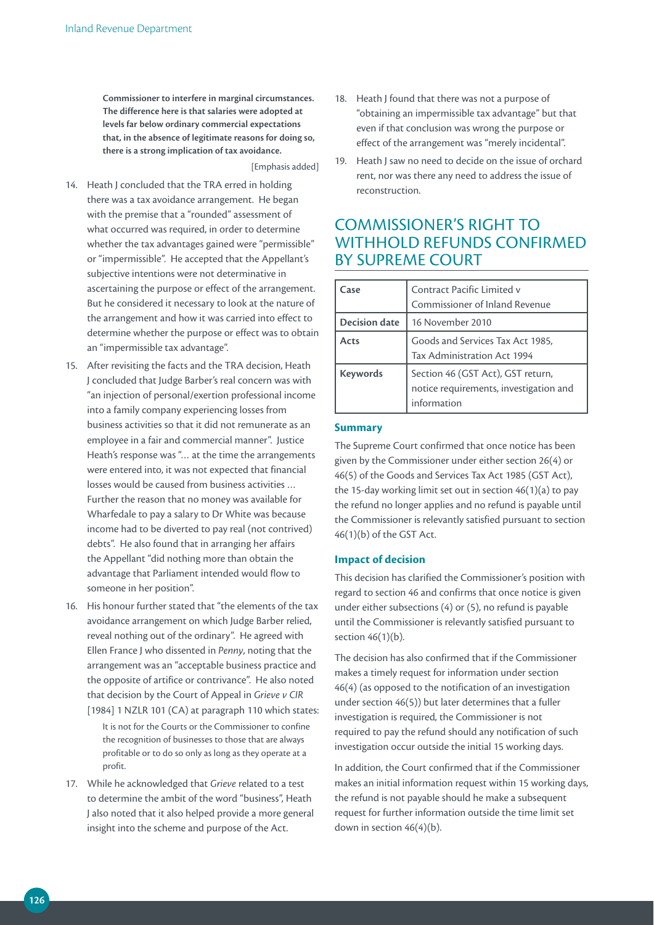**Commissioner to interfere in marginal circumstances. The difference here is that salaries were adopted at levels far below ordinary commercial expectations that, in the absence of legitimate reasons for doing so, there is a strong implication of tax avoidance.**

[Emphasis added]

- 14. Heath J concluded that the TRA erred in holding there was a tax avoidance arrangement. He began with the premise that a "rounded" assessment of what occurred was required, in order to determine whether the tax advantages gained were "permissible" or "impermissible". He accepted that the Appellant's subjective intentions were not determinative in ascertaining the purpose or effect of the arrangement. But he considered it necessary to look at the nature of the arrangement and how it was carried into effect to determine whether the purpose or effect was to obtain an "impermissible tax advantage".
- 15. After revisiting the facts and the TRA decision, Heath J concluded that Judge Barber's real concern was with "an injection of personal/exertion professional income into a family company experiencing losses from business activities so that it did not remunerate as an employee in a fair and commercial manner". Justice Heath's response was "… at the time the arrangements were entered into, it was not expected that financial losses would be caused from business activities … Further the reason that no money was available for Wharfedale to pay a salary to Dr White was because income had to be diverted to pay real (not contrived) debts". He also found that in arranging her affairs the Appellant "did nothing more than obtain the advantage that Parliament intended would flow to someone in her position".
- 16. His honour further stated that "the elements of the tax avoidance arrangement on which Judge Barber relied, reveal nothing out of the ordinary". He agreed with Ellen France J who dissented in *Penny*, noting that the arrangement was an "acceptable business practice and the opposite of artifice or contrivance". He also noted that decision by the Court of Appeal in *Grieve v CIR* [1984] 1 NZLR 101 (CA) at paragraph 110 which states:
	- It is not for the Courts or the Commissioner to confine the recognition of businesses to those that are always profitable or to do so only as long as they operate at a profit.
- 17. While he acknowledged that *Grieve* related to a test to determine the ambit of the word "business", Heath J also noted that it also helped provide a more general insight into the scheme and purpose of the Act.
- 18. Heath J found that there was not a purpose of "obtaining an impermissible tax advantage" but that even if that conclusion was wrong the purpose or effect of the arrangement was "merely incidental".
- 19. Heath J saw no need to decide on the issue of orchard rent, nor was there any need to address the issue of reconstruction.

## COMMISSIONER'S RIGHT TO WITHHOLD REFUNDS CONFIRMED BY SUPREME COURT

| Case                 | Contract Pacific Limited v<br>Commissioner of Inland Revenue                               |
|----------------------|--------------------------------------------------------------------------------------------|
| <b>Decision date</b> | 16 November 2010                                                                           |
| Acts                 | Goods and Services Tax Act 1985,<br>Tax Administration Act 1994                            |
| <b>Keywords</b>      | Section 46 (GST Act), GST return,<br>notice requirements, investigation and<br>information |

#### **Summary**

The Supreme Court confirmed that once notice has been given by the Commissioner under either section 26(4) or 46(5) of the Goods and Services Tax Act 1985 (GST Act), the 15-day working limit set out in section 46(1)(a) to pay the refund no longer applies and no refund is payable until the Commissioner is relevantly satisfied pursuant to section 46(1)(b) of the GST Act.

#### **Impact of decision**

This decision has clarified the Commissioner's position with regard to section 46 and confirms that once notice is given under either subsections (4) or (5), no refund is payable until the Commissioner is relevantly satisfied pursuant to section 46(1)(b).

The decision has also confirmed that if the Commissioner makes a timely request for information under section 46(4) (as opposed to the notification of an investigation under section 46(5)) but later determines that a fuller investigation is required, the Commissioner is not required to pay the refund should any notification of such investigation occur outside the initial 15 working days.

In addition, the Court confirmed that if the Commissioner makes an initial information request within 15 working days, the refund is not payable should he make a subsequent request for further information outside the time limit set down in section 46(4)(b).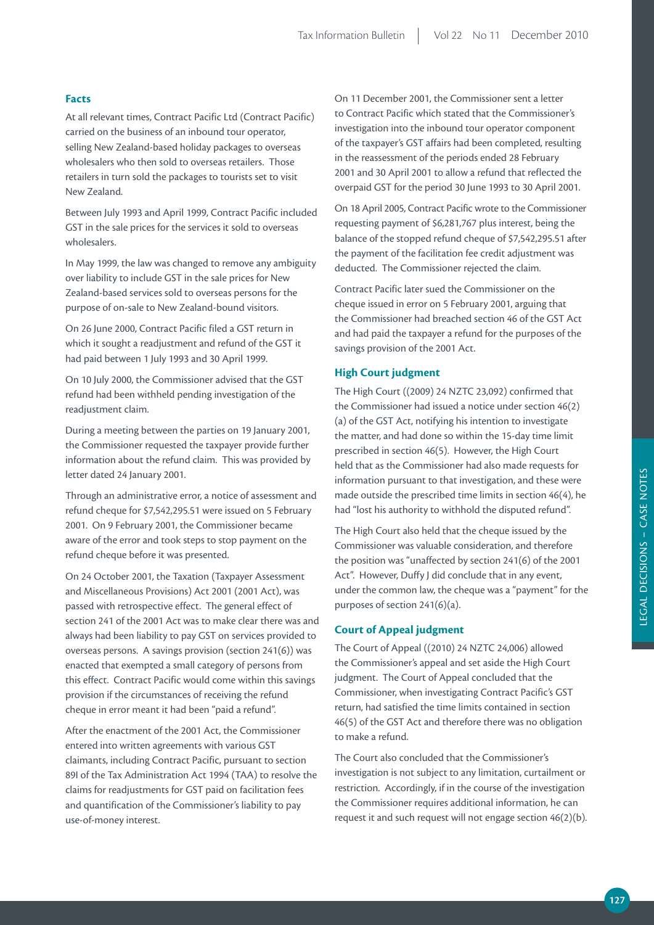## **Facts**

At all relevant times, Contract Pacific Ltd (Contract Pacific) carried on the business of an inbound tour operator, selling New Zealand-based holiday packages to overseas wholesalers who then sold to overseas retailers. Those retailers in turn sold the packages to tourists set to visit New Zealand.

Between July 1993 and April 1999, Contract Pacific included GST in the sale prices for the services it sold to overseas wholesalers.

In May 1999, the law was changed to remove any ambiguity over liability to include GST in the sale prices for New Zealand-based services sold to overseas persons for the purpose of on-sale to New Zealand-bound visitors.

On 26 June 2000, Contract Pacific filed a GST return in which it sought a readjustment and refund of the GST it had paid between 1 July 1993 and 30 April 1999.

On 10 July 2000, the Commissioner advised that the GST refund had been withheld pending investigation of the readjustment claim.

During a meeting between the parties on 19 January 2001, the Commissioner requested the taxpayer provide further information about the refund claim. This was provided by letter dated 24 January 2001.

Through an administrative error, a notice of assessment and refund cheque for \$7,542,295.51 were issued on 5 February 2001. On 9 February 2001, the Commissioner became aware of the error and took steps to stop payment on the refund cheque before it was presented.

On 24 October 2001, the Taxation (Taxpayer Assessment and Miscellaneous Provisions) Act 2001 (2001 Act), was passed with retrospective effect. The general effect of section 241 of the 2001 Act was to make clear there was and always had been liability to pay GST on services provided to overseas persons. A savings provision (section 241(6)) was enacted that exempted a small category of persons from this effect. Contract Pacific would come within this savings provision if the circumstances of receiving the refund cheque in error meant it had been "paid a refund".

After the enactment of the 2001 Act, the Commissioner entered into written agreements with various GST claimants, including Contract Pacific, pursuant to section 89I of the Tax Administration Act 1994 (TAA) to resolve the claims for readjustments for GST paid on facilitation fees and quantification of the Commissioner's liability to pay use-of-money interest.

On 11 December 2001, the Commissioner sent a letter to Contract Pacific which stated that the Commissioner's investigation into the inbound tour operator component of the taxpayer's GST affairs had been completed, resulting in the reassessment of the periods ended 28 February 2001 and 30 April 2001 to allow a refund that reflected the overpaid GST for the period 30 June 1993 to 30 April 2001.

On 18 April 2005, Contract Pacific wrote to the Commissioner requesting payment of \$6,281,767 plus interest, being the balance of the stopped refund cheque of \$7,542,295.51 after the payment of the facilitation fee credit adjustment was deducted. The Commissioner rejected the claim.

Contract Pacific later sued the Commissioner on the cheque issued in error on 5 February 2001, arguing that the Commissioner had breached section 46 of the GST Act and had paid the taxpayer a refund for the purposes of the savings provision of the 2001 Act.

## **High Court judgment**

The High Court ((2009) 24 NZTC 23,092) confirmed that the Commissioner had issued a notice under section 46(2) (a) of the GST Act, notifying his intention to investigate the matter, and had done so within the 15-day time limit prescribed in section 46(5). However, the High Court held that as the Commissioner had also made requests for information pursuant to that investigation, and these were made outside the prescribed time limits in section 46(4), he had "lost his authority to withhold the disputed refund".

The High Court also held that the cheque issued by the Commissioner was valuable consideration, and therefore the position was "unaffected by section 241(6) of the 2001 Act". However, Duffy J did conclude that in any event, under the common law, the cheque was a "payment" for the purposes of section 241(6)(a).

#### **Court of Appeal judgment**

The Court of Appeal ((2010) 24 NZTC 24,006) allowed the Commissioner's appeal and set aside the High Court judgment. The Court of Appeal concluded that the Commissioner, when investigating Contract Pacific's GST return, had satisfied the time limits contained in section 46(5) of the GST Act and therefore there was no obligation to make a refund.

The Court also concluded that the Commissioner's investigation is not subject to any limitation, curtailment or restriction. Accordingly, if in the course of the investigation the Commissioner requires additional information, he can request it and such request will not engage section 46(2)(b).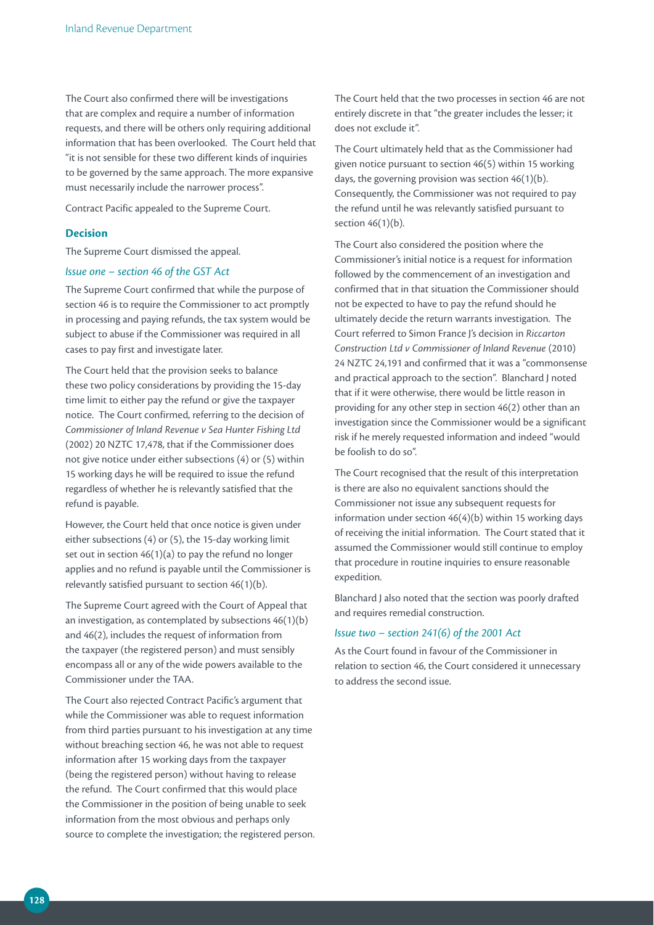The Court also confirmed there will be investigations that are complex and require a number of information requests, and there will be others only requiring additional information that has been overlooked. The Court held that "it is not sensible for these two different kinds of inquiries to be governed by the same approach. The more expansive must necessarily include the narrower process".

Contract Pacific appealed to the Supreme Court.

#### **Decision**

The Supreme Court dismissed the appeal.

#### *Issue one – section 46 of the GST Act*

The Supreme Court confirmed that while the purpose of section 46 is to require the Commissioner to act promptly in processing and paying refunds, the tax system would be subject to abuse if the Commissioner was required in all cases to pay first and investigate later.

The Court held that the provision seeks to balance these two policy considerations by providing the 15-day time limit to either pay the refund or give the taxpayer notice. The Court confirmed, referring to the decision of *Commissioner of Inland Revenue v Sea Hunter Fishing Ltd*  (2002) 20 NZTC 17,478, that if the Commissioner does not give notice under either subsections (4) or (5) within 15 working days he will be required to issue the refund regardless of whether he is relevantly satisfied that the refund is payable.

However, the Court held that once notice is given under either subsections (4) or (5), the 15-day working limit set out in section 46(1)(a) to pay the refund no longer applies and no refund is payable until the Commissioner is relevantly satisfied pursuant to section 46(1)(b).

The Supreme Court agreed with the Court of Appeal that an investigation, as contemplated by subsections 46(1)(b) and 46(2), includes the request of information from the taxpayer (the registered person) and must sensibly encompass all or any of the wide powers available to the Commissioner under the TAA.

The Court also rejected Contract Pacific's argument that while the Commissioner was able to request information from third parties pursuant to his investigation at any time without breaching section 46, he was not able to request information after 15 working days from the taxpayer (being the registered person) without having to release the refund. The Court confirmed that this would place the Commissioner in the position of being unable to seek information from the most obvious and perhaps only source to complete the investigation; the registered person.

The Court held that the two processes in section 46 are not entirely discrete in that "the greater includes the lesser; it does not exclude it".

The Court ultimately held that as the Commissioner had given notice pursuant to section 46(5) within 15 working days, the governing provision was section 46(1)(b). Consequently, the Commissioner was not required to pay the refund until he was relevantly satisfied pursuant to section 46(1)(b).

The Court also considered the position where the Commissioner's initial notice is a request for information followed by the commencement of an investigation and confirmed that in that situation the Commissioner should not be expected to have to pay the refund should he ultimately decide the return warrants investigation. The Court referred to Simon France J's decision in *Riccarton Construction Ltd v Commissioner of Inland Revenue* (2010) 24 NZTC 24,191 and confirmed that it was a "commonsense and practical approach to the section". Blanchard J noted that if it were otherwise, there would be little reason in providing for any other step in section 46(2) other than an investigation since the Commissioner would be a significant risk if he merely requested information and indeed "would be foolish to do so".

The Court recognised that the result of this interpretation is there are also no equivalent sanctions should the Commissioner not issue any subsequent requests for information under section 46(4)(b) within 15 working days of receiving the initial information. The Court stated that it assumed the Commissioner would still continue to employ that procedure in routine inquiries to ensure reasonable expedition.

Blanchard J also noted that the section was poorly drafted and requires remedial construction.

## *Issue two – section 241(6) of the 2001 Act*

As the Court found in favour of the Commissioner in relation to section 46, the Court considered it unnecessary to address the second issue.